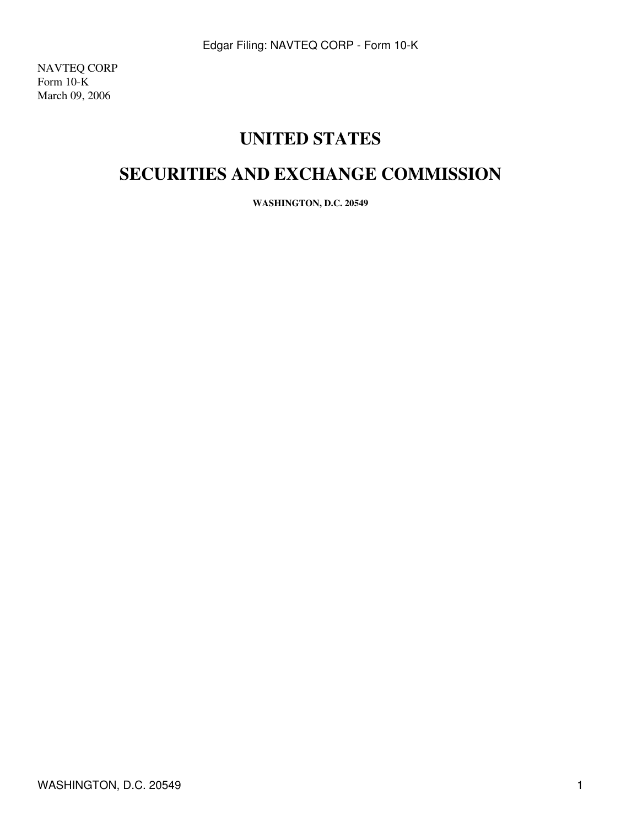NAVTEQ CORP Form 10-K March 09, 2006

# **UNITED STATES**

# **SECURITIES AND EXCHANGE COMMISSION**

**WASHINGTON, D.C. 20549**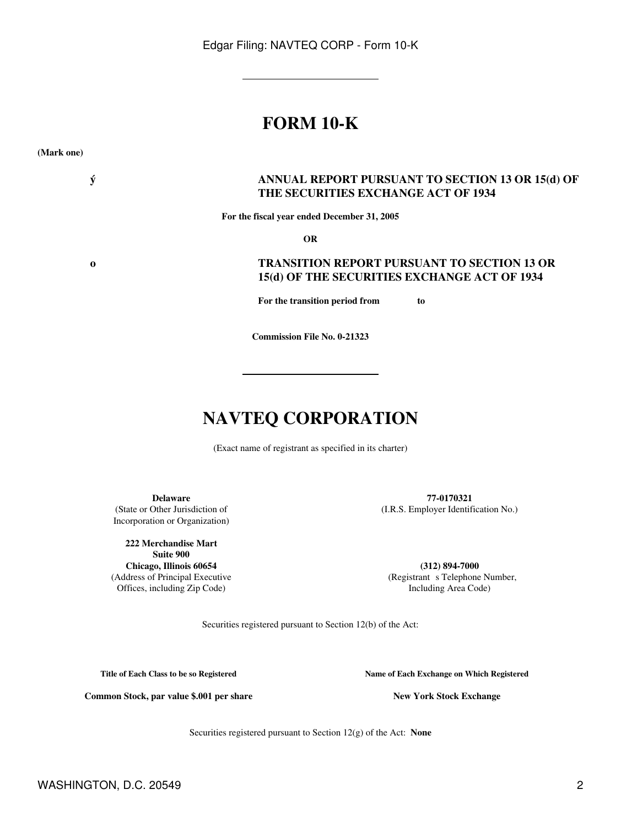# **FORM 10-K**

**(Mark one)**

### **ý ANNUAL REPORT PURSUANT TO SECTION 13 OR 15(d) OF THE SECURITIES EXCHANGE ACT OF 1934**

**For the fiscal year ended December 31, 2005**

**OR**

### **o TRANSITION REPORT PURSUANT TO SECTION 13 OR 15(d) OF THE SECURITIES EXCHANGE ACT OF 1934**

**For the transition period from to** 

**Commission File No. 0-21323**

# **NAVTEQ CORPORATION**

(Exact name of registrant as specified in its charter)

Incorporation or Organization)

**222 Merchandise Mart Suite 900 Chicago, Illinois 60654 (312) 894-7000**

**Delaware 77-0170321** (State or Other Jurisdiction of (I.R.S. Employer Identification No.)

(Address of Principal Executive (Registrants Telephone Number, Offices, including Zip Code) and Including Area Code) and Including Area Code

Securities registered pursuant to Section 12(b) of the Act:

**Title of Each Class to be so Registered Name of Each Exchange on Which Registered**

Common Stock, par value \$.001 per share **New York Stock Exchange** 

Securities registered pursuant to Section 12(g) of the Act: **None**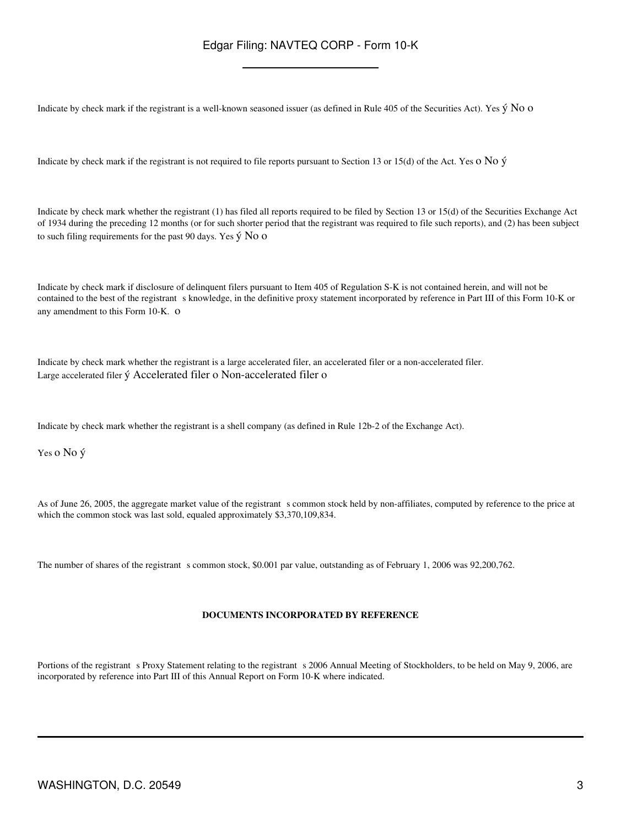Indicate by check mark if the registrant is a well-known seasoned issuer (as defined in Rule 405 of the Securities Act). Yes ý No o

Indicate by check mark if the registrant is not required to file reports pursuant to Section 13 or 15(d) of the Act. Yes o No ý

Indicate by check mark whether the registrant (1) has filed all reports required to be filed by Section 13 or 15(d) of the Securities Exchange Act of 1934 during the preceding 12 months (or for such shorter period that the registrant was required to file such reports), and (2) has been subject to such filing requirements for the past 90 days. Yes  $\acute{y}$  No o

Indicate by check mark if disclosure of delinquent filers pursuant to Item 405 of Regulation S-K is not contained herein, and will not be contained to the best of the registrant s knowledge, in the definitive proxy statement incorporated by reference in Part III of this Form 10-K or any amendment to this Form 10-K. o

Indicate by check mark whether the registrant is a large accelerated filer, an accelerated filer or a non-accelerated filer. Large accelerated filer ý Accelerated filer o Non-accelerated filer o

Indicate by check mark whether the registrant is a shell company (as defined in Rule 12b-2 of the Exchange Act).

Yes o No ý

As of June 26, 2005, the aggregate market value of the registrant s common stock held by non-affiliates, computed by reference to the price at which the common stock was last sold, equaled approximately \$3,370,109,834.

The number of shares of the registrant s common stock, \$0.001 par value, outstanding as of February 1, 2006 was 92,200,762.

#### **DOCUMENTS INCORPORATED BY REFERENCE**

Portions of the registrant s Proxy Statement relating to the registrant s 2006 Annual Meeting of Stockholders, to be held on May 9, 2006, are incorporated by reference into Part III of this Annual Report on Form 10-K where indicated.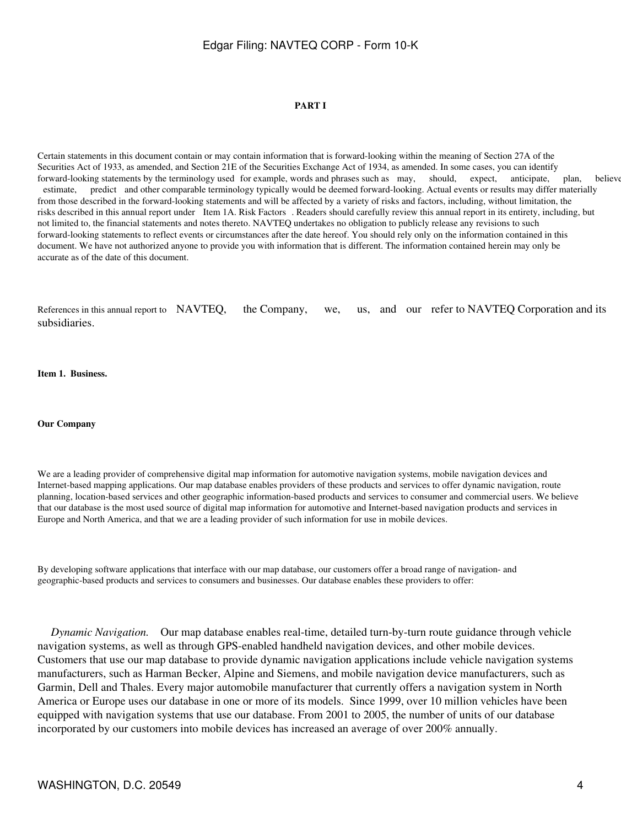#### **PART I**

Certain statements in this document contain or may contain information that is forward-looking within the meaning of Section 27A of the Securities Act of 1933, as amended, and Section 21E of the Securities Exchange Act of 1934, as amended. In some cases, you can identify forward-looking statements by the terminology used for example, words and phrases such as may, should, expect, anticipate, plan, believe estimate, predict and other comparable terminology typically would be deemed forward-looking. Actual events or results may differ materially from those described in the forward-looking statements and will be affected by a variety of risks and factors, including, without limitation, the risks described in this annual report under Item 1A. Risk Factors. Readers should carefully review this annual report in its entirety, including, but not limited to, the financial statements and notes thereto. NAVTEQ undertakes no obligation to publicly release any revisions to such forward-looking statements to reflect events or circumstances after the date hereof. You should rely only on the information contained in this document. We have not authorized anyone to provide you with information that is different. The information contained herein may only be accurate as of the date of this document.

References in this annual report to NAVTEQ, the Company, we, us, and our refer to NAVTEQ Corporation and its subsidiaries.

**Item 1. Business.**

**Our Company**

We are a leading provider of comprehensive digital map information for automotive navigation systems, mobile navigation devices and Internet-based mapping applications. Our map database enables providers of these products and services to offer dynamic navigation, route planning, location-based services and other geographic information-based products and services to consumer and commercial users. We believe that our database is the most used source of digital map information for automotive and Internet-based navigation products and services in Europe and North America, and that we are a leading provider of such information for use in mobile devices.

By developing software applications that interface with our map database, our customers offer a broad range of navigation- and geographic-based products and services to consumers and businesses. Our database enables these providers to offer:

 *Dynamic Navigation.* Our map database enables real-time, detailed turn-by-turn route guidance through vehicle navigation systems, as well as through GPS-enabled handheld navigation devices, and other mobile devices. Customers that use our map database to provide dynamic navigation applications include vehicle navigation systems manufacturers, such as Harman Becker, Alpine and Siemens, and mobile navigation device manufacturers, such as Garmin, Dell and Thales. Every major automobile manufacturer that currently offers a navigation system in North America or Europe uses our database in one or more of its models. Since 1999, over 10 million vehicles have been equipped with navigation systems that use our database. From 2001 to 2005, the number of units of our database incorporated by our customers into mobile devices has increased an average of over 200% annually.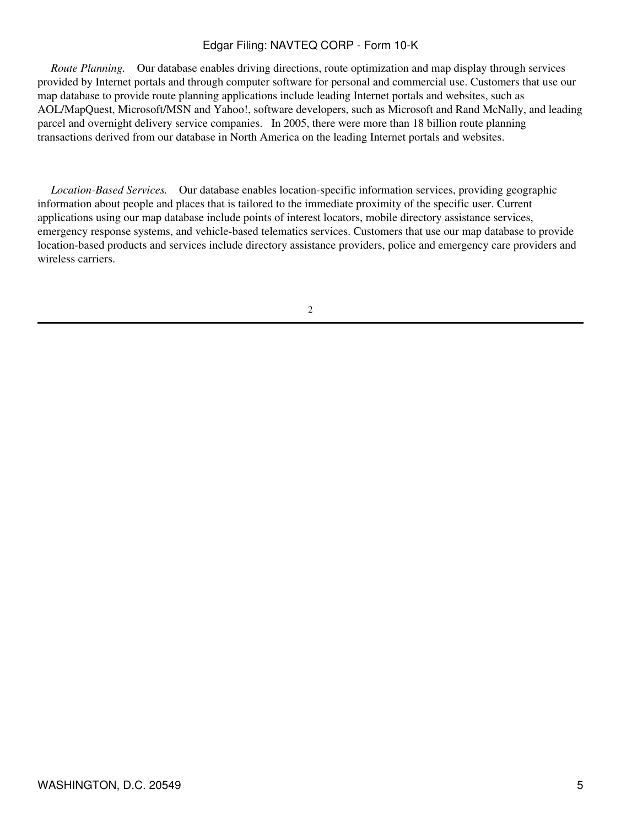*Route Planning.* Our database enables driving directions, route optimization and map display through services provided by Internet portals and through computer software for personal and commercial use. Customers that use our map database to provide route planning applications include leading Internet portals and websites, such as AOL/MapQuest, Microsoft/MSN and Yahoo!, software developers, such as Microsoft and Rand McNally, and leading parcel and overnight delivery service companies. In 2005, there were more than 18 billion route planning transactions derived from our database in North America on the leading Internet portals and websites.

 *Location-Based Services.* Our database enables location-specific information services, providing geographic information about people and places that is tailored to the immediate proximity of the specific user. Current applications using our map database include points of interest locators, mobile directory assistance services, emergency response systems, and vehicle-based telematics services. Customers that use our map database to provide location-based products and services include directory assistance providers, police and emergency care providers and wireless carriers.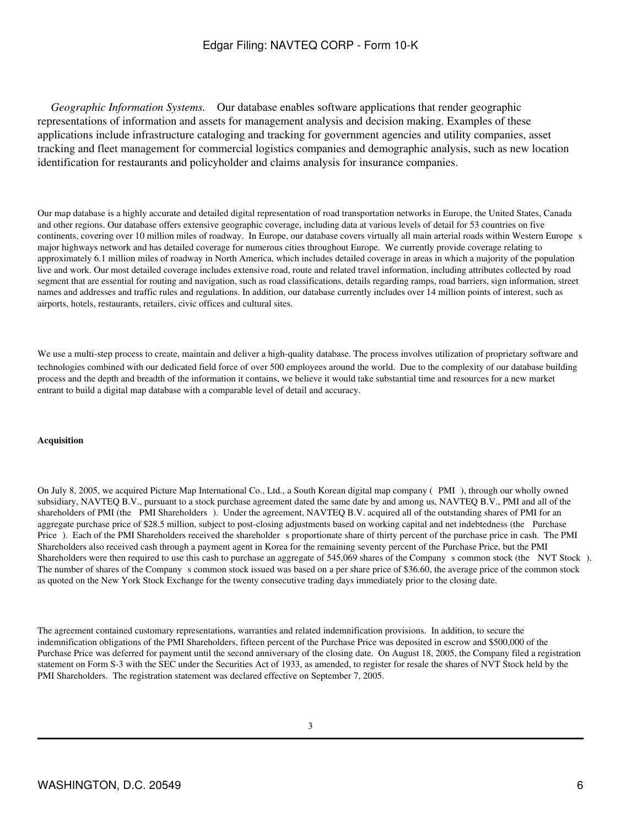*Geographic Information Systems.* Our database enables software applications that render geographic representations of information and assets for management analysis and decision making. Examples of these applications include infrastructure cataloging and tracking for government agencies and utility companies, asset tracking and fleet management for commercial logistics companies and demographic analysis, such as new location identification for restaurants and policyholder and claims analysis for insurance companies.

Our map database is a highly accurate and detailed digital representation of road transportation networks in Europe, the United States, Canada and other regions. Our database offers extensive geographic coverage, including data at various levels of detail for 53 countries on five continents, covering over 10 million miles of roadway. In Europe, our database covers virtually all main arterial roads within Western Europes major highways network and has detailed coverage for numerous cities throughout Europe. We currently provide coverage relating to approximately 6.1 million miles of roadway in North America, which includes detailed coverage in areas in which a majority of the population live and work. Our most detailed coverage includes extensive road, route and related travel information, including attributes collected by road segment that are essential for routing and navigation, such as road classifications, details regarding ramps, road barriers, sign information, street names and addresses and traffic rules and regulations. In addition, our database currently includes over 14 million points of interest, such as airports, hotels, restaurants, retailers, civic offices and cultural sites.

We use a multi-step process to create, maintain and deliver a high-quality database. The process involves utilization of proprietary software and technologies combined with our dedicated field force of over 500 employees around the world. Due to the complexity of our database building process and the depth and breadth of the information it contains, we believe it would take substantial time and resources for a new market entrant to build a digital map database with a comparable level of detail and accuracy.

#### **Acquisition**

On July 8, 2005, we acquired Picture Map International Co., Ltd., a South Korean digital map company (PMI), through our wholly owned subsidiary, NAVTEQ B.V., pursuant to a stock purchase agreement dated the same date by and among us, NAVTEQ B.V., PMI and all of the shareholders of PMI (the PMI Shareholders). Under the agreement, NAVTEQ B.V. acquired all of the outstanding shares of PMI for an aggregate purchase price of \$28.5 million, subject to post-closing adjustments based on working capital and net indebtedness (the Purchase Price). Each of the PMI Shareholders received the shareholder s proportionate share of thirty percent of the purchase price in cash. The PMI Shareholders also received cash through a payment agent in Korea for the remaining seventy percent of the Purchase Price, but the PMI Shareholders were then required to use this cash to purchase an aggregate of 545,069 shares of the Company s common stock (the NVT Stock). The number of shares of the Company s common stock issued was based on a per share price of \$36.60, the average price of the common stock as quoted on the New York Stock Exchange for the twenty consecutive trading days immediately prior to the closing date.

The agreement contained customary representations, warranties and related indemnification provisions. In addition, to secure the indemnification obligations of the PMI Shareholders, fifteen percent of the Purchase Price was deposited in escrow and \$500,000 of the Purchase Price was deferred for payment until the second anniversary of the closing date. On August 18, 2005, the Company filed a registration statement on Form S-3 with the SEC under the Securities Act of 1933, as amended, to register for resale the shares of NVT Stock held by the PMI Shareholders. The registration statement was declared effective on September 7, 2005.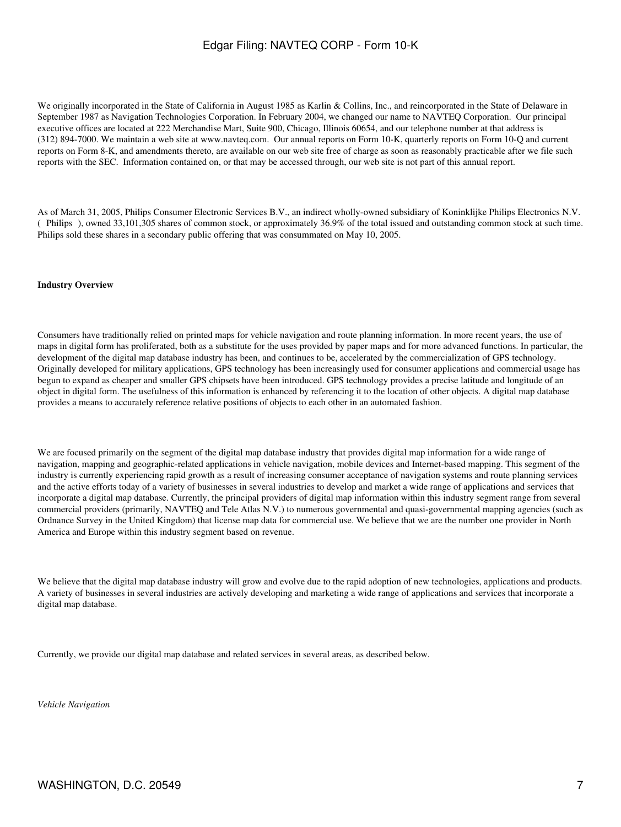We originally incorporated in the State of California in August 1985 as Karlin & Collins, Inc., and reincorporated in the State of Delaware in September 1987 as Navigation Technologies Corporation. In February 2004, we changed our name to NAVTEQ Corporation. Our principal executive offices are located at 222 Merchandise Mart, Suite 900, Chicago, Illinois 60654, and our telephone number at that address is (312) 894-7000. We maintain a web site at www.navteq.com. Our annual reports on Form 10-K, quarterly reports on Form 10-Q and current reports on Form 8-K, and amendments thereto, are available on our web site free of charge as soon as reasonably practicable after we file such reports with the SEC. Information contained on, or that may be accessed through, our web site is not part of this annual report.

As of March 31, 2005, Philips Consumer Electronic Services B.V., an indirect wholly-owned subsidiary of Koninklijke Philips Electronics N.V. (Philips), owned 33,101,305 shares of common stock, or approximately 36.9% of the total issued and outstanding common stock at such time. Philips sold these shares in a secondary public offering that was consummated on May 10, 2005.

#### **Industry Overview**

Consumers have traditionally relied on printed maps for vehicle navigation and route planning information. In more recent years, the use of maps in digital form has proliferated, both as a substitute for the uses provided by paper maps and for more advanced functions. In particular, the development of the digital map database industry has been, and continues to be, accelerated by the commercialization of GPS technology. Originally developed for military applications, GPS technology has been increasingly used for consumer applications and commercial usage has begun to expand as cheaper and smaller GPS chipsets have been introduced. GPS technology provides a precise latitude and longitude of an object in digital form. The usefulness of this information is enhanced by referencing it to the location of other objects. A digital map database provides a means to accurately reference relative positions of objects to each other in an automated fashion.

We are focused primarily on the segment of the digital map database industry that provides digital map information for a wide range of navigation, mapping and geographic-related applications in vehicle navigation, mobile devices and Internet-based mapping. This segment of the industry is currently experiencing rapid growth as a result of increasing consumer acceptance of navigation systems and route planning services and the active efforts today of a variety of businesses in several industries to develop and market a wide range of applications and services that incorporate a digital map database. Currently, the principal providers of digital map information within this industry segment range from several commercial providers (primarily, NAVTEQ and Tele Atlas N.V.) to numerous governmental and quasi-governmental mapping agencies (such as Ordnance Survey in the United Kingdom) that license map data for commercial use. We believe that we are the number one provider in North America and Europe within this industry segment based on revenue.

We believe that the digital map database industry will grow and evolve due to the rapid adoption of new technologies, applications and products. A variety of businesses in several industries are actively developing and marketing a wide range of applications and services that incorporate a digital map database.

Currently, we provide our digital map database and related services in several areas, as described below.

*Vehicle Navigation*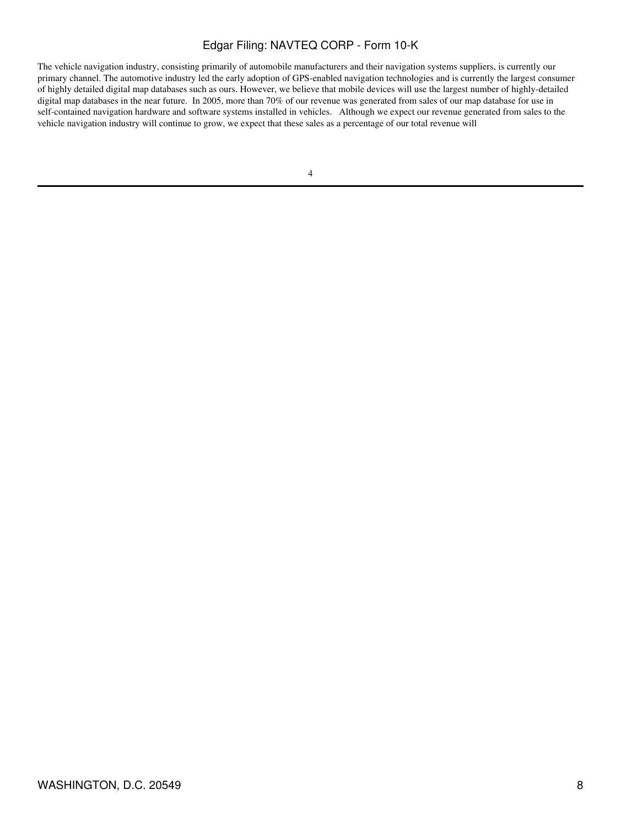The vehicle navigation industry, consisting primarily of automobile manufacturers and their navigation systems suppliers, is currently our primary channel. The automotive industry led the early adoption of GPS-enabled navigation technologies and is currently the largest consumer of highly detailed digital map databases such as ours. However, we believe that mobile devices will use the largest number of highly-detailed digital map databases in the near future. In 2005, more than 70% of our revenue was generated from sales of our map database for use in self-contained navigation hardware and software systems installed in vehicles. Although we expect our revenue generated from sales to the vehicle navigation industry will continue to grow, we expect that these sales as a percentage of our total revenue will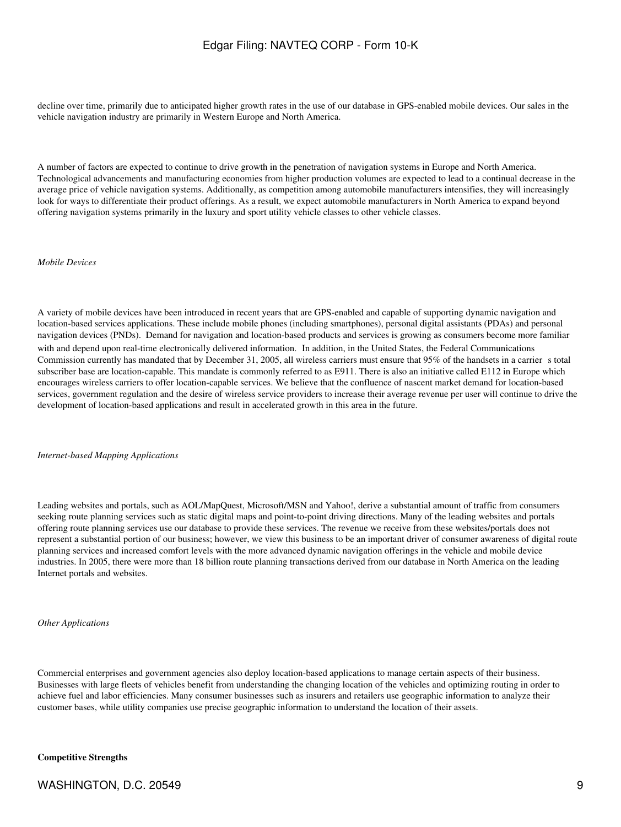decline over time, primarily due to anticipated higher growth rates in the use of our database in GPS-enabled mobile devices. Our sales in the vehicle navigation industry are primarily in Western Europe and North America.

A number of factors are expected to continue to drive growth in the penetration of navigation systems in Europe and North America. Technological advancements and manufacturing economies from higher production volumes are expected to lead to a continual decrease in the average price of vehicle navigation systems. Additionally, as competition among automobile manufacturers intensifies, they will increasingly look for ways to differentiate their product offerings. As a result, we expect automobile manufacturers in North America to expand beyond offering navigation systems primarily in the luxury and sport utility vehicle classes to other vehicle classes.

#### *Mobile Devices*

A variety of mobile devices have been introduced in recent years that are GPS-enabled and capable of supporting dynamic navigation and location-based services applications. These include mobile phones (including smartphones), personal digital assistants (PDAs) and personal navigation devices (PNDs). Demand for navigation and location-based products and services is growing as consumers become more familiar with and depend upon real-time electronically delivered information. In addition, in the United States, the Federal Communications Commission currently has mandated that by December 31, 2005, all wireless carriers must ensure that 95% of the handsets in a carriers total subscriber base are location-capable. This mandate is commonly referred to as E911. There is also an initiative called E112 in Europe which encourages wireless carriers to offer location-capable services. We believe that the confluence of nascent market demand for location-based services, government regulation and the desire of wireless service providers to increase their average revenue per user will continue to drive the development of location-based applications and result in accelerated growth in this area in the future.

*Internet-based Mapping Applications*

Leading websites and portals, such as AOL/MapQuest, Microsoft/MSN and Yahoo!, derive a substantial amount of traffic from consumers seeking route planning services such as static digital maps and point-to-point driving directions. Many of the leading websites and portals offering route planning services use our database to provide these services. The revenue we receive from these websites/portals does not represent a substantial portion of our business; however, we view this business to be an important driver of consumer awareness of digital route planning services and increased comfort levels with the more advanced dynamic navigation offerings in the vehicle and mobile device industries. In 2005, there were more than 18 billion route planning transactions derived from our database in North America on the leading Internet portals and websites.

#### *Other Applications*

Commercial enterprises and government agencies also deploy location-based applications to manage certain aspects of their business. Businesses with large fleets of vehicles benefit from understanding the changing location of the vehicles and optimizing routing in order to achieve fuel and labor efficiencies. Many consumer businesses such as insurers and retailers use geographic information to analyze their customer bases, while utility companies use precise geographic information to understand the location of their assets.

#### **Competitive Strengths**

WASHINGTON, D.C. 20549 9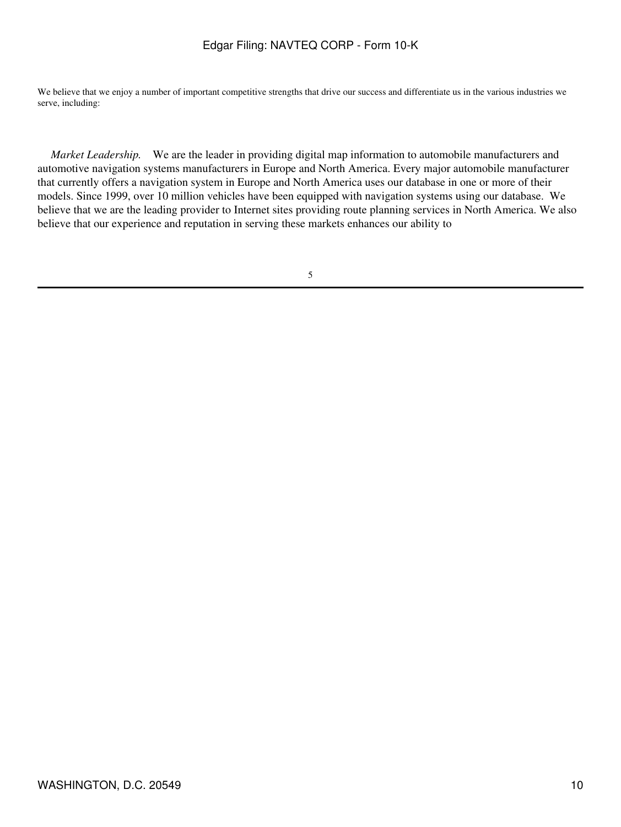We believe that we enjoy a number of important competitive strengths that drive our success and differentiate us in the various industries we serve, including:

 *Market Leadership.* We are the leader in providing digital map information to automobile manufacturers and automotive navigation systems manufacturers in Europe and North America. Every major automobile manufacturer that currently offers a navigation system in Europe and North America uses our database in one or more of their models. Since 1999, over 10 million vehicles have been equipped with navigation systems using our database. We believe that we are the leading provider to Internet sites providing route planning services in North America. We also believe that our experience and reputation in serving these markets enhances our ability to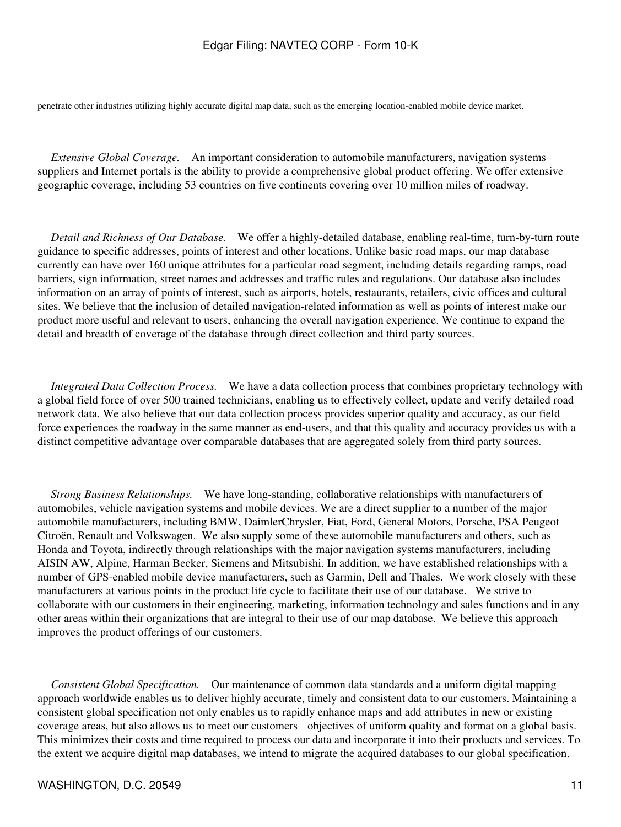penetrate other industries utilizing highly accurate digital map data, such as the emerging location-enabled mobile device market.

 *Extensive Global Coverage.* An important consideration to automobile manufacturers, navigation systems suppliers and Internet portals is the ability to provide a comprehensive global product offering. We offer extensive geographic coverage, including 53 countries on five continents covering over 10 million miles of roadway.

 *Detail and Richness of Our Database.* We offer a highly-detailed database, enabling real-time, turn-by-turn route guidance to specific addresses, points of interest and other locations. Unlike basic road maps, our map database currently can have over 160 unique attributes for a particular road segment, including details regarding ramps, road barriers, sign information, street names and addresses and traffic rules and regulations. Our database also includes information on an array of points of interest, such as airports, hotels, restaurants, retailers, civic offices and cultural sites. We believe that the inclusion of detailed navigation-related information as well as points of interest make our product more useful and relevant to users, enhancing the overall navigation experience. We continue to expand the detail and breadth of coverage of the database through direct collection and third party sources.

 *Integrated Data Collection Process.* We have a data collection process that combines proprietary technology with a global field force of over 500 trained technicians, enabling us to effectively collect, update and verify detailed road network data. We also believe that our data collection process provides superior quality and accuracy, as our field force experiences the roadway in the same manner as end-users, and that this quality and accuracy provides us with a distinct competitive advantage over comparable databases that are aggregated solely from third party sources.

 *Strong Business Relationships.* We have long-standing, collaborative relationships with manufacturers of automobiles, vehicle navigation systems and mobile devices. We are a direct supplier to a number of the major automobile manufacturers, including BMW, DaimlerChrysler, Fiat, Ford, General Motors, Porsche, PSA Peugeot Citroën, Renault and Volkswagen. We also supply some of these automobile manufacturers and others, such as Honda and Toyota, indirectly through relationships with the major navigation systems manufacturers, including AISIN AW, Alpine, Harman Becker, Siemens and Mitsubishi. In addition, we have established relationships with a number of GPS-enabled mobile device manufacturers, such as Garmin, Dell and Thales. We work closely with these manufacturers at various points in the product life cycle to facilitate their use of our database. We strive to collaborate with our customers in their engineering, marketing, information technology and sales functions and in any other areas within their organizations that are integral to their use of our map database. We believe this approach improves the product offerings of our customers.

 *Consistent Global Specification.* Our maintenance of common data standards and a uniform digital mapping approach worldwide enables us to deliver highly accurate, timely and consistent data to our customers. Maintaining a consistent global specification not only enables us to rapidly enhance maps and add attributes in new or existing coverage areas, but also allows us to meet our customers objectives of uniform quality and format on a global basis. This minimizes their costs and time required to process our data and incorporate it into their products and services. To the extent we acquire digital map databases, we intend to migrate the acquired databases to our global specification.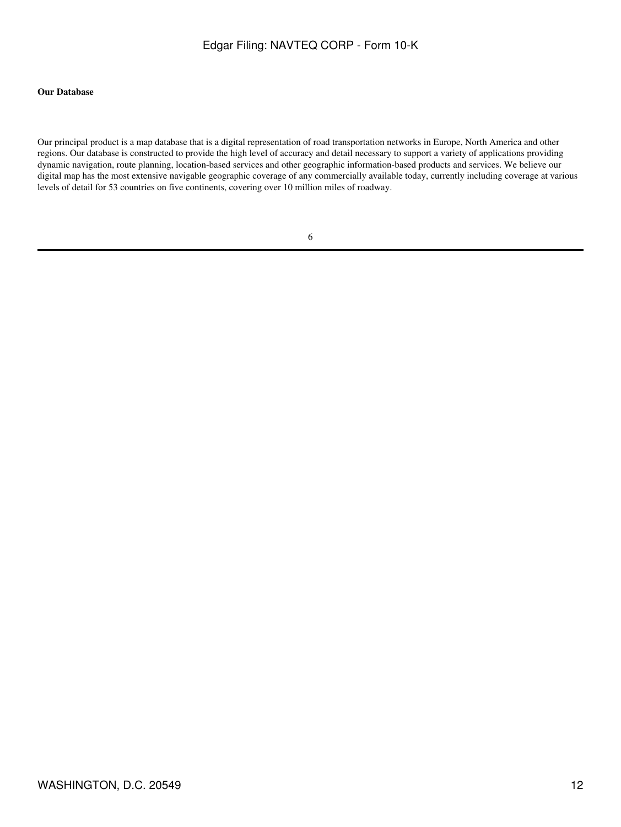#### **Our Database**

Our principal product is a map database that is a digital representation of road transportation networks in Europe, North America and other regions. Our database is constructed to provide the high level of accuracy and detail necessary to support a variety of applications providing dynamic navigation, route planning, location-based services and other geographic information-based products and services. We believe our digital map has the most extensive navigable geographic coverage of any commercially available today, currently including coverage at various levels of detail for 53 countries on five continents, covering over 10 million miles of roadway.

|   |    | ٩       |  |
|---|----|---------|--|
|   | ۰. |         |  |
|   |    |         |  |
| × | M. | ۰.<br>٧ |  |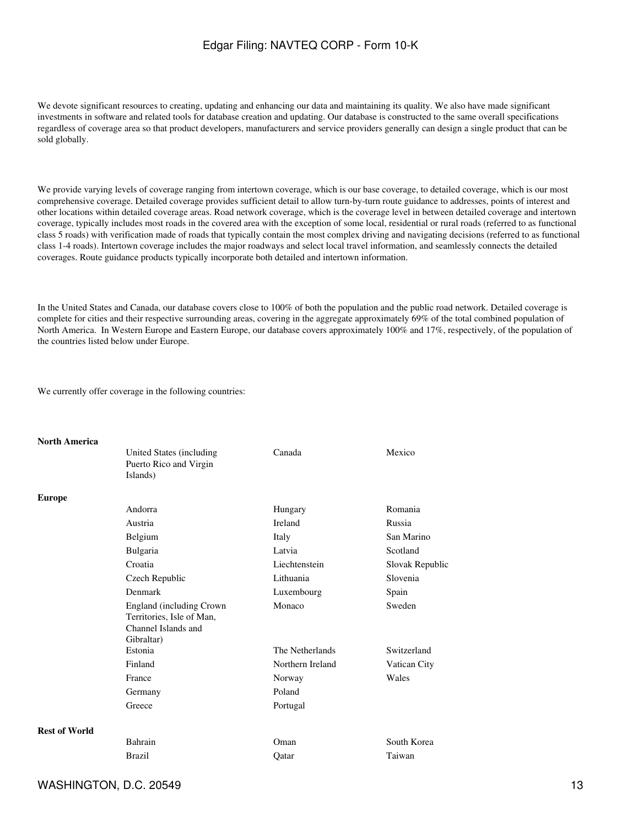We devote significant resources to creating, updating and enhancing our data and maintaining its quality. We also have made significant investments in software and related tools for database creation and updating. Our database is constructed to the same overall specifications regardless of coverage area so that product developers, manufacturers and service providers generally can design a single product that can be sold globally.

We provide varying levels of coverage ranging from intertown coverage, which is our base coverage, to detailed coverage, which is our most comprehensive coverage. Detailed coverage provides sufficient detail to allow turn-by-turn route guidance to addresses, points of interest and other locations within detailed coverage areas. Road network coverage, which is the coverage level in between detailed coverage and intertown coverage, typically includes most roads in the covered area with the exception of some local, residential or rural roads (referred to as functional class 5 roads) with verification made of roads that typically contain the most complex driving and navigating decisions (referred to as functional class 1-4 roads). Intertown coverage includes the major roadways and select local travel information, and seamlessly connects the detailed coverages. Route guidance products typically incorporate both detailed and intertown information.

In the United States and Canada, our database covers close to 100% of both the population and the public road network. Detailed coverage is complete for cities and their respective surrounding areas, covering in the aggregate approximately 69% of the total combined population of North America. In Western Europe and Eastern Europe, our database covers approximately 100% and 17%, respectively, of the population of the countries listed below under Europe.

We currently offer coverage in the following countries:

#### **North America**

|                      | United States (including<br>Puerto Rico and Virgin<br>Islands)                             | Canada           | Mexico          |
|----------------------|--------------------------------------------------------------------------------------------|------------------|-----------------|
| <b>Europe</b>        |                                                                                            |                  |                 |
|                      | Andorra                                                                                    | Hungary          | Romania         |
|                      | Austria                                                                                    | <b>Ireland</b>   | Russia          |
|                      | Belgium                                                                                    | Italy            | San Marino      |
|                      | Bulgaria                                                                                   | Latvia           | Scotland        |
|                      | Croatia                                                                                    | Liechtenstein    | Slovak Republic |
|                      | Czech Republic                                                                             | Lithuania        | Slovenia        |
|                      | Denmark                                                                                    | Luxembourg       | Spain           |
|                      | England (including Crown<br>Territories, Isle of Man,<br>Channel Islands and<br>Gibraltar) | Monaco           | Sweden          |
|                      | Estonia                                                                                    | The Netherlands  | Switzerland     |
|                      | Finland                                                                                    | Northern Ireland | Vatican City    |
|                      | France                                                                                     | Norway           | Wales           |
|                      | Germany                                                                                    | Poland           |                 |
|                      | Greece                                                                                     | Portugal         |                 |
| <b>Rest of World</b> |                                                                                            |                  |                 |
|                      | Bahrain                                                                                    | Oman             | South Korea     |
|                      | <b>Brazil</b>                                                                              | Oatar            | Taiwan          |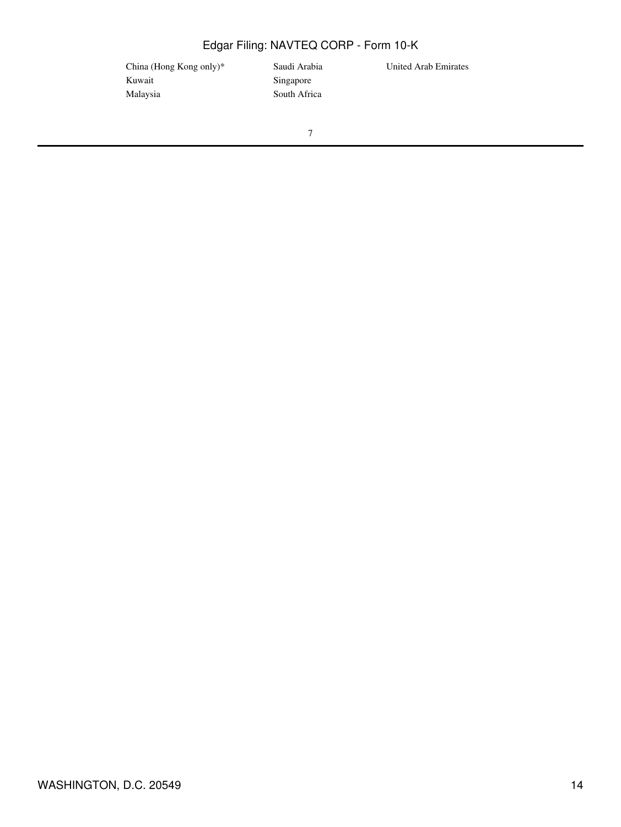China (Hong Kong only)\* Saudi Arabia United Arab Emirates Kuwait Singapore Malaysia South Africa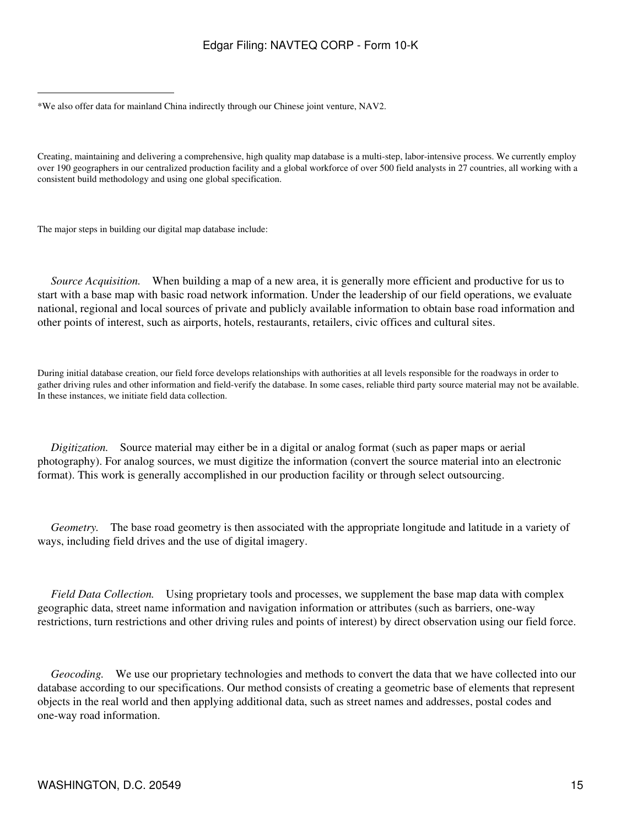Creating, maintaining and delivering a comprehensive, high quality map database is a multi-step, labor-intensive process. We currently employ over 190 geographers in our centralized production facility and a global workforce of over 500 field analysts in 27 countries, all working with a consistent build methodology and using one global specification.

The major steps in building our digital map database include:

*Source Acquisition.* When building a map of a new area, it is generally more efficient and productive for us to start with a base map with basic road network information. Under the leadership of our field operations, we evaluate national, regional and local sources of private and publicly available information to obtain base road information and other points of interest, such as airports, hotels, restaurants, retailers, civic offices and cultural sites.

During initial database creation, our field force develops relationships with authorities at all levels responsible for the roadways in order to gather driving rules and other information and field-verify the database. In some cases, reliable third party source material may not be available. In these instances, we initiate field data collection.

 *Digitization.* Source material may either be in a digital or analog format (such as paper maps or aerial photography). For analog sources, we must digitize the information (convert the source material into an electronic format). This work is generally accomplished in our production facility or through select outsourcing.

 *Geometry.* The base road geometry is then associated with the appropriate longitude and latitude in a variety of ways, including field drives and the use of digital imagery.

 *Field Data Collection.* Using proprietary tools and processes, we supplement the base map data with complex geographic data, street name information and navigation information or attributes (such as barriers, one-way restrictions, turn restrictions and other driving rules and points of interest) by direct observation using our field force.

 *Geocoding.* We use our proprietary technologies and methods to convert the data that we have collected into our database according to our specifications. Our method consists of creating a geometric base of elements that represent objects in the real world and then applying additional data, such as street names and addresses, postal codes and one-way road information.

<sup>\*</sup>We also offer data for mainland China indirectly through our Chinese joint venture, NAV2.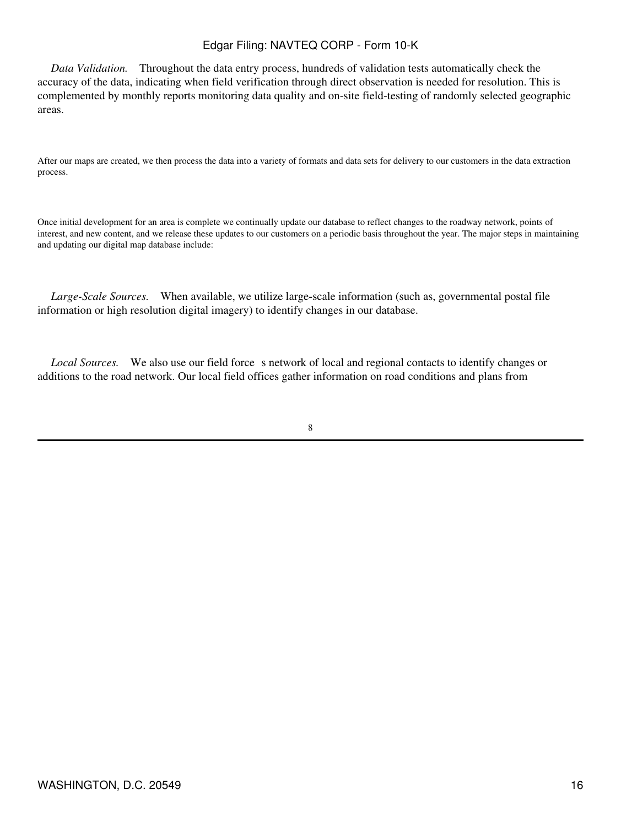*Data Validation.* Throughout the data entry process, hundreds of validation tests automatically check the accuracy of the data, indicating when field verification through direct observation is needed for resolution. This is complemented by monthly reports monitoring data quality and on-site field-testing of randomly selected geographic areas.

After our maps are created, we then process the data into a variety of formats and data sets for delivery to our customers in the data extraction process.

Once initial development for an area is complete we continually update our database to reflect changes to the roadway network, points of interest, and new content, and we release these updates to our customers on a periodic basis throughout the year. The major steps in maintaining and updating our digital map database include:

 *Large-Scale Sources.* When available, we utilize large-scale information (such as, governmental postal file information or high resolution digital imagery) to identify changes in our database.

*Local Sources.* We also use our field force s network of local and regional contacts to identify changes or additions to the road network. Our local field offices gather information on road conditions and plans from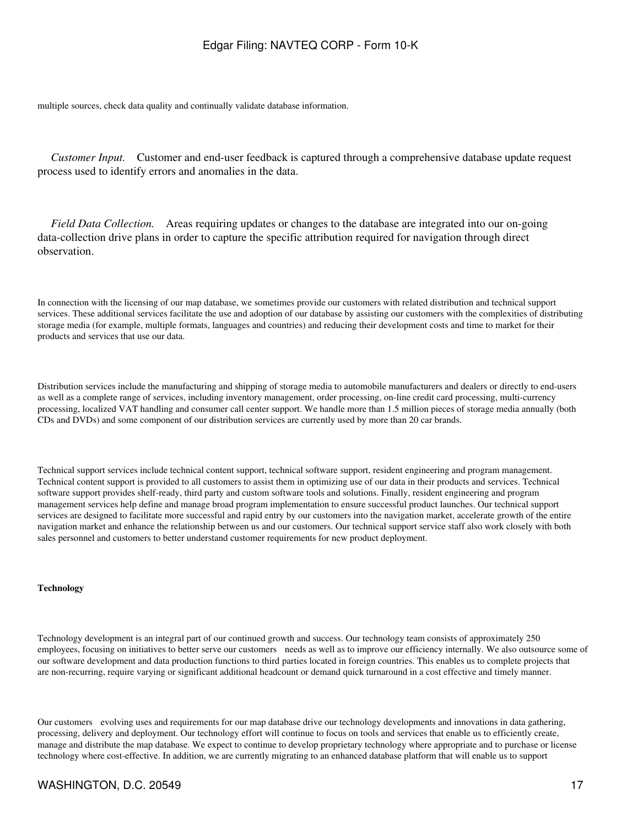multiple sources, check data quality and continually validate database information.

 *Customer Input.* Customer and end-user feedback is captured through a comprehensive database update request process used to identify errors and anomalies in the data.

 *Field Data Collection.* Areas requiring updates or changes to the database are integrated into our on-going data-collection drive plans in order to capture the specific attribution required for navigation through direct observation.

In connection with the licensing of our map database, we sometimes provide our customers with related distribution and technical support services. These additional services facilitate the use and adoption of our database by assisting our customers with the complexities of distributing storage media (for example, multiple formats, languages and countries) and reducing their development costs and time to market for their products and services that use our data.

Distribution services include the manufacturing and shipping of storage media to automobile manufacturers and dealers or directly to end-users as well as a complete range of services, including inventory management, order processing, on-line credit card processing, multi-currency processing, localized VAT handling and consumer call center support. We handle more than 1.5 million pieces of storage media annually (both CDs and DVDs) and some component of our distribution services are currently used by more than 20 car brands.

Technical support services include technical content support, technical software support, resident engineering and program management. Technical content support is provided to all customers to assist them in optimizing use of our data in their products and services. Technical software support provides shelf-ready, third party and custom software tools and solutions. Finally, resident engineering and program management services help define and manage broad program implementation to ensure successful product launches. Our technical support services are designed to facilitate more successful and rapid entry by our customers into the navigation market, accelerate growth of the entire navigation market and enhance the relationship between us and our customers. Our technical support service staff also work closely with both sales personnel and customers to better understand customer requirements for new product deployment.

#### **Technology**

Technology development is an integral part of our continued growth and success. Our technology team consists of approximately 250 employees, focusing on initiatives to better serve our customers needs as well as to improve our efficiency internally. We also outsource some of our software development and data production functions to third parties located in foreign countries. This enables us to complete projects that are non-recurring, require varying or significant additional headcount or demand quick turnaround in a cost effective and timely manner.

Our customers evolving uses and requirements for our map database drive our technology developments and innovations in data gathering, processing, delivery and deployment. Our technology effort will continue to focus on tools and services that enable us to efficiently create, manage and distribute the map database. We expect to continue to develop proprietary technology where appropriate and to purchase or license technology where cost-effective. In addition, we are currently migrating to an enhanced database platform that will enable us to support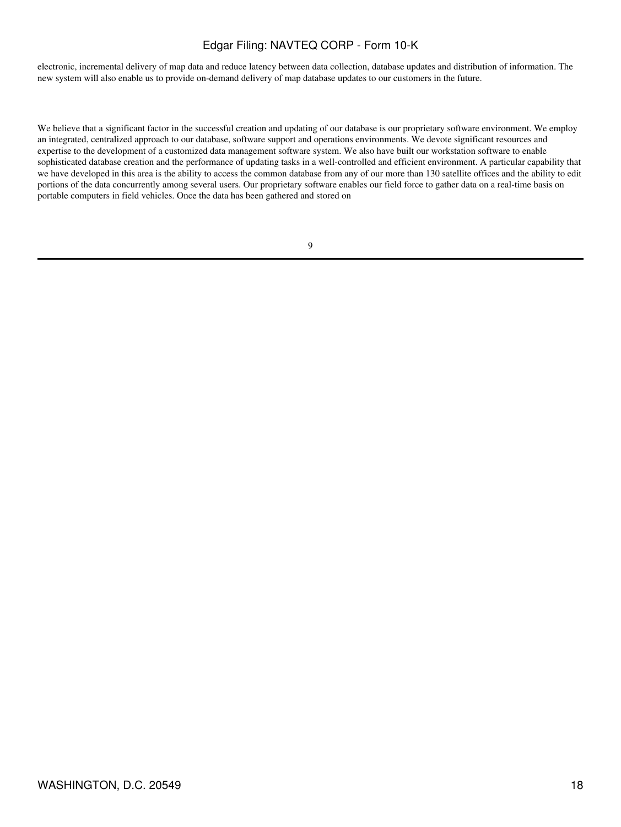electronic, incremental delivery of map data and reduce latency between data collection, database updates and distribution of information. The new system will also enable us to provide on-demand delivery of map database updates to our customers in the future.

We believe that a significant factor in the successful creation and updating of our database is our proprietary software environment. We employ an integrated, centralized approach to our database, software support and operations environments. We devote significant resources and expertise to the development of a customized data management software system. We also have built our workstation software to enable sophisticated database creation and the performance of updating tasks in a well-controlled and efficient environment. A particular capability that we have developed in this area is the ability to access the common database from any of our more than 130 satellite offices and the ability to edit portions of the data concurrently among several users. Our proprietary software enables our field force to gather data on a real-time basis on portable computers in field vehicles. Once the data has been gathered and stored on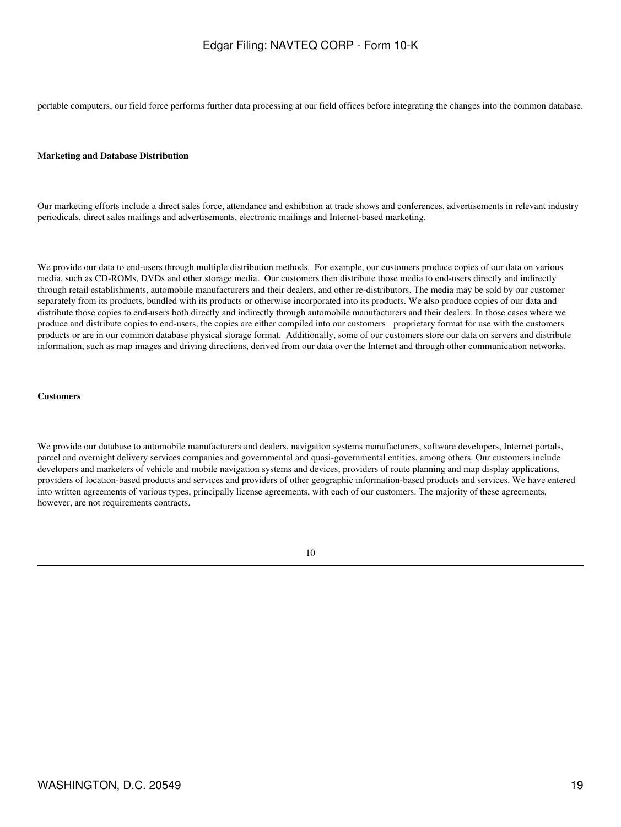portable computers, our field force performs further data processing at our field offices before integrating the changes into the common database.

#### **Marketing and Database Distribution**

Our marketing efforts include a direct sales force, attendance and exhibition at trade shows and conferences, advertisements in relevant industry periodicals, direct sales mailings and advertisements, electronic mailings and Internet-based marketing.

We provide our data to end-users through multiple distribution methods. For example, our customers produce copies of our data on various media, such as CD-ROMs, DVDs and other storage media. Our customers then distribute those media to end-users directly and indirectly through retail establishments, automobile manufacturers and their dealers, and other re-distributors. The media may be sold by our customer separately from its products, bundled with its products or otherwise incorporated into its products. We also produce copies of our data and distribute those copies to end-users both directly and indirectly through automobile manufacturers and their dealers. In those cases where we produce and distribute copies to end-users, the copies are either compiled into our customers proprietary format for use with the customers products or are in our common database physical storage format. Additionally, some of our customers store our data on servers and distribute information, such as map images and driving directions, derived from our data over the Internet and through other communication networks.

#### **Customers**

We provide our database to automobile manufacturers and dealers, navigation systems manufacturers, software developers, Internet portals, parcel and overnight delivery services companies and governmental and quasi-governmental entities, among others. Our customers include developers and marketers of vehicle and mobile navigation systems and devices, providers of route planning and map display applications, providers of location-based products and services and providers of other geographic information-based products and services. We have entered into written agreements of various types, principally license agreements, with each of our customers. The majority of these agreements, however, are not requirements contracts.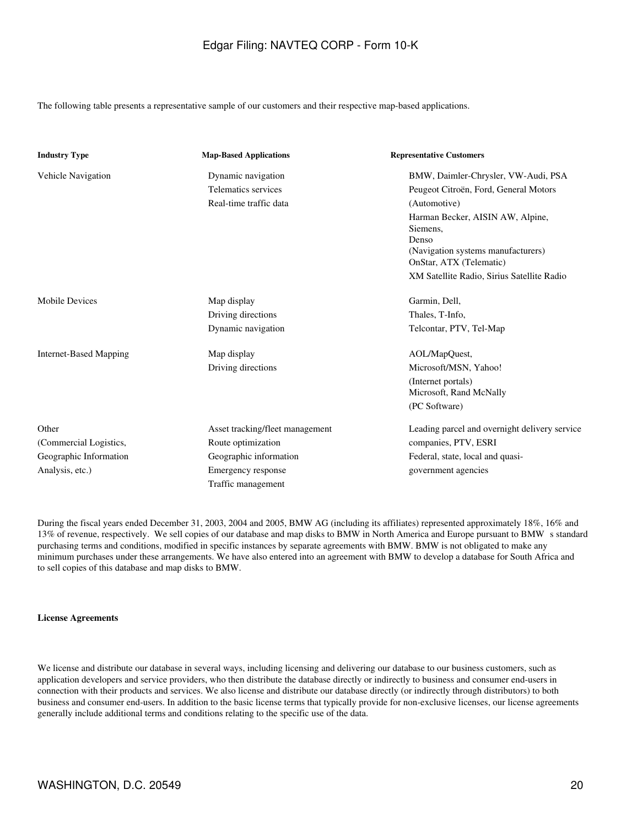The following table presents a representative sample of our customers and their respective map-based applications.

| <b>Industry Type</b>          | <b>Map-Based Applications</b>   | <b>Representative Customers</b>               |
|-------------------------------|---------------------------------|-----------------------------------------------|
| Vehicle Navigation            | Dynamic navigation              | BMW, Daimler-Chrysler, VW-Audi, PSA           |
|                               | Telematics services             | Peugeot Citroën, Ford, General Motors         |
|                               | Real-time traffic data          | (Automotive)                                  |
|                               |                                 | Harman Becker, AISIN AW, Alpine,<br>Siemens,  |
|                               |                                 | Denso<br>(Navigation systems manufacturers)   |
|                               |                                 | OnStar, ATX (Telematic)                       |
|                               |                                 | XM Satellite Radio, Sirius Satellite Radio    |
| Mobile Devices                | Map display                     | Garmin, Dell,                                 |
|                               | Driving directions              | Thales, T-Info,                               |
|                               | Dynamic navigation              | Telcontar, PTV, Tel-Map                       |
| <b>Internet-Based Mapping</b> | Map display                     | AOL/MapQuest,                                 |
|                               | Driving directions              | Microsoft/MSN, Yahoo!                         |
|                               |                                 | (Internet portals)<br>Microsoft, Rand McNally |
|                               |                                 | (PC Software)                                 |
| Other                         | Asset tracking/fleet management | Leading parcel and overnight delivery service |
| (Commercial Logistics,        | Route optimization              | companies, PTV, ESRI                          |
| Geographic Information        | Geographic information          | Federal, state, local and quasi-              |
| Analysis, etc.)               | Emergency response              | government agencies                           |
|                               | Traffic management              |                                               |

During the fiscal years ended December 31, 2003, 2004 and 2005, BMW AG (including its affiliates) represented approximately 18%, 16% and 13% of revenue, respectively. We sell copies of our database and map disks to BMW in North America and Europe pursuant to BMWs standard purchasing terms and conditions, modified in specific instances by separate agreements with BMW. BMW is not obligated to make any minimum purchases under these arrangements. We have also entered into an agreement with BMW to develop a database for South Africa and to sell copies of this database and map disks to BMW.

#### **License Agreements**

We license and distribute our database in several ways, including licensing and delivering our database to our business customers, such as application developers and service providers, who then distribute the database directly or indirectly to business and consumer end-users in connection with their products and services. We also license and distribute our database directly (or indirectly through distributors) to both business and consumer end-users. In addition to the basic license terms that typically provide for non-exclusive licenses, our license agreements generally include additional terms and conditions relating to the specific use of the data.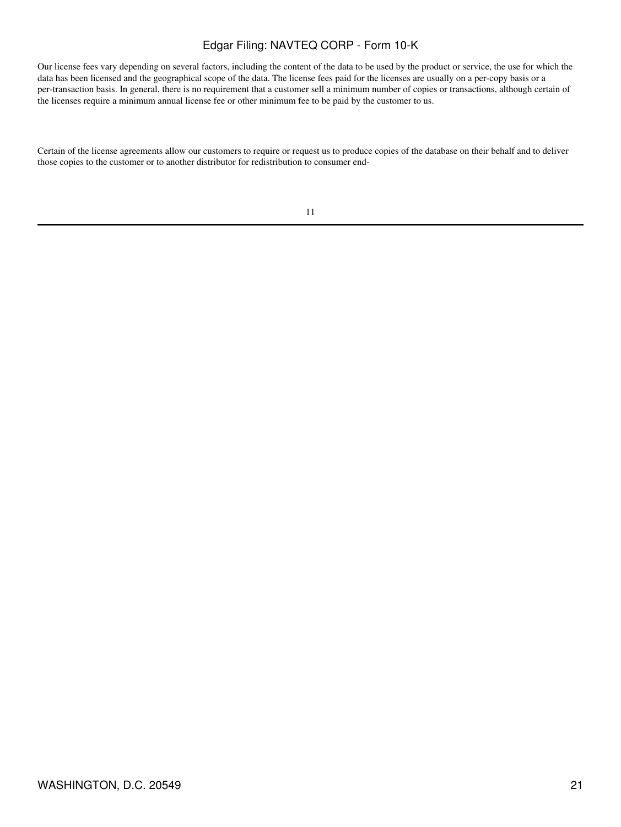Our license fees vary depending on several factors, including the content of the data to be used by the product or service, the use for which the data has been licensed and the geographical scope of the data. The license fees paid for the licenses are usually on a per-copy basis or a per-transaction basis. In general, there is no requirement that a customer sell a minimum number of copies or transactions, although certain of the licenses require a minimum annual license fee or other minimum fee to be paid by the customer to us.

Certain of the license agreements allow our customers to require or request us to produce copies of the database on their behalf and to deliver those copies to the customer or to another distributor for redistribution to consumer end-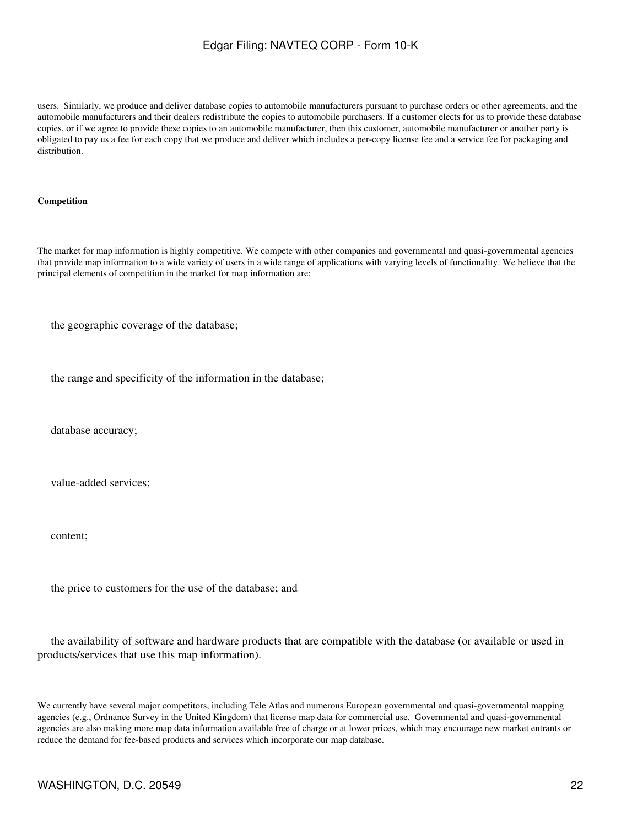users. Similarly, we produce and deliver database copies to automobile manufacturers pursuant to purchase orders or other agreements, and the automobile manufacturers and their dealers redistribute the copies to automobile purchasers. If a customer elects for us to provide these database copies, or if we agree to provide these copies to an automobile manufacturer, then this customer, automobile manufacturer or another party is obligated to pay us a fee for each copy that we produce and deliver which includes a per-copy license fee and a service fee for packaging and distribution.

#### **Competition**

The market for map information is highly competitive. We compete with other companies and governmental and quasi-governmental agencies that provide map information to a wide variety of users in a wide range of applications with varying levels of functionality. We believe that the principal elements of competition in the market for map information are:

the geographic coverage of the database;

the range and specificity of the information in the database;

database accuracy;

value-added services;

content;

the price to customers for the use of the database; and

 the availability of software and hardware products that are compatible with the database (or available or used in products/services that use this map information).

We currently have several major competitors, including Tele Atlas and numerous European governmental and quasi-governmental mapping agencies (e.g., Ordnance Survey in the United Kingdom) that license map data for commercial use. Governmental and quasi-governmental agencies are also making more map data information available free of charge or at lower prices, which may encourage new market entrants or reduce the demand for fee-based products and services which incorporate our map database.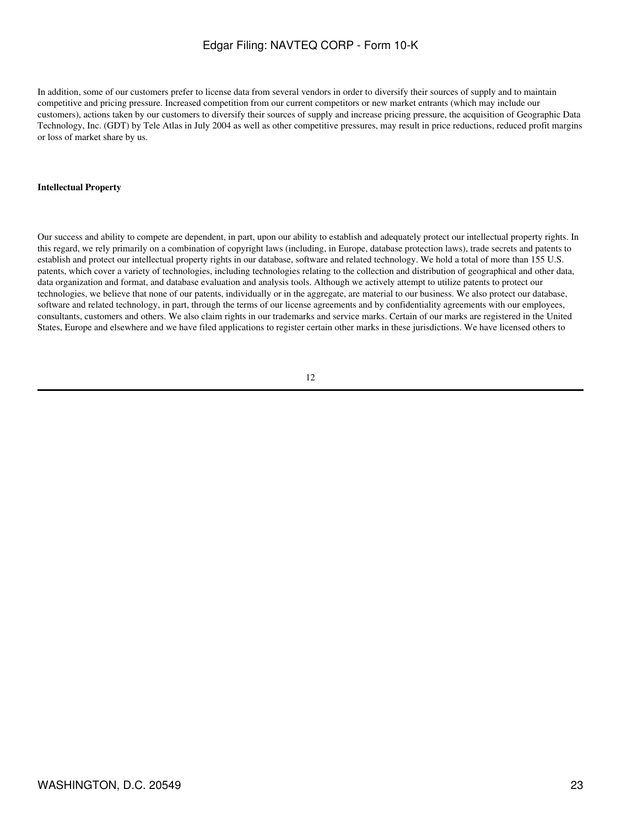In addition, some of our customers prefer to license data from several vendors in order to diversify their sources of supply and to maintain competitive and pricing pressure. Increased competition from our current competitors or new market entrants (which may include our customers), actions taken by our customers to diversify their sources of supply and increase pricing pressure, the acquisition of Geographic Data Technology, Inc. (GDT) by Tele Atlas in July 2004 as well as other competitive pressures, may result in price reductions, reduced profit margins or loss of market share by us.

#### **Intellectual Property**

Our success and ability to compete are dependent, in part, upon our ability to establish and adequately protect our intellectual property rights. In this regard, we rely primarily on a combination of copyright laws (including, in Europe, database protection laws), trade secrets and patents to establish and protect our intellectual property rights in our database, software and related technology. We hold a total of more than 155 U.S. patents, which cover a variety of technologies, including technologies relating to the collection and distribution of geographical and other data, data organization and format, and database evaluation and analysis tools. Although we actively attempt to utilize patents to protect our technologies, we believe that none of our patents, individually or in the aggregate, are material to our business. We also protect our database, software and related technology, in part, through the terms of our license agreements and by confidentiality agreements with our employees, consultants, customers and others. We also claim rights in our trademarks and service marks. Certain of our marks are registered in the United States, Europe and elsewhere and we have filed applications to register certain other marks in these jurisdictions. We have licensed others to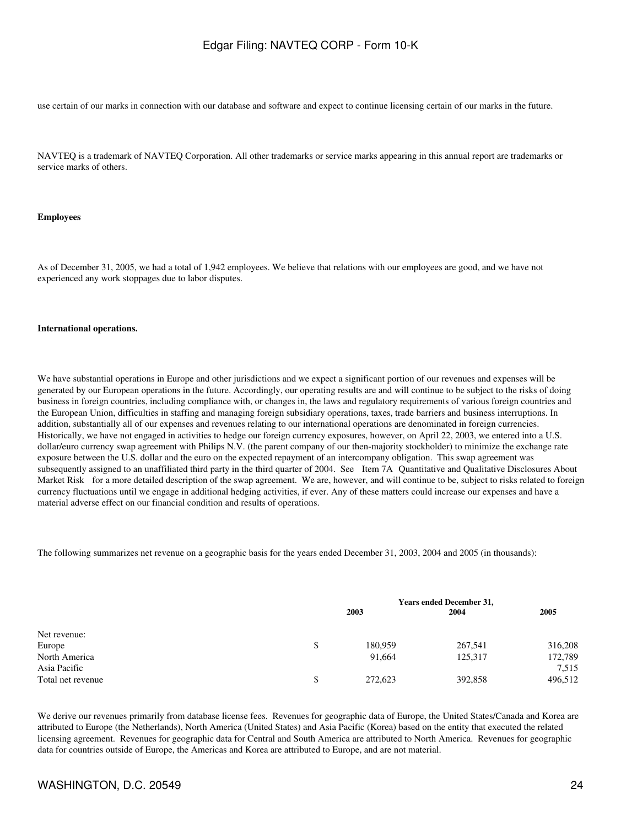use certain of our marks in connection with our database and software and expect to continue licensing certain of our marks in the future.

NAVTEQ is a trademark of NAVTEQ Corporation. All other trademarks or service marks appearing in this annual report are trademarks or service marks of others.

#### **Employees**

As of December 31, 2005, we had a total of 1,942 employees. We believe that relations with our employees are good, and we have not experienced any work stoppages due to labor disputes.

#### **International operations.**

We have substantial operations in Europe and other jurisdictions and we expect a significant portion of our revenues and expenses will be generated by our European operations in the future. Accordingly, our operating results are and will continue to be subject to the risks of doing business in foreign countries, including compliance with, or changes in, the laws and regulatory requirements of various foreign countries and the European Union, difficulties in staffing and managing foreign subsidiary operations, taxes, trade barriers and business interruptions. In addition, substantially all of our expenses and revenues relating to our international operations are denominated in foreign currencies. Historically, we have not engaged in activities to hedge our foreign currency exposures, however, on April 22, 2003, we entered into a U.S. dollar/euro currency swap agreement with Philips N.V. (the parent company of our then-majority stockholder) to minimize the exchange rate exposure between the U.S. dollar and the euro on the expected repayment of an intercompany obligation. This swap agreement was subsequently assigned to an unaffiliated third party in the third quarter of 2004. See Item 7A Quantitative and Qualitative Disclosures About Market Risk for a more detailed description of the swap agreement. We are, however, and will continue to be, subject to risks related to foreign currency fluctuations until we engage in additional hedging activities, if ever. Any of these matters could increase our expenses and have a material adverse effect on our financial condition and results of operations.

The following summarizes net revenue on a geographic basis for the years ended December 31, 2003, 2004 and 2005 (in thousands):

|                   | <b>Years ended December 31,</b> |         |         |         |
|-------------------|---------------------------------|---------|---------|---------|
|                   |                                 | 2003    | 2004    | 2005    |
| Net revenue:      |                                 |         |         |         |
| Europe            | \$                              | 180,959 | 267,541 | 316,208 |
| North America     |                                 | 91.664  | 125,317 | 172,789 |
| Asia Pacific      |                                 |         |         | 7,515   |
| Total net revenue | \$                              | 272,623 | 392,858 | 496,512 |

We derive our revenues primarily from database license fees. Revenues for geographic data of Europe, the United States/Canada and Korea are attributed to Europe (the Netherlands), North America (United States) and Asia Pacific (Korea) based on the entity that executed the related licensing agreement. Revenues for geographic data for Central and South America are attributed to North America. Revenues for geographic data for countries outside of Europe, the Americas and Korea are attributed to Europe, and are not material.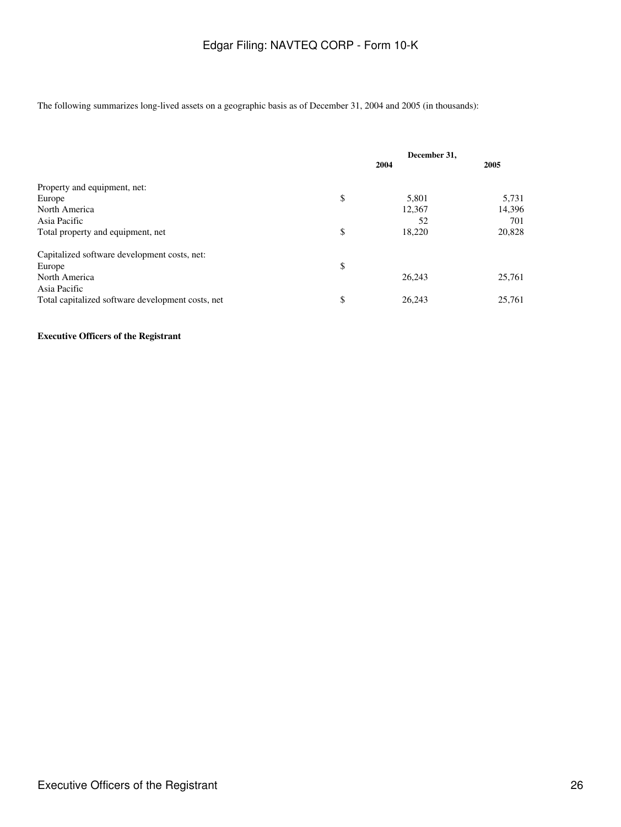The following summarizes long-lived assets on a geographic basis as of December 31, 2004 and 2005 (in thousands):

|                                                   | December 31, |        |        |
|---------------------------------------------------|--------------|--------|--------|
|                                                   |              | 2004   | 2005   |
| Property and equipment, net:                      |              |        |        |
| Europe                                            | \$           | 5,801  | 5,731  |
| North America                                     |              | 12,367 | 14.396 |
| Asia Pacific                                      |              | 52     | 701    |
| Total property and equipment, net                 | \$           | 18,220 | 20,828 |
| Capitalized software development costs, net:      |              |        |        |
| Europe                                            | \$           |        |        |
| North America                                     |              | 26.243 | 25,761 |
| Asia Pacific                                      |              |        |        |
| Total capitalized software development costs, net | \$           | 26.243 | 25,761 |

#### **Executive Officers of the Registrant**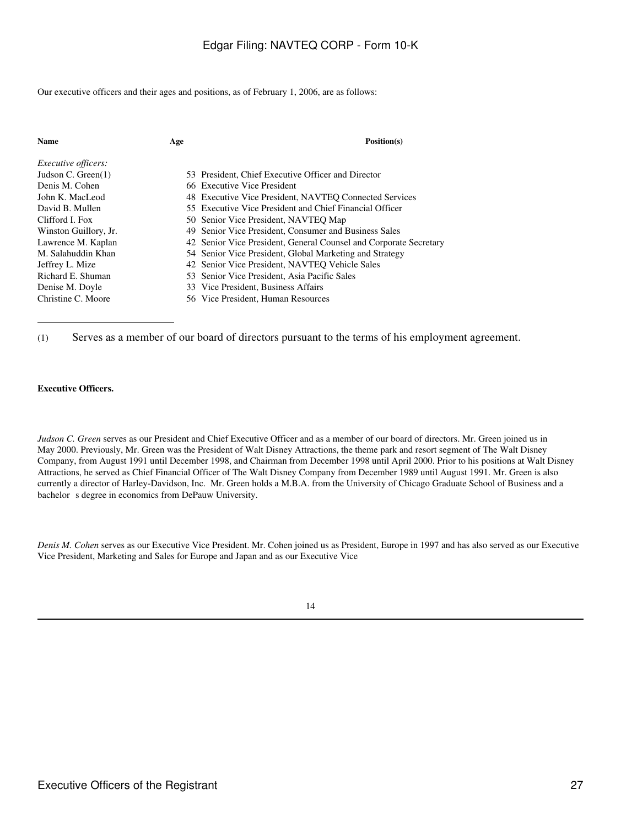Our executive officers and their ages and positions, as of February 1, 2006, are as follows:

| <b>Name</b>                | Age | Position(s)                                                       |
|----------------------------|-----|-------------------------------------------------------------------|
| <i>Executive officers:</i> |     |                                                                   |
| Judson C. Green $(1)$      |     | 53 President, Chief Executive Officer and Director                |
| Denis M. Cohen             |     | 66 Executive Vice President                                       |
| John K. MacLeod            |     | 48 Executive Vice President, NAVTEO Connected Services            |
| David B. Mullen            |     | 55 Executive Vice President and Chief Financial Officer           |
| Clifford I. Fox            |     | 50 Senior Vice President, NAVTEQ Map                              |
| Winston Guillory, Jr.      |     | 49 Senior Vice President, Consumer and Business Sales             |
| Lawrence M. Kaplan         |     | 42 Senior Vice President, General Counsel and Corporate Secretary |
| M. Salahuddin Khan         |     | 54 Senior Vice President, Global Marketing and Strategy           |
| Jeffrey L. Mize            |     | 42 Senior Vice President, NAVTEQ Vehicle Sales                    |
| Richard E. Shuman          |     | 53 Senior Vice President, Asia Pacific Sales                      |
| Denise M. Doyle            |     | 33 Vice President, Business Affairs                               |
| Christine C. Moore         |     | 56 Vice President. Human Resources                                |

(1) Serves as a member of our board of directors pursuant to the terms of his employment agreement.

#### **Executive Officers.**

*Judson C. Green* serves as our President and Chief Executive Officer and as a member of our board of directors. Mr. Green joined us in May 2000. Previously, Mr. Green was the President of Walt Disney Attractions, the theme park and resort segment of The Walt Disney Company, from August 1991 until December 1998, and Chairman from December 1998 until April 2000. Prior to his positions at Walt Disney Attractions, he served as Chief Financial Officer of The Walt Disney Company from December 1989 until August 1991. Mr. Green is also currently a director of Harley-Davidson, Inc. Mr. Green holds a M.B.A. from the University of Chicago Graduate School of Business and a bachelor s degree in economics from DePauw University.

*Denis M. Cohen* serves as our Executive Vice President. Mr. Cohen joined us as President, Europe in 1997 and has also served as our Executive Vice President, Marketing and Sales for Europe and Japan and as our Executive Vice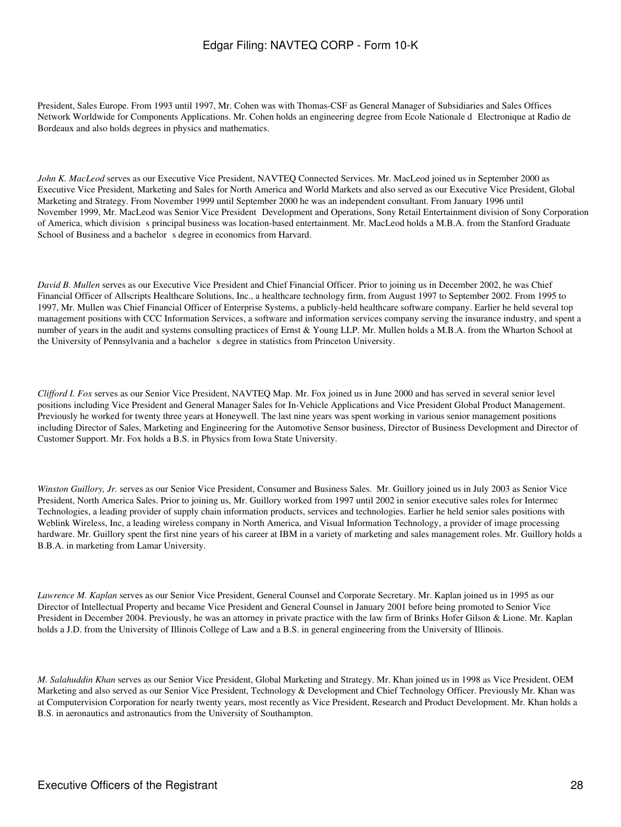President, Sales Europe. From 1993 until 1997, Mr. Cohen was with Thomas-CSF as General Manager of Subsidiaries and Sales Offices Network Worldwide for Components Applications. Mr. Cohen holds an engineering degree from Ecole Nationale d Electronique at Radio de Bordeaux and also holds degrees in physics and mathematics.

*John K. MacLeod* serves as our Executive Vice President, NAVTEQ Connected Services. Mr. MacLeod joined us in September 2000 as Executive Vice President, Marketing and Sales for North America and World Markets and also served as our Executive Vice President, Global Marketing and Strategy. From November 1999 until September 2000 he was an independent consultant. From January 1996 until November 1999, Mr. MacLeod was Senior Vice President Development and Operations, Sony Retail Entertainment division of Sony Corporation of America, which division s principal business was location-based entertainment. Mr. MacLeod holds a M.B.A. from the Stanford Graduate School of Business and a bachelor s degree in economics from Harvard.

*David B. Mullen* serves as our Executive Vice President and Chief Financial Officer. Prior to joining us in December 2002, he was Chief Financial Officer of Allscripts Healthcare Solutions, Inc., a healthcare technology firm, from August 1997 to September 2002. From 1995 to 1997, Mr. Mullen was Chief Financial Officer of Enterprise Systems, a publicly-held healthcare software company. Earlier he held several top management positions with CCC Information Services, a software and information services company serving the insurance industry, and spent a number of years in the audit and systems consulting practices of Ernst & Young LLP. Mr. Mullen holds a M.B.A. from the Wharton School at the University of Pennsylvania and a bachelor s degree in statistics from Princeton University.

*Clifford I. Fox* serves as our Senior Vice President, NAVTEQ Map. Mr. Fox joined us in June 2000 and has served in several senior level positions including Vice President and General Manager Sales for In-Vehicle Applications and Vice President Global Product Management. Previously he worked for twenty three years at Honeywell. The last nine years was spent working in various senior management positions including Director of Sales, Marketing and Engineering for the Automotive Sensor business, Director of Business Development and Director of Customer Support. Mr. Fox holds a B.S. in Physics from Iowa State University.

*Winston Guillory, Jr.* serves as our Senior Vice President, Consumer and Business Sales. Mr. Guillory joined us in July 2003 as Senior Vice President, North America Sales. Prior to joining us, Mr. Guillory worked from 1997 until 2002 in senior executive sales roles for Intermec Technologies, a leading provider of supply chain information products, services and technologies. Earlier he held senior sales positions with Weblink Wireless, Inc, a leading wireless company in North America, and Visual Information Technology, a provider of image processing hardware. Mr. Guillory spent the first nine years of his career at IBM in a variety of marketing and sales management roles. Mr. Guillory holds a B.B.A. in marketing from Lamar University.

*Lawrence M. Kaplan* serves as our Senior Vice President, General Counsel and Corporate Secretary. Mr. Kaplan joined us in 1995 as our Director of Intellectual Property and became Vice President and General Counsel in January 2001 before being promoted to Senior Vice President in December 2004. Previously, he was an attorney in private practice with the law firm of Brinks Hofer Gilson & Lione. Mr. Kaplan holds a J.D. from the University of Illinois College of Law and a B.S. in general engineering from the University of Illinois.

*M. Salahuddin Khan* serves as our Senior Vice President, Global Marketing and Strategy. Mr. Khan joined us in 1998 as Vice President, OEM Marketing and also served as our Senior Vice President, Technology & Development and Chief Technology Officer. Previously Mr. Khan was at Computervision Corporation for nearly twenty years, most recently as Vice President, Research and Product Development. Mr. Khan holds a B.S. in aeronautics and astronautics from the University of Southampton.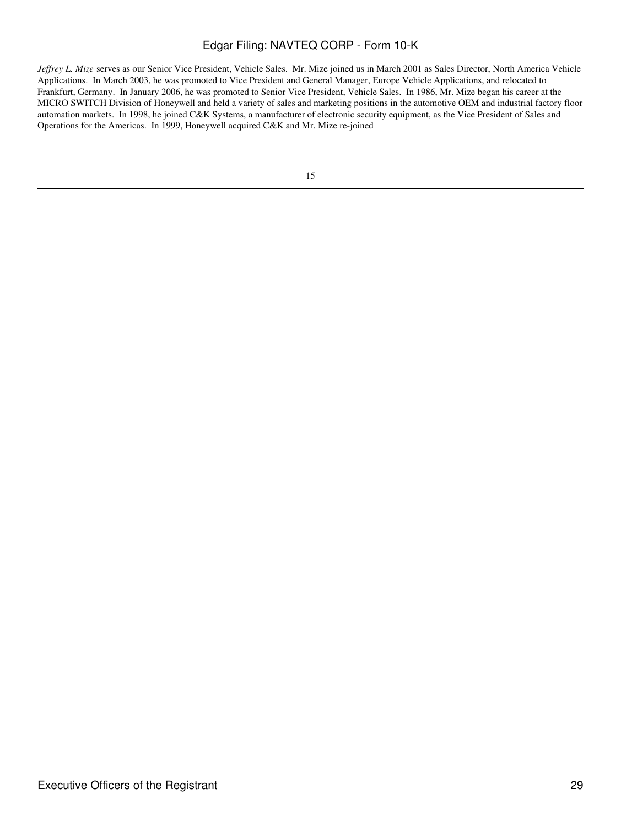*Jeffrey L. Mize* serves as our Senior Vice President, Vehicle Sales. Mr. Mize joined us in March 2001 as Sales Director, North America Vehicle Applications. In March 2003, he was promoted to Vice President and General Manager, Europe Vehicle Applications, and relocated to Frankfurt, Germany. In January 2006, he was promoted to Senior Vice President, Vehicle Sales. In 1986, Mr. Mize began his career at the MICRO SWITCH Division of Honeywell and held a variety of sales and marketing positions in the automotive OEM and industrial factory floor automation markets. In 1998, he joined C&K Systems, a manufacturer of electronic security equipment, as the Vice President of Sales and Operations for the Americas. In 1999, Honeywell acquired C&K and Mr. Mize re-joined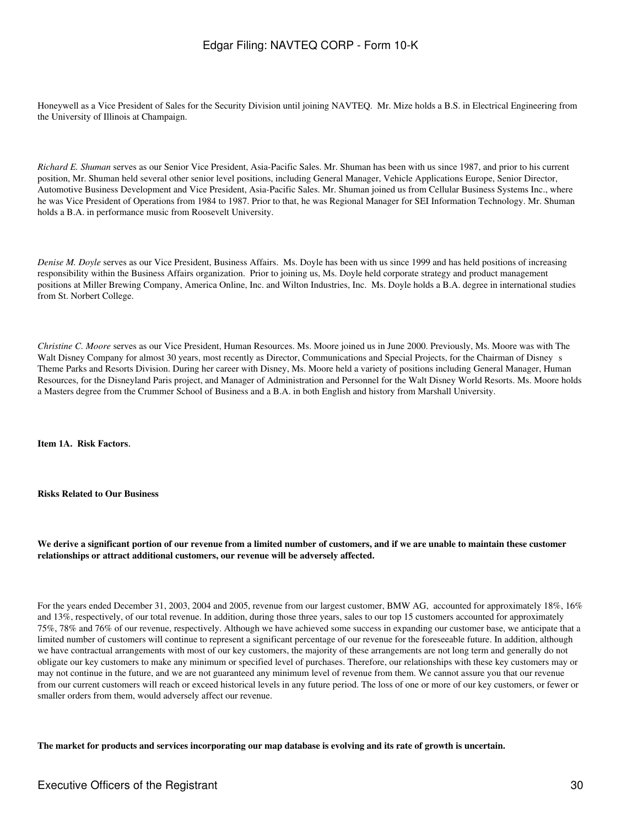Honeywell as a Vice President of Sales for the Security Division until joining NAVTEQ. Mr. Mize holds a B.S. in Electrical Engineering from the University of Illinois at Champaign.

*Richard E. Shuman* serves as our Senior Vice President, Asia-Pacific Sales. Mr. Shuman has been with us since 1987, and prior to his current position, Mr. Shuman held several other senior level positions, including General Manager, Vehicle Applications Europe, Senior Director, Automotive Business Development and Vice President, Asia-Pacific Sales. Mr. Shuman joined us from Cellular Business Systems Inc., where he was Vice President of Operations from 1984 to 1987. Prior to that, he was Regional Manager for SEI Information Technology. Mr. Shuman holds a B.A. in performance music from Roosevelt University.

*Denise M. Doyle* serves as our Vice President, Business Affairs. Ms. Doyle has been with us since 1999 and has held positions of increasing responsibility within the Business Affairs organization. Prior to joining us, Ms. Doyle held corporate strategy and product management positions at Miller Brewing Company, America Online, Inc. and Wilton Industries, Inc. Ms. Doyle holds a B.A. degree in international studies from St. Norbert College.

*Christine C. Moore* serves as our Vice President, Human Resources. Ms. Moore joined us in June 2000. Previously, Ms. Moore was with The Walt Disney Company for almost 30 years, most recently as Director, Communications and Special Projects, for the Chairman of Disney s Theme Parks and Resorts Division. During her career with Disney, Ms. Moore held a variety of positions including General Manager, Human Resources, for the Disneyland Paris project, and Manager of Administration and Personnel for the Walt Disney World Resorts. Ms. Moore holds a Masters degree from the Crummer School of Business and a B.A. in both English and history from Marshall University.

**Item 1A. Risk Factors**.

**Risks Related to Our Business**

**We derive a significant portion of our revenue from a limited number of customers, and if we are unable to maintain these customer relationships or attract additional customers, our revenue will be adversely affected.**

For the years ended December 31, 2003, 2004 and 2005, revenue from our largest customer, BMW AG, accounted for approximately 18%, 16% and 13%, respectively, of our total revenue. In addition, during those three years, sales to our top 15 customers accounted for approximately 75%, 78% and 76% of our revenue, respectively. Although we have achieved some success in expanding our customer base, we anticipate that a limited number of customers will continue to represent a significant percentage of our revenue for the foreseeable future. In addition, although we have contractual arrangements with most of our key customers, the majority of these arrangements are not long term and generally do not obligate our key customers to make any minimum or specified level of purchases. Therefore, our relationships with these key customers may or may not continue in the future, and we are not guaranteed any minimum level of revenue from them. We cannot assure you that our revenue from our current customers will reach or exceed historical levels in any future period. The loss of one or more of our key customers, or fewer or smaller orders from them, would adversely affect our revenue.

**The market for products and services incorporating our map database is evolving and its rate of growth is uncertain.**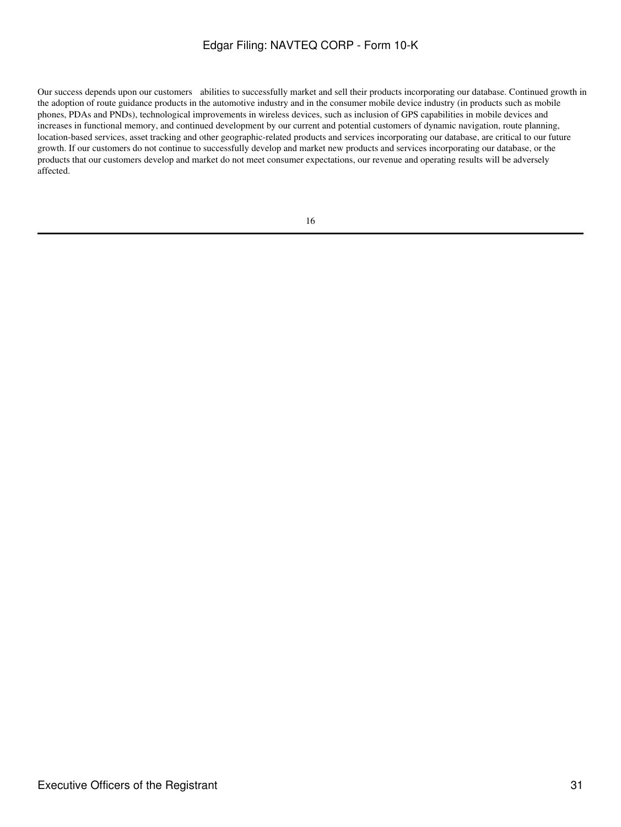Our success depends upon our customers abilities to successfully market and sell their products incorporating our database. Continued growth in the adoption of route guidance products in the automotive industry and in the consumer mobile device industry (in products such as mobile phones, PDAs and PNDs), technological improvements in wireless devices, such as inclusion of GPS capabilities in mobile devices and increases in functional memory, and continued development by our current and potential customers of dynamic navigation, route planning, location-based services, asset tracking and other geographic-related products and services incorporating our database, are critical to our future growth. If our customers do not continue to successfully develop and market new products and services incorporating our database, or the products that our customers develop and market do not meet consumer expectations, our revenue and operating results will be adversely affected.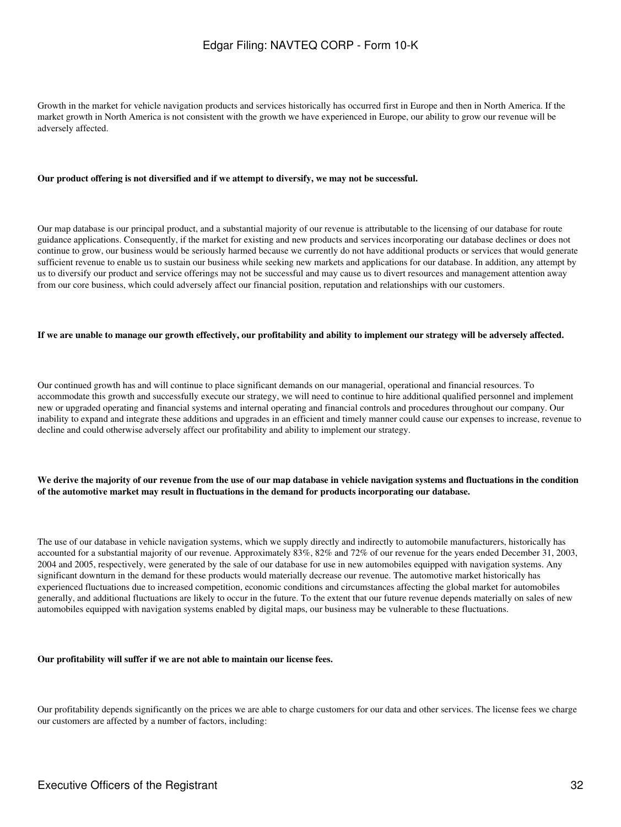Growth in the market for vehicle navigation products and services historically has occurred first in Europe and then in North America. If the market growth in North America is not consistent with the growth we have experienced in Europe, our ability to grow our revenue will be adversely affected.

#### **Our product offering is not diversified and if we attempt to diversify, we may not be successful.**

Our map database is our principal product, and a substantial majority of our revenue is attributable to the licensing of our database for route guidance applications. Consequently, if the market for existing and new products and services incorporating our database declines or does not continue to grow, our business would be seriously harmed because we currently do not have additional products or services that would generate sufficient revenue to enable us to sustain our business while seeking new markets and applications for our database. In addition, any attempt by us to diversify our product and service offerings may not be successful and may cause us to divert resources and management attention away from our core business, which could adversely affect our financial position, reputation and relationships with our customers.

#### **If we are unable to manage our growth effectively, our profitability and ability to implement our strategy will be adversely affected.**

Our continued growth has and will continue to place significant demands on our managerial, operational and financial resources. To accommodate this growth and successfully execute our strategy, we will need to continue to hire additional qualified personnel and implement new or upgraded operating and financial systems and internal operating and financial controls and procedures throughout our company. Our inability to expand and integrate these additions and upgrades in an efficient and timely manner could cause our expenses to increase, revenue to decline and could otherwise adversely affect our profitability and ability to implement our strategy.

#### **We derive the majority of our revenue from the use of our map database in vehicle navigation systems and fluctuations in the condition of the automotive market may result in fluctuations in the demand for products incorporating our database.**

The use of our database in vehicle navigation systems, which we supply directly and indirectly to automobile manufacturers, historically has accounted for a substantial majority of our revenue. Approximately 83%, 82% and 72% of our revenue for the years ended December 31, 2003, 2004 and 2005, respectively, were generated by the sale of our database for use in new automobiles equipped with navigation systems. Any significant downturn in the demand for these products would materially decrease our revenue. The automotive market historically has experienced fluctuations due to increased competition, economic conditions and circumstances affecting the global market for automobiles generally, and additional fluctuations are likely to occur in the future. To the extent that our future revenue depends materially on sales of new automobiles equipped with navigation systems enabled by digital maps, our business may be vulnerable to these fluctuations.

#### **Our profitability will suffer if we are not able to maintain our license fees.**

Our profitability depends significantly on the prices we are able to charge customers for our data and other services. The license fees we charge our customers are affected by a number of factors, including: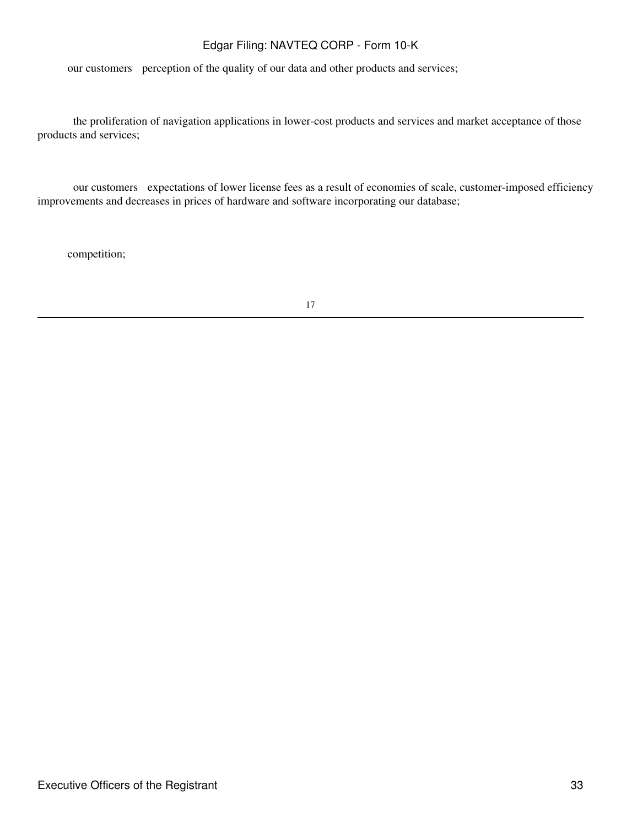our customers perception of the quality of our data and other products and services;

 the proliferation of navigation applications in lower-cost products and services and market acceptance of those products and services;

 our customers expectations of lower license fees as a result of economies of scale, customer-imposed efficiency improvements and decreases in prices of hardware and software incorporating our database;

competition;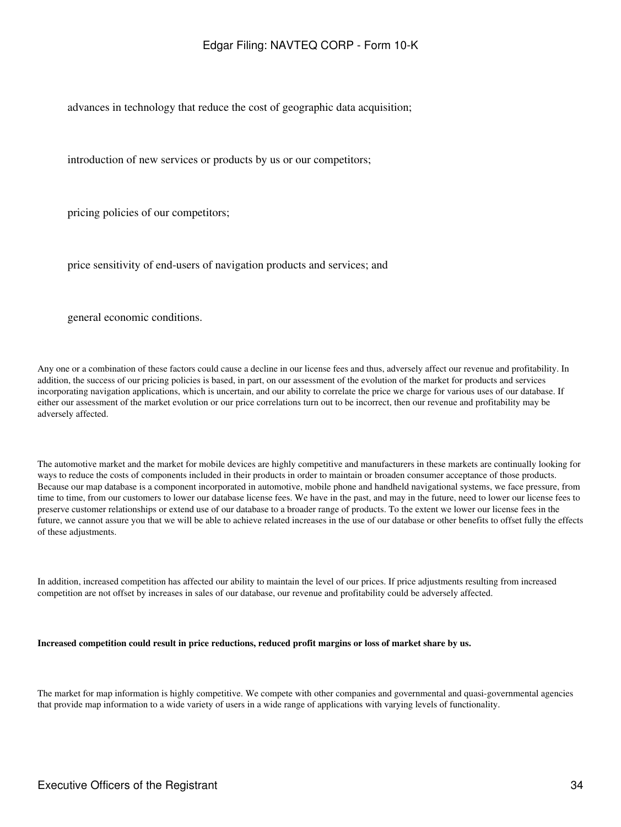advances in technology that reduce the cost of geographic data acquisition;

introduction of new services or products by us or our competitors;

pricing policies of our competitors;

price sensitivity of end-users of navigation products and services; and

general economic conditions.

Any one or a combination of these factors could cause a decline in our license fees and thus, adversely affect our revenue and profitability. In addition, the success of our pricing policies is based, in part, on our assessment of the evolution of the market for products and services incorporating navigation applications, which is uncertain, and our ability to correlate the price we charge for various uses of our database. If either our assessment of the market evolution or our price correlations turn out to be incorrect, then our revenue and profitability may be adversely affected.

The automotive market and the market for mobile devices are highly competitive and manufacturers in these markets are continually looking for ways to reduce the costs of components included in their products in order to maintain or broaden consumer acceptance of those products. Because our map database is a component incorporated in automotive, mobile phone and handheld navigational systems, we face pressure, from time to time, from our customers to lower our database license fees. We have in the past, and may in the future, need to lower our license fees to preserve customer relationships or extend use of our database to a broader range of products. To the extent we lower our license fees in the future, we cannot assure you that we will be able to achieve related increases in the use of our database or other benefits to offset fully the effects of these adjustments.

In addition, increased competition has affected our ability to maintain the level of our prices. If price adjustments resulting from increased competition are not offset by increases in sales of our database, our revenue and profitability could be adversely affected.

#### **Increased competition could result in price reductions, reduced profit margins or loss of market share by us.**

The market for map information is highly competitive. We compete with other companies and governmental and quasi-governmental agencies that provide map information to a wide variety of users in a wide range of applications with varying levels of functionality.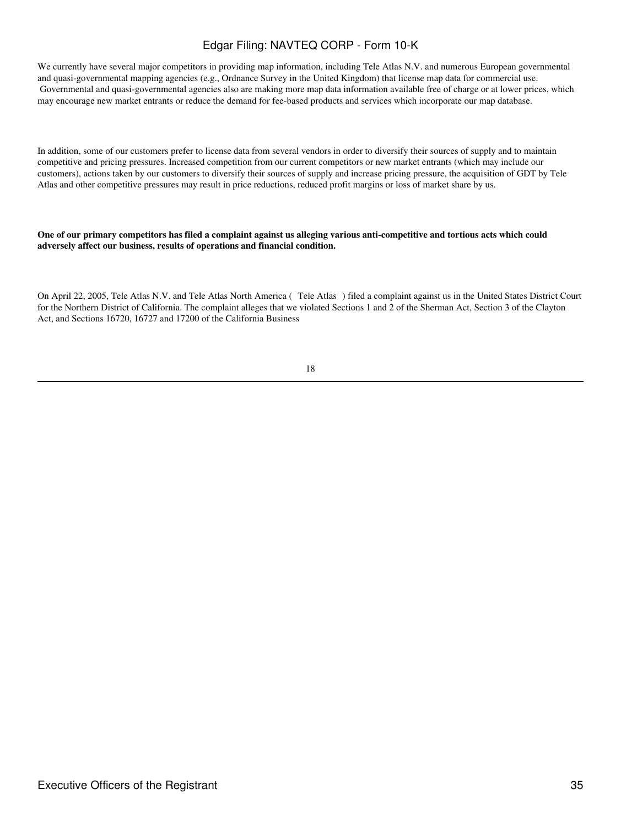We currently have several major competitors in providing map information, including Tele Atlas N.V. and numerous European governmental and quasi-governmental mapping agencies (e.g., Ordnance Survey in the United Kingdom) that license map data for commercial use. Governmental and quasi-governmental agencies also are making more map data information available free of charge or at lower prices, which may encourage new market entrants or reduce the demand for fee-based products and services which incorporate our map database.

In addition, some of our customers prefer to license data from several vendors in order to diversify their sources of supply and to maintain competitive and pricing pressures. Increased competition from our current competitors or new market entrants (which may include our customers), actions taken by our customers to diversify their sources of supply and increase pricing pressure, the acquisition of GDT by Tele Atlas and other competitive pressures may result in price reductions, reduced profit margins or loss of market share by us.

**One of our primary competitors has filed a complaint against us alleging various anti-competitive and tortious acts which could adversely affect our business, results of operations and financial condition.**

On April 22, 2005, Tele Atlas N.V. and Tele Atlas North America (Tele Atlas) filed a complaint against us in the United States District Court for the Northern District of California. The complaint alleges that we violated Sections 1 and 2 of the Sherman Act, Section 3 of the Clayton Act, and Sections 16720, 16727 and 17200 of the California Business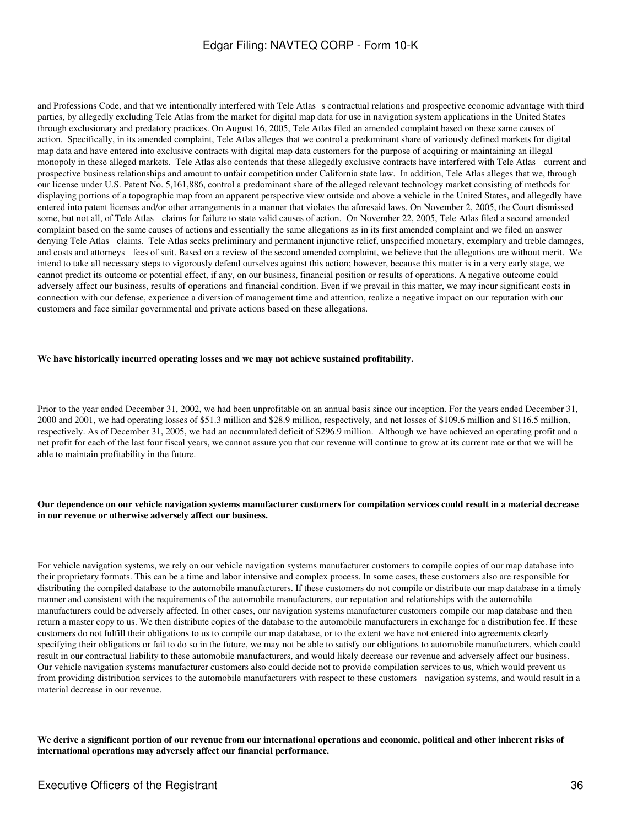and Professions Code, and that we intentionally interfered with Tele Atlas s contractual relations and prospective economic advantage with third parties, by allegedly excluding Tele Atlas from the market for digital map data for use in navigation system applications in the United States through exclusionary and predatory practices. On August 16, 2005, Tele Atlas filed an amended complaint based on these same causes of action. Specifically, in its amended complaint, Tele Atlas alleges that we control a predominant share of variously defined markets for digital map data and have entered into exclusive contracts with digital map data customers for the purpose of acquiring or maintaining an illegal monopoly in these alleged markets. Tele Atlas also contends that these allegedly exclusive contracts have interfered with Tele Atlas current and prospective business relationships and amount to unfair competition under California state law. In addition, Tele Atlas alleges that we, through our license under U.S. Patent No. 5,161,886, control a predominant share of the alleged relevant technology market consisting of methods for displaying portions of a topographic map from an apparent perspective view outside and above a vehicle in the United States, and allegedly have entered into patent licenses and/or other arrangements in a manner that violates the aforesaid laws. On November 2, 2005, the Court dismissed some, but not all, of Tele Atlas claims for failure to state valid causes of action. On November 22, 2005, Tele Atlas filed a second amended complaint based on the same causes of actions and essentially the same allegations as in its first amended complaint and we filed an answer denying Tele Atlas claims. Tele Atlas seeks preliminary and permanent injunctive relief, unspecified monetary, exemplary and treble damages, and costs and attorneys fees of suit. Based on a review of the second amended complaint, we believe that the allegations are without merit. We intend to take all necessary steps to vigorously defend ourselves against this action; however, because this matter is in a very early stage, we cannot predict its outcome or potential effect, if any, on our business, financial position or results of operations. A negative outcome could adversely affect our business, results of operations and financial condition. Even if we prevail in this matter, we may incur significant costs in connection with our defense, experience a diversion of management time and attention, realize a negative impact on our reputation with our customers and face similar governmental and private actions based on these allegations.

#### **We have historically incurred operating losses and we may not achieve sustained profitability.**

Prior to the year ended December 31, 2002, we had been unprofitable on an annual basis since our inception. For the years ended December 31, 2000 and 2001, we had operating losses of \$51.3 million and \$28.9 million, respectively, and net losses of \$109.6 million and \$116.5 million, respectively. As of December 31, 2005, we had an accumulated deficit of \$296.9 million. Although we have achieved an operating profit and a net profit for each of the last four fiscal years, we cannot assure you that our revenue will continue to grow at its current rate or that we will be able to maintain profitability in the future.

#### **Our dependence on our vehicle navigation systems manufacturer customers for compilation services could result in a material decrease in our revenue or otherwise adversely affect our business.**

For vehicle navigation systems, we rely on our vehicle navigation systems manufacturer customers to compile copies of our map database into their proprietary formats. This can be a time and labor intensive and complex process. In some cases, these customers also are responsible for distributing the compiled database to the automobile manufacturers. If these customers do not compile or distribute our map database in a timely manner and consistent with the requirements of the automobile manufacturers, our reputation and relationships with the automobile manufacturers could be adversely affected. In other cases, our navigation systems manufacturer customers compile our map database and then return a master copy to us. We then distribute copies of the database to the automobile manufacturers in exchange for a distribution fee. If these customers do not fulfill their obligations to us to compile our map database, or to the extent we have not entered into agreements clearly specifying their obligations or fail to do so in the future, we may not be able to satisfy our obligations to automobile manufacturers, which could result in our contractual liability to these automobile manufacturers, and would likely decrease our revenue and adversely affect our business. Our vehicle navigation systems manufacturer customers also could decide not to provide compilation services to us, which would prevent us from providing distribution services to the automobile manufacturers with respect to these customers navigation systems, and would result in a material decrease in our revenue.

**We derive a significant portion of our revenue from our international operations and economic, political and other inherent risks of international operations may adversely affect our financial performance.**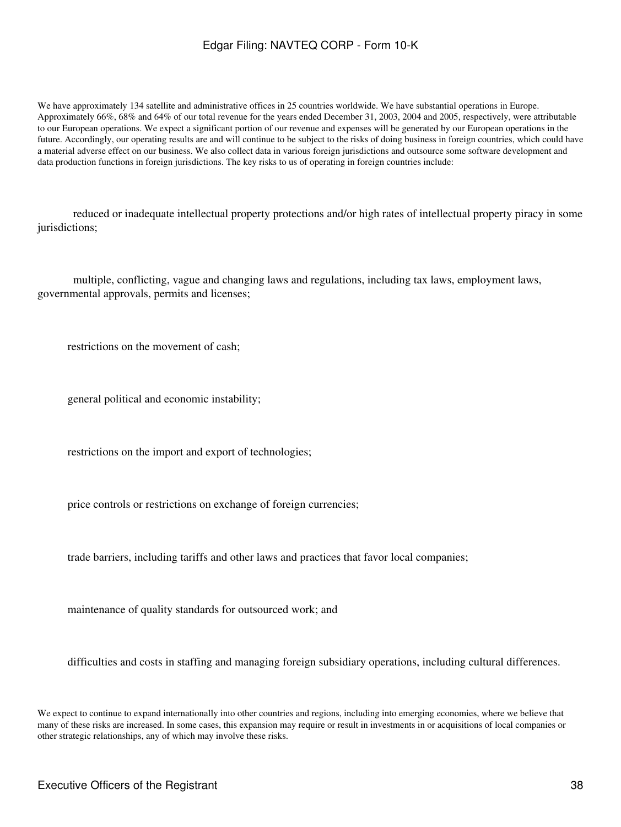We have approximately 134 satellite and administrative offices in 25 countries worldwide. We have substantial operations in Europe. Approximately 66%, 68% and 64% of our total revenue for the years ended December 31, 2003, 2004 and 2005, respectively, were attributable to our European operations. We expect a significant portion of our revenue and expenses will be generated by our European operations in the future. Accordingly, our operating results are and will continue to be subject to the risks of doing business in foreign countries, which could have a material adverse effect on our business. We also collect data in various foreign jurisdictions and outsource some software development and data production functions in foreign jurisdictions. The key risks to us of operating in foreign countries include:

 reduced or inadequate intellectual property protections and/or high rates of intellectual property piracy in some jurisdictions;

 multiple, conflicting, vague and changing laws and regulations, including tax laws, employment laws, governmental approvals, permits and licenses;

restrictions on the movement of cash;

general political and economic instability;

restrictions on the import and export of technologies;

price controls or restrictions on exchange of foreign currencies;

trade barriers, including tariffs and other laws and practices that favor local companies;

maintenance of quality standards for outsourced work; and

difficulties and costs in staffing and managing foreign subsidiary operations, including cultural differences.

We expect to continue to expand internationally into other countries and regions, including into emerging economies, where we believe that many of these risks are increased. In some cases, this expansion may require or result in investments in or acquisitions of local companies or other strategic relationships, any of which may involve these risks.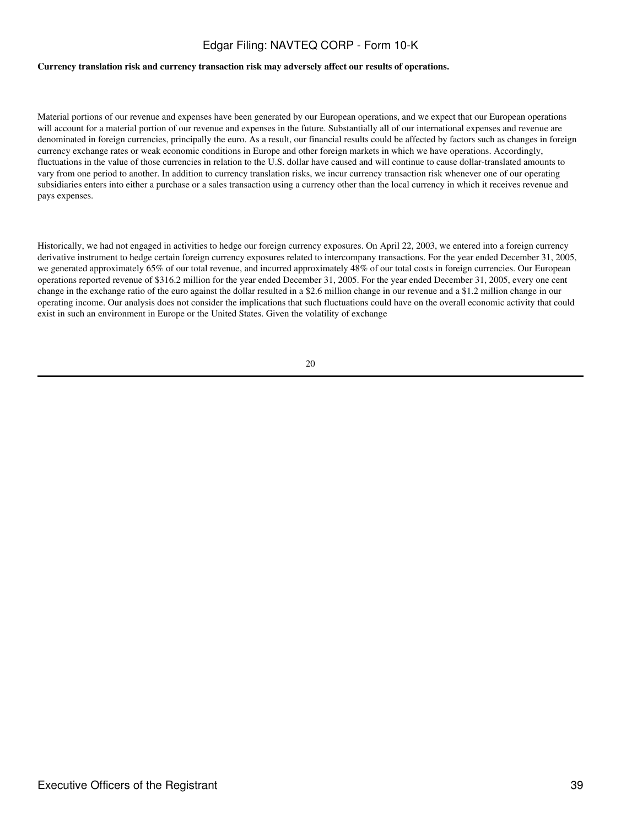### **Currency translation risk and currency transaction risk may adversely affect our results of operations.**

Material portions of our revenue and expenses have been generated by our European operations, and we expect that our European operations will account for a material portion of our revenue and expenses in the future. Substantially all of our international expenses and revenue are denominated in foreign currencies, principally the euro. As a result, our financial results could be affected by factors such as changes in foreign currency exchange rates or weak economic conditions in Europe and other foreign markets in which we have operations. Accordingly, fluctuations in the value of those currencies in relation to the U.S. dollar have caused and will continue to cause dollar-translated amounts to vary from one period to another. In addition to currency translation risks, we incur currency transaction risk whenever one of our operating subsidiaries enters into either a purchase or a sales transaction using a currency other than the local currency in which it receives revenue and pays expenses.

Historically, we had not engaged in activities to hedge our foreign currency exposures. On April 22, 2003, we entered into a foreign currency derivative instrument to hedge certain foreign currency exposures related to intercompany transactions. For the year ended December 31, 2005, we generated approximately 65% of our total revenue, and incurred approximately 48% of our total costs in foreign currencies. Our European operations reported revenue of \$316.2 million for the year ended December 31, 2005. For the year ended December 31, 2005, every one cent change in the exchange ratio of the euro against the dollar resulted in a \$2.6 million change in our revenue and a \$1.2 million change in our operating income. Our analysis does not consider the implications that such fluctuations could have on the overall economic activity that could exist in such an environment in Europe or the United States. Given the volatility of exchange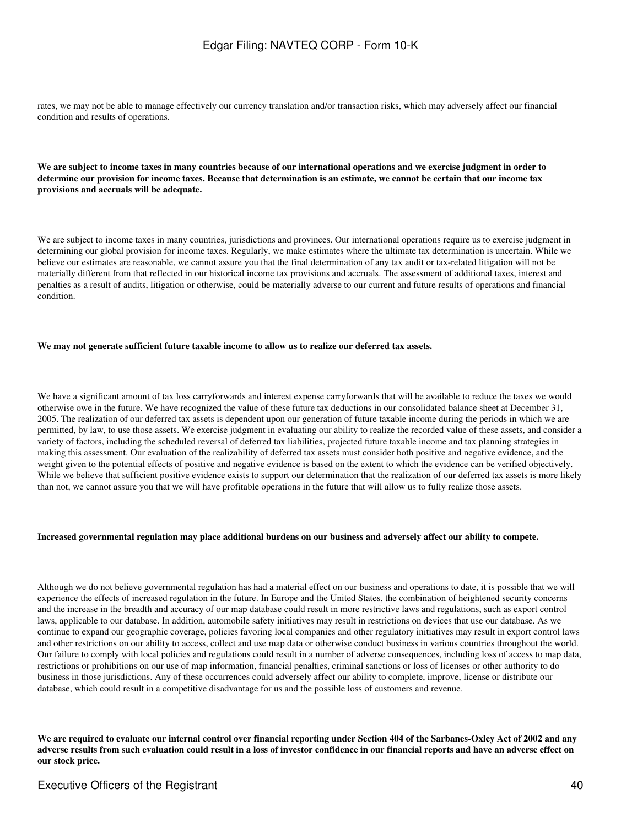rates, we may not be able to manage effectively our currency translation and/or transaction risks, which may adversely affect our financial condition and results of operations.

**We are subject to income taxes in many countries because of our international operations and we exercise judgment in order to determine our provision for income taxes. Because that determination is an estimate, we cannot be certain that our income tax provisions and accruals will be adequate.**

We are subject to income taxes in many countries, jurisdictions and provinces. Our international operations require us to exercise judgment in determining our global provision for income taxes. Regularly, we make estimates where the ultimate tax determination is uncertain. While we believe our estimates are reasonable, we cannot assure you that the final determination of any tax audit or tax-related litigation will not be materially different from that reflected in our historical income tax provisions and accruals. The assessment of additional taxes, interest and penalties as a result of audits, litigation or otherwise, could be materially adverse to our current and future results of operations and financial condition.

### **We may not generate sufficient future taxable income to allow us to realize our deferred tax assets.**

We have a significant amount of tax loss carryforwards and interest expense carryforwards that will be available to reduce the taxes we would otherwise owe in the future. We have recognized the value of these future tax deductions in our consolidated balance sheet at December 31, 2005. The realization of our deferred tax assets is dependent upon our generation of future taxable income during the periods in which we are permitted, by law, to use those assets. We exercise judgment in evaluating our ability to realize the recorded value of these assets, and consider a variety of factors, including the scheduled reversal of deferred tax liabilities, projected future taxable income and tax planning strategies in making this assessment. Our evaluation of the realizability of deferred tax assets must consider both positive and negative evidence, and the weight given to the potential effects of positive and negative evidence is based on the extent to which the evidence can be verified objectively. While we believe that sufficient positive evidence exists to support our determination that the realization of our deferred tax assets is more likely than not, we cannot assure you that we will have profitable operations in the future that will allow us to fully realize those assets.

#### **Increased governmental regulation may place additional burdens on our business and adversely affect our ability to compete.**

Although we do not believe governmental regulation has had a material effect on our business and operations to date, it is possible that we will experience the effects of increased regulation in the future. In Europe and the United States, the combination of heightened security concerns and the increase in the breadth and accuracy of our map database could result in more restrictive laws and regulations, such as export control laws, applicable to our database. In addition, automobile safety initiatives may result in restrictions on devices that use our database. As we continue to expand our geographic coverage, policies favoring local companies and other regulatory initiatives may result in export control laws and other restrictions on our ability to access, collect and use map data or otherwise conduct business in various countries throughout the world. Our failure to comply with local policies and regulations could result in a number of adverse consequences, including loss of access to map data, restrictions or prohibitions on our use of map information, financial penalties, criminal sanctions or loss of licenses or other authority to do business in those jurisdictions. Any of these occurrences could adversely affect our ability to complete, improve, license or distribute our database, which could result in a competitive disadvantage for us and the possible loss of customers and revenue.

**We are required to evaluate our internal control over financial reporting under Section 404 of the Sarbanes-Oxley Act of 2002 and any adverse results from such evaluation could result in a loss of investor confidence in our financial reports and have an adverse effect on our stock price.**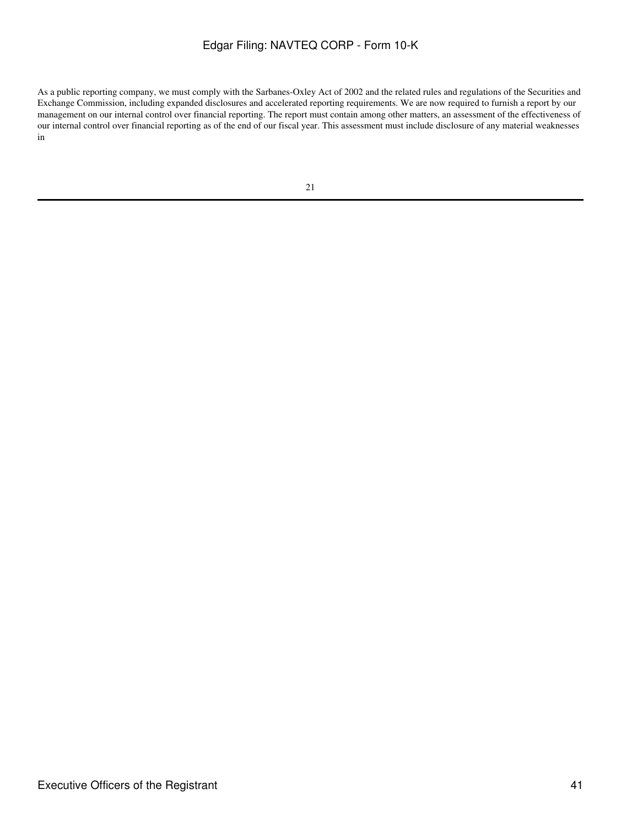As a public reporting company, we must comply with the Sarbanes-Oxley Act of 2002 and the related rules and regulations of the Securities and Exchange Commission, including expanded disclosures and accelerated reporting requirements. We are now required to furnish a report by our management on our internal control over financial reporting. The report must contain among other matters, an assessment of the effectiveness of our internal control over financial reporting as of the end of our fiscal year. This assessment must include disclosure of any material weaknesses in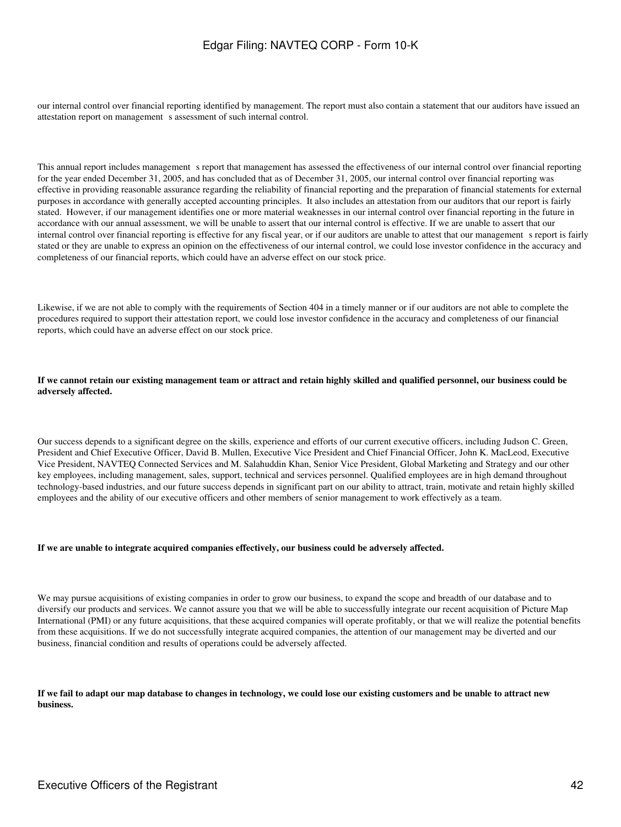our internal control over financial reporting identified by management. The report must also contain a statement that our auditors have issued an attestation report on management s assessment of such internal control.

This annual report includes management s report that management has assessed the effectiveness of our internal control over financial reporting for the year ended December 31, 2005, and has concluded that as of December 31, 2005, our internal control over financial reporting was effective in providing reasonable assurance regarding the reliability of financial reporting and the preparation of financial statements for external purposes in accordance with generally accepted accounting principles. It also includes an attestation from our auditors that our report is fairly stated. However, if our management identifies one or more material weaknesses in our internal control over financial reporting in the future in accordance with our annual assessment, we will be unable to assert that our internal control is effective. If we are unable to assert that our internal control over financial reporting is effective for any fiscal year, or if our auditors are unable to attest that our management s report is fairly stated or they are unable to express an opinion on the effectiveness of our internal control, we could lose investor confidence in the accuracy and completeness of our financial reports, which could have an adverse effect on our stock price.

Likewise, if we are not able to comply with the requirements of Section 404 in a timely manner or if our auditors are not able to complete the procedures required to support their attestation report, we could lose investor confidence in the accuracy and completeness of our financial reports, which could have an adverse effect on our stock price.

### **If we cannot retain our existing management team or attract and retain highly skilled and qualified personnel, our business could be adversely affected.**

Our success depends to a significant degree on the skills, experience and efforts of our current executive officers, including Judson C. Green, President and Chief Executive Officer, David B. Mullen, Executive Vice President and Chief Financial Officer, John K. MacLeod, Executive Vice President, NAVTEQ Connected Services and M. Salahuddin Khan, Senior Vice President, Global Marketing and Strategy and our other key employees, including management, sales, support, technical and services personnel. Qualified employees are in high demand throughout technology-based industries, and our future success depends in significant part on our ability to attract, train, motivate and retain highly skilled employees and the ability of our executive officers and other members of senior management to work effectively as a team.

### **If we are unable to integrate acquired companies effectively, our business could be adversely affected.**

We may pursue acquisitions of existing companies in order to grow our business, to expand the scope and breadth of our database and to diversify our products and services. We cannot assure you that we will be able to successfully integrate our recent acquisition of Picture Map International (PMI) or any future acquisitions, that these acquired companies will operate profitably, or that we will realize the potential benefits from these acquisitions. If we do not successfully integrate acquired companies, the attention of our management may be diverted and our business, financial condition and results of operations could be adversely affected.

**If we fail to adapt our map database to changes in technology, we could lose our existing customers and be unable to attract new business.**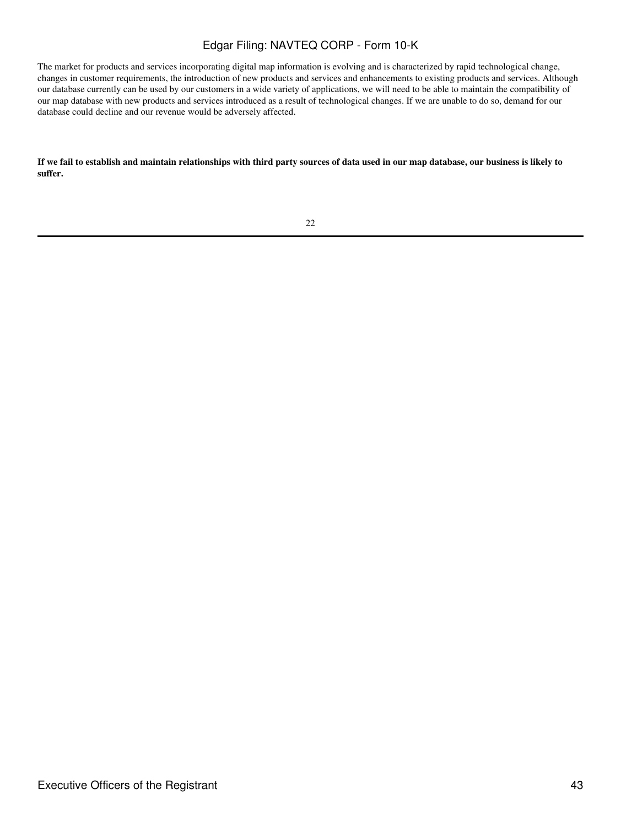The market for products and services incorporating digital map information is evolving and is characterized by rapid technological change, changes in customer requirements, the introduction of new products and services and enhancements to existing products and services. Although our database currently can be used by our customers in a wide variety of applications, we will need to be able to maintain the compatibility of our map database with new products and services introduced as a result of technological changes. If we are unable to do so, demand for our database could decline and our revenue would be adversely affected.

**If we fail to establish and maintain relationships with third party sources of data used in our map database, our business is likely to suffer.**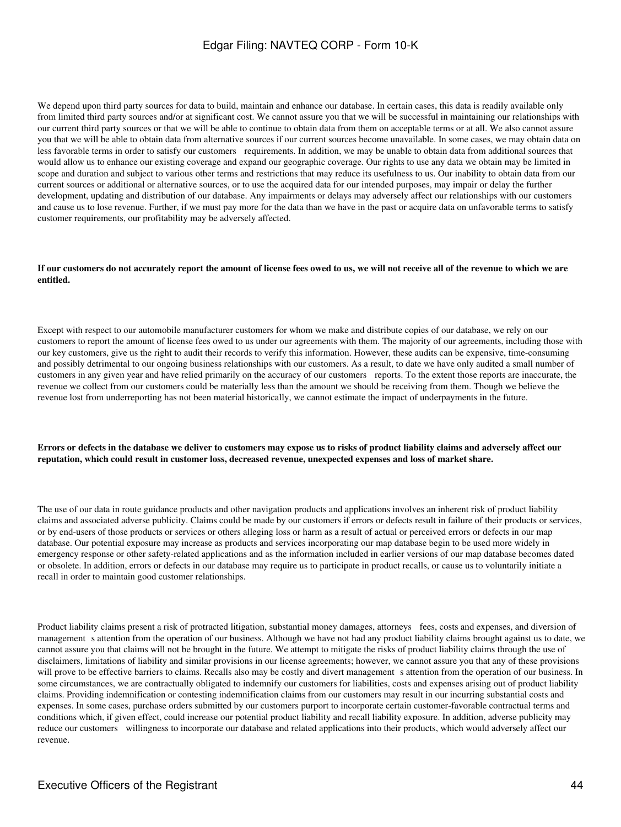We depend upon third party sources for data to build, maintain and enhance our database. In certain cases, this data is readily available only from limited third party sources and/or at significant cost. We cannot assure you that we will be successful in maintaining our relationships with our current third party sources or that we will be able to continue to obtain data from them on acceptable terms or at all. We also cannot assure you that we will be able to obtain data from alternative sources if our current sources become unavailable. In some cases, we may obtain data on less favorable terms in order to satisfy our customers requirements. In addition, we may be unable to obtain data from additional sources that would allow us to enhance our existing coverage and expand our geographic coverage. Our rights to use any data we obtain may be limited in scope and duration and subject to various other terms and restrictions that may reduce its usefulness to us. Our inability to obtain data from our current sources or additional or alternative sources, or to use the acquired data for our intended purposes, may impair or delay the further development, updating and distribution of our database. Any impairments or delays may adversely affect our relationships with our customers and cause us to lose revenue. Further, if we must pay more for the data than we have in the past or acquire data on unfavorable terms to satisfy customer requirements, our profitability may be adversely affected.

#### **If our customers do not accurately report the amount of license fees owed to us, we will not receive all of the revenue to which we are entitled.**

Except with respect to our automobile manufacturer customers for whom we make and distribute copies of our database, we rely on our customers to report the amount of license fees owed to us under our agreements with them. The majority of our agreements, including those with our key customers, give us the right to audit their records to verify this information. However, these audits can be expensive, time-consuming and possibly detrimental to our ongoing business relationships with our customers. As a result, to date we have only audited a small number of customers in any given year and have relied primarily on the accuracy of our customers reports. To the extent those reports are inaccurate, the revenue we collect from our customers could be materially less than the amount we should be receiving from them. Though we believe the revenue lost from underreporting has not been material historically, we cannot estimate the impact of underpayments in the future.

### **Errors or defects in the database we deliver to customers may expose us to risks of product liability claims and adversely affect our reputation, which could result in customer loss, decreased revenue, unexpected expenses and loss of market share.**

The use of our data in route guidance products and other navigation products and applications involves an inherent risk of product liability claims and associated adverse publicity. Claims could be made by our customers if errors or defects result in failure of their products or services, or by end-users of those products or services or others alleging loss or harm as a result of actual or perceived errors or defects in our map database. Our potential exposure may increase as products and services incorporating our map database begin to be used more widely in emergency response or other safety-related applications and as the information included in earlier versions of our map database becomes dated or obsolete. In addition, errors or defects in our database may require us to participate in product recalls, or cause us to voluntarily initiate a recall in order to maintain good customer relationships.

Product liability claims present a risk of protracted litigation, substantial money damages, attorneys fees, costs and expenses, and diversion of management s attention from the operation of our business. Although we have not had any product liability claims brought against us to date, we cannot assure you that claims will not be brought in the future. We attempt to mitigate the risks of product liability claims through the use of disclaimers, limitations of liability and similar provisions in our license agreements; however, we cannot assure you that any of these provisions will prove to be effective barriers to claims. Recalls also may be costly and divert management s attention from the operation of our business. In some circumstances, we are contractually obligated to indemnify our customers for liabilities, costs and expenses arising out of product liability claims. Providing indemnification or contesting indemnification claims from our customers may result in our incurring substantial costs and expenses. In some cases, purchase orders submitted by our customers purport to incorporate certain customer-favorable contractual terms and conditions which, if given effect, could increase our potential product liability and recall liability exposure. In addition, adverse publicity may reduce our customers willingness to incorporate our database and related applications into their products, which would adversely affect our revenue.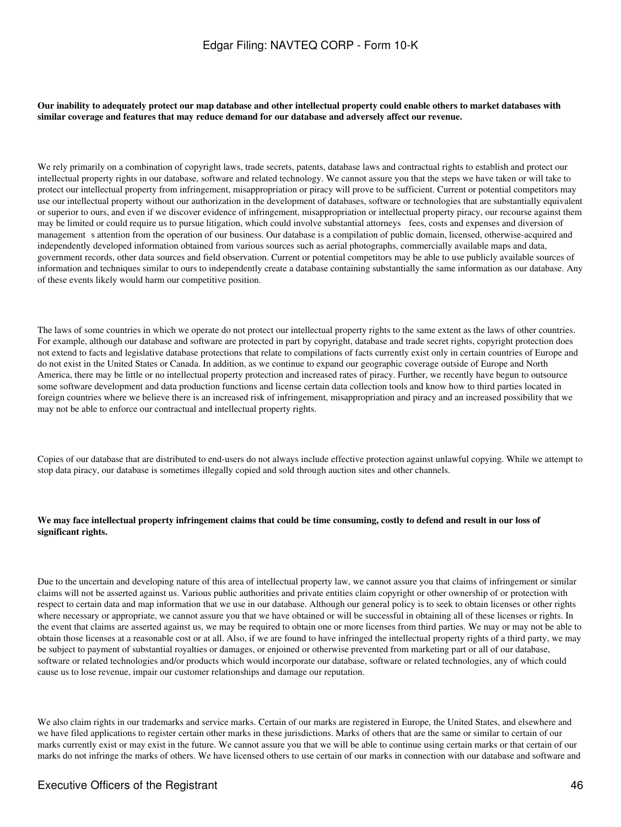**Our inability to adequately protect our map database and other intellectual property could enable others to market databases with similar coverage and features that may reduce demand for our database and adversely affect our revenue.**

We rely primarily on a combination of copyright laws, trade secrets, patents, database laws and contractual rights to establish and protect our intellectual property rights in our database, software and related technology. We cannot assure you that the steps we have taken or will take to protect our intellectual property from infringement, misappropriation or piracy will prove to be sufficient. Current or potential competitors may use our intellectual property without our authorization in the development of databases, software or technologies that are substantially equivalent or superior to ours, and even if we discover evidence of infringement, misappropriation or intellectual property piracy, our recourse against them may be limited or could require us to pursue litigation, which could involve substantial attorneys fees, costs and expenses and diversion of management s attention from the operation of our business. Our database is a compilation of public domain, licensed, otherwise-acquired and independently developed information obtained from various sources such as aerial photographs, commercially available maps and data, government records, other data sources and field observation. Current or potential competitors may be able to use publicly available sources of information and techniques similar to ours to independently create a database containing substantially the same information as our database. Any of these events likely would harm our competitive position.

The laws of some countries in which we operate do not protect our intellectual property rights to the same extent as the laws of other countries. For example, although our database and software are protected in part by copyright, database and trade secret rights, copyright protection does not extend to facts and legislative database protections that relate to compilations of facts currently exist only in certain countries of Europe and do not exist in the United States or Canada. In addition, as we continue to expand our geographic coverage outside of Europe and North America, there may be little or no intellectual property protection and increased rates of piracy. Further, we recently have begun to outsource some software development and data production functions and license certain data collection tools and know how to third parties located in foreign countries where we believe there is an increased risk of infringement, misappropriation and piracy and an increased possibility that we may not be able to enforce our contractual and intellectual property rights.

Copies of our database that are distributed to end-users do not always include effective protection against unlawful copying. While we attempt to stop data piracy, our database is sometimes illegally copied and sold through auction sites and other channels.

### **We may face intellectual property infringement claims that could be time consuming, costly to defend and result in our loss of significant rights.**

Due to the uncertain and developing nature of this area of intellectual property law, we cannot assure you that claims of infringement or similar claims will not be asserted against us. Various public authorities and private entities claim copyright or other ownership of or protection with respect to certain data and map information that we use in our database. Although our general policy is to seek to obtain licenses or other rights where necessary or appropriate, we cannot assure you that we have obtained or will be successful in obtaining all of these licenses or rights. In the event that claims are asserted against us, we may be required to obtain one or more licenses from third parties. We may or may not be able to obtain those licenses at a reasonable cost or at all. Also, if we are found to have infringed the intellectual property rights of a third party, we may be subject to payment of substantial royalties or damages, or enjoined or otherwise prevented from marketing part or all of our database, software or related technologies and/or products which would incorporate our database, software or related technologies, any of which could cause us to lose revenue, impair our customer relationships and damage our reputation.

We also claim rights in our trademarks and service marks. Certain of our marks are registered in Europe, the United States, and elsewhere and we have filed applications to register certain other marks in these jurisdictions. Marks of others that are the same or similar to certain of our marks currently exist or may exist in the future. We cannot assure you that we will be able to continue using certain marks or that certain of our marks do not infringe the marks of others. We have licensed others to use certain of our marks in connection with our database and software and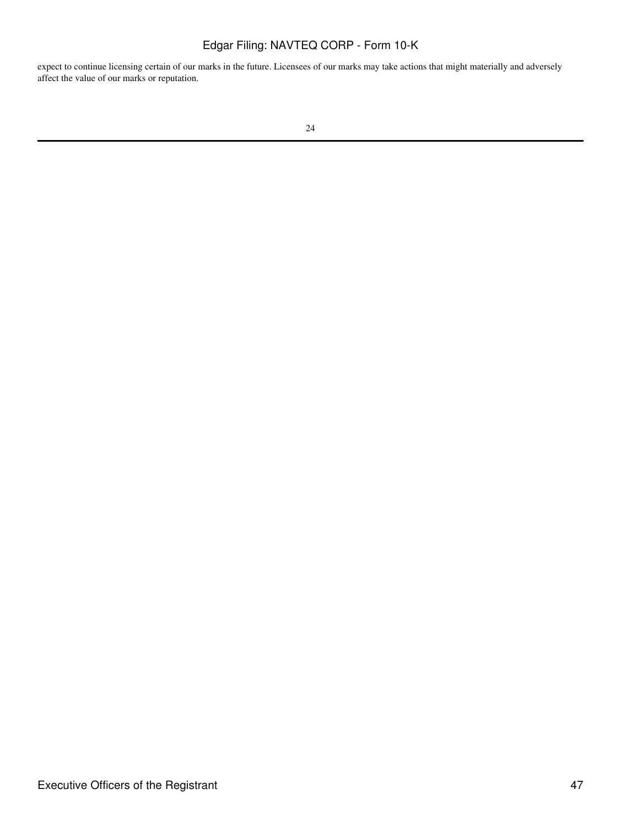expect to continue licensing certain of our marks in the future. Licensees of our marks may take actions that might materially and adversely affect the value of our marks or reputation.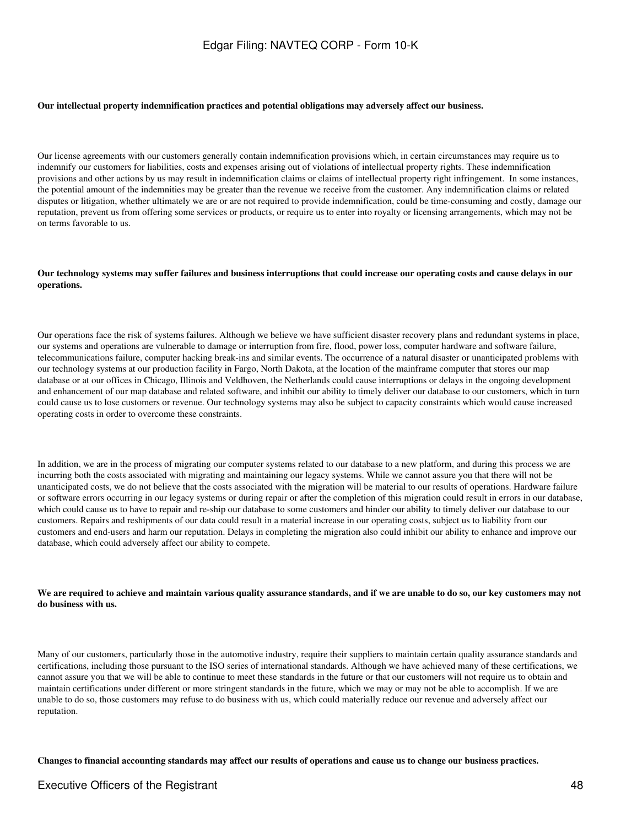#### **Our intellectual property indemnification practices and potential obligations may adversely affect our business.**

Our license agreements with our customers generally contain indemnification provisions which, in certain circumstances may require us to indemnify our customers for liabilities, costs and expenses arising out of violations of intellectual property rights. These indemnification provisions and other actions by us may result in indemnification claims or claims of intellectual property right infringement. In some instances, the potential amount of the indemnities may be greater than the revenue we receive from the customer. Any indemnification claims or related disputes or litigation, whether ultimately we are or are not required to provide indemnification, could be time-consuming and costly, damage our reputation, prevent us from offering some services or products, or require us to enter into royalty or licensing arrangements, which may not be on terms favorable to us.

### **Our technology systems may suffer failures and business interruptions that could increase our operating costs and cause delays in our operations.**

Our operations face the risk of systems failures. Although we believe we have sufficient disaster recovery plans and redundant systems in place, our systems and operations are vulnerable to damage or interruption from fire, flood, power loss, computer hardware and software failure, telecommunications failure, computer hacking break-ins and similar events. The occurrence of a natural disaster or unanticipated problems with our technology systems at our production facility in Fargo, North Dakota, at the location of the mainframe computer that stores our map database or at our offices in Chicago, Illinois and Veldhoven, the Netherlands could cause interruptions or delays in the ongoing development and enhancement of our map database and related software, and inhibit our ability to timely deliver our database to our customers, which in turn could cause us to lose customers or revenue. Our technology systems may also be subject to capacity constraints which would cause increased operating costs in order to overcome these constraints.

In addition, we are in the process of migrating our computer systems related to our database to a new platform, and during this process we are incurring both the costs associated with migrating and maintaining our legacy systems. While we cannot assure you that there will not be unanticipated costs, we do not believe that the costs associated with the migration will be material to our results of operations. Hardware failure or software errors occurring in our legacy systems or during repair or after the completion of this migration could result in errors in our database, which could cause us to have to repair and re-ship our database to some customers and hinder our ability to timely deliver our database to our customers. Repairs and reshipments of our data could result in a material increase in our operating costs, subject us to liability from our customers and end-users and harm our reputation. Delays in completing the migration also could inhibit our ability to enhance and improve our database, which could adversely affect our ability to compete.

### **We are required to achieve and maintain various quality assurance standards, and if we are unable to do so, our key customers may not do business with us.**

Many of our customers, particularly those in the automotive industry, require their suppliers to maintain certain quality assurance standards and certifications, including those pursuant to the ISO series of international standards. Although we have achieved many of these certifications, we cannot assure you that we will be able to continue to meet these standards in the future or that our customers will not require us to obtain and maintain certifications under different or more stringent standards in the future, which we may or may not be able to accomplish. If we are unable to do so, those customers may refuse to do business with us, which could materially reduce our revenue and adversely affect our reputation.

**Changes to financial accounting standards may affect our results of operations and cause us to change our business practices.**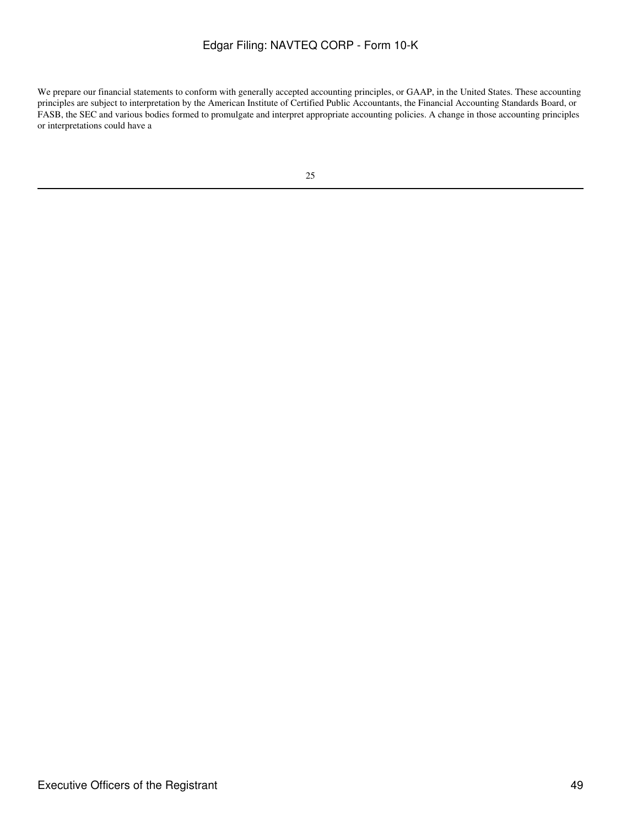We prepare our financial statements to conform with generally accepted accounting principles, or GAAP, in the United States. These accounting principles are subject to interpretation by the American Institute of Certified Public Accountants, the Financial Accounting Standards Board, or FASB, the SEC and various bodies formed to promulgate and interpret appropriate accounting policies. A change in those accounting principles or interpretations could have a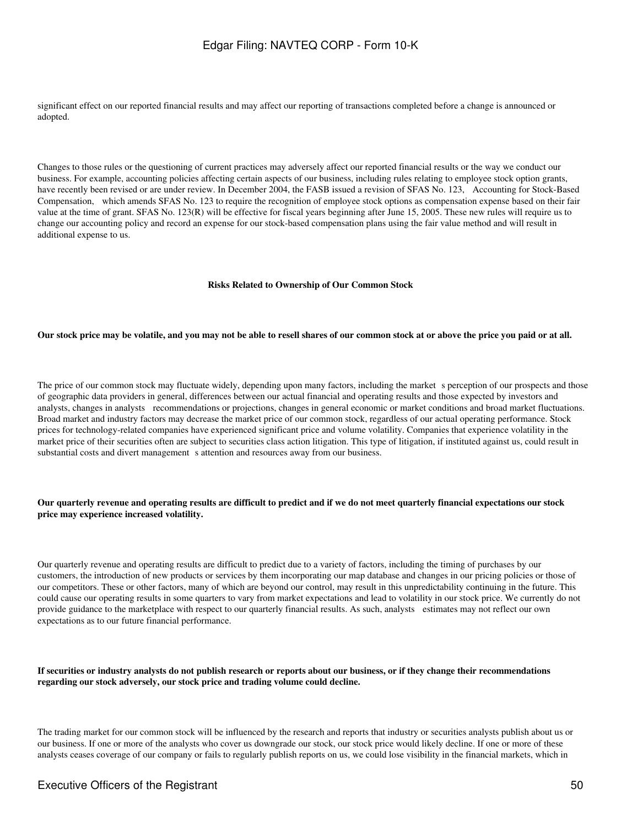significant effect on our reported financial results and may affect our reporting of transactions completed before a change is announced or adopted.

Changes to those rules or the questioning of current practices may adversely affect our reported financial results or the way we conduct our business. For example, accounting policies affecting certain aspects of our business, including rules relating to employee stock option grants, have recently been revised or are under review. In December 2004, the FASB issued a revision of SFAS No. 123, Accounting for Stock-Based Compensation, which amends SFAS No. 123 to require the recognition of employee stock options as compensation expense based on their fair value at the time of grant. SFAS No. 123(R) will be effective for fiscal years beginning after June 15, 2005. These new rules will require us to change our accounting policy and record an expense for our stock-based compensation plans using the fair value method and will result in additional expense to us.

### **Risks Related to Ownership of Our Common Stock**

### **Our stock price may be volatile, and you may not be able to resell shares of our common stock at or above the price you paid or at all.**

The price of our common stock may fluctuate widely, depending upon many factors, including the market s perception of our prospects and those of geographic data providers in general, differences between our actual financial and operating results and those expected by investors and analysts, changes in analysts recommendations or projections, changes in general economic or market conditions and broad market fluctuations. Broad market and industry factors may decrease the market price of our common stock, regardless of our actual operating performance. Stock prices for technology-related companies have experienced significant price and volume volatility. Companies that experience volatility in the market price of their securities often are subject to securities class action litigation. This type of litigation, if instituted against us, could result in substantial costs and divert management s attention and resources away from our business.

### **Our quarterly revenue and operating results are difficult to predict and if we do not meet quarterly financial expectations our stock price may experience increased volatility.**

Our quarterly revenue and operating results are difficult to predict due to a variety of factors, including the timing of purchases by our customers, the introduction of new products or services by them incorporating our map database and changes in our pricing policies or those of our competitors. These or other factors, many of which are beyond our control, may result in this unpredictability continuing in the future. This could cause our operating results in some quarters to vary from market expectations and lead to volatility in our stock price. We currently do not provide guidance to the marketplace with respect to our quarterly financial results. As such, analysts estimates may not reflect our own expectations as to our future financial performance.

### **If securities or industry analysts do not publish research or reports about our business, or if they change their recommendations regarding our stock adversely, our stock price and trading volume could decline.**

The trading market for our common stock will be influenced by the research and reports that industry or securities analysts publish about us or our business. If one or more of the analysts who cover us downgrade our stock, our stock price would likely decline. If one or more of these analysts ceases coverage of our company or fails to regularly publish reports on us, we could lose visibility in the financial markets, which in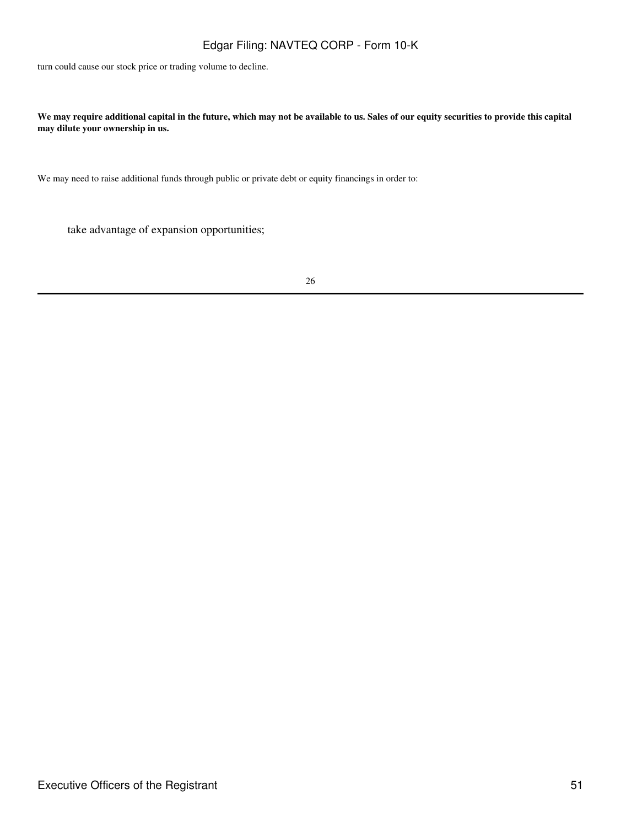turn could cause our stock price or trading volume to decline.

**We may require additional capital in the future, which may not be available to us. Sales of our equity securities to provide this capital may dilute your ownership in us.**

We may need to raise additional funds through public or private debt or equity financings in order to:

take advantage of expansion opportunities;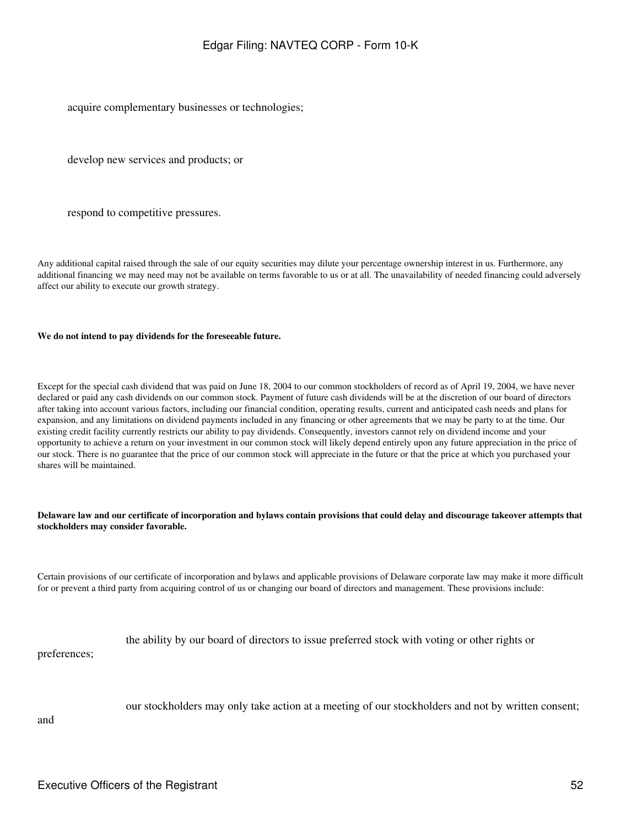acquire complementary businesses or technologies;

develop new services and products; or

respond to competitive pressures.

Any additional capital raised through the sale of our equity securities may dilute your percentage ownership interest in us. Furthermore, any additional financing we may need may not be available on terms favorable to us or at all. The unavailability of needed financing could adversely affect our ability to execute our growth strategy.

#### **We do not intend to pay dividends for the foreseeable future.**

Except for the special cash dividend that was paid on June 18, 2004 to our common stockholders of record as of April 19, 2004, we have never declared or paid any cash dividends on our common stock. Payment of future cash dividends will be at the discretion of our board of directors after taking into account various factors, including our financial condition, operating results, current and anticipated cash needs and plans for expansion, and any limitations on dividend payments included in any financing or other agreements that we may be party to at the time. Our existing credit facility currently restricts our ability to pay dividends. Consequently, investors cannot rely on dividend income and your opportunity to achieve a return on your investment in our common stock will likely depend entirely upon any future appreciation in the price of our stock. There is no guarantee that the price of our common stock will appreciate in the future or that the price at which you purchased your shares will be maintained.

### **Delaware law and our certificate of incorporation and bylaws contain provisions that could delay and discourage takeover attempts that stockholders may consider favorable.**

Certain provisions of our certificate of incorporation and bylaws and applicable provisions of Delaware corporate law may make it more difficult for or prevent a third party from acquiring control of us or changing our board of directors and management. These provisions include:

|              | the ability by our board of directors to issue preferred stock with voting or other rights or |
|--------------|-----------------------------------------------------------------------------------------------|
| preferences; |                                                                                               |

our stockholders may only take action at a meeting of our stockholders and not by written consent;

and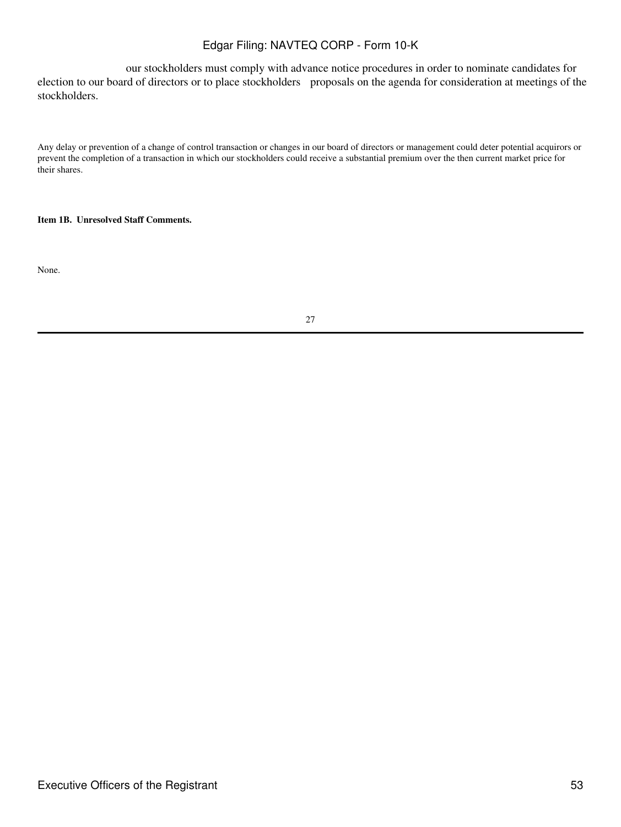our stockholders must comply with advance notice procedures in order to nominate candidates for election to our board of directors or to place stockholders proposals on the agenda for consideration at meetings of the stockholders.

Any delay or prevention of a change of control transaction or changes in our board of directors or management could deter potential acquirors or prevent the completion of a transaction in which our stockholders could receive a substantial premium over the then current market price for their shares.

### **Item 1B. Unresolved Staff Comments.**

None.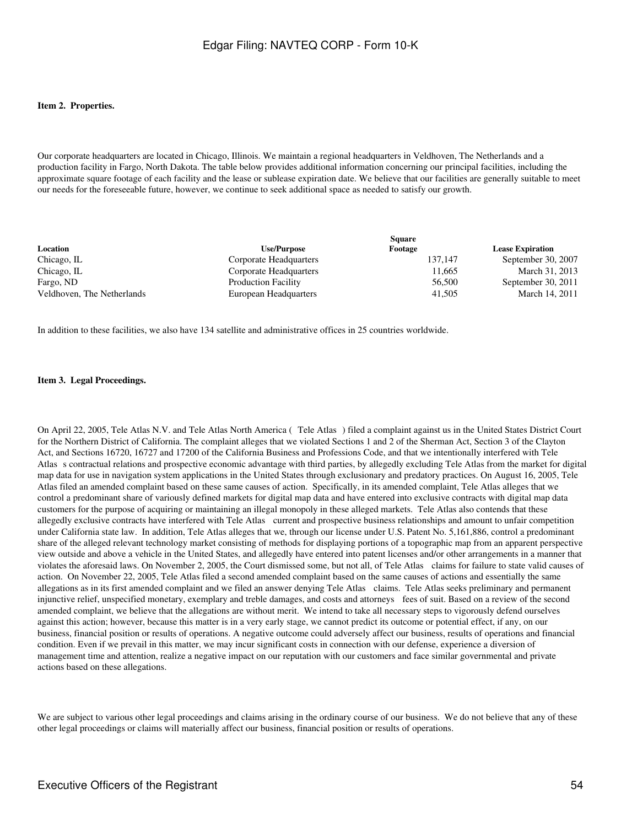### **Item 2. Properties.**

Our corporate headquarters are located in Chicago, Illinois. We maintain a regional headquarters in Veldhoven, The Netherlands and a production facility in Fargo, North Dakota. The table below provides additional information concerning our principal facilities, including the approximate square footage of each facility and the lease or sublease expiration date. We believe that our facilities are generally suitable to meet our needs for the foreseeable future, however, we continue to seek additional space as needed to satisfy our growth.

| Location                   | <b>Use/Purpose</b>         | Footage | <b>Lease Expiration</b> |
|----------------------------|----------------------------|---------|-------------------------|
| Chicago, IL                | Corporate Headquarters     | 137.147 | September 30, 2007      |
| Chicago, IL                | Corporate Headquarters     | 11.665  | March 31, 2013          |
| Fargo, ND                  | <b>Production Facility</b> | 56,500  | September 30, 2011      |
| Veldhoven, The Netherlands | European Headquarters      | 41.505  | March 14, 2011          |

In addition to these facilities, we also have 134 satellite and administrative offices in 25 countries worldwide.

#### **Item 3. Legal Proceedings.**

On April 22, 2005, Tele Atlas N.V. and Tele Atlas North America (Tele Atlas) filed a complaint against us in the United States District Court for the Northern District of California. The complaint alleges that we violated Sections 1 and 2 of the Sherman Act, Section 3 of the Clayton Act, and Sections 16720, 16727 and 17200 of the California Business and Professions Code, and that we intentionally interfered with Tele Atlass contractual relations and prospective economic advantage with third parties, by allegedly excluding Tele Atlas from the market for digital map data for use in navigation system applications in the United States through exclusionary and predatory practices. On August 16, 2005, Tele Atlas filed an amended complaint based on these same causes of action. Specifically, in its amended complaint, Tele Atlas alleges that we control a predominant share of variously defined markets for digital map data and have entered into exclusive contracts with digital map data customers for the purpose of acquiring or maintaining an illegal monopoly in these alleged markets. Tele Atlas also contends that these allegedly exclusive contracts have interfered with Tele Atlas current and prospective business relationships and amount to unfair competition under California state law. In addition, Tele Atlas alleges that we, through our license under U.S. Patent No. 5,161,886, control a predominant share of the alleged relevant technology market consisting of methods for displaying portions of a topographic map from an apparent perspective view outside and above a vehicle in the United States, and allegedly have entered into patent licenses and/or other arrangements in a manner that violates the aforesaid laws. On November 2, 2005, the Court dismissed some, but not all, of Tele Atlas claims for failure to state valid causes of action. On November 22, 2005, Tele Atlas filed a second amended complaint based on the same causes of actions and essentially the same allegations as in its first amended complaint and we filed an answer denying Tele Atlas claims. Tele Atlas seeks preliminary and permanent injunctive relief, unspecified monetary, exemplary and treble damages, and costs and attorneys fees of suit. Based on a review of the second amended complaint, we believe that the allegations are without merit. We intend to take all necessary steps to vigorously defend ourselves against this action; however, because this matter is in a very early stage, we cannot predict its outcome or potential effect, if any, on our business, financial position or results of operations. A negative outcome could adversely affect our business, results of operations and financial condition. Even if we prevail in this matter, we may incur significant costs in connection with our defense, experience a diversion of management time and attention, realize a negative impact on our reputation with our customers and face similar governmental and private actions based on these allegations.

We are subject to various other legal proceedings and claims arising in the ordinary course of our business. We do not believe that any of these other legal proceedings or claims will materially affect our business, financial position or results of operations.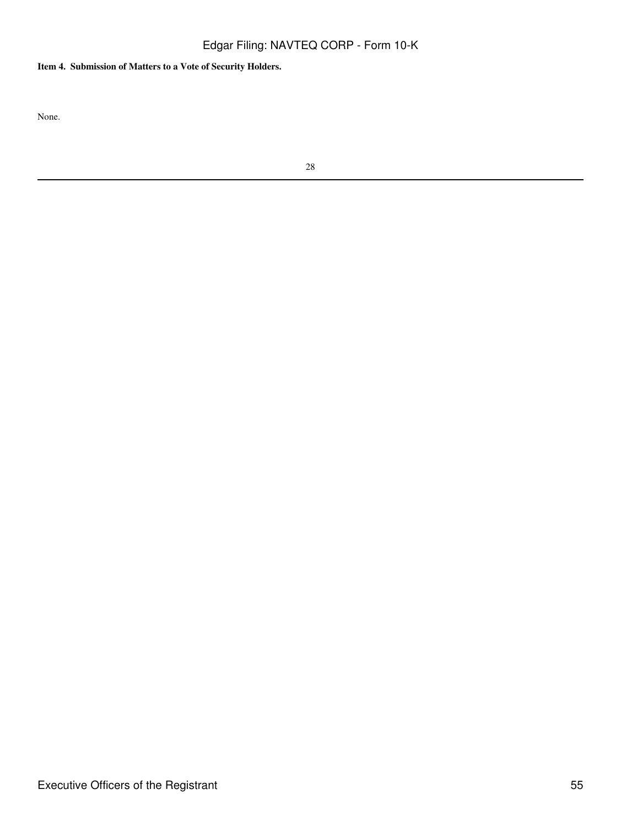# **Item 4. Submission of Matters to a Vote of Security Holders.**

None.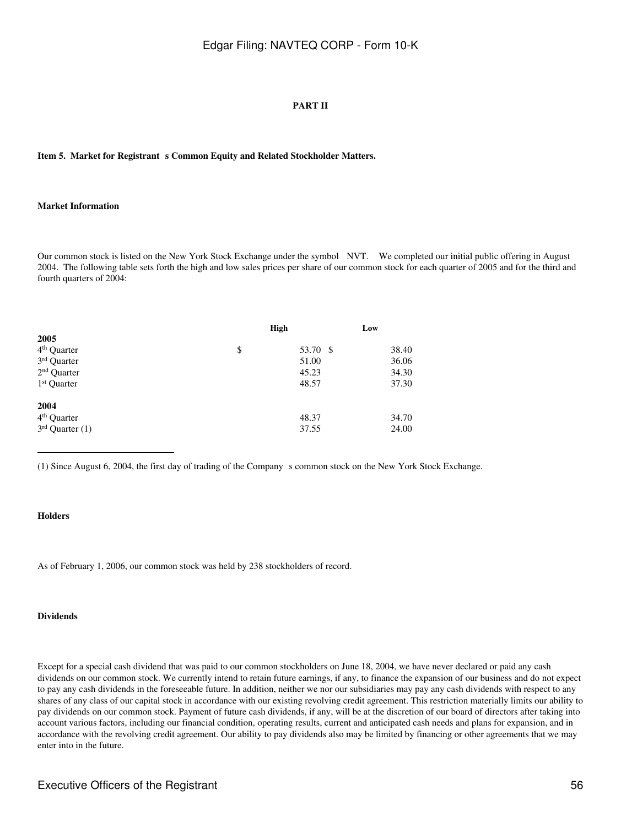### **PART II**

Item 5. Market for Registrant s Common Equity and Related Stockholder Matters.

#### **Market Information**

Our common stock is listed on the New York Stock Exchange under the symbol NVT. We completed our initial public offering in August 2004. The following table sets forth the high and low sales prices per share of our common stock for each quarter of 2005 and for the third and fourth quarters of 2004:

|                         | High |          | Low   |
|-------------------------|------|----------|-------|
| 2005                    |      |          |       |
| 4 <sup>th</sup> Quarter | \$   | 53.70 \$ | 38.40 |
| 3rd Quarter             |      | 51.00    | 36.06 |
| $2nd$ Quarter           |      | 45.23    | 34.30 |
| 1 <sup>st</sup> Quarter |      | 48.57    | 37.30 |
| 2004                    |      |          |       |
| 4 <sup>th</sup> Quarter |      | 48.37    | 34.70 |
| $3rd$ Quarter (1)       |      | 37.55    | 24.00 |
|                         |      |          |       |

(1) Since August 6, 2004, the first day of trading of the Companys common stock on the New York Stock Exchange.

### **Holders**

As of February 1, 2006, our common stock was held by 238 stockholders of record.

#### **Dividends**

Except for a special cash dividend that was paid to our common stockholders on June 18, 2004, we have never declared or paid any cash dividends on our common stock. We currently intend to retain future earnings, if any, to finance the expansion of our business and do not expect to pay any cash dividends in the foreseeable future. In addition, neither we nor our subsidiaries may pay any cash dividends with respect to any shares of any class of our capital stock in accordance with our existing revolving credit agreement. This restriction materially limits our ability to pay dividends on our common stock. Payment of future cash dividends, if any, will be at the discretion of our board of directors after taking into account various factors, including our financial condition, operating results, current and anticipated cash needs and plans for expansion, and in accordance with the revolving credit agreement. Our ability to pay dividends also may be limited by financing or other agreements that we may enter into in the future.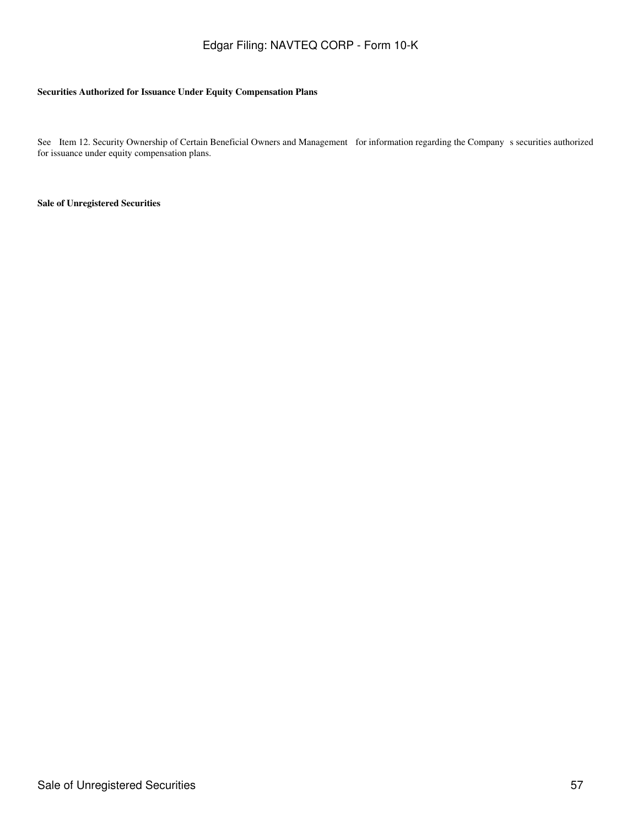### **Securities Authorized for Issuance Under Equity Compensation Plans**

See Item 12. Security Ownership of Certain Beneficial Owners and Management for information regarding the Company s securities authorized for issuance under equity compensation plans.

**Sale of Unregistered Securities**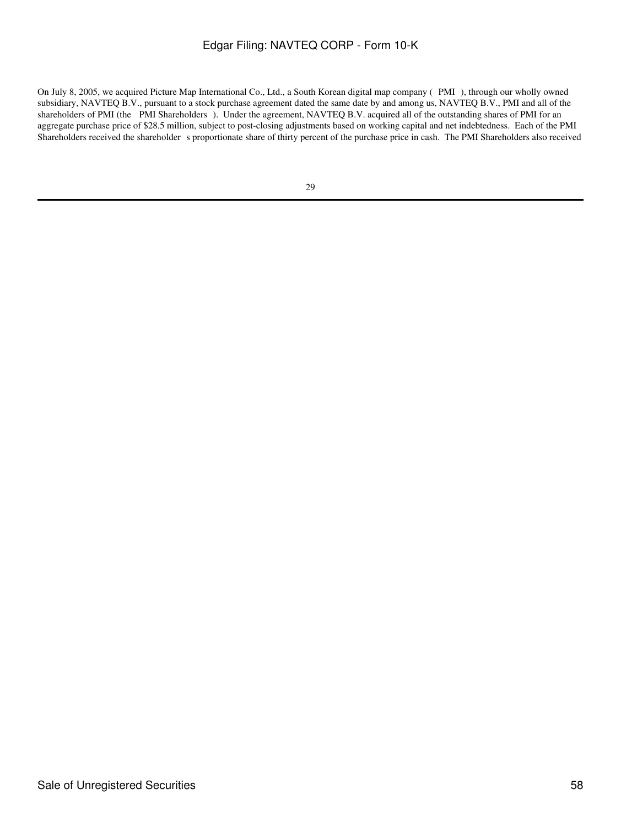On July 8, 2005, we acquired Picture Map International Co., Ltd., a South Korean digital map company (PMI), through our wholly owned subsidiary, NAVTEQ B.V., pursuant to a stock purchase agreement dated the same date by and among us, NAVTEQ B.V., PMI and all of the shareholders of PMI (the PMI Shareholders). Under the agreement, NAVTEQ B.V. acquired all of the outstanding shares of PMI for an aggregate purchase price of \$28.5 million, subject to post-closing adjustments based on working capital and net indebtedness. Each of the PMI Shareholders received the shareholder s proportionate share of thirty percent of the purchase price in cash. The PMI Shareholders also received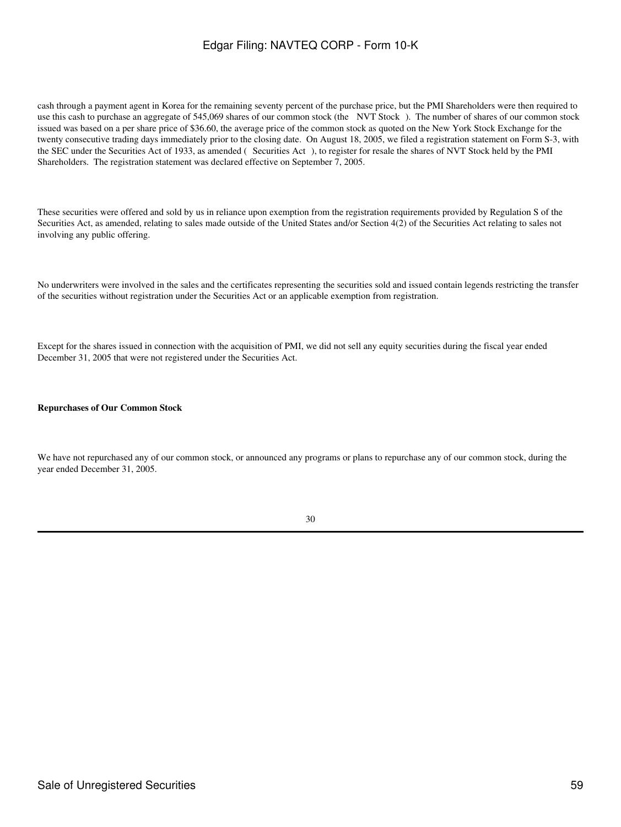cash through a payment agent in Korea for the remaining seventy percent of the purchase price, but the PMI Shareholders were then required to use this cash to purchase an aggregate of 545,069 shares of our common stock (the NVT Stock). The number of shares of our common stock issued was based on a per share price of \$36.60, the average price of the common stock as quoted on the New York Stock Exchange for the twenty consecutive trading days immediately prior to the closing date. On August 18, 2005, we filed a registration statement on Form S-3, with the SEC under the Securities Act of 1933, as amended (Securities Act), to register for resale the shares of NVT Stock held by the PMI Shareholders. The registration statement was declared effective on September 7, 2005.

These securities were offered and sold by us in reliance upon exemption from the registration requirements provided by Regulation S of the Securities Act, as amended, relating to sales made outside of the United States and/or Section 4(2) of the Securities Act relating to sales not involving any public offering.

No underwriters were involved in the sales and the certificates representing the securities sold and issued contain legends restricting the transfer of the securities without registration under the Securities Act or an applicable exemption from registration.

Except for the shares issued in connection with the acquisition of PMI, we did not sell any equity securities during the fiscal year ended December 31, 2005 that were not registered under the Securities Act.

### **Repurchases of Our Common Stock**

We have not repurchased any of our common stock, or announced any programs or plans to repurchase any of our common stock, during the year ended December 31, 2005.

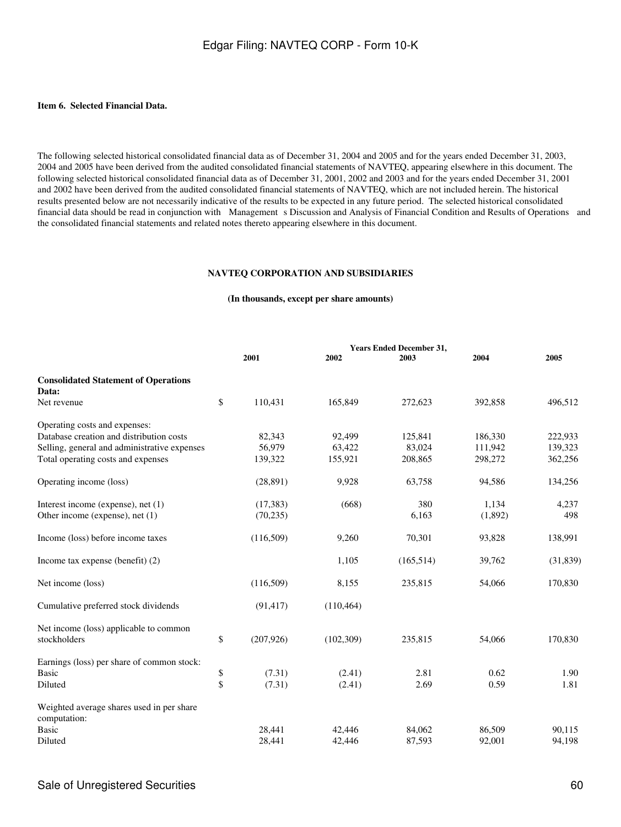### **Item 6. Selected Financial Data.**

The following selected historical consolidated financial data as of December 31, 2004 and 2005 and for the years ended December 31, 2003, 2004 and 2005 have been derived from the audited consolidated financial statements of NAVTEQ, appearing elsewhere in this document. The following selected historical consolidated financial data as of December 31, 2001, 2002 and 2003 and for the years ended December 31, 2001 and 2002 have been derived from the audited consolidated financial statements of NAVTEQ, which are not included herein. The historical results presented below are not necessarily indicative of the results to be expected in any future period. The selected historical consolidated financial data should be read in conjunction with Management s Discussion and Analysis of Financial Condition and Results of Operations and the consolidated financial statements and related notes thereto appearing elsewhere in this document.

#### **NAVTEQ CORPORATION AND SUBSIDIARIES**

### **(In thousands, except per share amounts)**

|                                                           | <b>Years Ended December 31,</b> |            |            |         |           |
|-----------------------------------------------------------|---------------------------------|------------|------------|---------|-----------|
|                                                           | 2001                            | 2002       | 2003       | 2004    | 2005      |
| <b>Consolidated Statement of Operations</b>               |                                 |            |            |         |           |
| Data:                                                     |                                 |            |            |         |           |
| Net revenue                                               | \$<br>110,431                   | 165,849    | 272,623    | 392,858 | 496,512   |
| Operating costs and expenses:                             |                                 |            |            |         |           |
| Database creation and distribution costs                  | 82,343                          | 92,499     | 125,841    | 186,330 | 222,933   |
| Selling, general and administrative expenses              | 56,979                          | 63,422     | 83,024     | 111,942 | 139,323   |
| Total operating costs and expenses                        | 139,322                         | 155,921    | 208,865    | 298,272 | 362,256   |
| Operating income (loss)                                   | (28, 891)                       | 9,928      | 63,758     | 94,586  | 134,256   |
| Interest income (expense), net (1)                        | (17, 383)                       | (668)      | 380        | 1,134   | 4,237     |
| Other income (expense), net (1)                           | (70, 235)                       |            | 6,163      | (1,892) | 498       |
| Income (loss) before income taxes                         | (116,509)                       | 9,260      | 70,301     | 93,828  | 138,991   |
| Income tax expense (benefit) (2)                          |                                 | 1,105      | (165, 514) | 39,762  | (31, 839) |
| Net income (loss)                                         | (116,509)                       | 8,155      | 235,815    | 54,066  | 170,830   |
| Cumulative preferred stock dividends                      | (91, 417)                       | (110, 464) |            |         |           |
| Net income (loss) applicable to common                    |                                 |            |            |         |           |
| stockholders                                              | \$<br>(207, 926)                | (102, 309) | 235,815    | 54,066  | 170,830   |
| Earnings (loss) per share of common stock:                |                                 |            |            |         |           |
| <b>Basic</b>                                              | $\boldsymbol{\$}$<br>(7.31)     | (2.41)     | 2.81       | 0.62    | 1.90      |
| Diluted                                                   | \$<br>(7.31)                    | (2.41)     | 2.69       | 0.59    | 1.81      |
| Weighted average shares used in per share<br>computation: |                                 |            |            |         |           |
| <b>Basic</b>                                              | 28,441                          | 42,446     | 84,062     | 86,509  | 90,115    |
| Diluted                                                   | 28,441                          | 42,446     | 87,593     | 92,001  | 94,198    |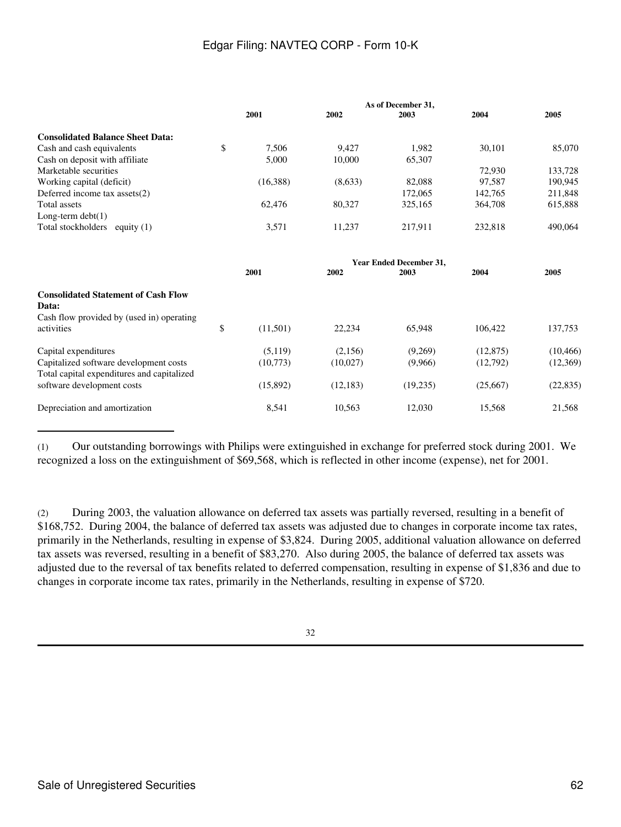|                                                                                                  | As of December 31, |          |           |                                |           |           |
|--------------------------------------------------------------------------------------------------|--------------------|----------|-----------|--------------------------------|-----------|-----------|
|                                                                                                  |                    | 2001     | 2002      | 2003                           | 2004      | 2005      |
| <b>Consolidated Balance Sheet Data:</b>                                                          |                    |          |           |                                |           |           |
| Cash and cash equivalents                                                                        | \$                 | 7,506    | 9.427     | 1,982                          | 30,101    | 85,070    |
| Cash on deposit with affiliate                                                                   |                    | 5,000    | 10,000    | 65,307                         |           |           |
| Marketable securities                                                                            |                    |          |           |                                | 72,930    | 133,728   |
| Working capital (deficit)                                                                        |                    | (16,388) | (8,633)   | 82,088                         | 97.587    | 190,945   |
| Deferred income tax assets(2)                                                                    |                    |          |           | 172,065                        | 142,765   | 211,848   |
| Total assets                                                                                     |                    | 62,476   | 80,327    | 325,165                        | 364,708   | 615,888   |
| Long-term $debt(1)$                                                                              |                    |          |           |                                |           |           |
| Total stockholders equity (1)                                                                    |                    | 3,571    | 11,237    | 217,911                        | 232,818   | 490,064   |
|                                                                                                  |                    |          |           | <b>Year Ended December 31,</b> |           |           |
|                                                                                                  |                    | 2001     | 2002      | 2003                           | 2004      | 2005      |
| <b>Consolidated Statement of Cash Flow</b><br>Data:<br>Cash flow provided by (used in) operating |                    |          |           |                                |           |           |
| activities                                                                                       | \$                 | (11,501) | 22,234    | 65,948                         | 106,422   | 137,753   |
| Capital expenditures                                                                             |                    | (5,119)  | (2,156)   | (9,269)                        | (12, 875) | (10, 466) |
| Capitalized software development costs<br>Total capital expenditures and capitalized             |                    | (10,773) | (10,027)  | (9,966)                        | (12,792)  | (12,369)  |
| software development costs                                                                       |                    | (15,892) | (12, 183) | (19,235)                       | (25,667)  | (22, 835) |
| Depreciation and amortization                                                                    |                    | 8,541    | 10,563    | 12,030                         | 15,568    | 21,568    |

(1) Our outstanding borrowings with Philips were extinguished in exchange for preferred stock during 2001. We recognized a loss on the extinguishment of \$69,568, which is reflected in other income (expense), net for 2001.

(2) During 2003, the valuation allowance on deferred tax assets was partially reversed, resulting in a benefit of \$168,752. During 2004, the balance of deferred tax assets was adjusted due to changes in corporate income tax rates, primarily in the Netherlands, resulting in expense of \$3,824. During 2005, additional valuation allowance on deferred tax assets was reversed, resulting in a benefit of \$83,270. Also during 2005, the balance of deferred tax assets was adjusted due to the reversal of tax benefits related to deferred compensation, resulting in expense of \$1,836 and due to changes in corporate income tax rates, primarily in the Netherlands, resulting in expense of \$720.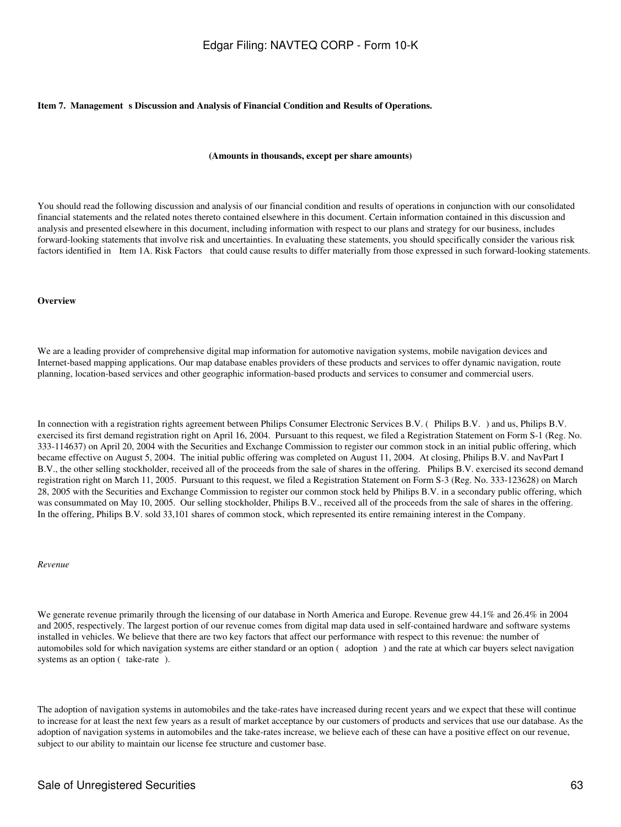#### Item 7. Management s Discussion and Analysis of Financial Condition and Results of Operations.

#### **(Amounts in thousands, except per share amounts)**

You should read the following discussion and analysis of our financial condition and results of operations in conjunction with our consolidated financial statements and the related notes thereto contained elsewhere in this document. Certain information contained in this discussion and analysis and presented elsewhere in this document, including information with respect to our plans and strategy for our business, includes forward-looking statements that involve risk and uncertainties. In evaluating these statements, you should specifically consider the various risk factors identified in Item 1A. Risk Factors that could cause results to differ materially from those expressed in such forward-looking statements.

#### **Overview**

We are a leading provider of comprehensive digital map information for automotive navigation systems, mobile navigation devices and Internet-based mapping applications. Our map database enables providers of these products and services to offer dynamic navigation, route planning, location-based services and other geographic information-based products and services to consumer and commercial users.

In connection with a registration rights agreement between Philips Consumer Electronic Services B.V. (Philips B.V.) and us, Philips B.V. exercised its first demand registration right on April 16, 2004. Pursuant to this request, we filed a Registration Statement on Form S-1 (Reg. No. 333-114637) on April 20, 2004 with the Securities and Exchange Commission to register our common stock in an initial public offering, which became effective on August 5, 2004. The initial public offering was completed on August 11, 2004. At closing, Philips B.V. and NavPart I B.V., the other selling stockholder, received all of the proceeds from the sale of shares in the offering. Philips B.V. exercised its second demand registration right on March 11, 2005. Pursuant to this request, we filed a Registration Statement on Form S-3 (Reg. No. 333-123628) on March 28, 2005 with the Securities and Exchange Commission to register our common stock held by Philips B.V. in a secondary public offering, which was consummated on May 10, 2005. Our selling stockholder, Philips B.V., received all of the proceeds from the sale of shares in the offering. In the offering, Philips B.V. sold 33,101 shares of common stock, which represented its entire remaining interest in the Company.

#### *Revenue*

We generate revenue primarily through the licensing of our database in North America and Europe. Revenue grew 44.1% and 26.4% in 2004 and 2005, respectively. The largest portion of our revenue comes from digital map data used in self-contained hardware and software systems installed in vehicles. We believe that there are two key factors that affect our performance with respect to this revenue: the number of automobiles sold for which navigation systems are either standard or an option (adoption) and the rate at which car buyers select navigation systems as an option (take-rate).

The adoption of navigation systems in automobiles and the take-rates have increased during recent years and we expect that these will continue to increase for at least the next few years as a result of market acceptance by our customers of products and services that use our database. As the adoption of navigation systems in automobiles and the take-rates increase, we believe each of these can have a positive effect on our revenue, subject to our ability to maintain our license fee structure and customer base.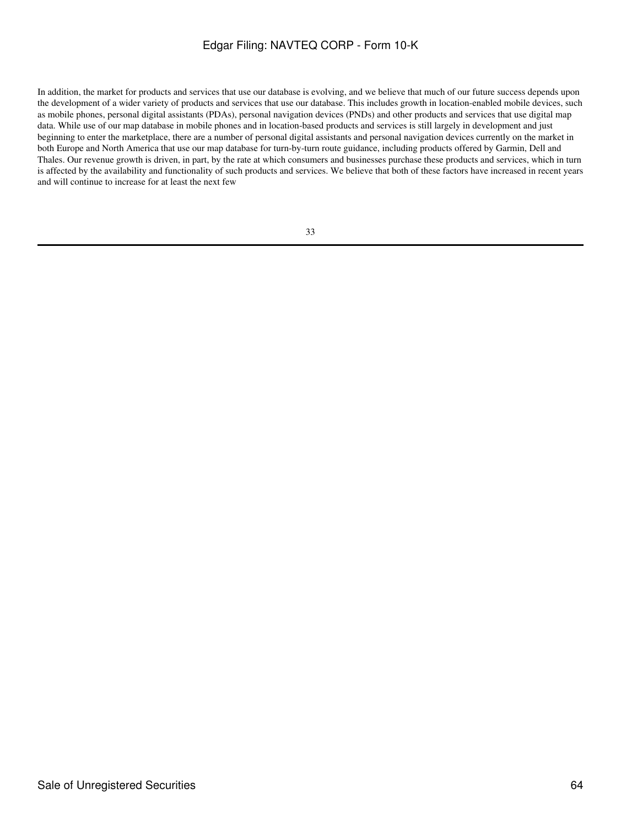In addition, the market for products and services that use our database is evolving, and we believe that much of our future success depends upon the development of a wider variety of products and services that use our database. This includes growth in location-enabled mobile devices, such as mobile phones, personal digital assistants (PDAs), personal navigation devices (PNDs) and other products and services that use digital map data. While use of our map database in mobile phones and in location-based products and services is still largely in development and just beginning to enter the marketplace, there are a number of personal digital assistants and personal navigation devices currently on the market in both Europe and North America that use our map database for turn-by-turn route guidance, including products offered by Garmin, Dell and Thales. Our revenue growth is driven, in part, by the rate at which consumers and businesses purchase these products and services, which in turn is affected by the availability and functionality of such products and services. We believe that both of these factors have increased in recent years and will continue to increase for at least the next few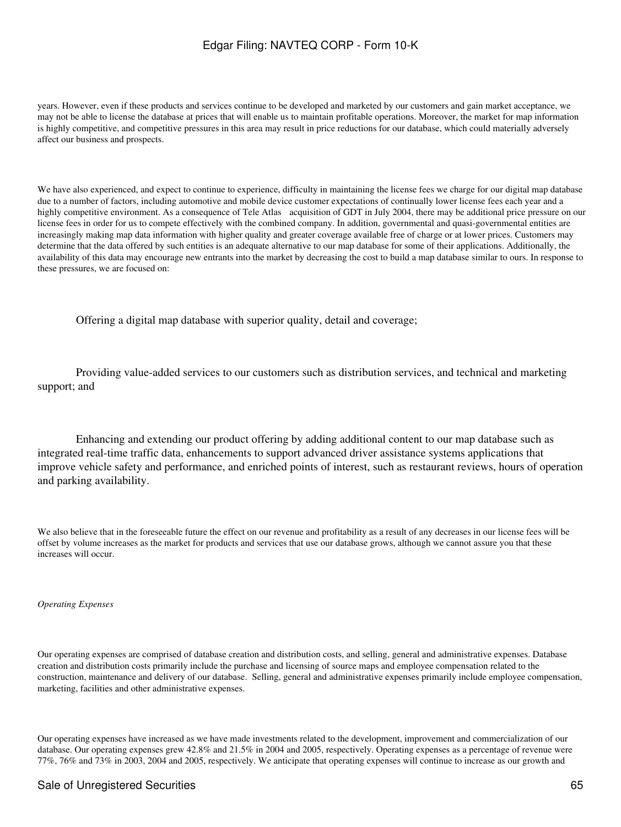years. However, even if these products and services continue to be developed and marketed by our customers and gain market acceptance, we may not be able to license the database at prices that will enable us to maintain profitable operations. Moreover, the market for map information is highly competitive, and competitive pressures in this area may result in price reductions for our database, which could materially adversely affect our business and prospects.

We have also experienced, and expect to continue to experience, difficulty in maintaining the license fees we charge for our digital map database due to a number of factors, including automotive and mobile device customer expectations of continually lower license fees each year and a highly competitive environment. As a consequence of Tele Atlas acquisition of GDT in July 2004, there may be additional price pressure on our license fees in order for us to compete effectively with the combined company. In addition, governmental and quasi-governmental entities are increasingly making map data information with higher quality and greater coverage available free of charge or at lower prices. Customers may determine that the data offered by such entities is an adequate alternative to our map database for some of their applications. Additionally, the availability of this data may encourage new entrants into the market by decreasing the cost to build a map database similar to ours. In response to these pressures, we are focused on:

Offering a digital map database with superior quality, detail and coverage;

 Providing value-added services to our customers such as distribution services, and technical and marketing support; and

 Enhancing and extending our product offering by adding additional content to our map database such as integrated real-time traffic data, enhancements to support advanced driver assistance systems applications that improve vehicle safety and performance, and enriched points of interest, such as restaurant reviews, hours of operation and parking availability.

We also believe that in the foreseeable future the effect on our revenue and profitability as a result of any decreases in our license fees will be offset by volume increases as the market for products and services that use our database grows, although we cannot assure you that these increases will occur.

*Operating Expenses*

Our operating expenses are comprised of database creation and distribution costs, and selling, general and administrative expenses. Database creation and distribution costs primarily include the purchase and licensing of source maps and employee compensation related to the construction, maintenance and delivery of our database. Selling, general and administrative expenses primarily include employee compensation, marketing, facilities and other administrative expenses.

Our operating expenses have increased as we have made investments related to the development, improvement and commercialization of our database. Our operating expenses grew 42.8% and 21.5% in 2004 and 2005, respectively. Operating expenses as a percentage of revenue were 77%, 76% and 73% in 2003, 2004 and 2005, respectively. We anticipate that operating expenses will continue to increase as our growth and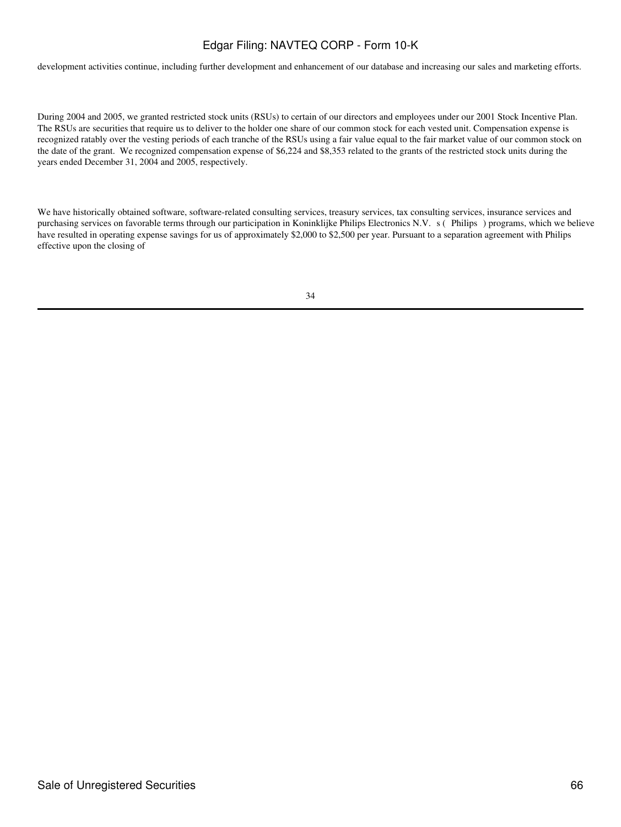development activities continue, including further development and enhancement of our database and increasing our sales and marketing efforts.

During 2004 and 2005, we granted restricted stock units (RSUs) to certain of our directors and employees under our 2001 Stock Incentive Plan. The RSUs are securities that require us to deliver to the holder one share of our common stock for each vested unit. Compensation expense is recognized ratably over the vesting periods of each tranche of the RSUs using a fair value equal to the fair market value of our common stock on the date of the grant. We recognized compensation expense of \$6,224 and \$8,353 related to the grants of the restricted stock units during the years ended December 31, 2004 and 2005, respectively.

We have historically obtained software, software-related consulting services, treasury services, tax consulting services, insurance services and purchasing services on favorable terms through our participation in Koninklijke Philips Electronics N.V. s (Philips) programs, which we believe have resulted in operating expense savings for us of approximately \$2,000 to \$2,500 per year. Pursuant to a separation agreement with Philips effective upon the closing of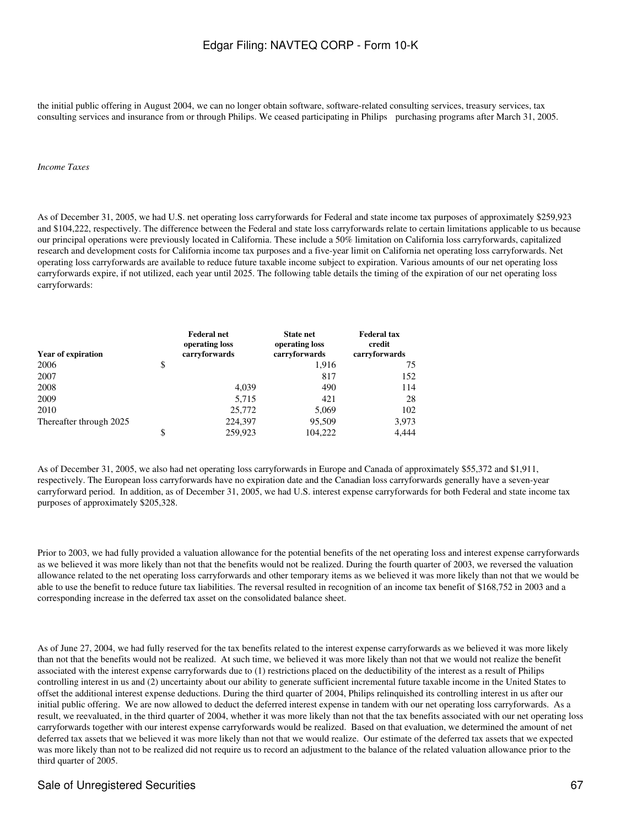the initial public offering in August 2004, we can no longer obtain software, software-related consulting services, treasury services, tax consulting services and insurance from or through Philips. We ceased participating in Philips purchasing programs after March 31, 2005.

#### *Income Taxes*

As of December 31, 2005, we had U.S. net operating loss carryforwards for Federal and state income tax purposes of approximately \$259,923 and \$104,222, respectively. The difference between the Federal and state loss carryforwards relate to certain limitations applicable to us because our principal operations were previously located in California. These include a 50% limitation on California loss carryforwards, capitalized research and development costs for California income tax purposes and a five-year limit on California net operating loss carryforwards. Net operating loss carryforwards are available to reduce future taxable income subject to expiration. Various amounts of our net operating loss carryforwards expire, if not utilized, each year until 2025. The following table details the timing of the expiration of our net operating loss carryforwards:

| <b>Year of expiration</b> | <b>Federal net</b><br>operating loss<br>carryforwards | <b>State net</b><br>operating loss<br>carryforwards | <b>Federal tax</b><br>credit<br>carryforwards |
|---------------------------|-------------------------------------------------------|-----------------------------------------------------|-----------------------------------------------|
| 2006                      | \$                                                    | 1,916                                               | 75                                            |
| 2007                      |                                                       | 817                                                 | 152                                           |
| 2008                      | 4.039                                                 | 490                                                 | 114                                           |
| 2009                      | 5,715                                                 | 421                                                 | 28                                            |
| 2010                      | 25,772                                                | 5,069                                               | 102                                           |
| Thereafter through 2025   | 224,397                                               | 95,509                                              | 3,973                                         |
|                           | \$<br>259,923                                         | 104.222                                             | 4.444                                         |

As of December 31, 2005, we also had net operating loss carryforwards in Europe and Canada of approximately \$55,372 and \$1,911, respectively. The European loss carryforwards have no expiration date and the Canadian loss carryforwards generally have a seven-year carryforward period. In addition, as of December 31, 2005, we had U.S. interest expense carryforwards for both Federal and state income tax purposes of approximately \$205,328.

Prior to 2003, we had fully provided a valuation allowance for the potential benefits of the net operating loss and interest expense carryforwards as we believed it was more likely than not that the benefits would not be realized. During the fourth quarter of 2003, we reversed the valuation allowance related to the net operating loss carryforwards and other temporary items as we believed it was more likely than not that we would be able to use the benefit to reduce future tax liabilities. The reversal resulted in recognition of an income tax benefit of \$168,752 in 2003 and a corresponding increase in the deferred tax asset on the consolidated balance sheet.

As of June 27, 2004, we had fully reserved for the tax benefits related to the interest expense carryforwards as we believed it was more likely than not that the benefits would not be realized. At such time, we believed it was more likely than not that we would not realize the benefit associated with the interest expense carryforwards due to (1) restrictions placed on the deductibility of the interest as a result of Philips controlling interest in us and (2) uncertainty about our ability to generate sufficient incremental future taxable income in the United States to offset the additional interest expense deductions. During the third quarter of 2004, Philips relinquished its controlling interest in us after our initial public offering. We are now allowed to deduct the deferred interest expense in tandem with our net operating loss carryforwards. As a result, we reevaluated, in the third quarter of 2004, whether it was more likely than not that the tax benefits associated with our net operating loss carryforwards together with our interest expense carryforwards would be realized. Based on that evaluation, we determined the amount of net deferred tax assets that we believed it was more likely than not that we would realize. Our estimate of the deferred tax assets that we expected was more likely than not to be realized did not require us to record an adjustment to the balance of the related valuation allowance prior to the third quarter of 2005.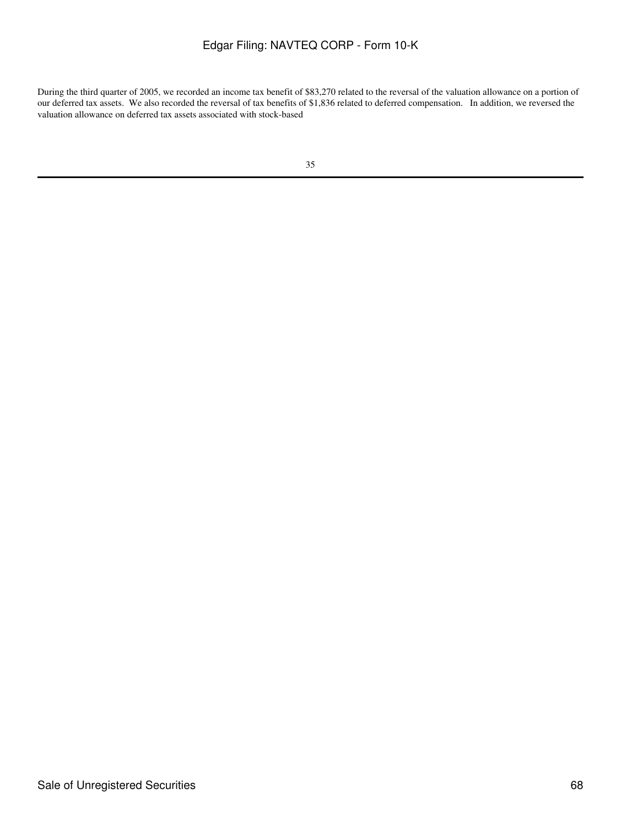During the third quarter of 2005, we recorded an income tax benefit of \$83,270 related to the reversal of the valuation allowance on a portion of our deferred tax assets. We also recorded the reversal of tax benefits of \$1,836 related to deferred compensation. In addition, we reversed the valuation allowance on deferred tax assets associated with stock-based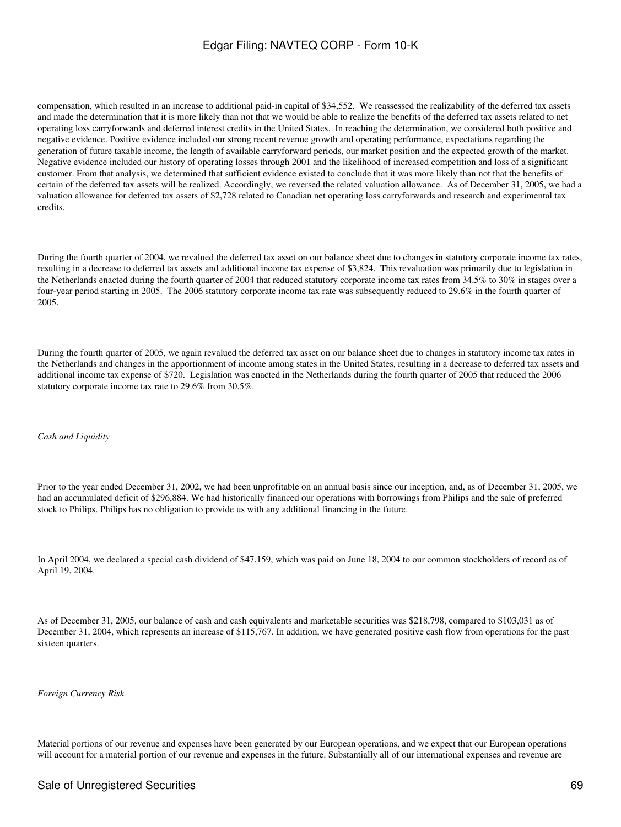compensation, which resulted in an increase to additional paid-in capital of \$34,552. We reassessed the realizability of the deferred tax assets and made the determination that it is more likely than not that we would be able to realize the benefits of the deferred tax assets related to net operating loss carryforwards and deferred interest credits in the United States. In reaching the determination, we considered both positive and negative evidence. Positive evidence included our strong recent revenue growth and operating performance, expectations regarding the generation of future taxable income, the length of available carryforward periods, our market position and the expected growth of the market. Negative evidence included our history of operating losses through 2001 and the likelihood of increased competition and loss of a significant customer. From that analysis, we determined that sufficient evidence existed to conclude that it was more likely than not that the benefits of certain of the deferred tax assets will be realized. Accordingly, we reversed the related valuation allowance. As of December 31, 2005, we had a valuation allowance for deferred tax assets of \$2,728 related to Canadian net operating loss carryforwards and research and experimental tax credits.

During the fourth quarter of 2004, we revalued the deferred tax asset on our balance sheet due to changes in statutory corporate income tax rates, resulting in a decrease to deferred tax assets and additional income tax expense of \$3,824. This revaluation was primarily due to legislation in the Netherlands enacted during the fourth quarter of 2004 that reduced statutory corporate income tax rates from 34.5% to 30% in stages over a four-year period starting in 2005. The 2006 statutory corporate income tax rate was subsequently reduced to 29.6% in the fourth quarter of 2005.

During the fourth quarter of 2005, we again revalued the deferred tax asset on our balance sheet due to changes in statutory income tax rates in the Netherlands and changes in the apportionment of income among states in the United States, resulting in a decrease to deferred tax assets and additional income tax expense of \$720. Legislation was enacted in the Netherlands during the fourth quarter of 2005 that reduced the 2006 statutory corporate income tax rate to 29.6% from 30.5%.

### *Cash and Liquidity*

Prior to the year ended December 31, 2002, we had been unprofitable on an annual basis since our inception, and, as of December 31, 2005, we had an accumulated deficit of \$296,884. We had historically financed our operations with borrowings from Philips and the sale of preferred stock to Philips. Philips has no obligation to provide us with any additional financing in the future.

In April 2004, we declared a special cash dividend of \$47,159, which was paid on June 18, 2004 to our common stockholders of record as of April 19, 2004.

As of December 31, 2005, our balance of cash and cash equivalents and marketable securities was \$218,798, compared to \$103,031 as of December 31, 2004, which represents an increase of \$115,767. In addition, we have generated positive cash flow from operations for the past sixteen quarters.

#### *Foreign Currency Risk*

Material portions of our revenue and expenses have been generated by our European operations, and we expect that our European operations will account for a material portion of our revenue and expenses in the future. Substantially all of our international expenses and revenue are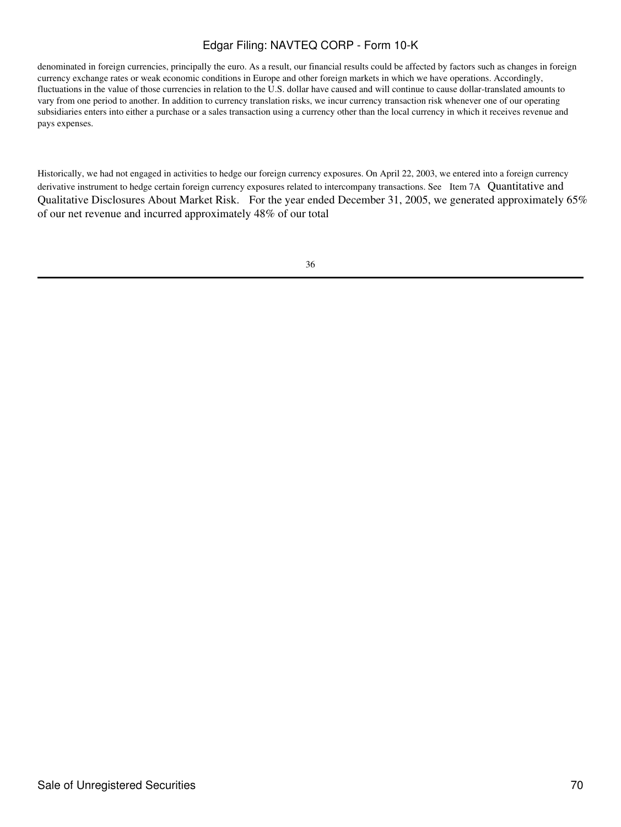denominated in foreign currencies, principally the euro. As a result, our financial results could be affected by factors such as changes in foreign currency exchange rates or weak economic conditions in Europe and other foreign markets in which we have operations. Accordingly, fluctuations in the value of those currencies in relation to the U.S. dollar have caused and will continue to cause dollar-translated amounts to vary from one period to another. In addition to currency translation risks, we incur currency transaction risk whenever one of our operating subsidiaries enters into either a purchase or a sales transaction using a currency other than the local currency in which it receives revenue and pays expenses.

Historically, we had not engaged in activities to hedge our foreign currency exposures. On April 22, 2003, we entered into a foreign currency derivative instrument to hedge certain foreign currency exposures related to intercompany transactions. See Item 7A Quantitative and Qualitative Disclosures About Market Risk. For the year ended December 31, 2005, we generated approximately 65% of our net revenue and incurred approximately 48% of our total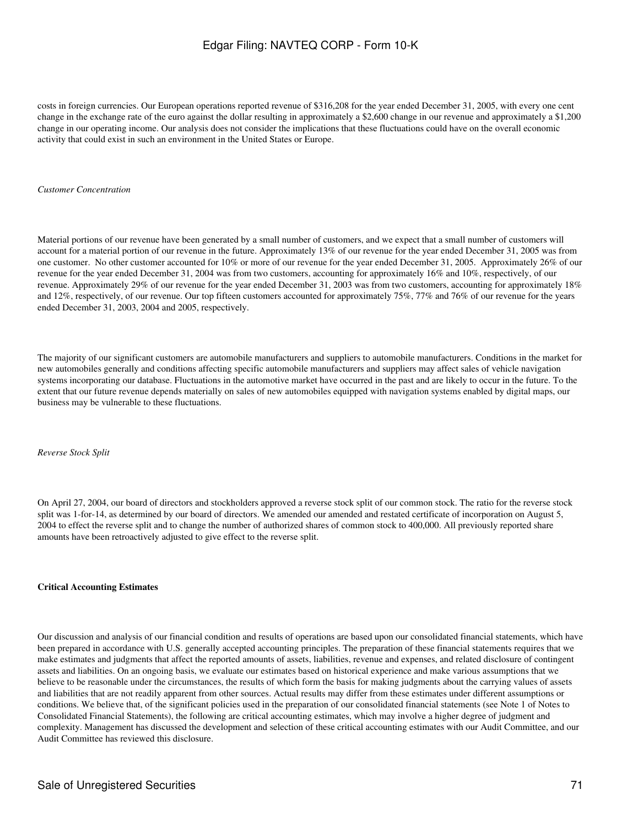costs in foreign currencies. Our European operations reported revenue of \$316,208 for the year ended December 31, 2005, with every one cent change in the exchange rate of the euro against the dollar resulting in approximately a \$2,600 change in our revenue and approximately a \$1,200 change in our operating income. Our analysis does not consider the implications that these fluctuations could have on the overall economic activity that could exist in such an environment in the United States or Europe.

#### *Customer Concentration*

Material portions of our revenue have been generated by a small number of customers, and we expect that a small number of customers will account for a material portion of our revenue in the future. Approximately 13% of our revenue for the year ended December 31, 2005 was from one customer. No other customer accounted for 10% or more of our revenue for the year ended December 31, 2005. Approximately 26% of our revenue for the year ended December 31, 2004 was from two customers, accounting for approximately 16% and 10%, respectively, of our revenue. Approximately 29% of our revenue for the year ended December 31, 2003 was from two customers, accounting for approximately 18% and 12%, respectively, of our revenue. Our top fifteen customers accounted for approximately 75%, 77% and 76% of our revenue for the years ended December 31, 2003, 2004 and 2005, respectively.

The majority of our significant customers are automobile manufacturers and suppliers to automobile manufacturers. Conditions in the market for new automobiles generally and conditions affecting specific automobile manufacturers and suppliers may affect sales of vehicle navigation systems incorporating our database. Fluctuations in the automotive market have occurred in the past and are likely to occur in the future. To the extent that our future revenue depends materially on sales of new automobiles equipped with navigation systems enabled by digital maps, our business may be vulnerable to these fluctuations.

*Reverse Stock Split*

On April 27, 2004, our board of directors and stockholders approved a reverse stock split of our common stock. The ratio for the reverse stock split was 1-for-14, as determined by our board of directors. We amended our amended and restated certificate of incorporation on August 5, 2004 to effect the reverse split and to change the number of authorized shares of common stock to 400,000. All previously reported share amounts have been retroactively adjusted to give effect to the reverse split.

### **Critical Accounting Estimates**

Our discussion and analysis of our financial condition and results of operations are based upon our consolidated financial statements, which have been prepared in accordance with U.S. generally accepted accounting principles. The preparation of these financial statements requires that we make estimates and judgments that affect the reported amounts of assets, liabilities, revenue and expenses, and related disclosure of contingent assets and liabilities. On an ongoing basis, we evaluate our estimates based on historical experience and make various assumptions that we believe to be reasonable under the circumstances, the results of which form the basis for making judgments about the carrying values of assets and liabilities that are not readily apparent from other sources. Actual results may differ from these estimates under different assumptions or conditions. We believe that, of the significant policies used in the preparation of our consolidated financial statements (see Note 1 of Notes to Consolidated Financial Statements), the following are critical accounting estimates, which may involve a higher degree of judgment and complexity. Management has discussed the development and selection of these critical accounting estimates with our Audit Committee, and our Audit Committee has reviewed this disclosure.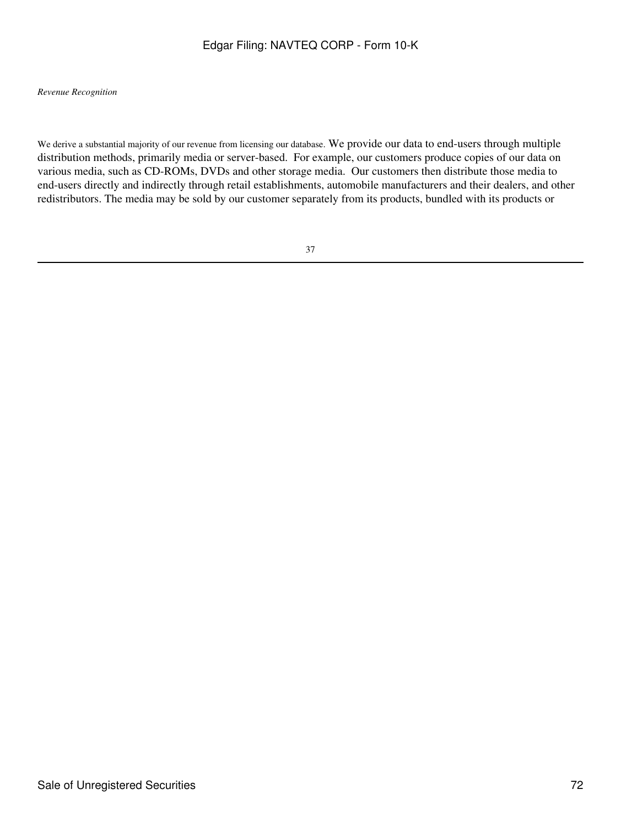### *Revenue Recognition*

We derive a substantial majority of our revenue from licensing our database. We provide our data to end-users through multiple distribution methods, primarily media or server-based. For example, our customers produce copies of our data on various media, such as CD-ROMs, DVDs and other storage media. Our customers then distribute those media to end-users directly and indirectly through retail establishments, automobile manufacturers and their dealers, and other redistributors. The media may be sold by our customer separately from its products, bundled with its products or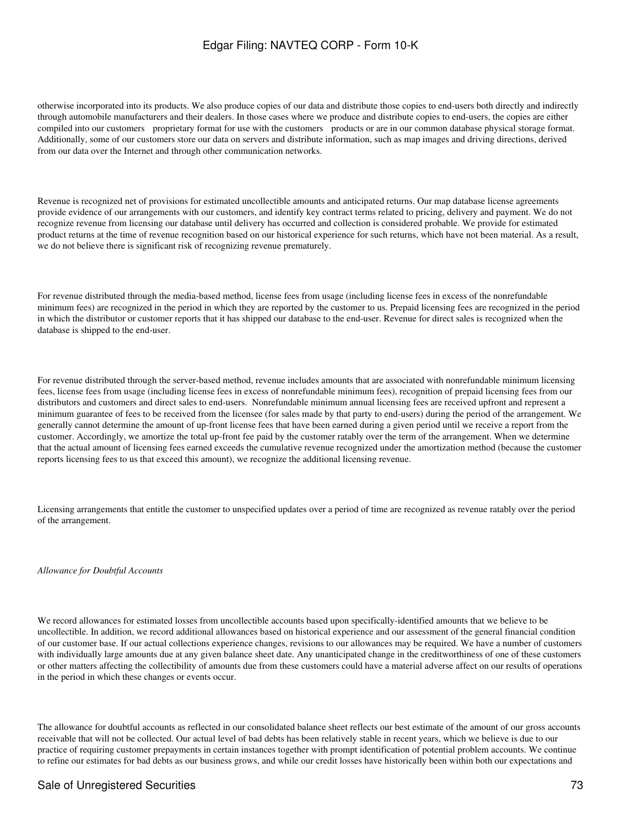otherwise incorporated into its products. We also produce copies of our data and distribute those copies to end-users both directly and indirectly through automobile manufacturers and their dealers. In those cases where we produce and distribute copies to end-users, the copies are either compiled into our customers proprietary format for use with the customers products or are in our common database physical storage format. Additionally, some of our customers store our data on servers and distribute information, such as map images and driving directions, derived from our data over the Internet and through other communication networks.

Revenue is recognized net of provisions for estimated uncollectible amounts and anticipated returns. Our map database license agreements provide evidence of our arrangements with our customers, and identify key contract terms related to pricing, delivery and payment. We do not recognize revenue from licensing our database until delivery has occurred and collection is considered probable. We provide for estimated product returns at the time of revenue recognition based on our historical experience for such returns, which have not been material. As a result, we do not believe there is significant risk of recognizing revenue prematurely.

For revenue distributed through the media-based method, license fees from usage (including license fees in excess of the nonrefundable minimum fees) are recognized in the period in which they are reported by the customer to us. Prepaid licensing fees are recognized in the period in which the distributor or customer reports that it has shipped our database to the end-user. Revenue for direct sales is recognized when the database is shipped to the end-user.

For revenue distributed through the server-based method, revenue includes amounts that are associated with nonrefundable minimum licensing fees, license fees from usage (including license fees in excess of nonrefundable minimum fees), recognition of prepaid licensing fees from our distributors and customers and direct sales to end-users. Nonrefundable minimum annual licensing fees are received upfront and represent a minimum guarantee of fees to be received from the licensee (for sales made by that party to end-users) during the period of the arrangement. We generally cannot determine the amount of up-front license fees that have been earned during a given period until we receive a report from the customer. Accordingly, we amortize the total up-front fee paid by the customer ratably over the term of the arrangement. When we determine that the actual amount of licensing fees earned exceeds the cumulative revenue recognized under the amortization method (because the customer reports licensing fees to us that exceed this amount), we recognize the additional licensing revenue.

Licensing arrangements that entitle the customer to unspecified updates over a period of time are recognized as revenue ratably over the period of the arrangement.

*Allowance for Doubtful Accounts*

We record allowances for estimated losses from uncollectible accounts based upon specifically-identified amounts that we believe to be uncollectible. In addition, we record additional allowances based on historical experience and our assessment of the general financial condition of our customer base. If our actual collections experience changes, revisions to our allowances may be required. We have a number of customers with individually large amounts due at any given balance sheet date. Any unanticipated change in the creditworthiness of one of these customers or other matters affecting the collectibility of amounts due from these customers could have a material adverse affect on our results of operations in the period in which these changes or events occur.

The allowance for doubtful accounts as reflected in our consolidated balance sheet reflects our best estimate of the amount of our gross accounts receivable that will not be collected. Our actual level of bad debts has been relatively stable in recent years, which we believe is due to our practice of requiring customer prepayments in certain instances together with prompt identification of potential problem accounts. We continue to refine our estimates for bad debts as our business grows, and while our credit losses have historically been within both our expectations and

### Sale of Unregistered Securities 73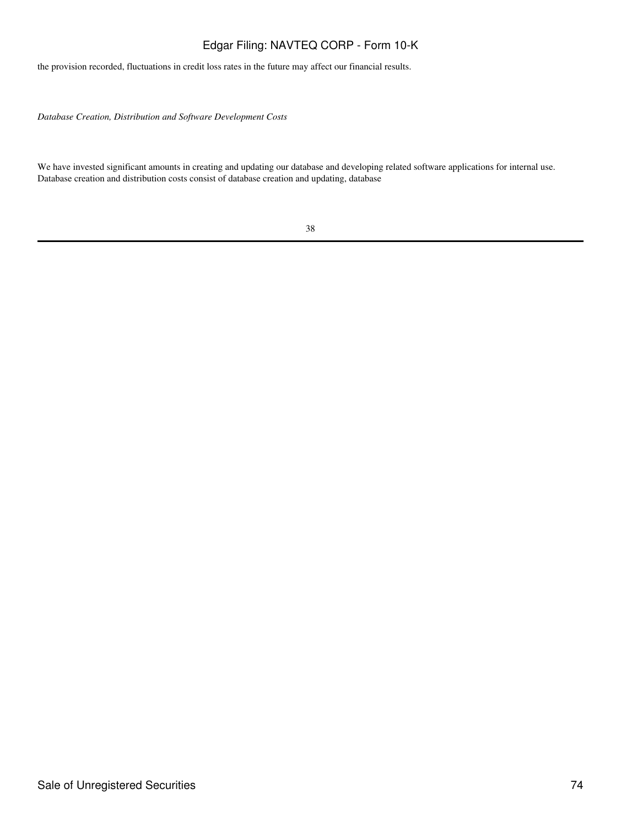the provision recorded, fluctuations in credit loss rates in the future may affect our financial results.

*Database Creation, Distribution and Software Development Costs*

We have invested significant amounts in creating and updating our database and developing related software applications for internal use. Database creation and distribution costs consist of database creation and updating, database

| v                  | ł                  |
|--------------------|--------------------|
| ۹<br>۰.<br>۰,<br>v | o<br>۰.<br>×<br>۰. |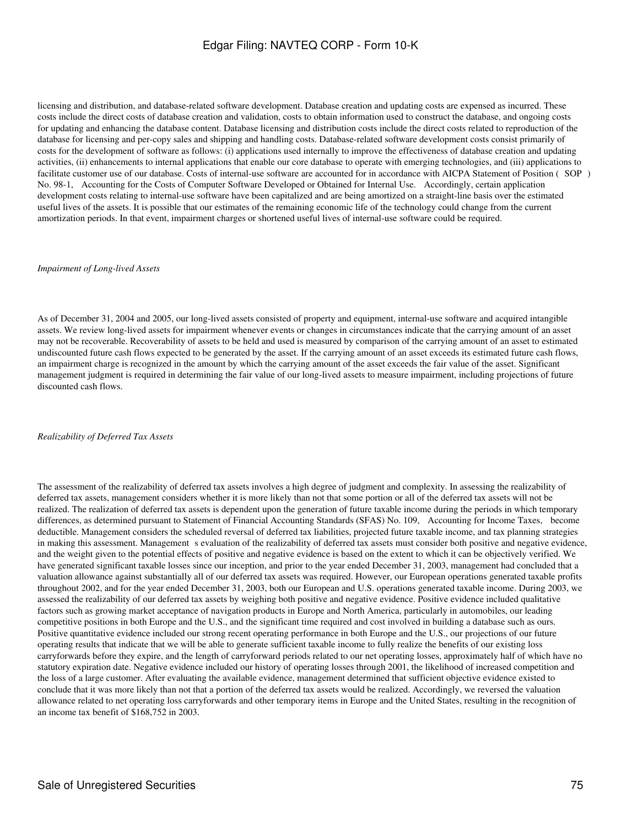licensing and distribution, and database-related software development. Database creation and updating costs are expensed as incurred. These costs include the direct costs of database creation and validation, costs to obtain information used to construct the database, and ongoing costs for updating and enhancing the database content. Database licensing and distribution costs include the direct costs related to reproduction of the database for licensing and per-copy sales and shipping and handling costs. Database-related software development costs consist primarily of costs for the development of software as follows: (i) applications used internally to improve the effectiveness of database creation and updating activities, (ii) enhancements to internal applications that enable our core database to operate with emerging technologies, and (iii) applications to facilitate customer use of our database. Costs of internal-use software are accounted for in accordance with AICPA Statement of Position (SOP) No. 98-1, Accounting for the Costs of Computer Software Developed or Obtained for Internal Use. Accordingly, certain application development costs relating to internal-use software have been capitalized and are being amortized on a straight-line basis over the estimated useful lives of the assets. It is possible that our estimates of the remaining economic life of the technology could change from the current amortization periods. In that event, impairment charges or shortened useful lives of internal-use software could be required.

#### *Impairment of Long-lived Assets*

As of December 31, 2004 and 2005, our long-lived assets consisted of property and equipment, internal-use software and acquired intangible assets. We review long-lived assets for impairment whenever events or changes in circumstances indicate that the carrying amount of an asset may not be recoverable. Recoverability of assets to be held and used is measured by comparison of the carrying amount of an asset to estimated undiscounted future cash flows expected to be generated by the asset. If the carrying amount of an asset exceeds its estimated future cash flows, an impairment charge is recognized in the amount by which the carrying amount of the asset exceeds the fair value of the asset. Significant management judgment is required in determining the fair value of our long-lived assets to measure impairment, including projections of future discounted cash flows.

#### *Realizability of Deferred Tax Assets*

The assessment of the realizability of deferred tax assets involves a high degree of judgment and complexity. In assessing the realizability of deferred tax assets, management considers whether it is more likely than not that some portion or all of the deferred tax assets will not be realized. The realization of deferred tax assets is dependent upon the generation of future taxable income during the periods in which temporary differences, as determined pursuant to Statement of Financial Accounting Standards (SFAS) No. 109, Accounting for Income Taxes, become deductible. Management considers the scheduled reversal of deferred tax liabilities, projected future taxable income, and tax planning strategies in making this assessment. Management s evaluation of the realizability of deferred tax assets must consider both positive and negative evidence, and the weight given to the potential effects of positive and negative evidence is based on the extent to which it can be objectively verified. We have generated significant taxable losses since our inception, and prior to the year ended December 31, 2003, management had concluded that a valuation allowance against substantially all of our deferred tax assets was required. However, our European operations generated taxable profits throughout 2002, and for the year ended December 31, 2003, both our European and U.S. operations generated taxable income. During 2003, we assessed the realizability of our deferred tax assets by weighing both positive and negative evidence. Positive evidence included qualitative factors such as growing market acceptance of navigation products in Europe and North America, particularly in automobiles, our leading competitive positions in both Europe and the U.S., and the significant time required and cost involved in building a database such as ours. Positive quantitative evidence included our strong recent operating performance in both Europe and the U.S., our projections of our future operating results that indicate that we will be able to generate sufficient taxable income to fully realize the benefits of our existing loss carryforwards before they expire, and the length of carryforward periods related to our net operating losses, approximately half of which have no statutory expiration date. Negative evidence included our history of operating losses through 2001, the likelihood of increased competition and the loss of a large customer. After evaluating the available evidence, management determined that sufficient objective evidence existed to conclude that it was more likely than not that a portion of the deferred tax assets would be realized. Accordingly, we reversed the valuation allowance related to net operating loss carryforwards and other temporary items in Europe and the United States, resulting in the recognition of an income tax benefit of \$168,752 in 2003.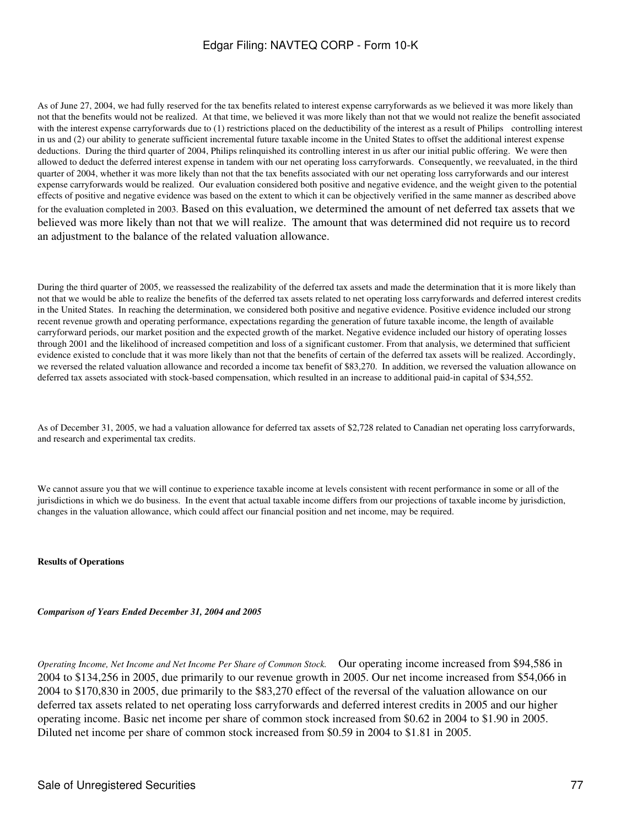As of June 27, 2004, we had fully reserved for the tax benefits related to interest expense carryforwards as we believed it was more likely than not that the benefits would not be realized. At that time, we believed it was more likely than not that we would not realize the benefit associated with the interest expense carryforwards due to (1) restrictions placed on the deductibility of the interest as a result of Philips controlling interest in us and (2) our ability to generate sufficient incremental future taxable income in the United States to offset the additional interest expense deductions. During the third quarter of 2004, Philips relinquished its controlling interest in us after our initial public offering. We were then allowed to deduct the deferred interest expense in tandem with our net operating loss carryforwards. Consequently, we reevaluated, in the third quarter of 2004, whether it was more likely than not that the tax benefits associated with our net operating loss carryforwards and our interest expense carryforwards would be realized. Our evaluation considered both positive and negative evidence, and the weight given to the potential effects of positive and negative evidence was based on the extent to which it can be objectively verified in the same manner as described above for the evaluation completed in 2003. Based on this evaluation, we determined the amount of net deferred tax assets that we believed was more likely than not that we will realize. The amount that was determined did not require us to record an adjustment to the balance of the related valuation allowance.

During the third quarter of 2005, we reassessed the realizability of the deferred tax assets and made the determination that it is more likely than not that we would be able to realize the benefits of the deferred tax assets related to net operating loss carryforwards and deferred interest credits in the United States. In reaching the determination, we considered both positive and negative evidence. Positive evidence included our strong recent revenue growth and operating performance, expectations regarding the generation of future taxable income, the length of available carryforward periods, our market position and the expected growth of the market. Negative evidence included our history of operating losses through 2001 and the likelihood of increased competition and loss of a significant customer. From that analysis, we determined that sufficient evidence existed to conclude that it was more likely than not that the benefits of certain of the deferred tax assets will be realized. Accordingly, we reversed the related valuation allowance and recorded a income tax benefit of \$83,270. In addition, we reversed the valuation allowance on deferred tax assets associated with stock-based compensation, which resulted in an increase to additional paid-in capital of \$34,552.

As of December 31, 2005, we had a valuation allowance for deferred tax assets of \$2,728 related to Canadian net operating loss carryforwards, and research and experimental tax credits.

We cannot assure you that we will continue to experience taxable income at levels consistent with recent performance in some or all of the jurisdictions in which we do business. In the event that actual taxable income differs from our projections of taxable income by jurisdiction, changes in the valuation allowance, which could affect our financial position and net income, may be required.

#### **Results of Operations**

#### *Comparison of Years Ended December 31, 2004 and 2005*

*Operating Income, Net Income and Net Income Per Share of Common Stock.* Our operating income increased from \$94,586 in 2004 to \$134,256 in 2005, due primarily to our revenue growth in 2005. Our net income increased from \$54,066 in 2004 to \$170,830 in 2005, due primarily to the \$83,270 effect of the reversal of the valuation allowance on our deferred tax assets related to net operating loss carryforwards and deferred interest credits in 2005 and our higher operating income. Basic net income per share of common stock increased from \$0.62 in 2004 to \$1.90 in 2005. Diluted net income per share of common stock increased from \$0.59 in 2004 to \$1.81 in 2005.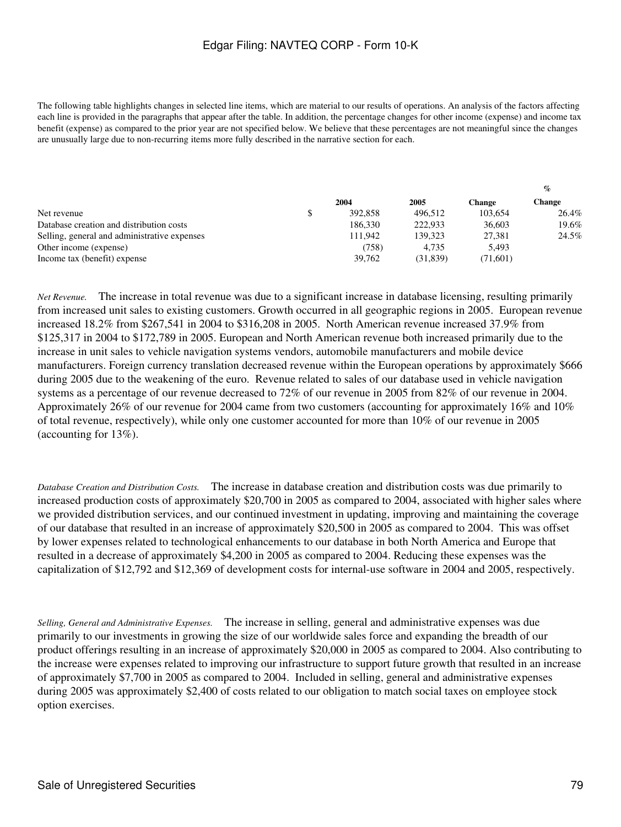The following table highlights changes in selected line items, which are material to our results of operations. An analysis of the factors affecting each line is provided in the paragraphs that appear after the table. In addition, the percentage changes for other income (expense) and income tax benefit (expense) as compared to the prior year are not specified below. We believe that these percentages are not meaningful since the changes are unusually large due to non-recurring items more fully described in the narrative section for each.

|                                              |         |          |          | $\overline{\phantom{a}}$ |
|----------------------------------------------|---------|----------|----------|--------------------------|
|                                              | 2004    | 2005     | Change   | Change                   |
| Net revenue                                  | 392,858 | 496.512  | 103,654  | 26.4%                    |
| Database creation and distribution costs     | 186.330 | 222.933  | 36,603   | 19.6%                    |
| Selling, general and administrative expenses | 111.942 | 139.323  | 27.381   | 24.5%                    |
| Other income (expense)                       | (758)   | 4.735    | 5.493    |                          |
| Income tax (benefit) expense                 | 39.762  | (31.839) | (71,601) |                          |
|                                              |         |          |          |                          |

*Net Revenue.* The increase in total revenue was due to a significant increase in database licensing, resulting primarily from increased unit sales to existing customers. Growth occurred in all geographic regions in 2005. European revenue increased 18.2% from \$267,541 in 2004 to \$316,208 in 2005. North American revenue increased 37.9% from \$125,317 in 2004 to \$172,789 in 2005. European and North American revenue both increased primarily due to the increase in unit sales to vehicle navigation systems vendors, automobile manufacturers and mobile device manufacturers. Foreign currency translation decreased revenue within the European operations by approximately \$666 during 2005 due to the weakening of the euro. Revenue related to sales of our database used in vehicle navigation systems as a percentage of our revenue decreased to 72% of our revenue in 2005 from 82% of our revenue in 2004. Approximately 26% of our revenue for 2004 came from two customers (accounting for approximately 16% and 10% of total revenue, respectively), while only one customer accounted for more than 10% of our revenue in 2005 (accounting for 13%).

*Database Creation and Distribution Costs.* The increase in database creation and distribution costs was due primarily to increased production costs of approximately \$20,700 in 2005 as compared to 2004, associated with higher sales where we provided distribution services, and our continued investment in updating, improving and maintaining the coverage of our database that resulted in an increase of approximately \$20,500 in 2005 as compared to 2004. This was offset by lower expenses related to technological enhancements to our database in both North America and Europe that resulted in a decrease of approximately \$4,200 in 2005 as compared to 2004. Reducing these expenses was the capitalization of \$12,792 and \$12,369 of development costs for internal-use software in 2004 and 2005, respectively.

*Selling, General and Administrative Expenses.* The increase in selling, general and administrative expenses was due primarily to our investments in growing the size of our worldwide sales force and expanding the breadth of our product offerings resulting in an increase of approximately \$20,000 in 2005 as compared to 2004. Also contributing to the increase were expenses related to improving our infrastructure to support future growth that resulted in an increase of approximately \$7,700 in 2005 as compared to 2004. Included in selling, general and administrative expenses during 2005 was approximately \$2,400 of costs related to our obligation to match social taxes on employee stock option exercises.

**%**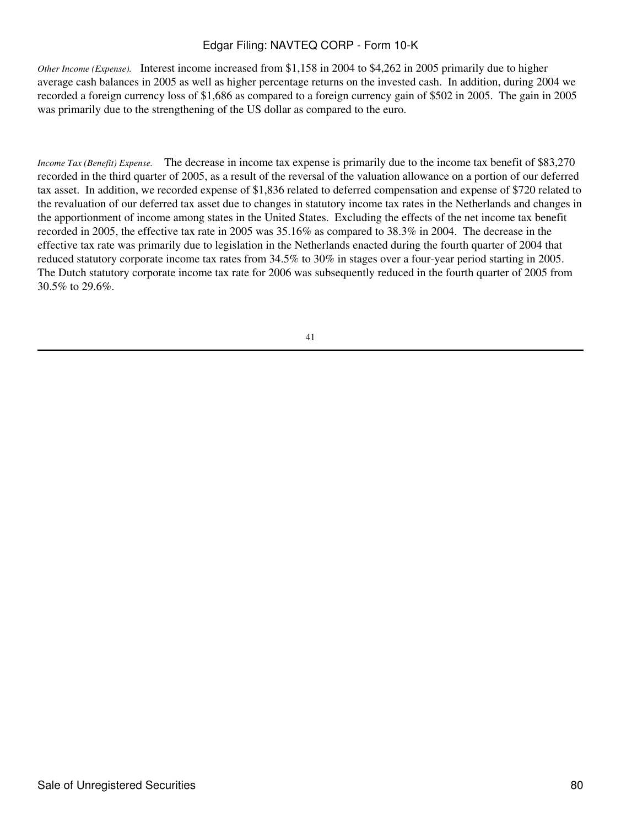*Other Income (Expense).* Interest income increased from \$1,158 in 2004 to \$4,262 in 2005 primarily due to higher average cash balances in 2005 as well as higher percentage returns on the invested cash. In addition, during 2004 we recorded a foreign currency loss of \$1,686 as compared to a foreign currency gain of \$502 in 2005. The gain in 2005 was primarily due to the strengthening of the US dollar as compared to the euro.

*Income Tax (Benefit) Expense.* The decrease in income tax expense is primarily due to the income tax benefit of \$83,270 recorded in the third quarter of 2005, as a result of the reversal of the valuation allowance on a portion of our deferred tax asset. In addition, we recorded expense of \$1,836 related to deferred compensation and expense of \$720 related to the revaluation of our deferred tax asset due to changes in statutory income tax rates in the Netherlands and changes in the apportionment of income among states in the United States. Excluding the effects of the net income tax benefit recorded in 2005, the effective tax rate in 2005 was 35.16% as compared to 38.3% in 2004. The decrease in the effective tax rate was primarily due to legislation in the Netherlands enacted during the fourth quarter of 2004 that reduced statutory corporate income tax rates from 34.5% to 30% in stages over a four-year period starting in 2005. The Dutch statutory corporate income tax rate for 2006 was subsequently reduced in the fourth quarter of 2005 from 30.5% to 29.6%.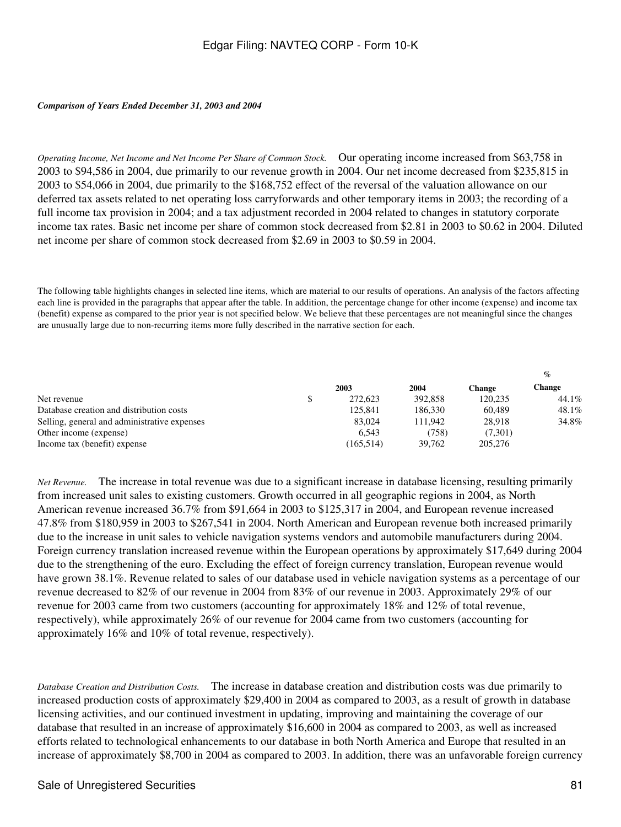#### *Comparison of Years Ended December 31, 2003 and 2004*

*Operating Income, Net Income and Net Income Per Share of Common Stock.* Our operating income increased from \$63,758 in 2003 to \$94,586 in 2004, due primarily to our revenue growth in 2004. Our net income decreased from \$235,815 in 2003 to \$54,066 in 2004, due primarily to the \$168,752 effect of the reversal of the valuation allowance on our deferred tax assets related to net operating loss carryforwards and other temporary items in 2003; the recording of a full income tax provision in 2004; and a tax adjustment recorded in 2004 related to changes in statutory corporate income tax rates. Basic net income per share of common stock decreased from \$2.81 in 2003 to \$0.62 in 2004. Diluted net income per share of common stock decreased from \$2.69 in 2003 to \$0.59 in 2004.

The following table highlights changes in selected line items, which are material to our results of operations. An analysis of the factors affecting each line is provided in the paragraphs that appear after the table. In addition, the percentage change for other income (expense) and income tax (benefit) expense as compared to the prior year is not specified below. We believe that these percentages are not meaningful since the changes are unusually large due to non-recurring items more fully described in the narrative section for each.

|            |         |         | $\%$   |  |
|------------|---------|---------|--------|--|
| 2003       |         | Change  | Change |  |
| 272,623    | 392,858 | 120.235 | 44.1%  |  |
| 125,841    | 186.330 | 60.489  | 48.1%  |  |
| 83,024     | 111.942 | 28.918  | 34.8%  |  |
| 6.543      | (758)   | (7,301) |        |  |
| (165, 514) | 39.762  | 205,276 |        |  |
|            |         | 2004    |        |  |

*Net Revenue.* The increase in total revenue was due to a significant increase in database licensing, resulting primarily from increased unit sales to existing customers. Growth occurred in all geographic regions in 2004, as North American revenue increased 36.7% from \$91,664 in 2003 to \$125,317 in 2004, and European revenue increased 47.8% from \$180,959 in 2003 to \$267,541 in 2004. North American and European revenue both increased primarily due to the increase in unit sales to vehicle navigation systems vendors and automobile manufacturers during 2004. Foreign currency translation increased revenue within the European operations by approximately \$17,649 during 2004 due to the strengthening of the euro. Excluding the effect of foreign currency translation, European revenue would have grown 38.1%. Revenue related to sales of our database used in vehicle navigation systems as a percentage of our revenue decreased to 82% of our revenue in 2004 from 83% of our revenue in 2003. Approximately 29% of our revenue for 2003 came from two customers (accounting for approximately 18% and 12% of total revenue, respectively), while approximately 26% of our revenue for 2004 came from two customers (accounting for approximately 16% and 10% of total revenue, respectively).

*Database Creation and Distribution Costs.* The increase in database creation and distribution costs was due primarily to increased production costs of approximately \$29,400 in 2004 as compared to 2003, as a result of growth in database licensing activities, and our continued investment in updating, improving and maintaining the coverage of our database that resulted in an increase of approximately \$16,600 in 2004 as compared to 2003, as well as increased efforts related to technological enhancements to our database in both North America and Europe that resulted in an increase of approximately \$8,700 in 2004 as compared to 2003. In addition, there was an unfavorable foreign currency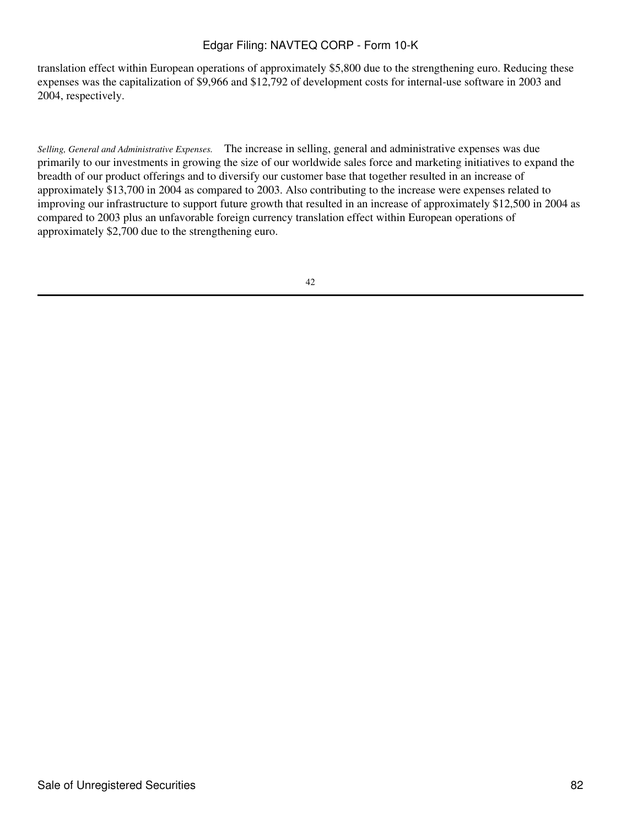translation effect within European operations of approximately \$5,800 due to the strengthening euro. Reducing these expenses was the capitalization of \$9,966 and \$12,792 of development costs for internal-use software in 2003 and 2004, respectively.

*Selling, General and Administrative Expenses.* The increase in selling, general and administrative expenses was due primarily to our investments in growing the size of our worldwide sales force and marketing initiatives to expand the breadth of our product offerings and to diversify our customer base that together resulted in an increase of approximately \$13,700 in 2004 as compared to 2003. Also contributing to the increase were expenses related to improving our infrastructure to support future growth that resulted in an increase of approximately \$12,500 in 2004 as compared to 2003 plus an unfavorable foreign currency translation effect within European operations of approximately \$2,700 due to the strengthening euro.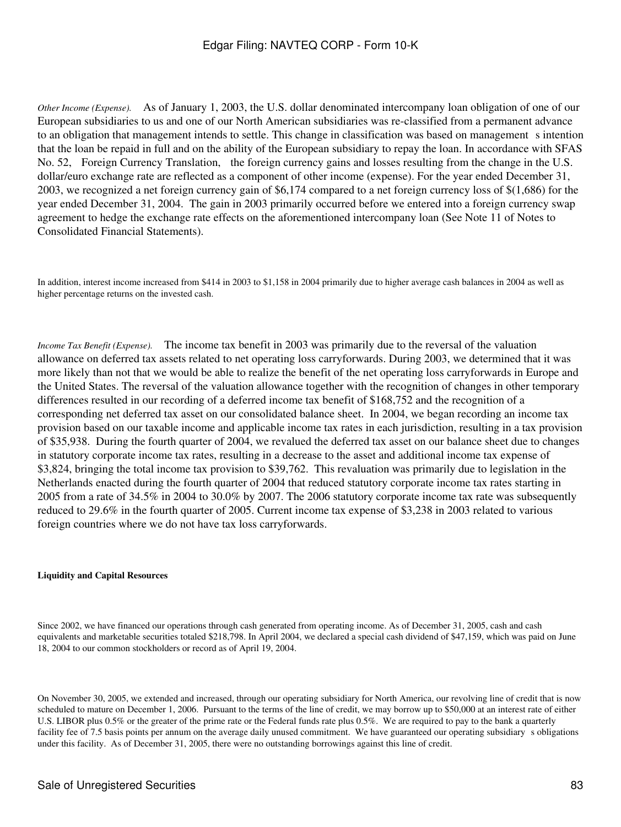*Other Income (Expense).* As of January 1, 2003, the U.S. dollar denominated intercompany loan obligation of one of our European subsidiaries to us and one of our North American subsidiaries was re-classified from a permanent advance to an obligation that management intends to settle. This change in classification was based on management s intention that the loan be repaid in full and on the ability of the European subsidiary to repay the loan. In accordance with SFAS No. 52, Foreign Currency Translation, the foreign currency gains and losses resulting from the change in the U.S. dollar/euro exchange rate are reflected as a component of other income (expense). For the year ended December 31, 2003, we recognized a net foreign currency gain of \$6,174 compared to a net foreign currency loss of \$(1,686) for the year ended December 31, 2004. The gain in 2003 primarily occurred before we entered into a foreign currency swap agreement to hedge the exchange rate effects on the aforementioned intercompany loan (See Note 11 of Notes to Consolidated Financial Statements).

In addition, interest income increased from \$414 in 2003 to \$1,158 in 2004 primarily due to higher average cash balances in 2004 as well as higher percentage returns on the invested cash.

*Income Tax Benefit (Expense).* The income tax benefit in 2003 was primarily due to the reversal of the valuation allowance on deferred tax assets related to net operating loss carryforwards. During 2003, we determined that it was more likely than not that we would be able to realize the benefit of the net operating loss carryforwards in Europe and the United States. The reversal of the valuation allowance together with the recognition of changes in other temporary differences resulted in our recording of a deferred income tax benefit of \$168,752 and the recognition of a corresponding net deferred tax asset on our consolidated balance sheet. In 2004, we began recording an income tax provision based on our taxable income and applicable income tax rates in each jurisdiction, resulting in a tax provision of \$35,938. During the fourth quarter of 2004, we revalued the deferred tax asset on our balance sheet due to changes in statutory corporate income tax rates, resulting in a decrease to the asset and additional income tax expense of \$3,824, bringing the total income tax provision to \$39,762. This revaluation was primarily due to legislation in the Netherlands enacted during the fourth quarter of 2004 that reduced statutory corporate income tax rates starting in 2005 from a rate of 34.5% in 2004 to 30.0% by 2007. The 2006 statutory corporate income tax rate was subsequently reduced to 29.6% in the fourth quarter of 2005. Current income tax expense of \$3,238 in 2003 related to various foreign countries where we do not have tax loss carryforwards.

#### **Liquidity and Capital Resources**

Since 2002, we have financed our operations through cash generated from operating income. As of December 31, 2005, cash and cash equivalents and marketable securities totaled \$218,798. In April 2004, we declared a special cash dividend of \$47,159, which was paid on June 18, 2004 to our common stockholders or record as of April 19, 2004.

On November 30, 2005, we extended and increased, through our operating subsidiary for North America, our revolving line of credit that is now scheduled to mature on December 1, 2006. Pursuant to the terms of the line of credit, we may borrow up to \$50,000 at an interest rate of either U.S. LIBOR plus 0.5% or the greater of the prime rate or the Federal funds rate plus 0.5%. We are required to pay to the bank a quarterly facility fee of 7.5 basis points per annum on the average daily unused commitment. We have guaranteed our operating subsidiary s obligations under this facility. As of December 31, 2005, there were no outstanding borrowings against this line of credit.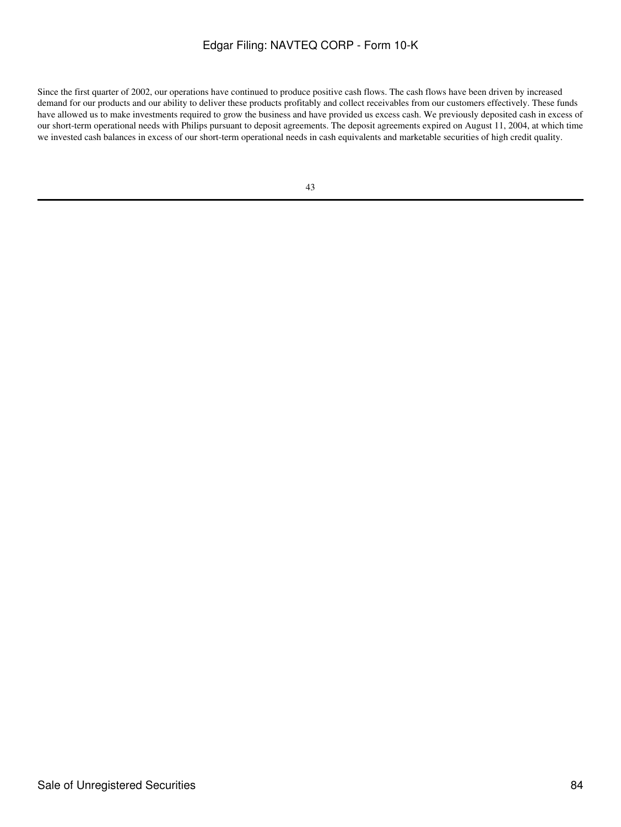Since the first quarter of 2002, our operations have continued to produce positive cash flows. The cash flows have been driven by increased demand for our products and our ability to deliver these products profitably and collect receivables from our customers effectively. These funds have allowed us to make investments required to grow the business and have provided us excess cash. We previously deposited cash in excess of our short-term operational needs with Philips pursuant to deposit agreements. The deposit agreements expired on August 11, 2004, at which time we invested cash balances in excess of our short-term operational needs in cash equivalents and marketable securities of high credit quality.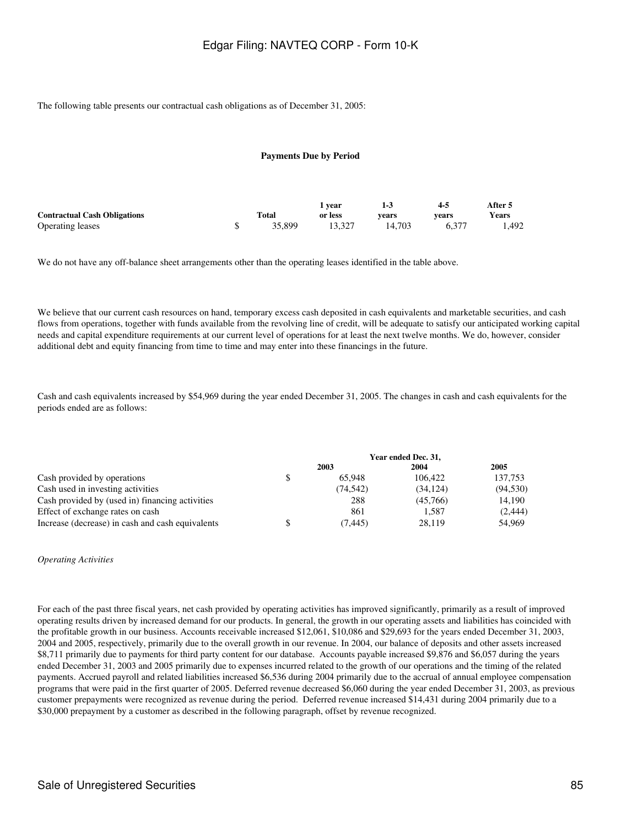The following table presents our contractual cash obligations as of December 31, 2005:

#### **Payments Due by Period**

|                                     |        | vear    | 1-3    | 4-5   | After 5 |
|-------------------------------------|--------|---------|--------|-------|---------|
| <b>Contractual Cash Obligations</b> | Total  | or less | vears  | vears | Years   |
| <b>Operating leases</b>             | 35,899 | 13.327  | 14.703 | 6.377 | 1.492   |

We do not have any off-balance sheet arrangements other than the operating leases identified in the table above.

We believe that our current cash resources on hand, temporary excess cash deposited in cash equivalents and marketable securities, and cash flows from operations, together with funds available from the revolving line of credit, will be adequate to satisfy our anticipated working capital needs and capital expenditure requirements at our current level of operations for at least the next twelve months. We do, however, consider additional debt and equity financing from time to time and may enter into these financings in the future.

Cash and cash equivalents increased by \$54,969 during the year ended December 31, 2005. The changes in cash and cash equivalents for the periods ended are as follows:

|                                                  | Year ended Dec. 31, |          |           |  |
|--------------------------------------------------|---------------------|----------|-----------|--|
|                                                  | 2003                | 2004     | 2005      |  |
| Cash provided by operations                      | \$<br>65.948        | 106.422  | 137.753   |  |
| Cash used in investing activities                | (74, 542)           | (34.124) | (94, 530) |  |
| Cash provided by (used in) financing activities  | 288                 | (45.766) | 14.190    |  |
| Effect of exchange rates on cash                 | 861                 | 1.587    | (2,444)   |  |
| Increase (decrease) in cash and cash equivalents | \$<br>(7.445)       | 28.119   | 54.969    |  |

#### *Operating Activities*

For each of the past three fiscal years, net cash provided by operating activities has improved significantly, primarily as a result of improved operating results driven by increased demand for our products. In general, the growth in our operating assets and liabilities has coincided with the profitable growth in our business. Accounts receivable increased \$12,061, \$10,086 and \$29,693 for the years ended December 31, 2003, 2004 and 2005, respectively, primarily due to the overall growth in our revenue. In 2004, our balance of deposits and other assets increased \$8,711 primarily due to payments for third party content for our database. Accounts payable increased \$9,876 and \$6,057 during the years ended December 31, 2003 and 2005 primarily due to expenses incurred related to the growth of our operations and the timing of the related payments. Accrued payroll and related liabilities increased \$6,536 during 2004 primarily due to the accrual of annual employee compensation programs that were paid in the first quarter of 2005. Deferred revenue decreased \$6,060 during the year ended December 31, 2003, as previous customer prepayments were recognized as revenue during the period. Deferred revenue increased \$14,431 during 2004 primarily due to a \$30,000 prepayment by a customer as described in the following paragraph, offset by revenue recognized.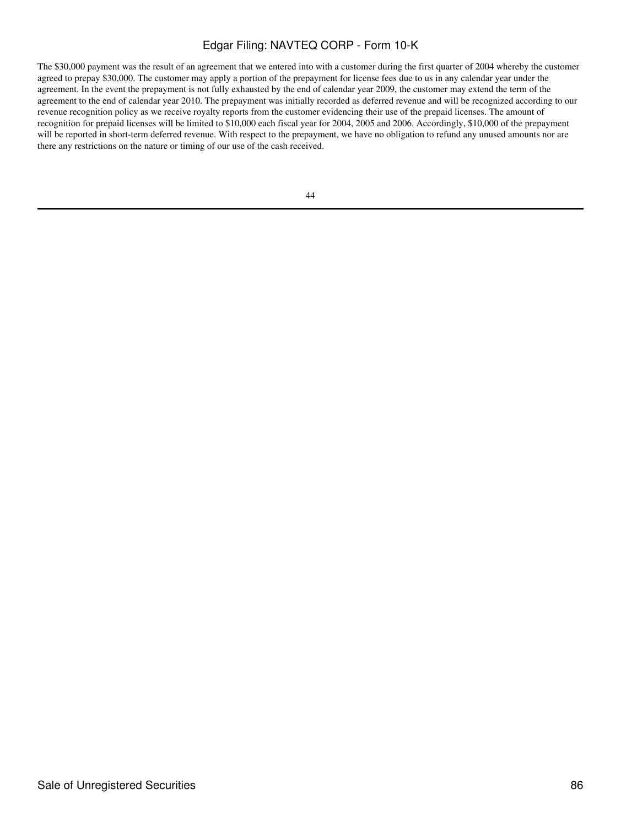The \$30,000 payment was the result of an agreement that we entered into with a customer during the first quarter of 2004 whereby the customer agreed to prepay \$30,000. The customer may apply a portion of the prepayment for license fees due to us in any calendar year under the agreement. In the event the prepayment is not fully exhausted by the end of calendar year 2009, the customer may extend the term of the agreement to the end of calendar year 2010. The prepayment was initially recorded as deferred revenue and will be recognized according to our revenue recognition policy as we receive royalty reports from the customer evidencing their use of the prepaid licenses. The amount of recognition for prepaid licenses will be limited to \$10,000 each fiscal year for 2004, 2005 and 2006. Accordingly, \$10,000 of the prepayment will be reported in short-term deferred revenue. With respect to the prepayment, we have no obligation to refund any unused amounts nor are there any restrictions on the nature or timing of our use of the cash received.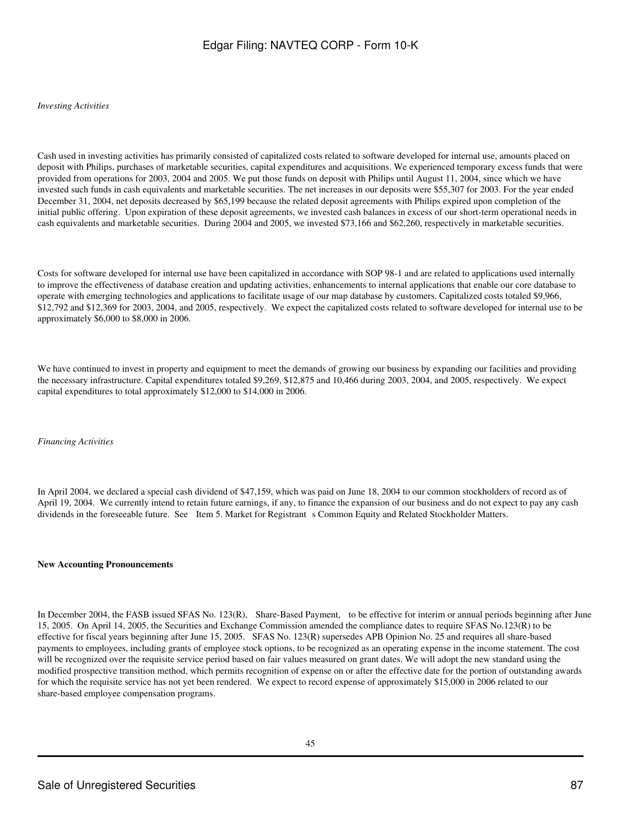#### *Investing Activities*

Cash used in investing activities has primarily consisted of capitalized costs related to software developed for internal use, amounts placed on deposit with Philips, purchases of marketable securities, capital expenditures and acquisitions. We experienced temporary excess funds that were provided from operations for 2003, 2004 and 2005. We put those funds on deposit with Philips until August 11, 2004, since which we have invested such funds in cash equivalents and marketable securities. The net increases in our deposits were \$55,307 for 2003. For the year ended December 31, 2004, net deposits decreased by \$65,199 because the related deposit agreements with Philips expired upon completion of the initial public offering. Upon expiration of these deposit agreements, we invested cash balances in excess of our short-term operational needs in cash equivalents and marketable securities. During 2004 and 2005, we invested \$73,166 and \$62,260, respectively in marketable securities.

Costs for software developed for internal use have been capitalized in accordance with SOP 98-1 and are related to applications used internally to improve the effectiveness of database creation and updating activities, enhancements to internal applications that enable our core database to operate with emerging technologies and applications to facilitate usage of our map database by customers. Capitalized costs totaled \$9,966, \$12,792 and \$12,369 for 2003, 2004, and 2005, respectively. We expect the capitalized costs related to software developed for internal use to be approximately \$6,000 to \$8,000 in 2006.

We have continued to invest in property and equipment to meet the demands of growing our business by expanding our facilities and providing the necessary infrastructure. Capital expenditures totaled \$9,269, \$12,875 and 10,466 during 2003, 2004, and 2005, respectively. We expect capital expenditures to total approximately \$12,000 to \$14,000 in 2006.

#### *Financing Activities*

In April 2004, we declared a special cash dividend of \$47,159, which was paid on June 18, 2004 to our common stockholders of record as of April 19, 2004. We currently intend to retain future earnings, if any, to finance the expansion of our business and do not expect to pay any cash dividends in the foreseeable future. See Item 5. Market for Registrant s Common Equity and Related Stockholder Matters.

#### **New Accounting Pronouncements**

In December 2004, the FASB issued SFAS No. 123(R), Share-Based Payment, to be effective for interim or annual periods beginning after June 15, 2005. On April 14, 2005, the Securities and Exchange Commission amended the compliance dates to require SFAS No.123(R) to be effective for fiscal years beginning after June 15, 2005. SFAS No. 123(R) supersedes APB Opinion No. 25 and requires all share-based payments to employees, including grants of employee stock options, to be recognized as an operating expense in the income statement. The cost will be recognized over the requisite service period based on fair values measured on grant dates. We will adopt the new standard using the modified prospective transition method, which permits recognition of expense on or after the effective date for the portion of outstanding awards for which the requisite service has not yet been rendered. We expect to record expense of approximately \$15,000 in 2006 related to our share-based employee compensation programs.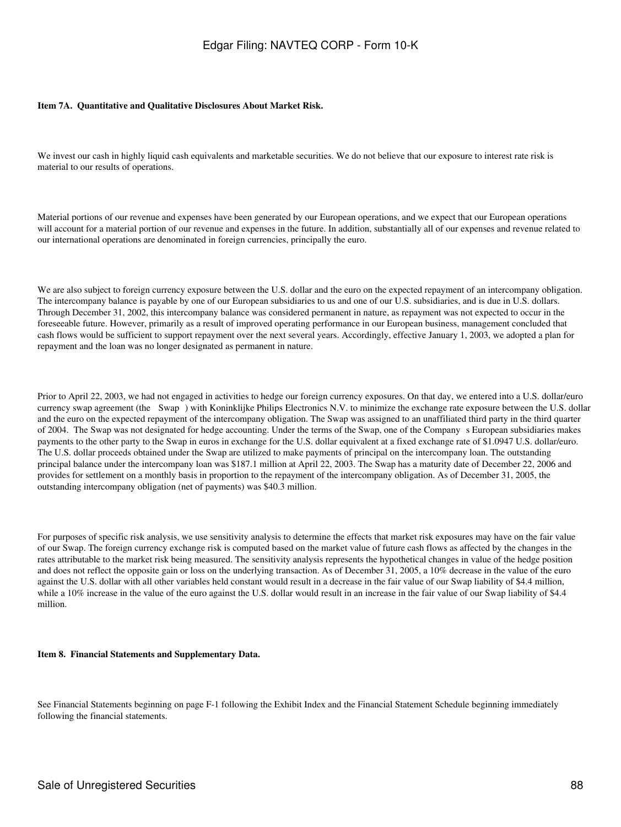#### **Item 7A. Quantitative and Qualitative Disclosures About Market Risk.**

We invest our cash in highly liquid cash equivalents and marketable securities. We do not believe that our exposure to interest rate risk is material to our results of operations.

Material portions of our revenue and expenses have been generated by our European operations, and we expect that our European operations will account for a material portion of our revenue and expenses in the future. In addition, substantially all of our expenses and revenue related to our international operations are denominated in foreign currencies, principally the euro.

We are also subject to foreign currency exposure between the U.S. dollar and the euro on the expected repayment of an intercompany obligation. The intercompany balance is payable by one of our European subsidiaries to us and one of our U.S. subsidiaries, and is due in U.S. dollars. Through December 31, 2002, this intercompany balance was considered permanent in nature, as repayment was not expected to occur in the foreseeable future. However, primarily as a result of improved operating performance in our European business, management concluded that cash flows would be sufficient to support repayment over the next several years. Accordingly, effective January 1, 2003, we adopted a plan for repayment and the loan was no longer designated as permanent in nature.

Prior to April 22, 2003, we had not engaged in activities to hedge our foreign currency exposures. On that day, we entered into a U.S. dollar/euro currency swap agreement (the Swap) with Koninklijke Philips Electronics N.V. to minimize the exchange rate exposure between the U.S. dollar and the euro on the expected repayment of the intercompany obligation. The Swap was assigned to an unaffiliated third party in the third quarter of 2004. The Swap was not designated for hedge accounting. Under the terms of the Swap, one of the Companys European subsidiaries makes payments to the other party to the Swap in euros in exchange for the U.S. dollar equivalent at a fixed exchange rate of \$1.0947 U.S. dollar/euro. The U.S. dollar proceeds obtained under the Swap are utilized to make payments of principal on the intercompany loan. The outstanding principal balance under the intercompany loan was \$187.1 million at April 22, 2003. The Swap has a maturity date of December 22, 2006 and provides for settlement on a monthly basis in proportion to the repayment of the intercompany obligation. As of December 31, 2005, the outstanding intercompany obligation (net of payments) was \$40.3 million.

For purposes of specific risk analysis, we use sensitivity analysis to determine the effects that market risk exposures may have on the fair value of our Swap. The foreign currency exchange risk is computed based on the market value of future cash flows as affected by the changes in the rates attributable to the market risk being measured. The sensitivity analysis represents the hypothetical changes in value of the hedge position and does not reflect the opposite gain or loss on the underlying transaction. As of December 31, 2005, a 10% decrease in the value of the euro against the U.S. dollar with all other variables held constant would result in a decrease in the fair value of our Swap liability of \$4.4 million, while a 10% increase in the value of the euro against the U.S. dollar would result in an increase in the fair value of our Swap liability of \$4.4 million.

#### **Item 8. Financial Statements and Supplementary Data.**

See Financial Statements beginning on page F-1 following the Exhibit Index and the Financial Statement Schedule beginning immediately following the financial statements.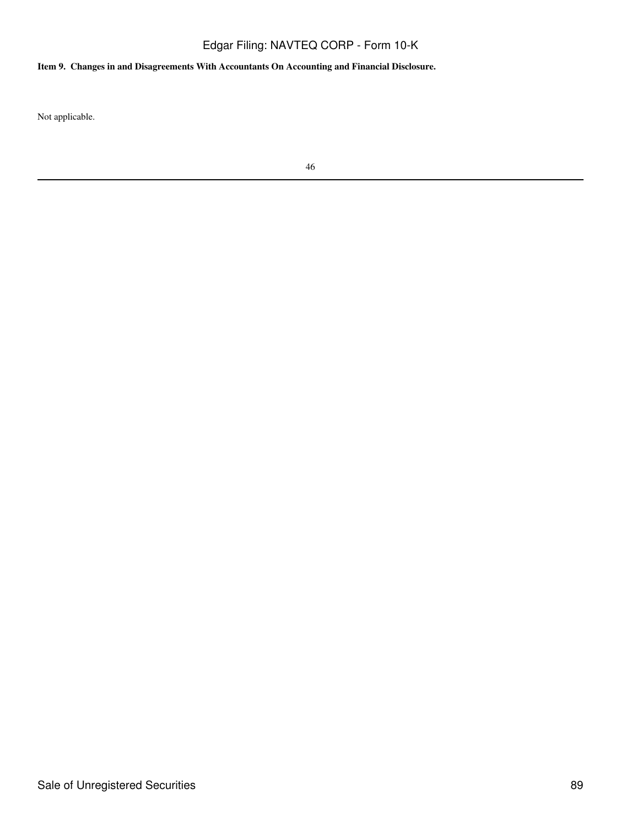# **Item 9. Changes in and Disagreements With Accountants On Accounting and Financial Disclosure.**

Not applicable.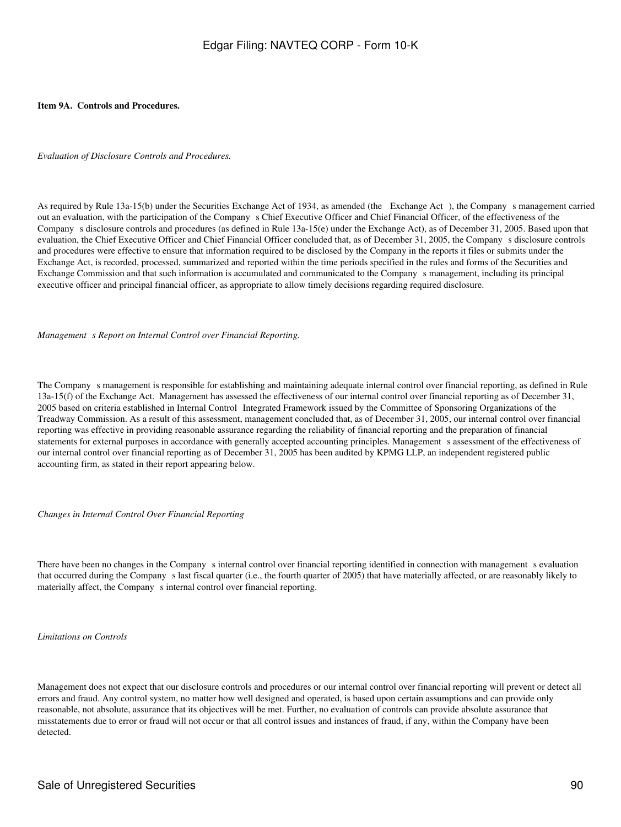#### **Item 9A. Controls and Procedures.**

*Evaluation of Disclosure Controls and Procedures.*

As required by Rule 13a-15(b) under the Securities Exchange Act of 1934, as amended (the Exchange Act), the Company s management carried out an evaluation, with the participation of the Companys Chief Executive Officer and Chief Financial Officer, of the effectiveness of the Companys disclosure controls and procedures (as defined in Rule 13a-15(e) under the Exchange Act), as of December 31, 2005. Based upon that evaluation, the Chief Executive Officer and Chief Financial Officer concluded that, as of December 31, 2005, the Companys disclosure controls and procedures were effective to ensure that information required to be disclosed by the Company in the reports it files or submits under the Exchange Act, is recorded, processed, summarized and reported within the time periods specified in the rules and forms of the Securities and Exchange Commission and that such information is accumulated and communicated to the Companys management, including its principal executive officer and principal financial officer, as appropriate to allow timely decisions regarding required disclosure.

*Management s Report on Internal Control over Financial Reporting.* 

The Company s management is responsible for establishing and maintaining adequate internal control over financial reporting, as defined in Rule 13a-15(f) of the Exchange Act. Management has assessed the effectiveness of our internal control over financial reporting as of December 31, 2005 based on criteria established in Internal Control Integrated Framework issued by the Committee of Sponsoring Organizations of the Treadway Commission. As a result of this assessment, management concluded that, as of December 31, 2005, our internal control over financial reporting was effective in providing reasonable assurance regarding the reliability of financial reporting and the preparation of financial statements for external purposes in accordance with generally accepted accounting principles. Management s assessment of the effectiveness of our internal control over financial reporting as of December 31, 2005 has been audited by KPMG LLP, an independent registered public accounting firm, as stated in their report appearing below.

*Changes in Internal Control Over Financial Reporting*

There have been no changes in the Company s internal control over financial reporting identified in connection with management s evaluation that occurred during the Company s last fiscal quarter (i.e., the fourth quarter of 2005) that have materially affected, or are reasonably likely to materially affect, the Company s internal control over financial reporting.

*Limitations on Controls*

Management does not expect that our disclosure controls and procedures or our internal control over financial reporting will prevent or detect all errors and fraud. Any control system, no matter how well designed and operated, is based upon certain assumptions and can provide only reasonable, not absolute, assurance that its objectives will be met. Further, no evaluation of controls can provide absolute assurance that misstatements due to error or fraud will not occur or that all control issues and instances of fraud, if any, within the Company have been detected.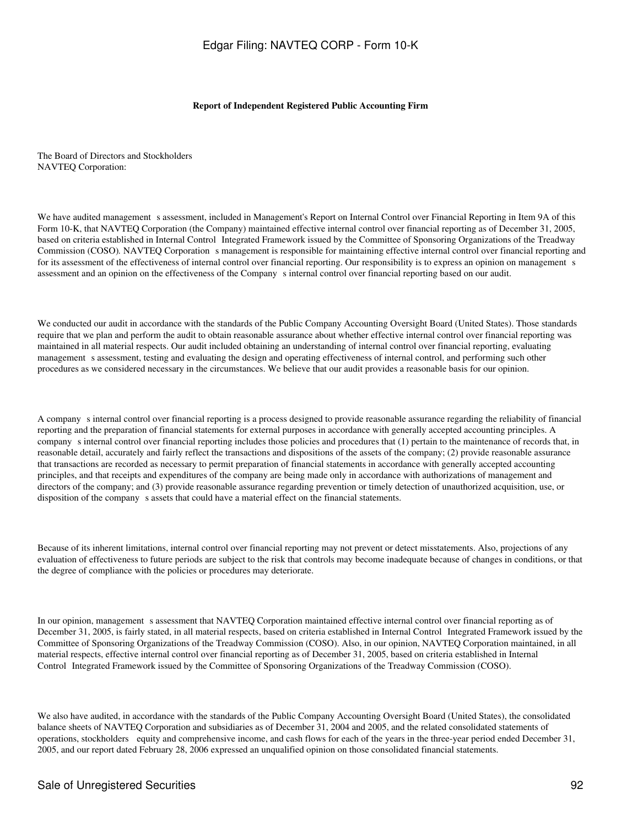#### **Report of Independent Registered Public Accounting Firm**

The Board of Directors and Stockholders NAVTEQ Corporation:

We have audited management s assessment, included in Management's Report on Internal Control over Financial Reporting in Item 9A of this Form 10-K, that NAVTEQ Corporation (the Company) maintained effective internal control over financial reporting as of December 31, 2005, based on criteria established in Internal Control Integrated Framework issued by the Committee of Sponsoring Organizations of the Treadway Commission (COSO). NAVTEQ Corporation s management is responsible for maintaining effective internal control over financial reporting and for its assessment of the effectiveness of internal control over financial reporting. Our responsibility is to express an opinion on management s assessment and an opinion on the effectiveness of the Company s internal control over financial reporting based on our audit.

We conducted our audit in accordance with the standards of the Public Company Accounting Oversight Board (United States). Those standards require that we plan and perform the audit to obtain reasonable assurance about whether effective internal control over financial reporting was maintained in all material respects. Our audit included obtaining an understanding of internal control over financial reporting, evaluating management s assessment, testing and evaluating the design and operating effectiveness of internal control, and performing such other procedures as we considered necessary in the circumstances. We believe that our audit provides a reasonable basis for our opinion.

A companys internal control over financial reporting is a process designed to provide reasonable assurance regarding the reliability of financial reporting and the preparation of financial statements for external purposes in accordance with generally accepted accounting principles. A companys internal control over financial reporting includes those policies and procedures that (1) pertain to the maintenance of records that, in reasonable detail, accurately and fairly reflect the transactions and dispositions of the assets of the company; (2) provide reasonable assurance that transactions are recorded as necessary to permit preparation of financial statements in accordance with generally accepted accounting principles, and that receipts and expenditures of the company are being made only in accordance with authorizations of management and directors of the company; and (3) provide reasonable assurance regarding prevention or timely detection of unauthorized acquisition, use, or disposition of the company s assets that could have a material effect on the financial statements.

Because of its inherent limitations, internal control over financial reporting may not prevent or detect misstatements. Also, projections of any evaluation of effectiveness to future periods are subject to the risk that controls may become inadequate because of changes in conditions, or that the degree of compliance with the policies or procedures may deteriorate.

In our opinion, management s assessment that NAVTEQ Corporation maintained effective internal control over financial reporting as of December 31, 2005, is fairly stated, in all material respects, based on criteria established in Internal Control Integrated Framework issued by the Committee of Sponsoring Organizations of the Treadway Commission (COSO). Also, in our opinion, NAVTEQ Corporation maintained, in all material respects, effective internal control over financial reporting as of December 31, 2005, based on criteria established in Internal Control Integrated Framework issued by the Committee of Sponsoring Organizations of the Treadway Commission (COSO).

We also have audited, in accordance with the standards of the Public Company Accounting Oversight Board (United States), the consolidated balance sheets of NAVTEQ Corporation and subsidiaries as of December 31, 2004 and 2005, and the related consolidated statements of operations, stockholders equity and comprehensive income, and cash flows for each of the years in the three-year period ended December 31, 2005, and our report dated February 28, 2006 expressed an unqualified opinion on those consolidated financial statements.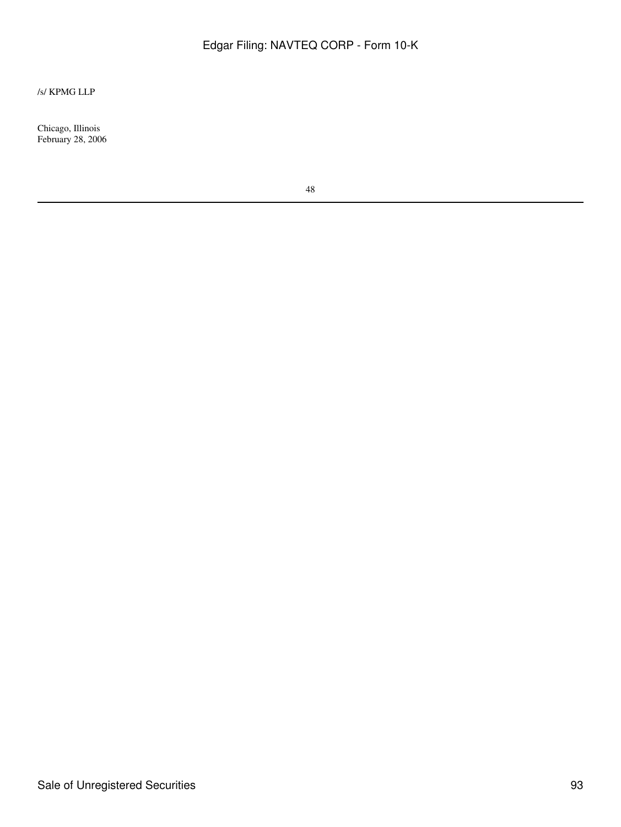### /s/ KPMG LLP

Chicago, Illinois February 28, 2006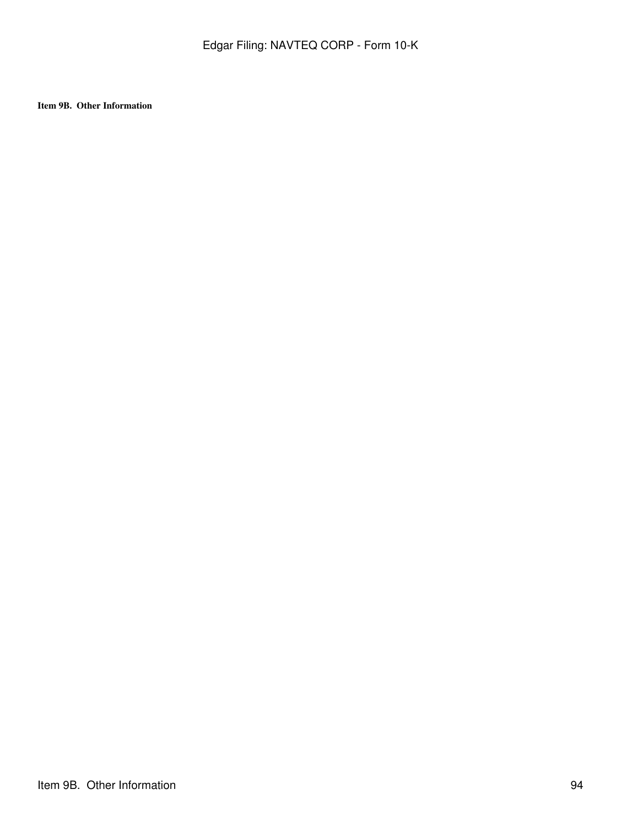**Item 9B. Other Information**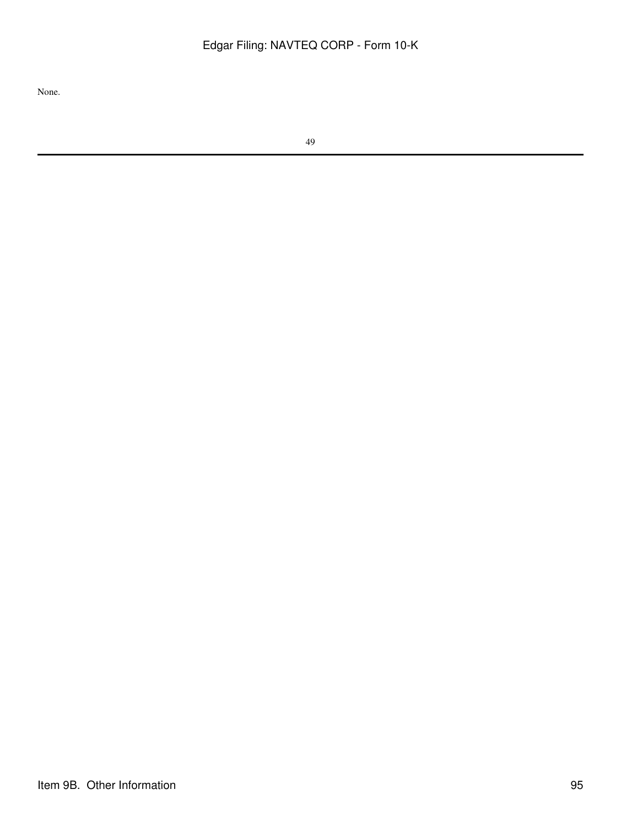None.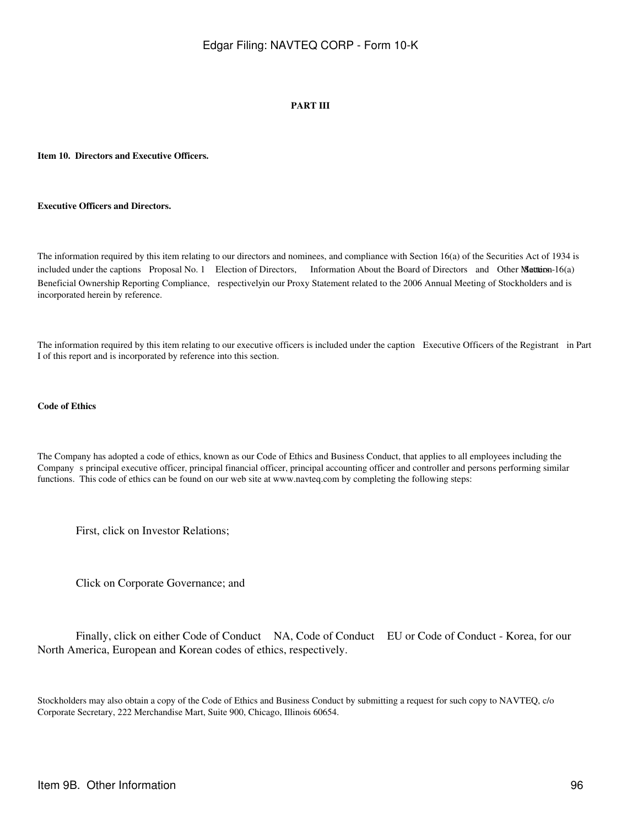#### **PART III**

#### **Item 10. Directors and Executive Officers.**

#### **Executive Officers and Directors.**

The information required by this item relating to our directors and nominees, and compliance with Section 16(a) of the Securities Act of 1934 is included under the captions Proposal No. 1 Election of Directors, Information About the Board of Directors and Other Matters - 16(a) Beneficial Ownership Reporting Compliance, respectively in our Proxy Statement related to the 2006 Annual Meeting of Stockholders and is incorporated herein by reference.

The information required by this item relating to our executive officers is included under the caption Executive Officers of the Registrant in Part I of this report and is incorporated by reference into this section.

#### **Code of Ethics**

The Company has adopted a code of ethics, known as our Code of Ethics and Business Conduct, that applies to all employees including the Companys principal executive officer, principal financial officer, principal accounting officer and controller and persons performing similar functions. This code of ethics can be found on our web site at www.navteq.com by completing the following steps:

First, click on Investor Relations;

Click on Corporate Governance; and

 Finally, click on either Code of Conduct NA, Code of Conduct EU or Code of Conduct - Korea, for our North America, European and Korean codes of ethics, respectively.

Stockholders may also obtain a copy of the Code of Ethics and Business Conduct by submitting a request for such copy to NAVTEQ, c/o Corporate Secretary, 222 Merchandise Mart, Suite 900, Chicago, Illinois 60654.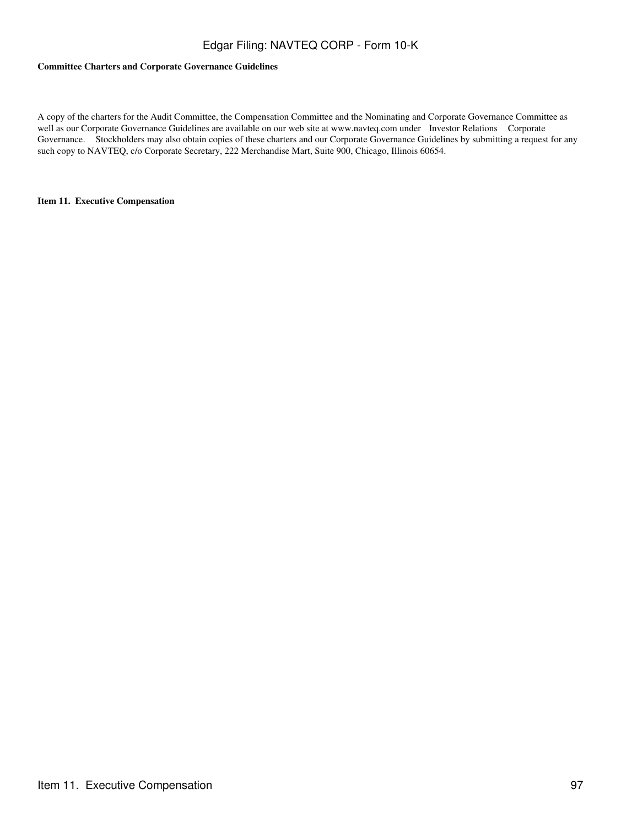#### **Committee Charters and Corporate Governance Guidelines**

A copy of the charters for the Audit Committee, the Compensation Committee and the Nominating and Corporate Governance Committee as well as our Corporate Governance Guidelines are available on our web site at www.navteq.com under Investor Relations Corporate Governance. Stockholders may also obtain copies of these charters and our Corporate Governance Guidelines by submitting a request for any such copy to NAVTEQ, c/o Corporate Secretary, 222 Merchandise Mart, Suite 900, Chicago, Illinois 60654.

#### **Item 11. Executive Compensation**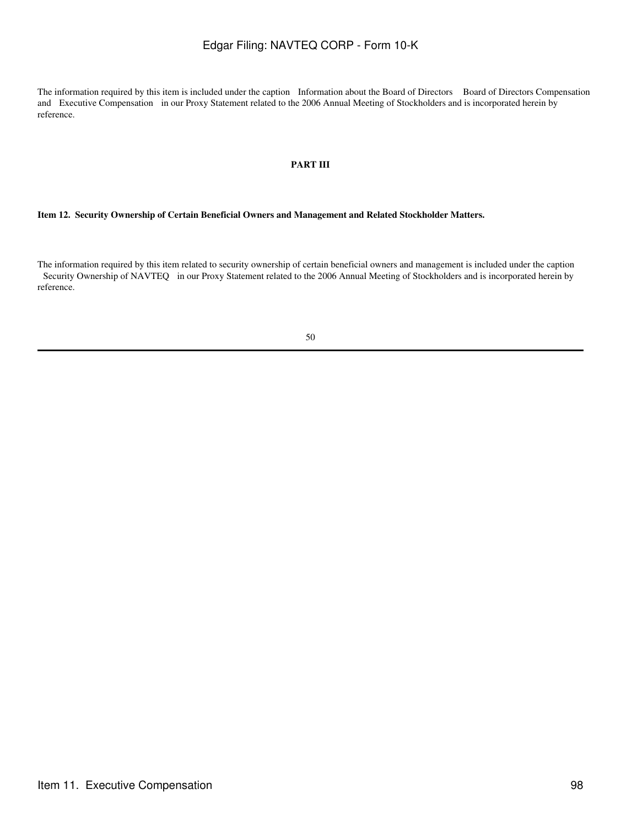The information required by this item is included under the caption Information about the Board of Directors Board of Directors Compensation and Executive Compensation in our Proxy Statement related to the 2006 Annual Meeting of Stockholders and is incorporated herein by reference.

### **PART III**

#### **Item 12. Security Ownership of Certain Beneficial Owners and Management and Related Stockholder Matters.**

The information required by this item related to security ownership of certain beneficial owners and management is included under the caption Security Ownership of NAVTEQ in our Proxy Statement related to the 2006 Annual Meeting of Stockholders and is incorporated herein by reference.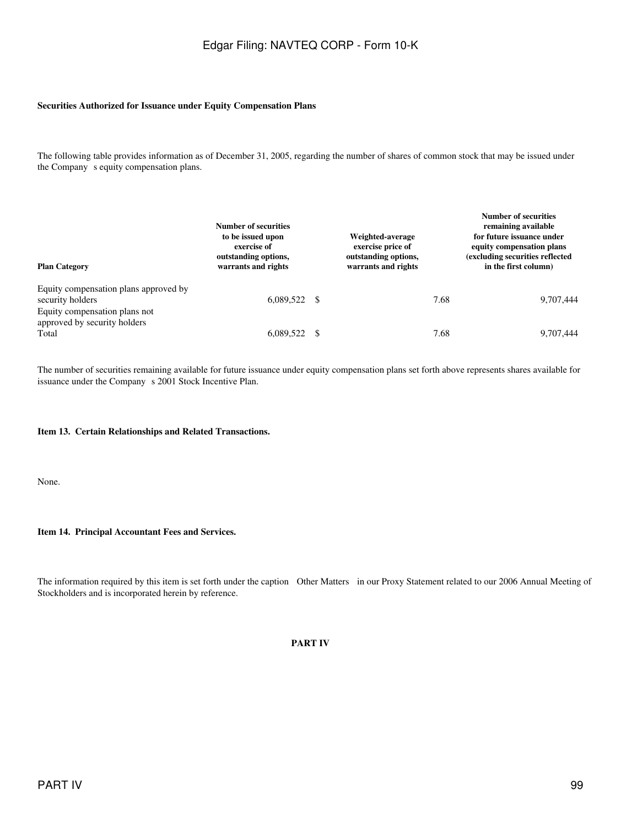#### **Securities Authorized for Issuance under Equity Compensation Plans**

The following table provides information as of December 31, 2005, regarding the number of shares of common stock that may be issued under the Company s equity compensation plans.

| <b>Plan Category</b>                                                                       | Number of securities<br>to be issued upon<br>exercise of<br>outstanding options,<br>warrants and rights |  | Weighted-average<br>exercise price of<br>outstanding options,<br>warrants and rights |      | <b>Number of securities</b><br>remaining available<br>for future issuance under<br>equity compensation plans<br>(excluding securities reflected<br>in the first column) |  |
|--------------------------------------------------------------------------------------------|---------------------------------------------------------------------------------------------------------|--|--------------------------------------------------------------------------------------|------|-------------------------------------------------------------------------------------------------------------------------------------------------------------------------|--|
| Equity compensation plans approved by<br>security holders<br>Equity compensation plans not | $6,089,522$ \$                                                                                          |  |                                                                                      | 7.68 | 9,707,444                                                                                                                                                               |  |
| approved by security holders<br>Total                                                      | 6.089.522 \$                                                                                            |  |                                                                                      | 7.68 | 9,707,444                                                                                                                                                               |  |

The number of securities remaining available for future issuance under equity compensation plans set forth above represents shares available for issuance under the Company s 2001 Stock Incentive Plan.

#### **Item 13. Certain Relationships and Related Transactions.**

None.

#### **Item 14. Principal Accountant Fees and Services.**

The information required by this item is set forth under the caption Other Matters in our Proxy Statement related to our 2006 Annual Meeting of Stockholders and is incorporated herein by reference.

#### **PART IV**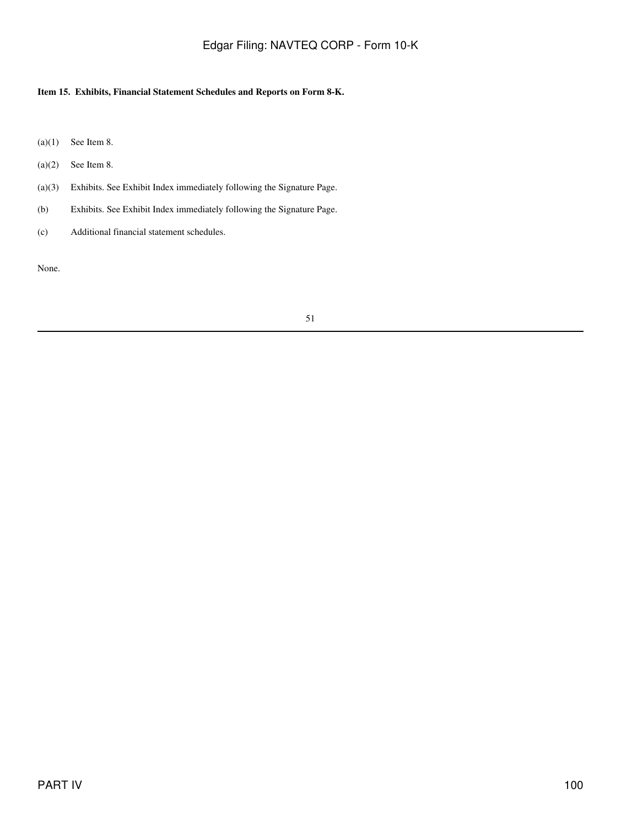### **Item 15. Exhibits, Financial Statement Schedules and Reports on Form 8-K.**

- $(a)(1)$  See Item 8.
- $(a)(2)$  See Item 8.
- (a)(3) Exhibits. See Exhibit Index immediately following the Signature Page.
- (b) Exhibits. See Exhibit Index immediately following the Signature Page.
- (c) Additional financial statement schedules.

None.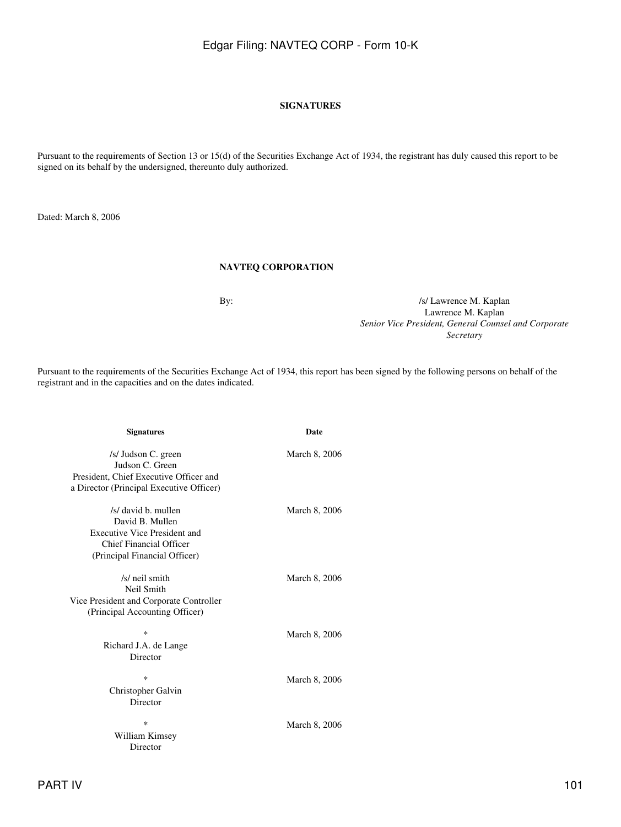#### **SIGNATURES**

Pursuant to the requirements of Section 13 or 15(d) of the Securities Exchange Act of 1934, the registrant has duly caused this report to be signed on its behalf by the undersigned, thereunto duly authorized.

Dated: March 8, 2006

### **NAVTEQ CORPORATION**

By:  $\frac{1}{s}$  /s/ Lawrence M. Kaplan Lawrence M. Kaplan *Senior Vice President, General Counsel and Corporate Secretary*

Pursuant to the requirements of the Securities Exchange Act of 1934, this report has been signed by the following persons on behalf of the registrant and in the capacities and on the dates indicated.

| <b>Signatures</b>                                                                                                                  | <b>Date</b>   |
|------------------------------------------------------------------------------------------------------------------------------------|---------------|
| /s/ Judson C. green<br>Judson C. Green<br>President, Chief Executive Officer and<br>a Director (Principal Executive Officer)       | March 8, 2006 |
| /s/ david b. mullen<br>David B. Mullen<br>Executive Vice President and<br>Chief Financial Officer<br>(Principal Financial Officer) | March 8, 2006 |
| /s/ neil smith<br>Neil Smith<br>Vice President and Corporate Controller<br>(Principal Accounting Officer)                          | March 8, 2006 |
| *<br>Richard J.A. de Lange<br>Director                                                                                             | March 8, 2006 |
| *<br>Christopher Galvin<br>Director                                                                                                | March 8, 2006 |
| *<br>William Kimsey<br>Director                                                                                                    | March 8, 2006 |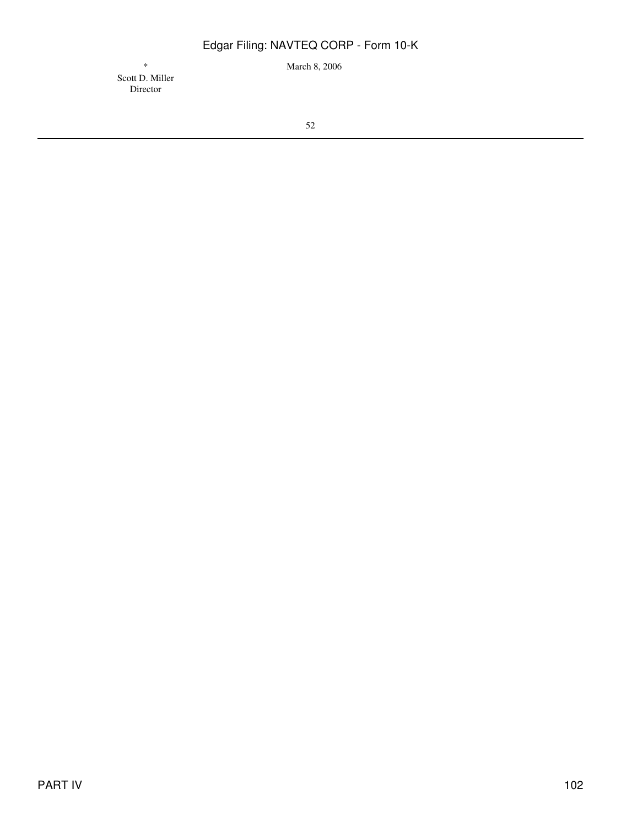\* March 8, 2006

Scott D. Miller Director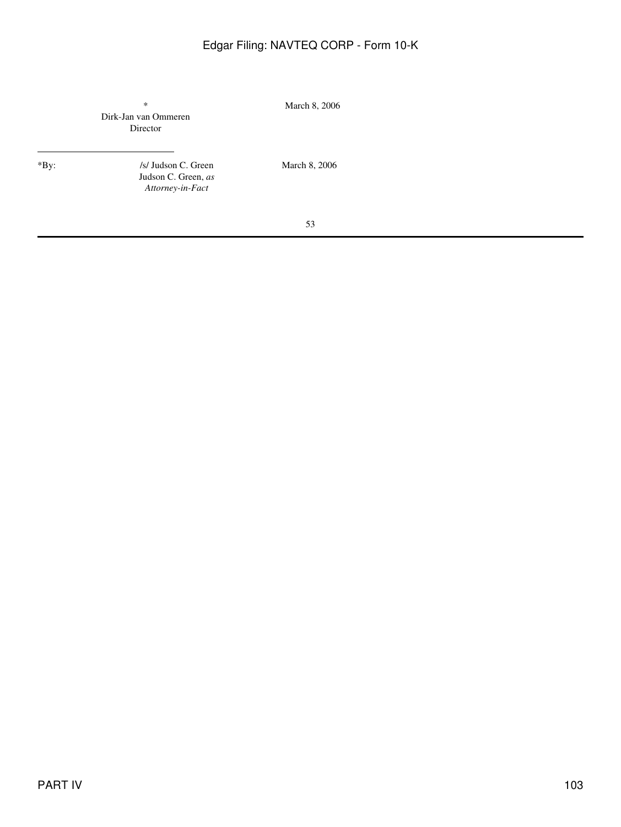|      | $\ast$<br>Dirk-Jan van Ommeren<br>Director                     | March 8, 2006 |
|------|----------------------------------------------------------------|---------------|
| *By: | /s/ Judson C. Green<br>Judson C. Green, as<br>Attorney-in-Fact | March 8, 2006 |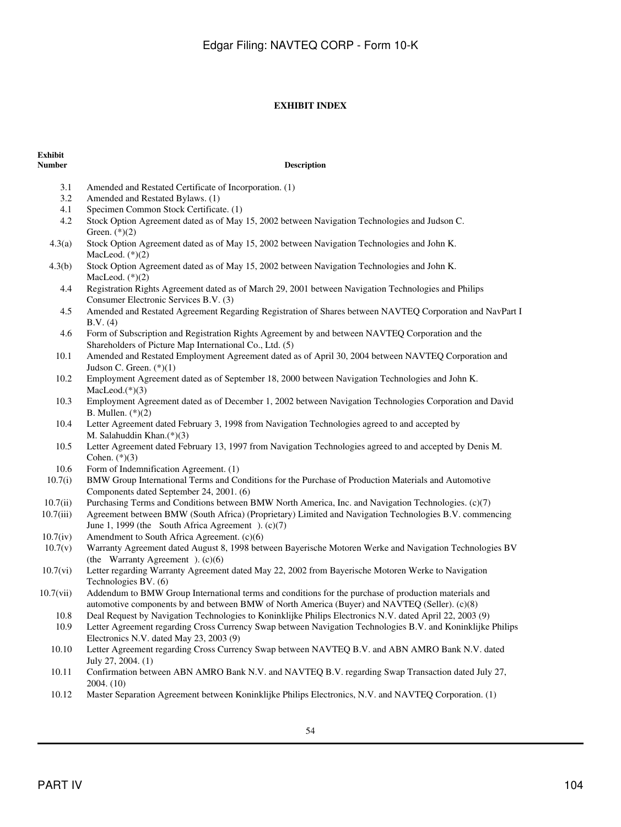### **EXHIBIT INDEX**

# **Exhibit**

#### **Description**

- 3.1 Amended and Restated Certificate of Incorporation. (1)
- 3.2 Amended and Restated Bylaws. (1)
- 4.1 Specimen Common Stock Certificate. (1)
- 4.2 Stock Option Agreement dated as of May 15, 2002 between Navigation Technologies and Judson C. Green. (\*)(2)
- 4.3(a) Stock Option Agreement dated as of May 15, 2002 between Navigation Technologies and John K. MacLeod.  $(*)(2)$
- 4.3(b) Stock Option Agreement dated as of May 15, 2002 between Navigation Technologies and John K. MacLeod.  $(*)(2)$ 
	- 4.4 Registration Rights Agreement dated as of March 29, 2001 between Navigation Technologies and Philips Consumer Electronic Services B.V. (3)
	- 4.5 Amended and Restated Agreement Regarding Registration of Shares between NAVTEQ Corporation and NavPart I B.V. (4)
	- 4.6 Form of Subscription and Registration Rights Agreement by and between NAVTEQ Corporation and the Shareholders of Picture Map International Co., Ltd. (5)
	- 10.1 Amended and Restated Employment Agreement dated as of April 30, 2004 between NAVTEQ Corporation and Judson C. Green. (\*)(1)
	- 10.2 Employment Agreement dated as of September 18, 2000 between Navigation Technologies and John K. MacLeod.(\*)(3)
	- 10.3 Employment Agreement dated as of December 1, 2002 between Navigation Technologies Corporation and David B. Mullen. (\*)(2)
	- 10.4 Letter Agreement dated February 3, 1998 from Navigation Technologies agreed to and accepted by M. Salahuddin Khan.(\*)(3)
- 10.5 Letter Agreement dated February 13, 1997 from Navigation Technologies agreed to and accepted by Denis M. Cohen.  $(*)(3)$
- 10.6 Form of Indemnification Agreement. (1)
- 10.7(i) BMW Group International Terms and Conditions for the Purchase of Production Materials and Automotive Components dated September 24, 2001. (6)
- 10.7(ii) Purchasing Terms and Conditions between BMW North America, Inc. and Navigation Technologies. (c)(7)
- 10.7(iii) Agreement between BMW (South Africa) (Proprietary) Limited and Navigation Technologies B.V. commencing June 1, 1999 (the South Africa Agreement). (c)(7)
- 10.7(iv) Amendment to South Africa Agreement. (c)(6)
- 10.7(v) Warranty Agreement dated August 8, 1998 between Bayerische Motoren Werke and Navigation Technologies BV (the Warranty Agreement).  $(c)(6)$
- 10.7(vi) Letter regarding Warranty Agreement dated May 22, 2002 from Bayerische Motoren Werke to Navigation Technologies BV. (6)
- 10.7(vii) Addendum to BMW Group International terms and conditions for the purchase of production materials and automotive components by and between BMW of North America (Buyer) and NAVTEQ (Seller). (c)(8)
	- 10.8 Deal Request by Navigation Technologies to Koninklijke Philips Electronics N.V. dated April 22, 2003 (9)
	- 10.9 Letter Agreement regarding Cross Currency Swap between Navigation Technologies B.V. and Koninklijke Philips Electronics N.V. dated May 23, 2003 (9)
	- 10.10 Letter Agreement regarding Cross Currency Swap between NAVTEQ B.V. and ABN AMRO Bank N.V. dated July 27, 2004. (1)
	- 10.11 Confirmation between ABN AMRO Bank N.V. and NAVTEQ B.V. regarding Swap Transaction dated July 27, 2004. (10)
	- 10.12 Master Separation Agreement between Koninklijke Philips Electronics, N.V. and NAVTEQ Corporation. (1)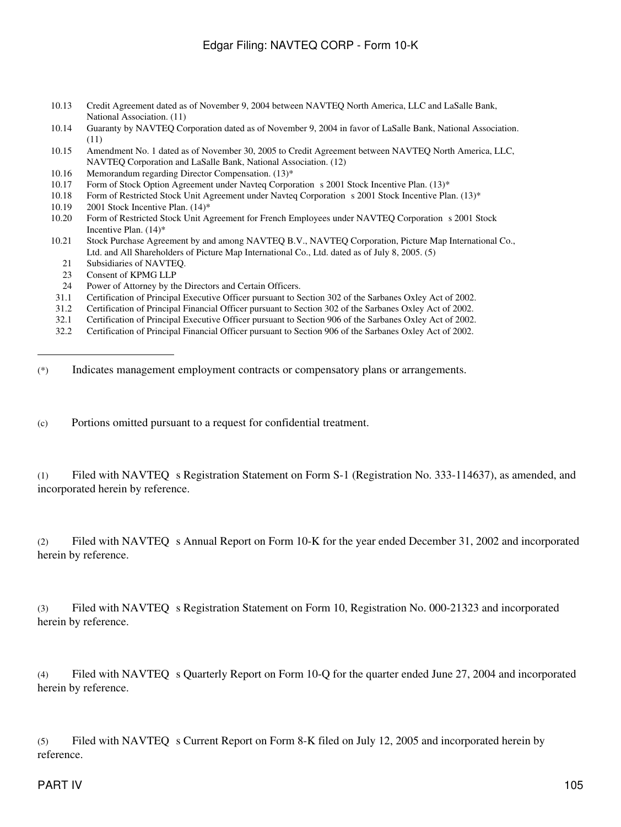- 10.13 Credit Agreement dated as of November 9, 2004 between NAVTEQ North America, LLC and LaSalle Bank, National Association. (11)
- 10.14 Guaranty by NAVTEQ Corporation dated as of November 9, 2004 in favor of LaSalle Bank, National Association. (11)
- 10.15 Amendment No. 1 dated as of November 30, 2005 to Credit Agreement between NAVTEQ North America, LLC, NAVTEQ Corporation and LaSalle Bank, National Association. (12)
- 10.16 Memorandum regarding Director Compensation. (13)\*
- 10.17 Form of Stock Option Agreement under Navteq Corporation s 2001 Stock Incentive Plan. (13)\*
- 10.18 Form of Restricted Stock Unit Agreement under Navteq Corporation s 2001 Stock Incentive Plan. (13)\*
- 10.19 2001 Stock Incentive Plan. (14)\*
- 10.20 Form of Restricted Stock Unit Agreement for French Employees under NAVTEQ Corporation s 2001 Stock Incentive Plan. (14)\*
- 10.21 Stock Purchase Agreement by and among NAVTEQ B.V., NAVTEQ Corporation, Picture Map International Co., Ltd. and All Shareholders of Picture Map International Co., Ltd. dated as of July 8, 2005. (5)
	- 21 Subsidiaries of NAVTEQ.
	- 23 Consent of KPMG LLP
- 24 Power of Attorney by the Directors and Certain Officers.
- 31.1 Certification of Principal Executive Officer pursuant to Section 302 of the Sarbanes Oxley Act of 2002.
- 31.2 Certification of Principal Financial Officer pursuant to Section 302 of the Sarbanes Oxley Act of 2002.
- 32.1 Certification of Principal Executive Officer pursuant to Section 906 of the Sarbanes Oxley Act of 2002.
- 32.2 Certification of Principal Financial Officer pursuant to Section 906 of the Sarbanes Oxley Act of 2002.

(\*) Indicates management employment contracts or compensatory plans or arrangements.

(c) Portions omitted pursuant to a request for confidential treatment.

(1) Filed with NAVTEQ s Registration Statement on Form S-1 (Registration No. 333-114637), as amended, and incorporated herein by reference.

(2) Filed with NAVTEQ s Annual Report on Form 10-K for the year ended December 31, 2002 and incorporated herein by reference.

(3) Filed with NAVTEQ s Registration Statement on Form 10, Registration No. 000-21323 and incorporated herein by reference.

(4) Filed with NAVTEQ s Quarterly Report on Form 10-Q for the quarter ended June 27, 2004 and incorporated herein by reference.

(5) Filed with NAVTEQ s Current Report on Form 8-K filed on July 12, 2005 and incorporated herein by reference.

### PART IV 105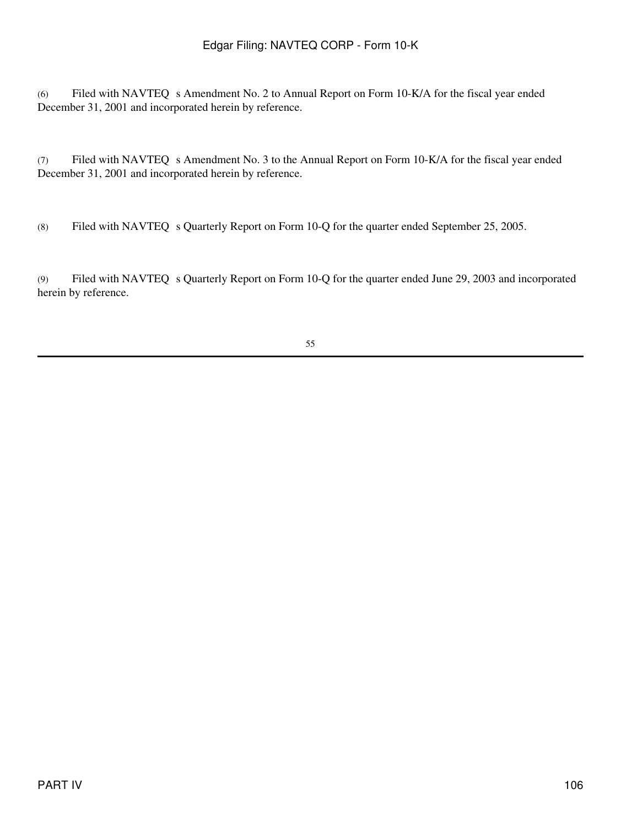(6) Filed with NAVTEQ s Amendment No. 2 to Annual Report on Form 10-K/A for the fiscal year ended December 31, 2001 and incorporated herein by reference.

(7) Filed with NAVTEQ s Amendment No. 3 to the Annual Report on Form 10-K/A for the fiscal year ended December 31, 2001 and incorporated herein by reference.

(8) Filed with NAVTEQ s Quarterly Report on Form 10-Q for the quarter ended September 25, 2005.

(9) Filed with NAVTEQ s Quarterly Report on Form 10-Q for the quarter ended June 29, 2003 and incorporated herein by reference.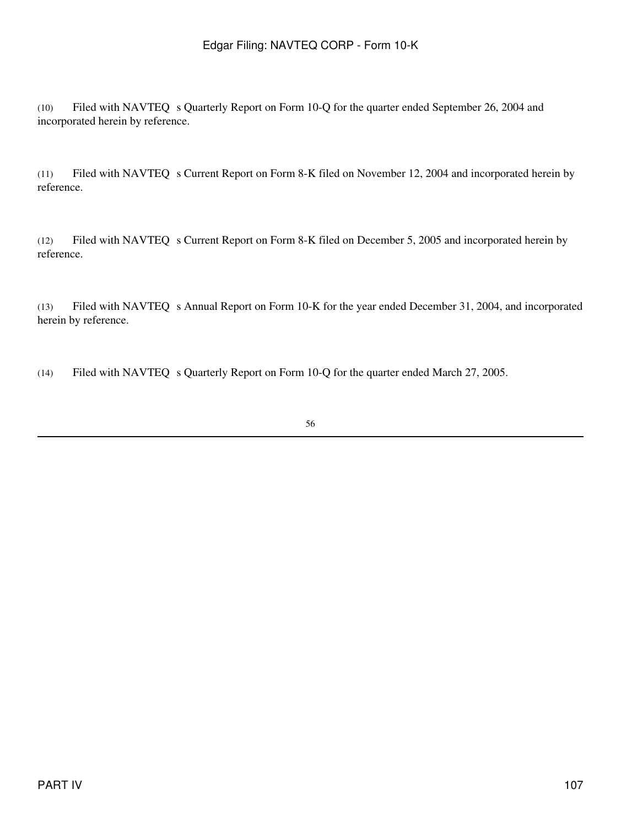(10) Filed with NAVTEQ s Quarterly Report on Form 10-Q for the quarter ended September 26, 2004 and incorporated herein by reference.

(11) Filed with NAVTEQ s Current Report on Form 8-K filed on November 12, 2004 and incorporated herein by reference.

(12) Filed with NAVTEQ s Current Report on Form 8-K filed on December 5, 2005 and incorporated herein by reference.

(13) Filed with NAVTEQ s Annual Report on Form 10-K for the year ended December 31, 2004, and incorporated herein by reference.

(14) Filed with NAVTEQ s Quarterly Report on Form 10-Q for the quarter ended March 27, 2005.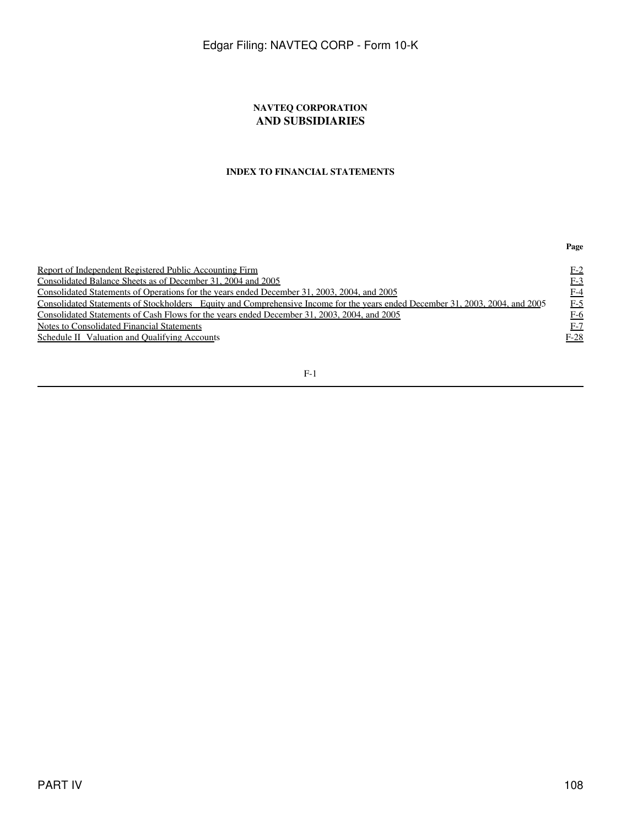### **NAVTEQ CORPORATION AND SUBSIDIARIES**

### **INDEX TO FINANCIAL STATEMENTS**

| Report of Independent Registered Public Accounting Firm                                                                       | $F-2$  |
|-------------------------------------------------------------------------------------------------------------------------------|--------|
| Consolidated Balance Sheets as of December 31, 2004 and 2005                                                                  | $F-3$  |
| Consolidated Statements of Operations for the years ended December 31, 2003, 2004, and 2005                                   | $F-4$  |
| Consolidated Statements of Stockholders Equity and Comprehensive Income for the years ended December 31, 2003, 2004, and 2005 | $E-5$  |
| Consolidated Statements of Cash Flows for the years ended December 31, 2003, 2004, and 2005                                   | $F-6$  |
| Notes to Consolidated Financial Statements                                                                                    | $F-7$  |
| Schedule II Valuation and Qualifying Accounts                                                                                 | $F-28$ |
|                                                                                                                               |        |

### F-1

**Page**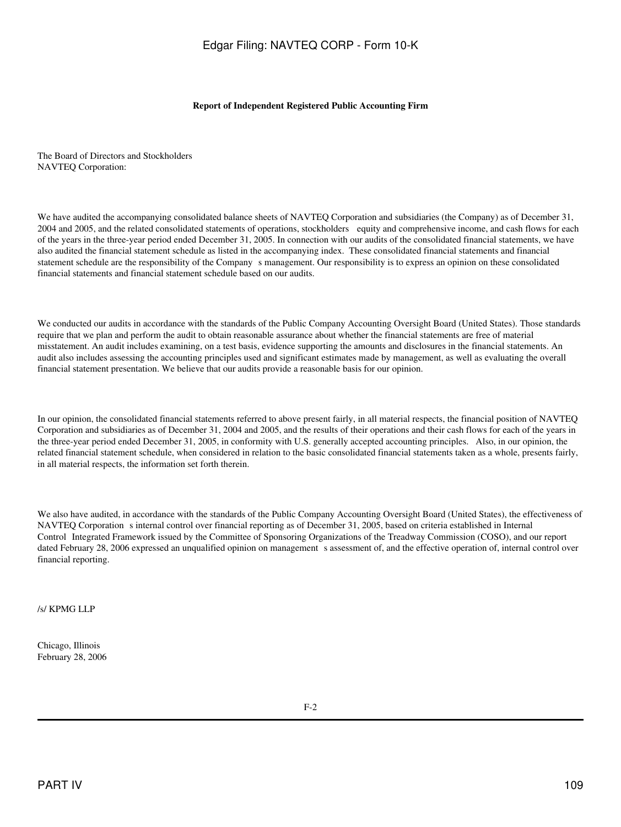#### **Report of Independent Registered Public Accounting Firm**

The Board of Directors and Stockholders NAVTEQ Corporation:

We have audited the accompanying consolidated balance sheets of NAVTEQ Corporation and subsidiaries (the Company) as of December 31, 2004 and 2005, and the related consolidated statements of operations, stockholders equity and comprehensive income, and cash flows for each of the years in the three-year period ended December 31, 2005. In connection with our audits of the consolidated financial statements, we have also audited the financial statement schedule as listed in the accompanying index. These consolidated financial statements and financial statement schedule are the responsibility of the Companys management. Our responsibility is to express an opinion on these consolidated financial statements and financial statement schedule based on our audits.

We conducted our audits in accordance with the standards of the Public Company Accounting Oversight Board (United States). Those standards require that we plan and perform the audit to obtain reasonable assurance about whether the financial statements are free of material misstatement. An audit includes examining, on a test basis, evidence supporting the amounts and disclosures in the financial statements. An audit also includes assessing the accounting principles used and significant estimates made by management, as well as evaluating the overall financial statement presentation. We believe that our audits provide a reasonable basis for our opinion.

In our opinion, the consolidated financial statements referred to above present fairly, in all material respects, the financial position of NAVTEQ Corporation and subsidiaries as of December 31, 2004 and 2005, and the results of their operations and their cash flows for each of the years in the three-year period ended December 31, 2005, in conformity with U.S. generally accepted accounting principles. Also, in our opinion, the related financial statement schedule, when considered in relation to the basic consolidated financial statements taken as a whole, presents fairly, in all material respects, the information set forth therein.

We also have audited, in accordance with the standards of the Public Company Accounting Oversight Board (United States), the effectiveness of NAVTEQ Corporation s internal control over financial reporting as of December 31, 2005, based on criteria established in Internal Control Integrated Framework issued by the Committee of Sponsoring Organizations of the Treadway Commission (COSO), and our report dated February 28, 2006 expressed an unqualified opinion on management s assessment of, and the effective operation of, internal control over financial reporting.

/s/ KPMG LLP

Chicago, Illinois February 28, 2006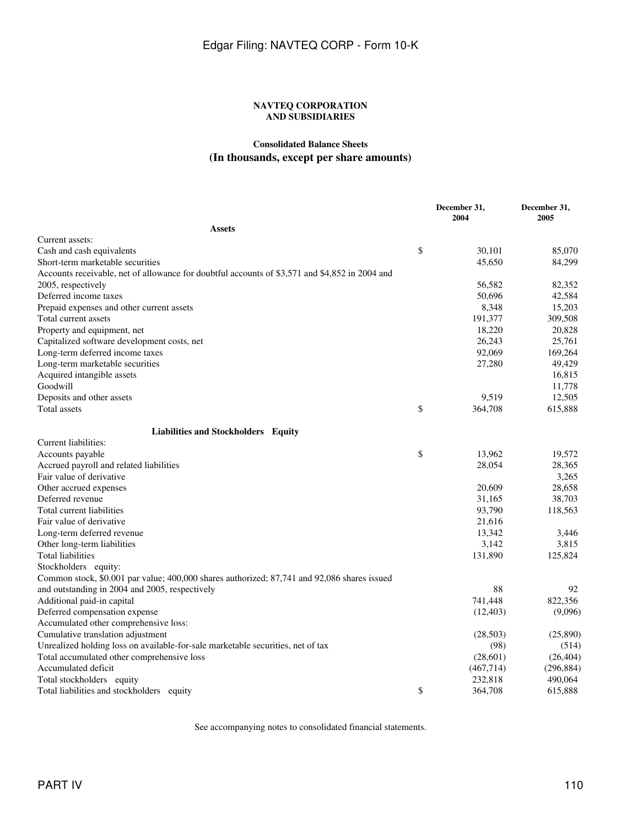### **NAVTEQ CORPORATION AND SUBSIDIARIES**

## **Consolidated Balance Sheets (In thousands, except per share amounts)**

|                                                                                                | December 31,<br>2004 | December 31,<br>2005 |
|------------------------------------------------------------------------------------------------|----------------------|----------------------|
| <b>Assets</b>                                                                                  |                      |                      |
| Current assets:                                                                                |                      |                      |
| Cash and cash equivalents                                                                      | \$<br>30,101         | 85,070               |
| Short-term marketable securities                                                               | 45,650               | 84,299               |
| Accounts receivable, net of allowance for doubtful accounts of \$3,571 and \$4,852 in 2004 and |                      |                      |
| 2005, respectively                                                                             | 56,582               | 82,352               |
| Deferred income taxes                                                                          | 50,696               | 42,584               |
| Prepaid expenses and other current assets                                                      | 8,348                | 15,203               |
| Total current assets                                                                           | 191,377              | 309,508              |
| Property and equipment, net                                                                    | 18,220               | 20,828               |
| Capitalized software development costs, net                                                    | 26,243               | 25,761               |
| Long-term deferred income taxes                                                                | 92,069               | 169,264              |
| Long-term marketable securities                                                                | 27,280               | 49,429               |
| Acquired intangible assets                                                                     |                      | 16,815               |
| Goodwill                                                                                       |                      | 11,778               |
| Deposits and other assets                                                                      | 9,519                | 12,505               |
| Total assets                                                                                   | \$<br>364,708        | 615,888              |
| Liabilities and Stockholders Equity                                                            |                      |                      |
| Current liabilities:                                                                           |                      |                      |
| Accounts payable                                                                               | \$<br>13,962         | 19,572               |
| Accrued payroll and related liabilities                                                        | 28,054               | 28,365               |
| Fair value of derivative                                                                       |                      | 3,265                |
| Other accrued expenses                                                                         | 20,609               | 28,658               |
| Deferred revenue                                                                               | 31,165               | 38,703               |
| Total current liabilities                                                                      | 93,790               | 118,563              |
| Fair value of derivative                                                                       | 21,616               |                      |
| Long-term deferred revenue                                                                     | 13,342               | 3,446                |
| Other long-term liabilities                                                                    | 3,142                | 3,815                |
| Total liabilities                                                                              | 131,890              | 125,824              |
| Stockholders equity:                                                                           |                      |                      |
| Common stock, \$0.001 par value; 400,000 shares authorized; 87,741 and 92,086 shares issued    |                      |                      |
| and outstanding in 2004 and 2005, respectively                                                 | 88                   | 92                   |
| Additional paid-in capital                                                                     | 741,448              | 822,356              |
| Deferred compensation expense                                                                  | (12, 403)            | (9,096)              |
| Accumulated other comprehensive loss:                                                          |                      |                      |
| Cumulative translation adjustment                                                              | (28, 503)            | (25,890)             |
| Unrealized holding loss on available-for-sale marketable securities, net of tax                | (98)                 | (514)                |
| Total accumulated other comprehensive loss                                                     | (28,601)             | (26, 404)            |
| Accumulated deficit                                                                            | (467, 714)           | (296, 884)           |
| Total stockholders equity                                                                      | 232,818              | 490,064              |
| Total liabilities and stockholders equity                                                      | \$<br>364,708        | 615,888              |

See accompanying notes to consolidated financial statements.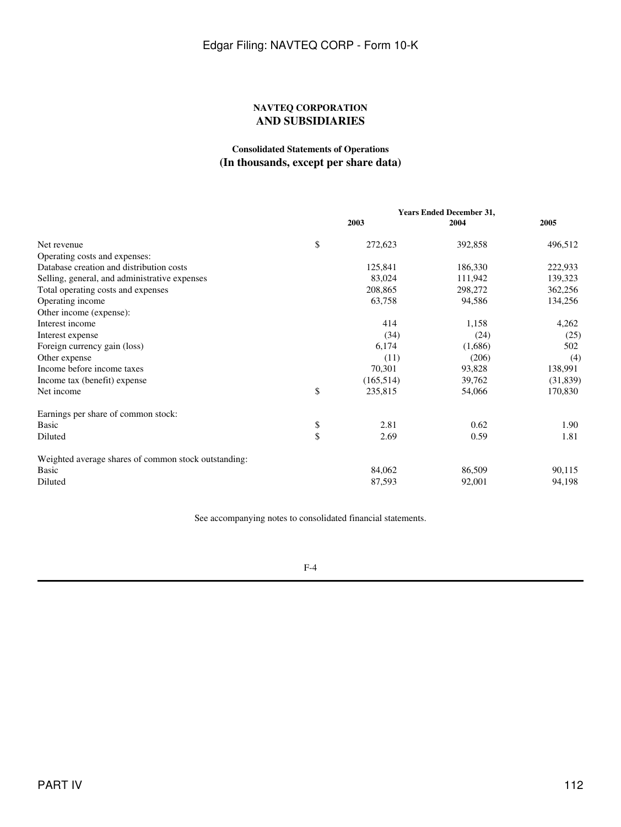### **NAVTEQ CORPORATION AND SUBSIDIARIES**

### **Consolidated Statements of Operations (In thousands, except per share data)**

|                                                      |           |            | <b>Years Ended December 31,</b> |           |  |
|------------------------------------------------------|-----------|------------|---------------------------------|-----------|--|
|                                                      |           | 2003       | 2004                            | 2005      |  |
| Net revenue                                          | \$        | 272,623    | 392,858                         | 496,512   |  |
| Operating costs and expenses:                        |           |            |                                 |           |  |
| Database creation and distribution costs             |           | 125,841    | 186,330                         | 222,933   |  |
| Selling, general, and administrative expenses        |           | 83,024     | 111,942                         | 139,323   |  |
| Total operating costs and expenses                   |           | 208,865    | 298,272                         | 362,256   |  |
| Operating income                                     |           | 63,758     | 94,586                          | 134,256   |  |
| Other income (expense):                              |           |            |                                 |           |  |
| Interest income                                      |           | 414        | 1,158                           | 4,262     |  |
| Interest expense                                     |           | (34)       | (24)                            | (25)      |  |
| Foreign currency gain (loss)                         |           | 6,174      | (1,686)                         | 502       |  |
| Other expense                                        |           | (11)       | (206)                           | (4)       |  |
| Income before income taxes                           |           | 70,301     | 93,828                          | 138,991   |  |
| Income tax (benefit) expense                         |           | (165, 514) | 39,762                          | (31, 839) |  |
| Net income                                           | \$        | 235,815    | 54,066                          | 170,830   |  |
| Earnings per share of common stock:                  |           |            |                                 |           |  |
| Basic                                                | \$        | 2.81       | 0.62                            | 1.90      |  |
| Diluted                                              | $\hat{S}$ | 2.69       | 0.59                            | 1.81      |  |
| Weighted average shares of common stock outstanding: |           |            |                                 |           |  |
| Basic                                                |           | 84,062     | 86,509                          | 90,115    |  |
| Diluted                                              |           | 87,593     | 92,001                          | 94,198    |  |
|                                                      |           |            |                                 |           |  |

See accompanying notes to consolidated financial statements.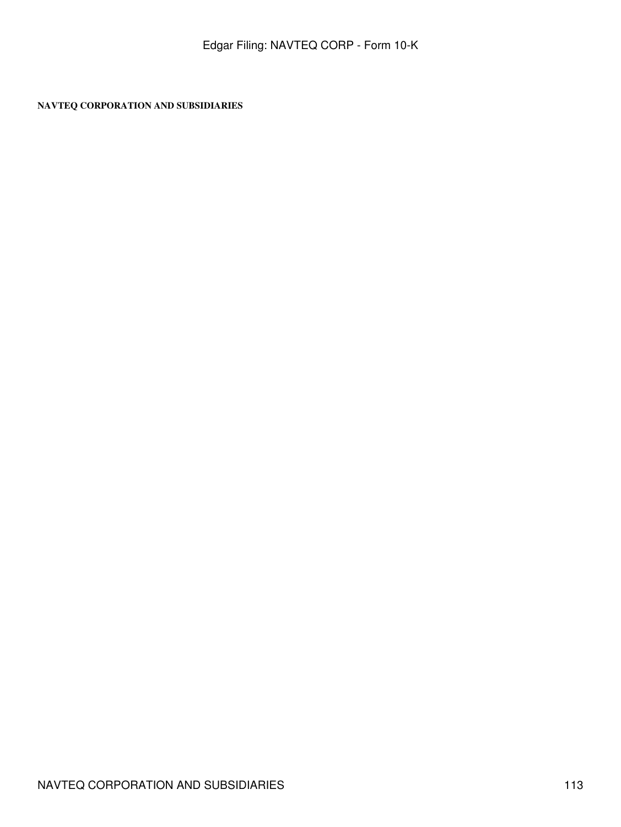**NAVTEQ CORPORATION AND SUBSIDIARIES**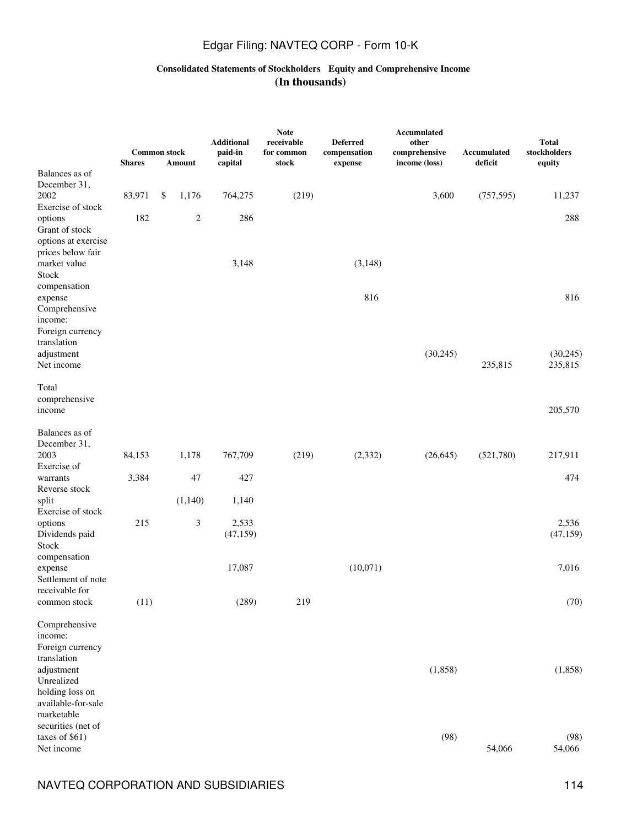### **Consolidated Statements of Stockholders Equity and Comprehensive Income (In thousands)**

|                                       | <b>Common stock</b><br><b>Shares</b> | Amount         | <b>Additional</b><br>paid-in<br>capital | <b>Note</b><br>receivable<br>for common<br>stock | <b>Deferred</b><br>compensation<br>expense | Accumulated<br>other<br>comprehensive<br>income (loss) | Accumulated<br>deficit | <b>Total</b><br>stockholders<br>equity |
|---------------------------------------|--------------------------------------|----------------|-----------------------------------------|--------------------------------------------------|--------------------------------------------|--------------------------------------------------------|------------------------|----------------------------------------|
| Balances as of                        |                                      |                |                                         |                                                  |                                            |                                                        |                        |                                        |
| December 31,                          |                                      |                |                                         |                                                  |                                            |                                                        |                        |                                        |
| 2002                                  | 83,971                               | \$<br>1,176    | 764,275                                 | (219)                                            |                                            | 3,600                                                  | (757, 595)             | 11,237                                 |
| Exercise of stock                     |                                      |                |                                         |                                                  |                                            |                                                        |                        |                                        |
| options                               | 182                                  | $\overline{c}$ | 286                                     |                                                  |                                            |                                                        |                        | 288                                    |
| Grant of stock<br>options at exercise |                                      |                |                                         |                                                  |                                            |                                                        |                        |                                        |
| prices below fair                     |                                      |                |                                         |                                                  |                                            |                                                        |                        |                                        |
| market value                          |                                      |                | 3,148                                   |                                                  | (3,148)                                    |                                                        |                        |                                        |
| Stock                                 |                                      |                |                                         |                                                  |                                            |                                                        |                        |                                        |
| compensation                          |                                      |                |                                         |                                                  |                                            |                                                        |                        |                                        |
| expense                               |                                      |                |                                         |                                                  | 816                                        |                                                        |                        | 816                                    |
| Comprehensive                         |                                      |                |                                         |                                                  |                                            |                                                        |                        |                                        |
| income:                               |                                      |                |                                         |                                                  |                                            |                                                        |                        |                                        |
| Foreign currency<br>translation       |                                      |                |                                         |                                                  |                                            |                                                        |                        |                                        |
| adjustment                            |                                      |                |                                         |                                                  |                                            | (30,245)                                               |                        | (30, 245)                              |
| Net income                            |                                      |                |                                         |                                                  |                                            |                                                        | 235,815                | 235,815                                |
|                                       |                                      |                |                                         |                                                  |                                            |                                                        |                        |                                        |
| Total                                 |                                      |                |                                         |                                                  |                                            |                                                        |                        |                                        |
| comprehensive                         |                                      |                |                                         |                                                  |                                            |                                                        |                        |                                        |
| income                                |                                      |                |                                         |                                                  |                                            |                                                        |                        | 205,570                                |
| Balances as of                        |                                      |                |                                         |                                                  |                                            |                                                        |                        |                                        |
| December 31,                          |                                      |                |                                         |                                                  |                                            |                                                        |                        |                                        |
| 2003                                  | 84,153                               | 1,178          | 767,709                                 | (219)                                            | (2, 332)                                   | (26, 645)                                              | (521,780)              | 217,911                                |
| Exercise of                           |                                      |                |                                         |                                                  |                                            |                                                        |                        |                                        |
| warrants                              | 3,384                                | 47             | 427                                     |                                                  |                                            |                                                        |                        | 474                                    |
| Reverse stock                         |                                      |                |                                         |                                                  |                                            |                                                        |                        |                                        |
| split                                 |                                      | (1,140)        | 1,140                                   |                                                  |                                            |                                                        |                        |                                        |
| Exercise of stock<br>options          | 215                                  | 3              | 2,533                                   |                                                  |                                            |                                                        |                        | 2,536                                  |
| Dividends paid                        |                                      |                | (47, 159)                               |                                                  |                                            |                                                        |                        | (47, 159)                              |
| Stock                                 |                                      |                |                                         |                                                  |                                            |                                                        |                        |                                        |
| compensation                          |                                      |                |                                         |                                                  |                                            |                                                        |                        |                                        |
| expense                               |                                      |                | 17,087                                  |                                                  | (10,071)                                   |                                                        |                        | 7,016                                  |
| Settlement of note                    |                                      |                |                                         |                                                  |                                            |                                                        |                        |                                        |
| receivable for                        |                                      |                |                                         |                                                  |                                            |                                                        |                        |                                        |
| common stock                          | (11)                                 |                | (289)                                   | 219                                              |                                            |                                                        |                        | (70)                                   |
| Comprehensive                         |                                      |                |                                         |                                                  |                                            |                                                        |                        |                                        |
| income:                               |                                      |                |                                         |                                                  |                                            |                                                        |                        |                                        |
| Foreign currency                      |                                      |                |                                         |                                                  |                                            |                                                        |                        |                                        |
| translation                           |                                      |                |                                         |                                                  |                                            |                                                        |                        |                                        |
| adjustment                            |                                      |                |                                         |                                                  |                                            | (1, 858)                                               |                        | (1, 858)                               |
| Unrealized                            |                                      |                |                                         |                                                  |                                            |                                                        |                        |                                        |
| holding loss on<br>available-for-sale |                                      |                |                                         |                                                  |                                            |                                                        |                        |                                        |
| marketable                            |                                      |                |                                         |                                                  |                                            |                                                        |                        |                                        |
| securities (net of                    |                                      |                |                                         |                                                  |                                            |                                                        |                        |                                        |
| taxes of \$61)                        |                                      |                |                                         |                                                  |                                            | (98)                                                   |                        | (98)                                   |
| Net income                            |                                      |                |                                         |                                                  |                                            |                                                        | 54,066                 | 54,066                                 |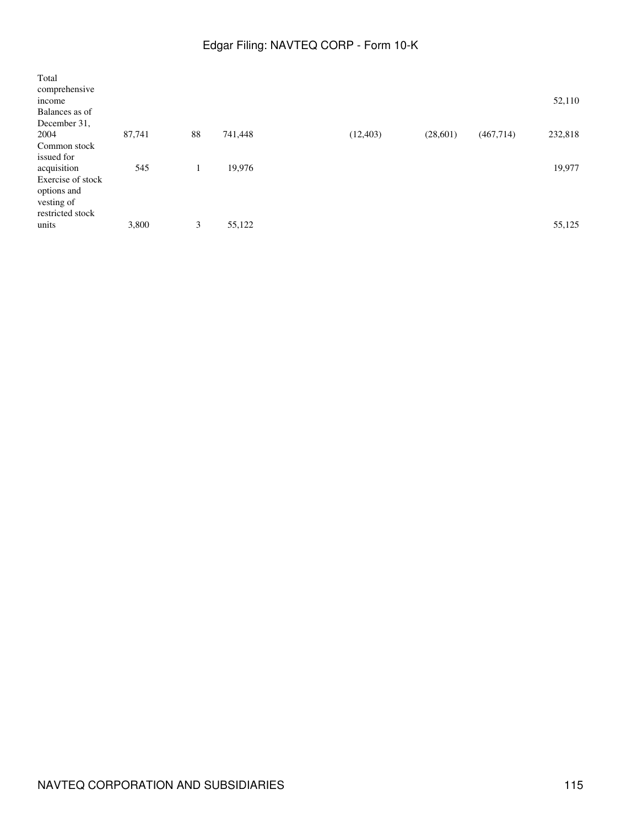| Total             |        |    |         |           |          |            |         |
|-------------------|--------|----|---------|-----------|----------|------------|---------|
| comprehensive     |        |    |         |           |          |            |         |
| income            |        |    |         |           |          |            | 52,110  |
| Balances as of    |        |    |         |           |          |            |         |
| December 31,      |        |    |         |           |          |            |         |
| 2004              | 87,741 | 88 | 741,448 | (12, 403) | (28,601) | (467, 714) | 232,818 |
| Common stock      |        |    |         |           |          |            |         |
| issued for        |        |    |         |           |          |            |         |
| acquisition       | 545    |    | 19,976  |           |          |            | 19,977  |
| Exercise of stock |        |    |         |           |          |            |         |
| options and       |        |    |         |           |          |            |         |
| vesting of        |        |    |         |           |          |            |         |
| restricted stock  |        |    |         |           |          |            |         |
| units             | 3,800  | 3  | 55,122  |           |          |            | 55,125  |
|                   |        |    |         |           |          |            |         |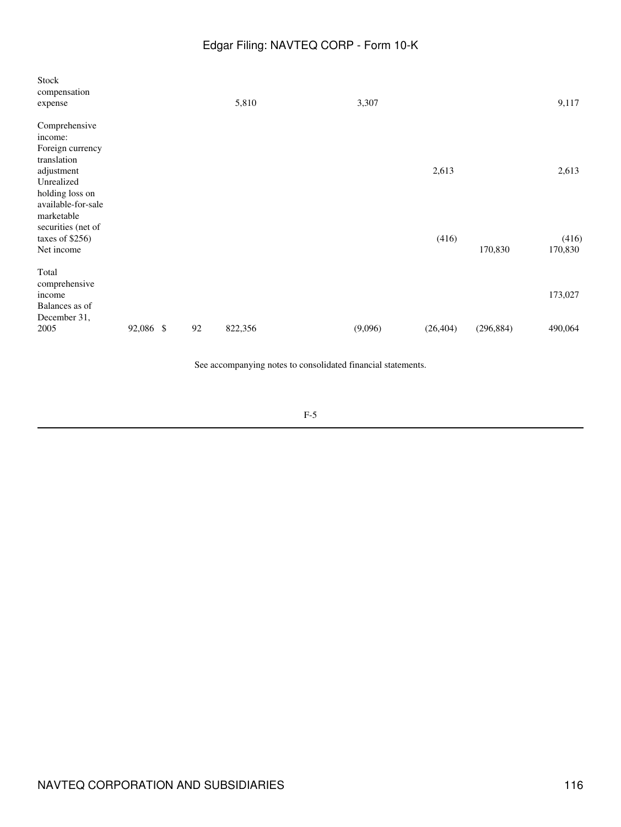| Stock<br>compensation<br>expense                                  |           |    | 5,810   | 3,307   |           |            | 9,117            |
|-------------------------------------------------------------------|-----------|----|---------|---------|-----------|------------|------------------|
| Comprehensive<br>income:<br>Foreign currency<br>translation       |           |    |         |         |           |            |                  |
| adjustment<br>Unrealized<br>holding loss on<br>available-for-sale |           |    |         |         | 2,613     |            | 2,613            |
| marketable<br>securities (net of<br>taxes of \$256)<br>Net income |           |    |         |         | (416)     | 170,830    | (416)<br>170,830 |
| Total<br>comprehensive<br>income<br>Balances as of                |           |    |         |         |           |            | 173,027          |
| December 31,<br>2005                                              | 92,086 \$ | 92 | 822,356 | (9,096) | (26, 404) | (296, 884) | 490,064          |

See accompanying notes to consolidated financial statements.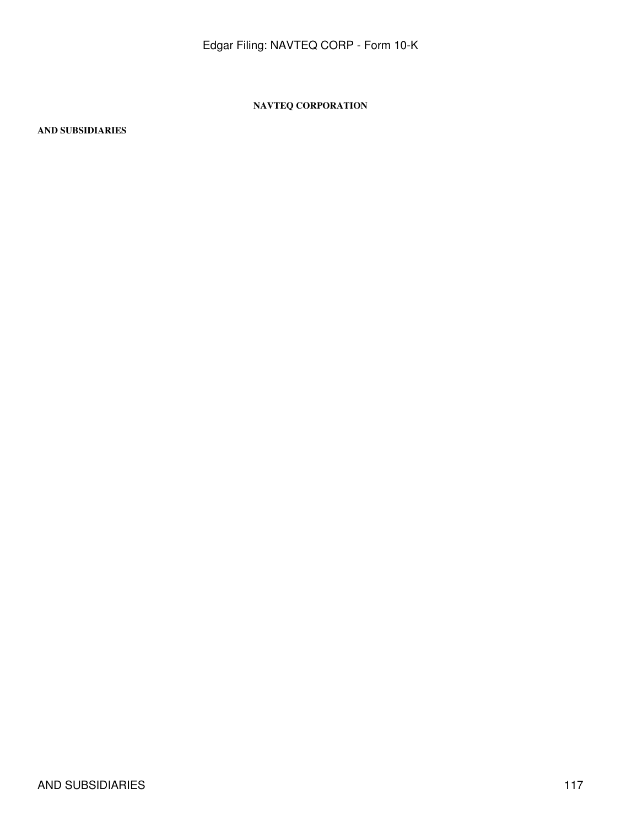### **NAVTEQ CORPORATION**

### **AND SUBSIDIARIES**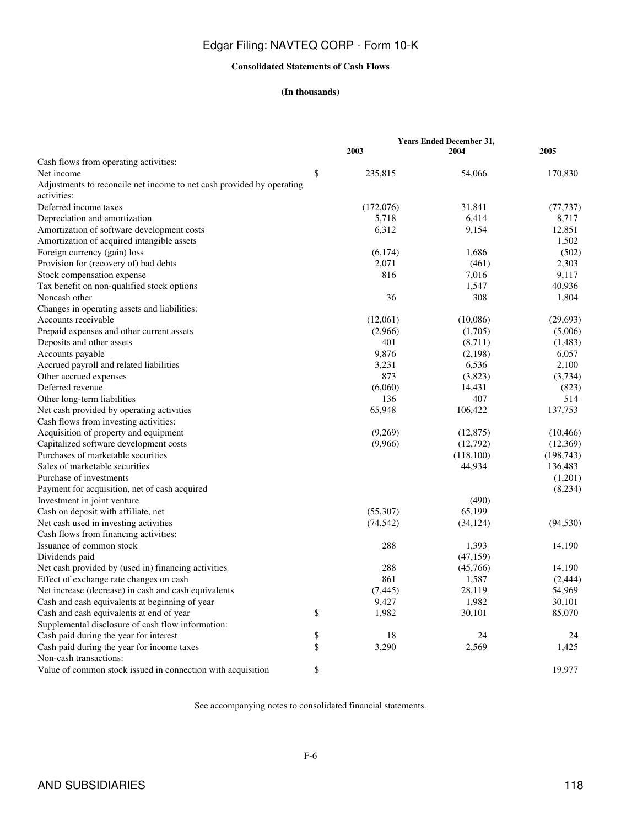### **Consolidated Statements of Cash Flows**

### **(In thousands)**

|                                                                       |               | <b>Years Ended December 31,</b> |            |
|-----------------------------------------------------------------------|---------------|---------------------------------|------------|
|                                                                       | 2003          | 2004                            | 2005       |
| Cash flows from operating activities:                                 |               |                                 |            |
| Net income                                                            | \$<br>235,815 | 54,066                          | 170,830    |
| Adjustments to reconcile net income to net cash provided by operating |               |                                 |            |
| activities:                                                           |               |                                 |            |
| Deferred income taxes                                                 | (172,076)     | 31,841                          | (77, 737)  |
| Depreciation and amortization                                         | 5,718         | 6,414                           | 8,717      |
| Amortization of software development costs                            | 6,312         | 9,154                           | 12,851     |
| Amortization of acquired intangible assets                            |               |                                 | 1,502      |
| Foreign currency (gain) loss                                          | (6,174)       | 1,686                           | (502)      |
| Provision for (recovery of) bad debts                                 | 2,071         | (461)                           | 2,303      |
| Stock compensation expense                                            | 816           | 7,016                           | 9,117      |
| Tax benefit on non-qualified stock options                            |               | 1,547                           | 40,936     |
| Noncash other                                                         | 36            | 308                             | 1,804      |
| Changes in operating assets and liabilities:                          |               |                                 |            |
| Accounts receivable                                                   | (12,061)      | (10,086)                        | (29, 693)  |
| Prepaid expenses and other current assets                             | (2,966)       | (1,705)                         | (5,006)    |
| Deposits and other assets                                             | 401           | (8,711)                         | (1,483)    |
| Accounts payable                                                      | 9,876         | (2,198)                         | 6,057      |
| Accrued payroll and related liabilities                               | 3,231         | 6,536                           | 2,100      |
| Other accrued expenses                                                | 873           | (3,823)                         | (3,734)    |
| Deferred revenue                                                      | (6,060)       | 14,431                          | (823)      |
| Other long-term liabilities                                           | 136           | 407                             | 514        |
| Net cash provided by operating activities                             | 65,948        | 106,422                         | 137,753    |
| Cash flows from investing activities:                                 |               |                                 |            |
| Acquisition of property and equipment                                 | (9,269)       | (12, 875)                       | (10, 466)  |
| Capitalized software development costs                                | (9,966)       | (12,792)                        | (12,369)   |
| Purchases of marketable securities                                    |               | (118,100)                       | (198, 743) |
| Sales of marketable securities                                        |               | 44,934                          | 136,483    |
| Purchase of investments                                               |               |                                 | (1,201)    |
| Payment for acquisition, net of cash acquired                         |               |                                 | (8,234)    |
| Investment in joint venture                                           |               | (490)                           |            |
| Cash on deposit with affiliate, net                                   | (55,307)      | 65,199                          |            |
| Net cash used in investing activities                                 | (74, 542)     | (34, 124)                       | (94, 530)  |
| Cash flows from financing activities:                                 |               |                                 |            |
| Issuance of common stock                                              | 288           | 1,393                           | 14,190     |
| Dividends paid                                                        |               | (47, 159)                       |            |
| Net cash provided by (used in) financing activities                   | 288           | (45,766)                        | 14,190     |
| Effect of exchange rate changes on cash                               | 861           | 1,587                           | (2,444)    |
| Net increase (decrease) in cash and cash equivalents                  | (7, 445)      | 28,119                          | 54,969     |
| Cash and cash equivalents at beginning of year                        | 9,427         | 1,982                           | 30,101     |
| Cash and cash equivalents at end of year                              | \$<br>1,982   | 30,101                          | 85,070     |
| Supplemental disclosure of cash flow information:                     |               |                                 |            |
| Cash paid during the year for interest                                | \$<br>18      | 24                              | 24         |
| Cash paid during the year for income taxes                            | \$<br>3,290   | 2,569                           | 1,425      |
| Non-cash transactions:                                                |               |                                 |            |
| Value of common stock issued in connection with acquisition           | \$            |                                 | 19.977     |

See accompanying notes to consolidated financial statements.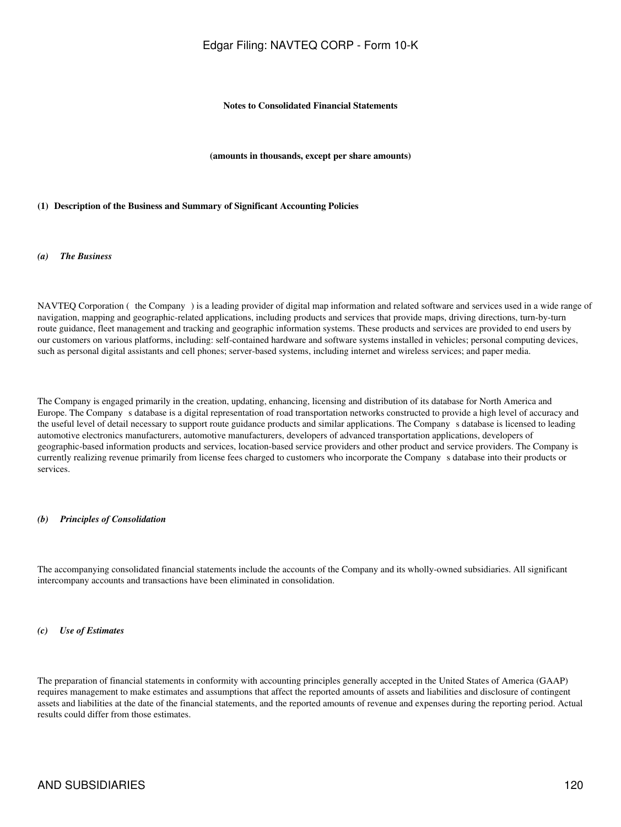### **Notes to Consolidated Financial Statements**

**(amounts in thousands, except per share amounts)**

#### **(1)Description of the Business and Summary of Significant Accounting Policies**

#### *(a) The Business*

NAVTEQ Corporation (the Company) is a leading provider of digital map information and related software and services used in a wide range of navigation, mapping and geographic-related applications, including products and services that provide maps, driving directions, turn-by-turn route guidance, fleet management and tracking and geographic information systems. These products and services are provided to end users by our customers on various platforms, including: self-contained hardware and software systems installed in vehicles; personal computing devices, such as personal digital assistants and cell phones; server-based systems, including internet and wireless services; and paper media.

The Company is engaged primarily in the creation, updating, enhancing, licensing and distribution of its database for North America and Europe. The Companys database is a digital representation of road transportation networks constructed to provide a high level of accuracy and the useful level of detail necessary to support route guidance products and similar applications. The Companys database is licensed to leading automotive electronics manufacturers, automotive manufacturers, developers of advanced transportation applications, developers of geographic-based information products and services, location-based service providers and other product and service providers. The Company is currently realizing revenue primarily from license fees charged to customers who incorporate the Companys database into their products or services.

#### *(b) Principles of Consolidation*

The accompanying consolidated financial statements include the accounts of the Company and its wholly-owned subsidiaries. All significant intercompany accounts and transactions have been eliminated in consolidation.

#### *(c) Use of Estimates*

The preparation of financial statements in conformity with accounting principles generally accepted in the United States of America (GAAP) requires management to make estimates and assumptions that affect the reported amounts of assets and liabilities and disclosure of contingent assets and liabilities at the date of the financial statements, and the reported amounts of revenue and expenses during the reporting period. Actual results could differ from those estimates.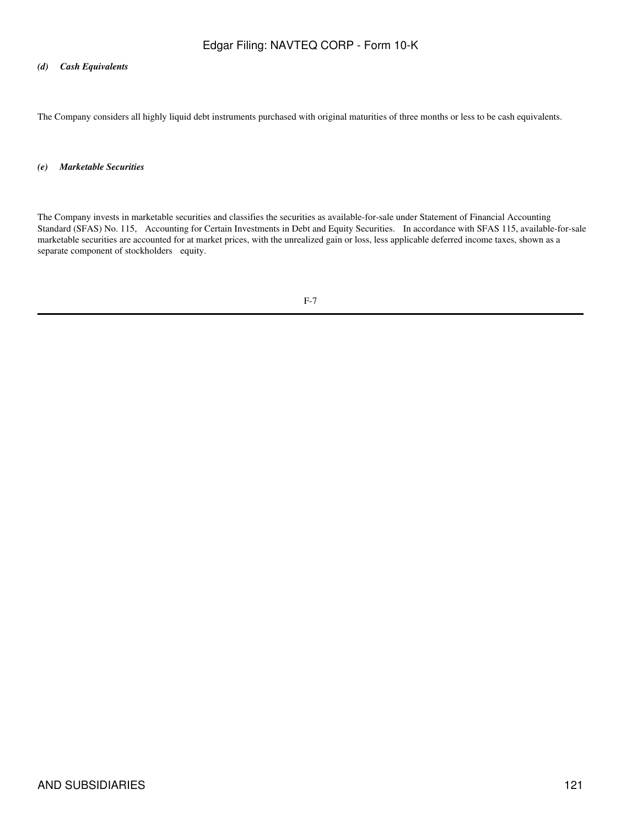### *(d) Cash Equivalents*

The Company considers all highly liquid debt instruments purchased with original maturities of three months or less to be cash equivalents.

### *(e) Marketable Securities*

The Company invests in marketable securities and classifies the securities as available-for-sale under Statement of Financial Accounting Standard (SFAS) No. 115, Accounting for Certain Investments in Debt and Equity Securities. In accordance with SFAS 115, available-for-sale marketable securities are accounted for at market prices, with the unrealized gain or loss, less applicable deferred income taxes, shown as a separate component of stockholders equity.

$$
F-7
$$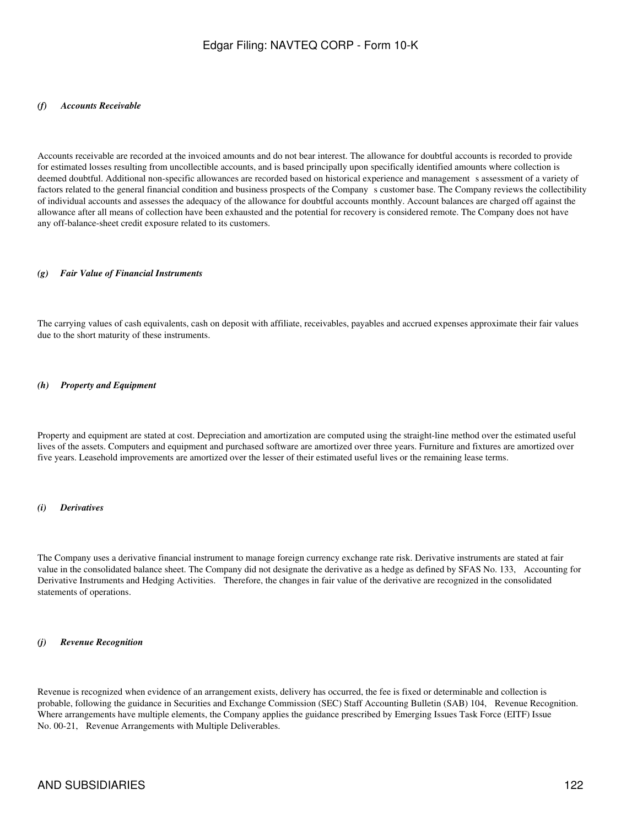#### *(f) Accounts Receivable*

Accounts receivable are recorded at the invoiced amounts and do not bear interest. The allowance for doubtful accounts is recorded to provide for estimated losses resulting from uncollectible accounts, and is based principally upon specifically identified amounts where collection is deemed doubtful. Additional non-specific allowances are recorded based on historical experience and management s assessment of a variety of factors related to the general financial condition and business prospects of the Company s customer base. The Company reviews the collectibility of individual accounts and assesses the adequacy of the allowance for doubtful accounts monthly. Account balances are charged off against the allowance after all means of collection have been exhausted and the potential for recovery is considered remote. The Company does not have any off-balance-sheet credit exposure related to its customers.

#### *(g) Fair Value of Financial Instruments*

The carrying values of cash equivalents, cash on deposit with affiliate, receivables, payables and accrued expenses approximate their fair values due to the short maturity of these instruments.

#### *(h) Property and Equipment*

Property and equipment are stated at cost. Depreciation and amortization are computed using the straight-line method over the estimated useful lives of the assets. Computers and equipment and purchased software are amortized over three years. Furniture and fixtures are amortized over five years. Leasehold improvements are amortized over the lesser of their estimated useful lives or the remaining lease terms.

#### *(i) Derivatives*

The Company uses a derivative financial instrument to manage foreign currency exchange rate risk. Derivative instruments are stated at fair value in the consolidated balance sheet. The Company did not designate the derivative as a hedge as defined by SFAS No. 133, Accounting for Derivative Instruments and Hedging Activities. Therefore, the changes in fair value of the derivative are recognized in the consolidated statements of operations.

#### *(j) Revenue Recognition*

Revenue is recognized when evidence of an arrangement exists, delivery has occurred, the fee is fixed or determinable and collection is probable, following the guidance in Securities and Exchange Commission (SEC) Staff Accounting Bulletin (SAB) 104, Revenue Recognition. Where arrangements have multiple elements, the Company applies the guidance prescribed by Emerging Issues Task Force (EITF) Issue No. 00-21, Revenue Arrangements with Multiple Deliverables.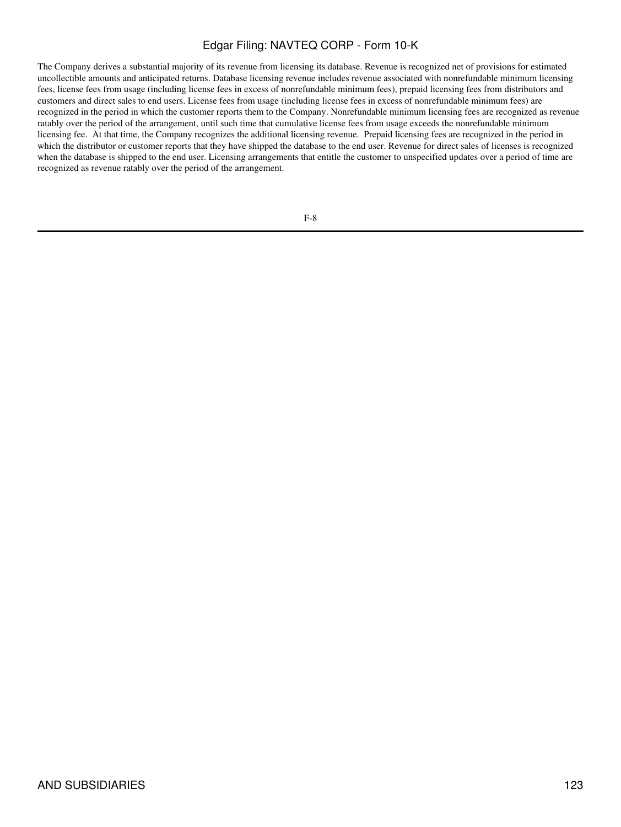The Company derives a substantial majority of its revenue from licensing its database. Revenue is recognized net of provisions for estimated uncollectible amounts and anticipated returns. Database licensing revenue includes revenue associated with nonrefundable minimum licensing fees, license fees from usage (including license fees in excess of nonrefundable minimum fees), prepaid licensing fees from distributors and customers and direct sales to end users. License fees from usage (including license fees in excess of nonrefundable minimum fees) are recognized in the period in which the customer reports them to the Company. Nonrefundable minimum licensing fees are recognized as revenue ratably over the period of the arrangement, until such time that cumulative license fees from usage exceeds the nonrefundable minimum licensing fee. At that time, the Company recognizes the additional licensing revenue. Prepaid licensing fees are recognized in the period in which the distributor or customer reports that they have shipped the database to the end user. Revenue for direct sales of licenses is recognized when the database is shipped to the end user. Licensing arrangements that entitle the customer to unspecified updates over a period of time are recognized as revenue ratably over the period of the arrangement.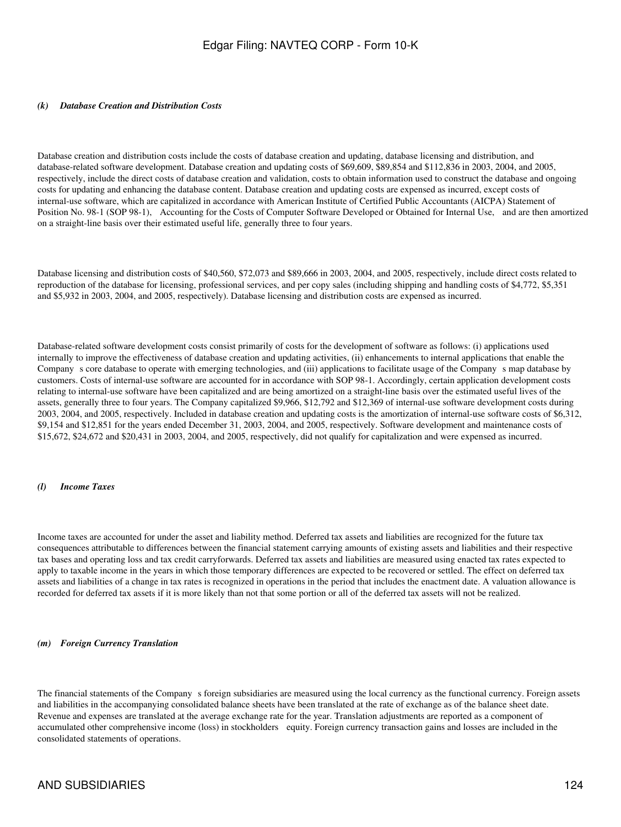### *(k) Database Creation and Distribution Costs*

Database creation and distribution costs include the costs of database creation and updating, database licensing and distribution, and database-related software development. Database creation and updating costs of \$69,609, \$89,854 and \$112,836 in 2003, 2004, and 2005, respectively, include the direct costs of database creation and validation, costs to obtain information used to construct the database and ongoing costs for updating and enhancing the database content. Database creation and updating costs are expensed as incurred, except costs of internal-use software, which are capitalized in accordance with American Institute of Certified Public Accountants (AICPA) Statement of Position No. 98-1 (SOP 98-1), Accounting for the Costs of Computer Software Developed or Obtained for Internal Use, and are then amortized on a straight-line basis over their estimated useful life, generally three to four years.

Database licensing and distribution costs of \$40,560, \$72,073 and \$89,666 in 2003, 2004, and 2005, respectively, include direct costs related to reproduction of the database for licensing, professional services, and per copy sales (including shipping and handling costs of \$4,772, \$5,351 and \$5,932 in 2003, 2004, and 2005, respectively). Database licensing and distribution costs are expensed as incurred.

Database-related software development costs consist primarily of costs for the development of software as follows: (i) applications used internally to improve the effectiveness of database creation and updating activities, (ii) enhancements to internal applications that enable the Company s core database to operate with emerging technologies, and (iii) applications to facilitate usage of the Company s map database by customers. Costs of internal-use software are accounted for in accordance with SOP 98-1. Accordingly, certain application development costs relating to internal-use software have been capitalized and are being amortized on a straight-line basis over the estimated useful lives of the assets, generally three to four years. The Company capitalized \$9,966, \$12,792 and \$12,369 of internal-use software development costs during 2003, 2004, and 2005, respectively. Included in database creation and updating costs is the amortization of internal-use software costs of \$6,312, \$9,154 and \$12,851 for the years ended December 31, 2003, 2004, and 2005, respectively. Software development and maintenance costs of \$15,672, \$24,672 and \$20,431 in 2003, 2004, and 2005, respectively, did not qualify for capitalization and were expensed as incurred.

#### *(l) Income Taxes*

Income taxes are accounted for under the asset and liability method. Deferred tax assets and liabilities are recognized for the future tax consequences attributable to differences between the financial statement carrying amounts of existing assets and liabilities and their respective tax bases and operating loss and tax credit carryforwards. Deferred tax assets and liabilities are measured using enacted tax rates expected to apply to taxable income in the years in which those temporary differences are expected to be recovered or settled. The effect on deferred tax assets and liabilities of a change in tax rates is recognized in operations in the period that includes the enactment date. A valuation allowance is recorded for deferred tax assets if it is more likely than not that some portion or all of the deferred tax assets will not be realized.

### *(m) Foreign Currency Translation*

The financial statements of the Company s foreign subsidiaries are measured using the local currency as the functional currency. Foreign assets and liabilities in the accompanying consolidated balance sheets have been translated at the rate of exchange as of the balance sheet date. Revenue and expenses are translated at the average exchange rate for the year. Translation adjustments are reported as a component of accumulated other comprehensive income (loss) in stockholders equity. Foreign currency transaction gains and losses are included in the consolidated statements of operations.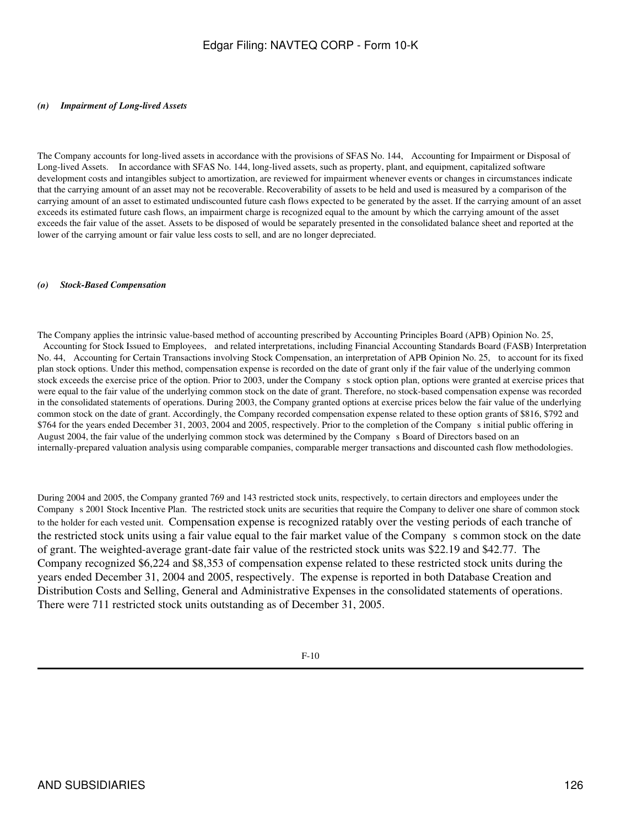### *(n) Impairment of Long-lived Assets*

The Company accounts for long-lived assets in accordance with the provisions of SFAS No. 144, Accounting for Impairment or Disposal of Long-lived Assets. In accordance with SFAS No. 144, long-lived assets, such as property, plant, and equipment, capitalized software development costs and intangibles subject to amortization, are reviewed for impairment whenever events or changes in circumstances indicate that the carrying amount of an asset may not be recoverable. Recoverability of assets to be held and used is measured by a comparison of the carrying amount of an asset to estimated undiscounted future cash flows expected to be generated by the asset. If the carrying amount of an asset exceeds its estimated future cash flows, an impairment charge is recognized equal to the amount by which the carrying amount of the asset exceeds the fair value of the asset. Assets to be disposed of would be separately presented in the consolidated balance sheet and reported at the lower of the carrying amount or fair value less costs to sell, and are no longer depreciated.

### *(o) Stock-Based Compensation*

The Company applies the intrinsic value-based method of accounting prescribed by Accounting Principles Board (APB) Opinion No. 25, Accounting for Stock Issued to Employees, and related interpretations, including Financial Accounting Standards Board (FASB) Interpretation No. 44, Accounting for Certain Transactions involving Stock Compensation, an interpretation of APB Opinion No. 25, to account for its fixed plan stock options. Under this method, compensation expense is recorded on the date of grant only if the fair value of the underlying common stock exceeds the exercise price of the option. Prior to 2003, under the Company s stock option plan, options were granted at exercise prices that were equal to the fair value of the underlying common stock on the date of grant. Therefore, no stock-based compensation expense was recorded in the consolidated statements of operations. During 2003, the Company granted options at exercise prices below the fair value of the underlying common stock on the date of grant. Accordingly, the Company recorded compensation expense related to these option grants of \$816, \$792 and \$764 for the years ended December 31, 2003, 2004 and 2005, respectively. Prior to the completion of the Companys initial public offering in August 2004, the fair value of the underlying common stock was determined by the Company s Board of Directors based on an internally-prepared valuation analysis using comparable companies, comparable merger transactions and discounted cash flow methodologies.

During 2004 and 2005, the Company granted 769 and 143 restricted stock units, respectively, to certain directors and employees under the Companys 2001 Stock Incentive Plan. The restricted stock units are securities that require the Company to deliver one share of common stock to the holder for each vested unit. Compensation expense is recognized ratably over the vesting periods of each tranche of the restricted stock units using a fair value equal to the fair market value of the Companys common stock on the date of grant. The weighted-average grant-date fair value of the restricted stock units was \$22.19 and \$42.77. The Company recognized \$6,224 and \$8,353 of compensation expense related to these restricted stock units during the years ended December 31, 2004 and 2005, respectively. The expense is reported in both Database Creation and Distribution Costs and Selling, General and Administrative Expenses in the consolidated statements of operations. There were 711 restricted stock units outstanding as of December 31, 2005.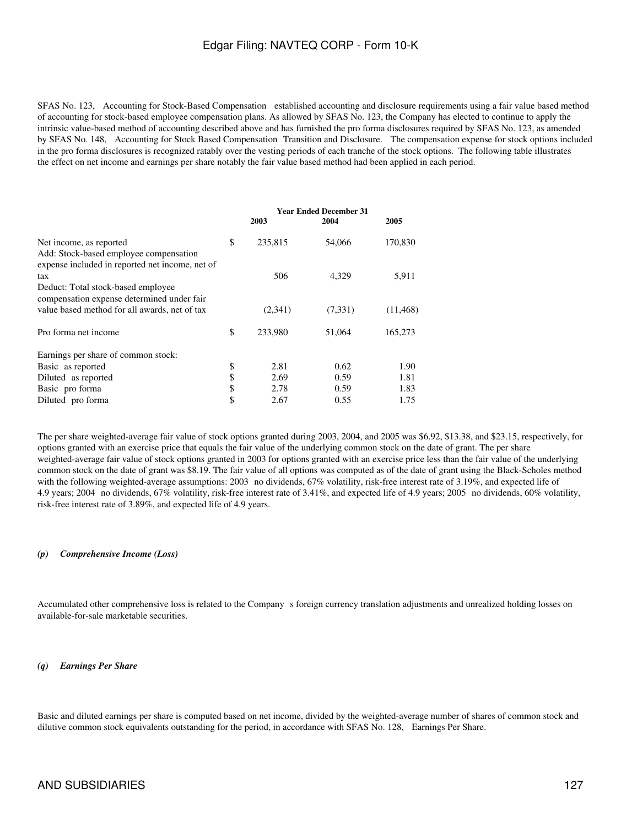SFAS No. 123, Accounting for Stock-Based Compensation established accounting and disclosure requirements using a fair value based method of accounting for stock-based employee compensation plans. As allowed by SFAS No. 123, the Company has elected to continue to apply the intrinsic value-based method of accounting described above and has furnished the pro forma disclosures required by SFAS No. 123, as amended by SFAS No. 148, Accounting for Stock Based Compensation Transition and Disclosure. The compensation expense for stock options included in the pro forma disclosures is recognized ratably over the vesting periods of each tranche of the stock options. The following table illustrates the effect on net income and earnings per share notably the fair value based method had been applied in each period.

|                                                                                                                      | <b>Year Ended December 31</b> |         |           |  |
|----------------------------------------------------------------------------------------------------------------------|-------------------------------|---------|-----------|--|
|                                                                                                                      | 2003                          | 2004    | 2005      |  |
| Net income, as reported<br>Add: Stock-based employee compensation<br>expense included in reported net income, net of | \$<br>235,815                 | 54,066  | 170,830   |  |
| tax<br>Deduct: Total stock-based employee<br>compensation expense determined under fair                              | 506                           | 4,329   | 5,911     |  |
| value based method for all awards, net of tax                                                                        | (2,341)                       | (7,331) | (11, 468) |  |
| Pro forma net income                                                                                                 | \$<br>233,980                 | 51,064  | 165,273   |  |
| Earnings per share of common stock:                                                                                  |                               |         |           |  |
| Basic as reported                                                                                                    | \$<br>2.81                    | 0.62    | 1.90      |  |
| Diluted as reported                                                                                                  | \$<br>2.69                    | 0.59    | 1.81      |  |
| Basic pro forma                                                                                                      | \$<br>2.78                    | 0.59    | 1.83      |  |
| Diluted pro forma                                                                                                    | \$<br>2.67                    | 0.55    | 1.75      |  |

The per share weighted-average fair value of stock options granted during 2003, 2004, and 2005 was \$6.92, \$13.38, and \$23.15, respectively, for options granted with an exercise price that equals the fair value of the underlying common stock on the date of grant. The per share weighted-average fair value of stock options granted in 2003 for options granted with an exercise price less than the fair value of the underlying common stock on the date of grant was \$8.19. The fair value of all options was computed as of the date of grant using the Black-Scholes method with the following weighted-average assumptions: 2003 no dividends, 67% volatility, risk-free interest rate of 3.19%, and expected life of 4.9 years; 2004 no dividends, 67% volatility, risk-free interest rate of 3.41%, and expected life of 4.9 years; 2005 no dividends, 60% volatility, risk-free interest rate of 3.89%, and expected life of 4.9 years.

### *(p) Comprehensive Income (Loss)*

Accumulated other comprehensive loss is related to the Company s foreign currency translation adjustments and unrealized holding losses on available-for-sale marketable securities.

#### *(q) Earnings Per Share*

Basic and diluted earnings per share is computed based on net income, divided by the weighted-average number of shares of common stock and dilutive common stock equivalents outstanding for the period, in accordance with SFAS No. 128, Earnings Per Share.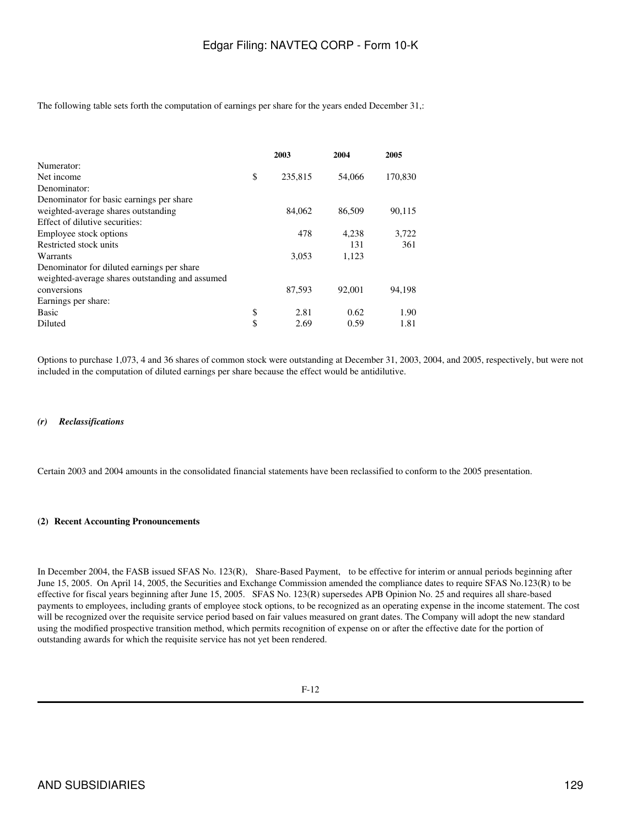The following table sets forth the computation of earnings per share for the years ended December 31,:

|                                                 | 2003          | 2004   | 2005    |
|-------------------------------------------------|---------------|--------|---------|
| Numerator:                                      |               |        |         |
| Net income                                      | \$<br>235,815 | 54,066 | 170,830 |
| Denominator:                                    |               |        |         |
| Denominator for basic earnings per share        |               |        |         |
| weighted-average shares outstanding             | 84,062        | 86,509 | 90,115  |
| Effect of dilutive securities:                  |               |        |         |
| Employee stock options                          | 478           | 4,238  | 3,722   |
| Restricted stock units                          |               | 131    | 361     |
| Warrants                                        | 3,053         | 1,123  |         |
| Denominator for diluted earnings per share      |               |        |         |
| weighted-average shares outstanding and assumed |               |        |         |
| conversions                                     | 87,593        | 92,001 | 94,198  |
| Earnings per share:                             |               |        |         |
| <b>Basic</b>                                    | \$<br>2.81    | 0.62   | 1.90    |
| Diluted                                         | \$<br>2.69    | 0.59   | 1.81    |

Options to purchase 1,073, 4 and 36 shares of common stock were outstanding at December 31, 2003, 2004, and 2005, respectively, but were not included in the computation of diluted earnings per share because the effect would be antidilutive.

### *(r) Reclassifications*

Certain 2003 and 2004 amounts in the consolidated financial statements have been reclassified to conform to the 2005 presentation.

### **(2)Recent Accounting Pronouncements**

In December 2004, the FASB issued SFAS No. 123(R), Share-Based Payment, to be effective for interim or annual periods beginning after June 15, 2005. On April 14, 2005, the Securities and Exchange Commission amended the compliance dates to require SFAS No.123(R) to be effective for fiscal years beginning after June 15, 2005. SFAS No. 123(R) supersedes APB Opinion No. 25 and requires all share-based payments to employees, including grants of employee stock options, to be recognized as an operating expense in the income statement. The cost will be recognized over the requisite service period based on fair values measured on grant dates. The Company will adopt the new standard using the modified prospective transition method, which permits recognition of expense on or after the effective date for the portion of outstanding awards for which the requisite service has not yet been rendered.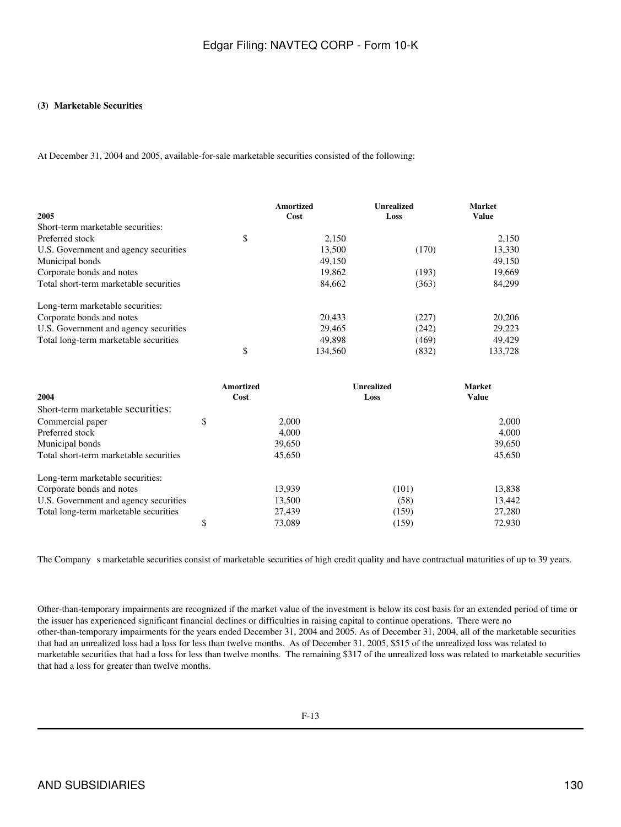### **(3)Marketable Securities**

At December 31, 2004 and 2005, available-for-sale marketable securities consisted of the following:

|                                        | Amortized     | <b>Unrealized</b> | <b>Market</b> |  |
|----------------------------------------|---------------|-------------------|---------------|--|
| 2005                                   | Cost          | Loss              | <b>Value</b>  |  |
| Short-term marketable securities:      |               |                   |               |  |
| Preferred stock                        | \$<br>2,150   |                   | 2,150         |  |
| U.S. Government and agency securities  | 13,500        | (170)             | 13,330        |  |
| Municipal bonds                        | 49,150        |                   | 49,150        |  |
| Corporate bonds and notes              | 19,862        | (193)             | 19.669        |  |
| Total short-term marketable securities | 84,662        | (363)             | 84,299        |  |
| Long-term marketable securities:       |               |                   |               |  |
| Corporate bonds and notes              | 20,433        | (227)             | 20,206        |  |
| U.S. Government and agency securities  | 29,465        | (242)             | 29,223        |  |
| Total long-term marketable securities  | 49.898        | (469)             | 49.429        |  |
|                                        | \$<br>134,560 | (832)             | 133,728       |  |

|                                        | <b>Amortized</b> | <b>Unrealized</b> | <b>Market</b> |
|----------------------------------------|------------------|-------------------|---------------|
| 2004                                   | Cost             | Loss              | <b>Value</b>  |
| Short-term marketable securities:      |                  |                   |               |
| Commercial paper                       | \$<br>2.000      |                   | 2.000         |
| Preferred stock                        | 4.000            |                   | 4.000         |
| Municipal bonds                        | 39,650           |                   | 39,650        |
| Total short-term marketable securities | 45,650           |                   | 45,650        |
| Long-term marketable securities:       |                  |                   |               |
| Corporate bonds and notes              | 13.939           | (101)             | 13,838        |
| U.S. Government and agency securities  | 13.500           | (58)              | 13,442        |
| Total long-term marketable securities  | 27,439           | (159)             | 27,280        |
|                                        | \$<br>73,089     | (159)             | 72.930        |

The Company s marketable securities consist of marketable securities of high credit quality and have contractual maturities of up to 39 years.

Other-than-temporary impairments are recognized if the market value of the investment is below its cost basis for an extended period of time or the issuer has experienced significant financial declines or difficulties in raising capital to continue operations. There were no other-than-temporary impairments for the years ended December 31, 2004 and 2005. As of December 31, 2004, all of the marketable securities that had an unrealized loss had a loss for less than twelve months. As of December 31, 2005, \$515 of the unrealized loss was related to marketable securities that had a loss for less than twelve months. The remaining \$317 of the unrealized loss was related to marketable securities that had a loss for greater than twelve months.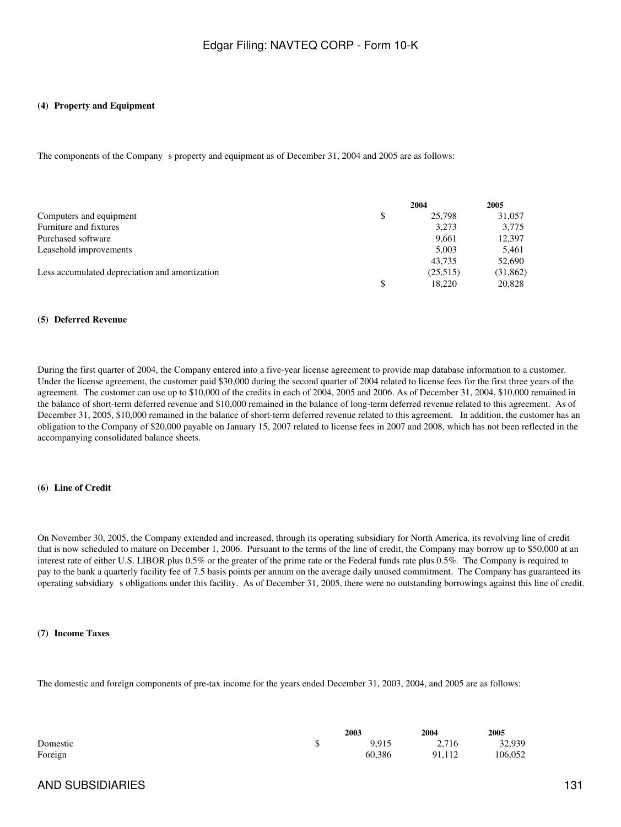#### **(4) Property and Equipment**

The components of the Company s property and equipment as of December 31, 2004 and 2005 are as follows:

|                                                | 2004     | 2005      |
|------------------------------------------------|----------|-----------|
| Computers and equipment                        | 25,798   | 31,057    |
| Furniture and fixtures                         | 3,273    | 3,775     |
| Purchased software                             | 9.661    | 12,397    |
| Leasehold improvements                         | 5.003    | 5,461     |
|                                                | 43.735   | 52,690    |
| Less accumulated depreciation and amortization | (25,515) | (31, 862) |
|                                                | 18.220   | 20,828    |

#### **(5) Deferred Revenue**

During the first quarter of 2004, the Company entered into a five-year license agreement to provide map database information to a customer. Under the license agreement, the customer paid \$30,000 during the second quarter of 2004 related to license fees for the first three years of the agreement. The customer can use up to \$10,000 of the credits in each of 2004, 2005 and 2006. As of December 31, 2004, \$10,000 remained in the balance of short-term deferred revenue and \$10,000 remained in the balance of long-term deferred revenue related to this agreement. As of December 31, 2005, \$10,000 remained in the balance of short-term deferred revenue related to this agreement. In addition, the customer has an obligation to the Company of \$20,000 payable on January 15, 2007 related to license fees in 2007 and 2008, which has not been reflected in the accompanying consolidated balance sheets.

### **(6)Line of Credit**

On November 30, 2005, the Company extended and increased, through its operating subsidiary for North America, its revolving line of credit that is now scheduled to mature on December 1, 2006. Pursuant to the terms of the line of credit, the Company may borrow up to \$50,000 at an interest rate of either U.S. LIBOR plus 0.5% or the greater of the prime rate or the Federal funds rate plus 0.5%. The Company is required to pay to the bank a quarterly facility fee of 7.5 basis points per annum on the average daily unused commitment. The Company has guaranteed its operating subsidiarys obligations under this facility. As of December 31, 2005, there were no outstanding borrowings against this line of credit.

#### **(7)Income Taxes**

The domestic and foreign components of pre-tax income for the years ended December 31, 2003, 2004, and 2005 are as follows:

|          | 2003   | 2004   | 2005    |
|----------|--------|--------|---------|
| Domestic | 9.915  | 2,716  | 32,939  |
| Foreign  | 60.386 | 91,112 | 106,052 |

### AND SUBSIDIARIES 131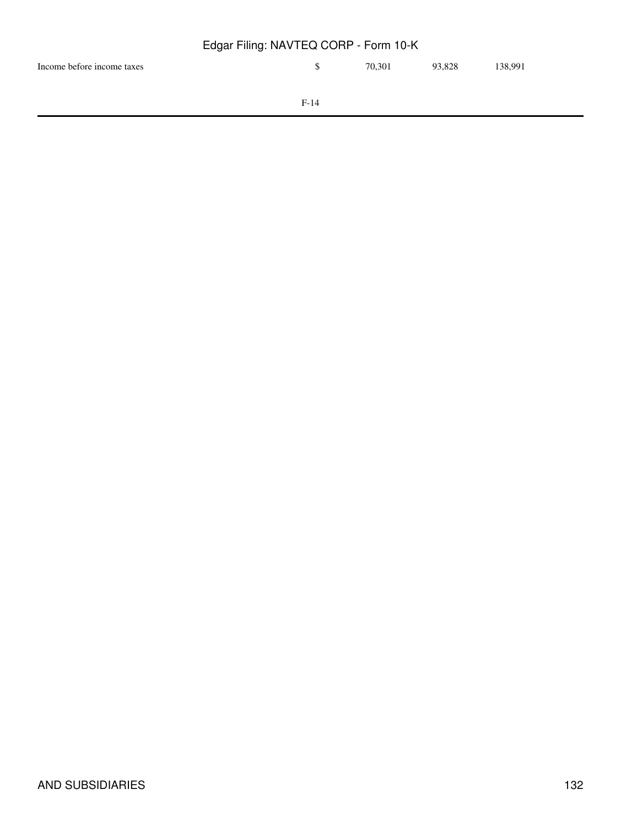| Edgar Filing: NAVTEQ CORP - Form 10-K |        |        |        |         |  |  |  |
|---------------------------------------|--------|--------|--------|---------|--|--|--|
| Income before income taxes            | S      | 70.301 | 93.828 | 138.991 |  |  |  |
|                                       | $F-14$ |        |        |         |  |  |  |
|                                       |        |        |        |         |  |  |  |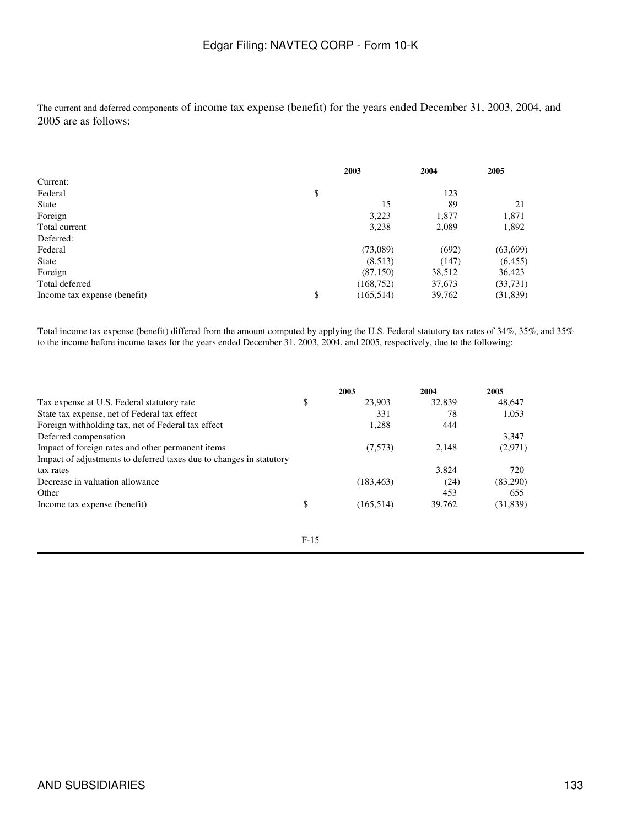The current and deferred components of income tax expense (benefit) for the years ended December 31, 2003, 2004, and 2005 are as follows:

|                              | 2003             | 2004   | 2005      |
|------------------------------|------------------|--------|-----------|
| Current:                     |                  |        |           |
| Federal                      | \$               | 123    |           |
| <b>State</b>                 | 15               | 89     | 21        |
| Foreign                      | 3,223            | 1,877  | 1,871     |
| Total current                | 3,238            | 2,089  | 1,892     |
| Deferred:                    |                  |        |           |
| Federal                      | (73,089)         | (692)  | (63,699)  |
| <b>State</b>                 | (8,513)          | (147)  | (6,455)   |
| Foreign                      | (87,150)         | 38,512 | 36,423    |
| Total deferred               | (168, 752)       | 37,673 | (33,731)  |
| Income tax expense (benefit) | \$<br>(165, 514) | 39,762 | (31, 839) |

Total income tax expense (benefit) differed from the amount computed by applying the U.S. Federal statutory tax rates of 34%, 35%, and 35% to the income before income taxes for the years ended December 31, 2003, 2004, and 2005, respectively, due to the following:

|                                                                     | 2003             | 2004   | 2005      |
|---------------------------------------------------------------------|------------------|--------|-----------|
| Tax expense at U.S. Federal statutory rate                          | \$<br>23,903     | 32,839 | 48,647    |
| State tax expense, net of Federal tax effect                        | 331              | 78     | 1,053     |
| Foreign withholding tax, net of Federal tax effect                  | 1,288            | 444    |           |
| Deferred compensation                                               |                  |        | 3.347     |
| Impact of foreign rates and other permanent items                   | (7,573)          | 2,148  | (2,971)   |
| Impact of adjustments to deferred taxes due to changes in statutory |                  |        |           |
| tax rates                                                           |                  | 3.824  | 720       |
| Decrease in valuation allowance                                     | (183, 463)       | (24)   | (83,290)  |
| Other                                                               |                  | 453    | 655       |
| Income tax expense (benefit)                                        | \$<br>(165, 514) | 39.762 | (31, 839) |

$$
F-15
$$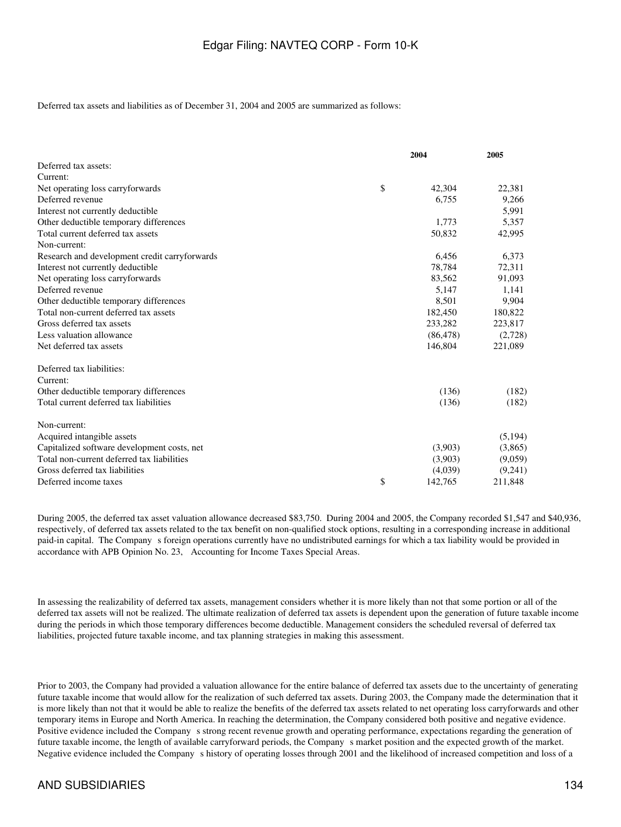Deferred tax assets and liabilities as of December 31, 2004 and 2005 are summarized as follows:

|                                               | 2004          | 2005     |  |
|-----------------------------------------------|---------------|----------|--|
| Deferred tax assets:                          |               |          |  |
| Current:                                      |               |          |  |
| Net operating loss carryforwards              | \$<br>42,304  | 22,381   |  |
| Deferred revenue                              | 6,755         | 9,266    |  |
| Interest not currently deductible             |               | 5,991    |  |
| Other deductible temporary differences        | 1,773         | 5,357    |  |
| Total current deferred tax assets             | 50,832        | 42,995   |  |
| Non-current:                                  |               |          |  |
| Research and development credit carryforwards | 6,456         | 6,373    |  |
| Interest not currently deductible             | 78,784        | 72,311   |  |
| Net operating loss carryforwards              | 83.562        | 91,093   |  |
| Deferred revenue                              | 5,147         | 1,141    |  |
| Other deductible temporary differences        | 8,501         | 9,904    |  |
| Total non-current deferred tax assets         | 182,450       | 180,822  |  |
| Gross deferred tax assets                     | 233,282       | 223,817  |  |
| Less valuation allowance                      | (86, 478)     | (2,728)  |  |
| Net deferred tax assets                       | 146,804       | 221,089  |  |
| Deferred tax liabilities:                     |               |          |  |
| Current:                                      |               |          |  |
| Other deductible temporary differences        | (136)         | (182)    |  |
| Total current deferred tax liabilities        | (136)         | (182)    |  |
| Non-current:                                  |               |          |  |
| Acquired intangible assets                    |               | (5, 194) |  |
| Capitalized software development costs, net   | (3,903)       | (3,865)  |  |
| Total non-current deferred tax liabilities    | (3,903)       | (9,059)  |  |
| Gross deferred tax liabilities                | (4,039)       | (9,241)  |  |
| Deferred income taxes                         | \$<br>142,765 | 211,848  |  |

During 2005, the deferred tax asset valuation allowance decreased \$83,750. During 2004 and 2005, the Company recorded \$1,547 and \$40,936, respectively, of deferred tax assets related to the tax benefit on non-qualified stock options, resulting in a corresponding increase in additional paid-in capital. The Companys foreign operations currently have no undistributed earnings for which a tax liability would be provided in accordance with APB Opinion No. 23, Accounting for Income Taxes Special Areas.

In assessing the realizability of deferred tax assets, management considers whether it is more likely than not that some portion or all of the deferred tax assets will not be realized. The ultimate realization of deferred tax assets is dependent upon the generation of future taxable income during the periods in which those temporary differences become deductible. Management considers the scheduled reversal of deferred tax liabilities, projected future taxable income, and tax planning strategies in making this assessment.

Prior to 2003, the Company had provided a valuation allowance for the entire balance of deferred tax assets due to the uncertainty of generating future taxable income that would allow for the realization of such deferred tax assets. During 2003, the Company made the determination that it is more likely than not that it would be able to realize the benefits of the deferred tax assets related to net operating loss carryforwards and other temporary items in Europe and North America. In reaching the determination, the Company considered both positive and negative evidence. Positive evidence included the Company s strong recent revenue growth and operating performance, expectations regarding the generation of future taxable income, the length of available carryforward periods, the Companys market position and the expected growth of the market. Negative evidence included the Companys history of operating losses through 2001 and the likelihood of increased competition and loss of a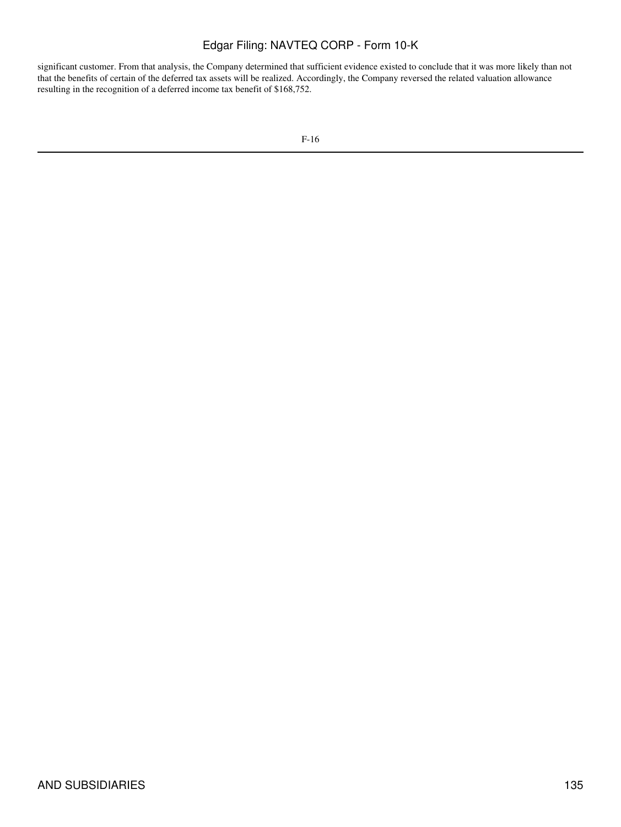significant customer. From that analysis, the Company determined that sufficient evidence existed to conclude that it was more likely than not that the benefits of certain of the deferred tax assets will be realized. Accordingly, the Company reversed the related valuation allowance resulting in the recognition of a deferred income tax benefit of \$168,752.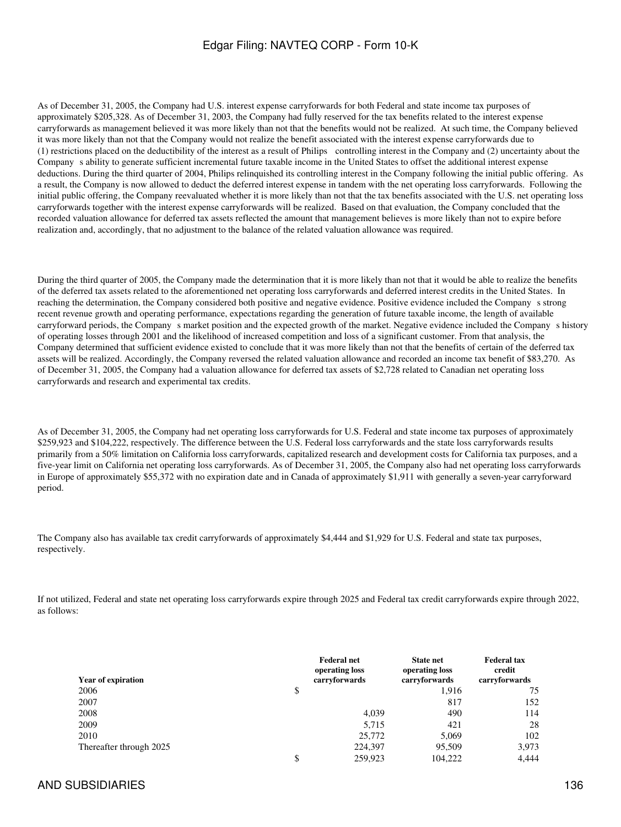As of December 31, 2005, the Company had U.S. interest expense carryforwards for both Federal and state income tax purposes of approximately \$205,328. As of December 31, 2003, the Company had fully reserved for the tax benefits related to the interest expense carryforwards as management believed it was more likely than not that the benefits would not be realized. At such time, the Company believed it was more likely than not that the Company would not realize the benefit associated with the interest expense carryforwards due to (1) restrictions placed on the deductibility of the interest as a result of Philips controlling interest in the Company and (2) uncertainty about the Companys ability to generate sufficient incremental future taxable income in the United States to offset the additional interest expense deductions. During the third quarter of 2004, Philips relinquished its controlling interest in the Company following the initial public offering. As a result, the Company is now allowed to deduct the deferred interest expense in tandem with the net operating loss carryforwards. Following the initial public offering, the Company reevaluated whether it is more likely than not that the tax benefits associated with the U.S. net operating loss carryforwards together with the interest expense carryforwards will be realized. Based on that evaluation, the Company concluded that the recorded valuation allowance for deferred tax assets reflected the amount that management believes is more likely than not to expire before realization and, accordingly, that no adjustment to the balance of the related valuation allowance was required.

During the third quarter of 2005, the Company made the determination that it is more likely than not that it would be able to realize the benefits of the deferred tax assets related to the aforementioned net operating loss carryforwards and deferred interest credits in the United States. In reaching the determination, the Company considered both positive and negative evidence. Positive evidence included the Companys strong recent revenue growth and operating performance, expectations regarding the generation of future taxable income, the length of available carryforward periods, the Company s market position and the expected growth of the market. Negative evidence included the Company s history of operating losses through 2001 and the likelihood of increased competition and loss of a significant customer. From that analysis, the Company determined that sufficient evidence existed to conclude that it was more likely than not that the benefits of certain of the deferred tax assets will be realized. Accordingly, the Company reversed the related valuation allowance and recorded an income tax benefit of \$83,270. As of December 31, 2005, the Company had a valuation allowance for deferred tax assets of \$2,728 related to Canadian net operating loss carryforwards and research and experimental tax credits.

As of December 31, 2005, the Company had net operating loss carryforwards for U.S. Federal and state income tax purposes of approximately \$259,923 and \$104,222, respectively. The difference between the U.S. Federal loss carryforwards and the state loss carryforwards results primarily from a 50% limitation on California loss carryforwards, capitalized research and development costs for California tax purposes, and a five-year limit on California net operating loss carryforwards. As of December 31, 2005, the Company also had net operating loss carryforwards in Europe of approximately \$55,372 with no expiration date and in Canada of approximately \$1,911 with generally a seven-year carryforward period.

The Company also has available tax credit carryforwards of approximately \$4,444 and \$1,929 for U.S. Federal and state tax purposes, respectively.

If not utilized, Federal and state net operating loss carryforwards expire through 2025 and Federal tax credit carryforwards expire through 2022, as follows:

| <b>Year of expiration</b> | <b>Federal net</b><br>operating loss<br>carryforwards | <b>State net</b><br>operating loss<br>carryforwards | <b>Federal tax</b><br>credit<br>carryforwards |
|---------------------------|-------------------------------------------------------|-----------------------------------------------------|-----------------------------------------------|
| 2006                      | \$                                                    | 1,916                                               | 75                                            |
| 2007                      |                                                       | 817                                                 | 152                                           |
| 2008                      | 4,039                                                 | 490                                                 | 114                                           |
| 2009                      | 5.715                                                 | 421                                                 | 28                                            |
| 2010                      | 25,772                                                | 5,069                                               | 102                                           |
| Thereafter through 2025   | 224,397                                               | 95,509                                              | 3,973                                         |
|                           | \$<br>259,923                                         | 104.222                                             | 4.444                                         |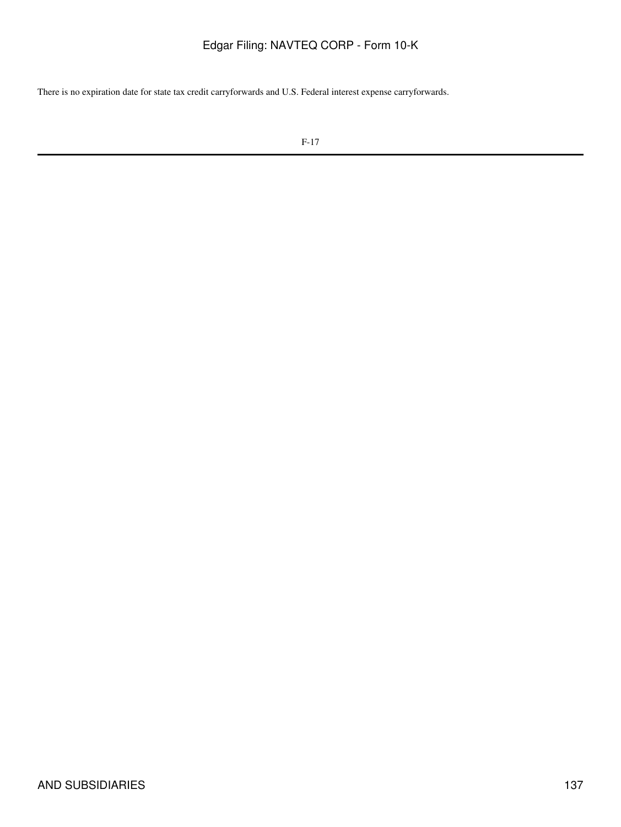There is no expiration date for state tax credit carryforwards and U.S. Federal interest expense carryforwards.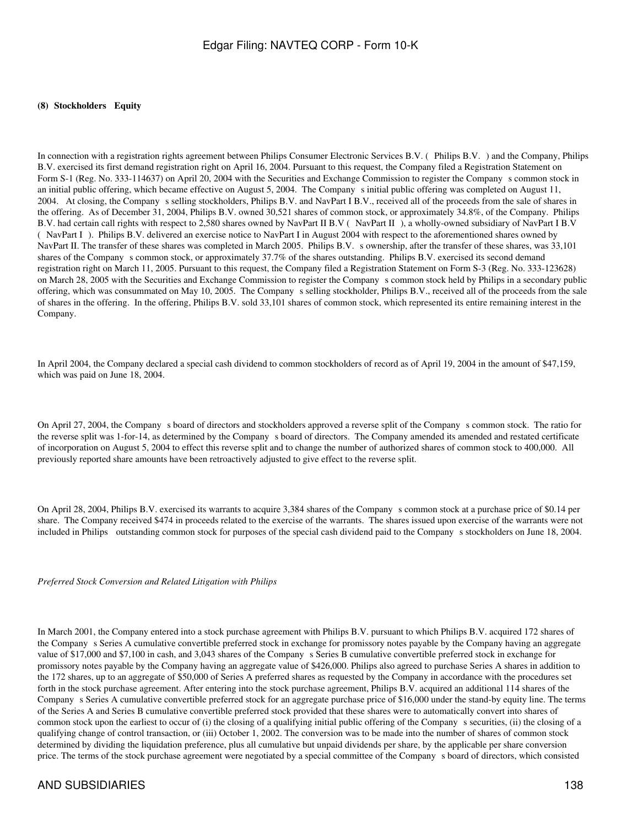#### **(8) Stockholders Equity**

In connection with a registration rights agreement between Philips Consumer Electronic Services B.V. (Philips B.V.) and the Company, Philips B.V. exercised its first demand registration right on April 16, 2004. Pursuant to this request, the Company filed a Registration Statement on Form S-1 (Reg. No. 333-114637) on April 20, 2004 with the Securities and Exchange Commission to register the Companys common stock in an initial public offering, which became effective on August 5, 2004. The Companys initial public offering was completed on August 11, 2004. At closing, the Companys selling stockholders, Philips B.V. and NavPart I B.V., received all of the proceeds from the sale of shares in the offering. As of December 31, 2004, Philips B.V. owned 30,521 shares of common stock, or approximately 34.8%, of the Company. Philips B.V. had certain call rights with respect to 2,580 shares owned by NavPart II B.V (NavPart II), a wholly-owned subsidiary of NavPart I B.V (NavPart I). Philips B.V. delivered an exercise notice to NavPart I in August 2004 with respect to the aforementioned shares owned by NavPart II. The transfer of these shares was completed in March 2005. Philips B.V. s ownership, after the transfer of these shares, was 33,101 shares of the Company s common stock, or approximately 37.7% of the shares outstanding. Philips B.V. exercised its second demand registration right on March 11, 2005. Pursuant to this request, the Company filed a Registration Statement on Form S-3 (Reg. No. 333-123628) on March 28, 2005 with the Securities and Exchange Commission to register the Companys common stock held by Philips in a secondary public offering, which was consummated on May 10, 2005. The Company s selling stockholder, Philips B.V., received all of the proceeds from the sale of shares in the offering. In the offering, Philips B.V. sold 33,101 shares of common stock, which represented its entire remaining interest in the Company.

In April 2004, the Company declared a special cash dividend to common stockholders of record as of April 19, 2004 in the amount of \$47,159, which was paid on June 18, 2004.

On April 27, 2004, the Company s board of directors and stockholders approved a reverse split of the Company s common stock. The ratio for the reverse split was 1-for-14, as determined by the Company s board of directors. The Company amended its amended and restated certificate of incorporation on August 5, 2004 to effect this reverse split and to change the number of authorized shares of common stock to 400,000. All previously reported share amounts have been retroactively adjusted to give effect to the reverse split.

On April 28, 2004, Philips B.V. exercised its warrants to acquire 3,384 shares of the Companys common stock at a purchase price of \$0.14 per share. The Company received \$474 in proceeds related to the exercise of the warrants. The shares issued upon exercise of the warrants were not included in Philips outstanding common stock for purposes of the special cash dividend paid to the Company s stockholders on June 18, 2004.

*Preferred Stock Conversion and Related Litigation with Philips*

In March 2001, the Company entered into a stock purchase agreement with Philips B.V. pursuant to which Philips B.V. acquired 172 shares of the Company s Series A cumulative convertible preferred stock in exchange for promissory notes payable by the Company having an aggregate value of \$17,000 and \$7,100 in cash, and 3,043 shares of the Companys Series B cumulative convertible preferred stock in exchange for promissory notes payable by the Company having an aggregate value of \$426,000. Philips also agreed to purchase Series A shares in addition to the 172 shares, up to an aggregate of \$50,000 of Series A preferred shares as requested by the Company in accordance with the procedures set forth in the stock purchase agreement. After entering into the stock purchase agreement, Philips B.V. acquired an additional 114 shares of the Companys Series A cumulative convertible preferred stock for an aggregate purchase price of \$16,000 under the stand-by equity line. The terms of the Series A and Series B cumulative convertible preferred stock provided that these shares were to automatically convert into shares of common stock upon the earliest to occur of (i) the closing of a qualifying initial public offering of the Companys securities, (ii) the closing of a qualifying change of control transaction, or (iii) October 1, 2002. The conversion was to be made into the number of shares of common stock determined by dividing the liquidation preference, plus all cumulative but unpaid dividends per share, by the applicable per share conversion price. The terms of the stock purchase agreement were negotiated by a special committee of the Companys board of directors, which consisted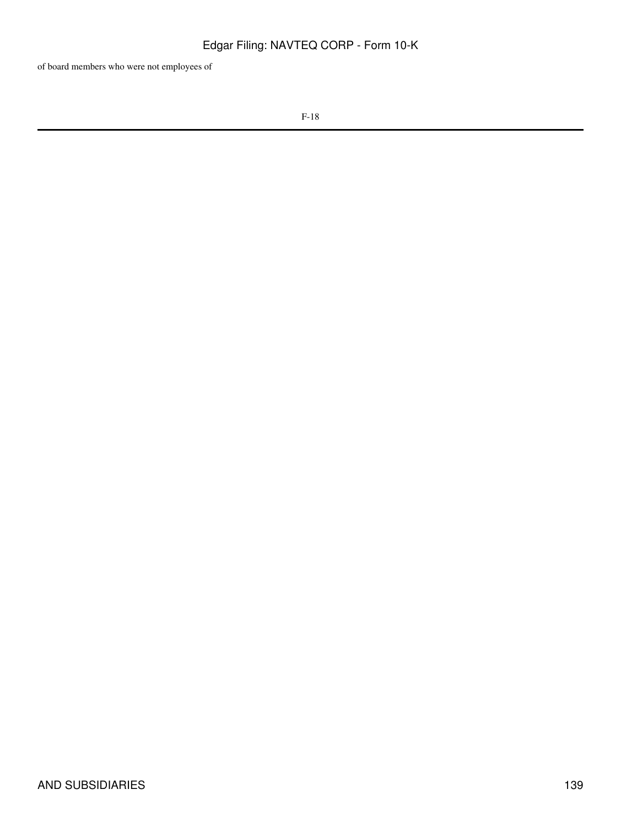of board members who were not employees of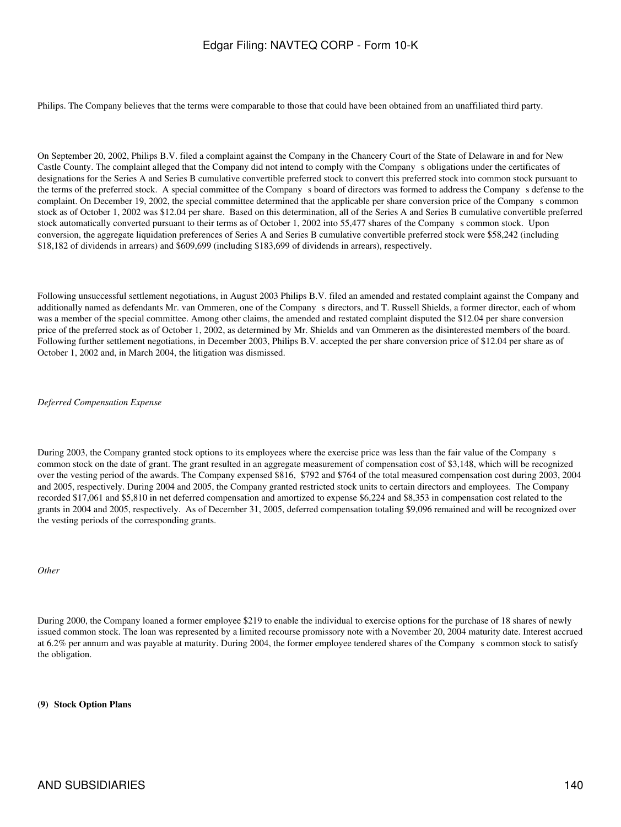Philips. The Company believes that the terms were comparable to those that could have been obtained from an unaffiliated third party.

On September 20, 2002, Philips B.V. filed a complaint against the Company in the Chancery Court of the State of Delaware in and for New Castle County. The complaint alleged that the Company did not intend to comply with the Companys obligations under the certificates of designations for the Series A and Series B cumulative convertible preferred stock to convert this preferred stock into common stock pursuant to the terms of the preferred stock. A special committee of the Companys board of directors was formed to address the Companys defense to the complaint. On December 19, 2002, the special committee determined that the applicable per share conversion price of the Companys common stock as of October 1, 2002 was \$12.04 per share. Based on this determination, all of the Series A and Series B cumulative convertible preferred stock automatically converted pursuant to their terms as of October 1, 2002 into 55,477 shares of the Company s common stock. Upon conversion, the aggregate liquidation preferences of Series A and Series B cumulative convertible preferred stock were \$58,242 (including \$18,182 of dividends in arrears) and \$609,699 (including \$183,699 of dividends in arrears), respectively.

Following unsuccessful settlement negotiations, in August 2003 Philips B.V. filed an amended and restated complaint against the Company and additionally named as defendants Mr. van Ommeren, one of the Company s directors, and T. Russell Shields, a former director, each of whom was a member of the special committee. Among other claims, the amended and restated complaint disputed the \$12.04 per share conversion price of the preferred stock as of October 1, 2002, as determined by Mr. Shields and van Ommeren as the disinterested members of the board. Following further settlement negotiations, in December 2003, Philips B.V. accepted the per share conversion price of \$12.04 per share as of October 1, 2002 and, in March 2004, the litigation was dismissed.

*Deferred Compensation Expense*

During 2003, the Company granted stock options to its employees where the exercise price was less than the fair value of the Company s common stock on the date of grant. The grant resulted in an aggregate measurement of compensation cost of \$3,148, which will be recognized over the vesting period of the awards. The Company expensed \$816, \$792 and \$764 of the total measured compensation cost during 2003, 2004 and 2005, respectively. During 2004 and 2005, the Company granted restricted stock units to certain directors and employees. The Company recorded \$17,061 and \$5,810 in net deferred compensation and amortized to expense \$6,224 and \$8,353 in compensation cost related to the grants in 2004 and 2005, respectively. As of December 31, 2005, deferred compensation totaling \$9,096 remained and will be recognized over the vesting periods of the corresponding grants.

*Other*

During 2000, the Company loaned a former employee \$219 to enable the individual to exercise options for the purchase of 18 shares of newly issued common stock. The loan was represented by a limited recourse promissory note with a November 20, 2004 maturity date. Interest accrued at 6.2% per annum and was payable at maturity. During 2004, the former employee tendered shares of the Company s common stock to satisfy the obligation.

### **(9) Stock Option Plans**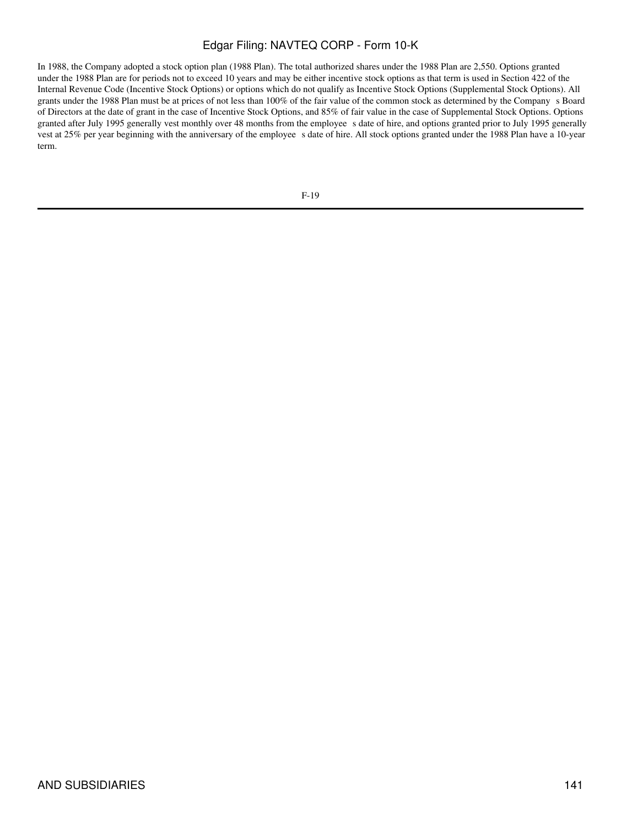In 1988, the Company adopted a stock option plan (1988 Plan). The total authorized shares under the 1988 Plan are 2,550. Options granted under the 1988 Plan are for periods not to exceed 10 years and may be either incentive stock options as that term is used in Section 422 of the Internal Revenue Code (Incentive Stock Options) or options which do not qualify as Incentive Stock Options (Supplemental Stock Options). All grants under the 1988 Plan must be at prices of not less than 100% of the fair value of the common stock as determined by the Companys Board of Directors at the date of grant in the case of Incentive Stock Options, and 85% of fair value in the case of Supplemental Stock Options. Options granted after July 1995 generally vest monthly over 48 months from the employee s date of hire, and options granted prior to July 1995 generally vest at 25% per year beginning with the anniversary of the employee s date of hire. All stock options granted under the 1988 Plan have a 10-year term.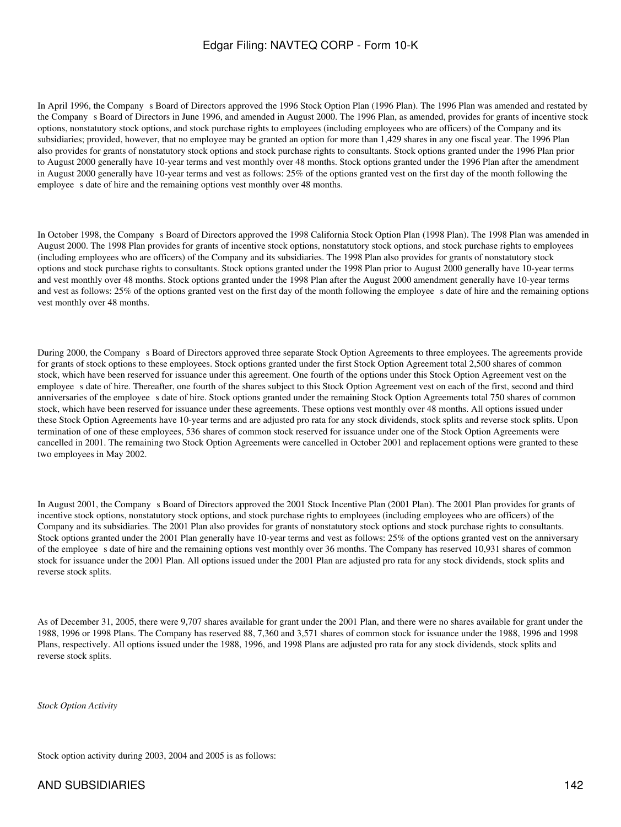In April 1996, the Company s Board of Directors approved the 1996 Stock Option Plan (1996 Plan). The 1996 Plan was amended and restated by the Company s Board of Directors in June 1996, and amended in August 2000. The 1996 Plan, as amended, provides for grants of incentive stock options, nonstatutory stock options, and stock purchase rights to employees (including employees who are officers) of the Company and its subsidiaries; provided, however, that no employee may be granted an option for more than 1,429 shares in any one fiscal year. The 1996 Plan also provides for grants of nonstatutory stock options and stock purchase rights to consultants. Stock options granted under the 1996 Plan prior to August 2000 generally have 10-year terms and vest monthly over 48 months. Stock options granted under the 1996 Plan after the amendment in August 2000 generally have 10-year terms and vest as follows: 25% of the options granted vest on the first day of the month following the employee s date of hire and the remaining options vest monthly over 48 months.

In October 1998, the Company s Board of Directors approved the 1998 California Stock Option Plan (1998 Plan). The 1998 Plan was amended in August 2000. The 1998 Plan provides for grants of incentive stock options, nonstatutory stock options, and stock purchase rights to employees (including employees who are officers) of the Company and its subsidiaries. The 1998 Plan also provides for grants of nonstatutory stock options and stock purchase rights to consultants. Stock options granted under the 1998 Plan prior to August 2000 generally have 10-year terms and vest monthly over 48 months. Stock options granted under the 1998 Plan after the August 2000 amendment generally have 10-year terms and vest as follows: 25% of the options granted vest on the first day of the month following the employee s date of hire and the remaining options vest monthly over 48 months.

During 2000, the Company s Board of Directors approved three separate Stock Option Agreements to three employees. The agreements provide for grants of stock options to these employees. Stock options granted under the first Stock Option Agreement total 2,500 shares of common stock, which have been reserved for issuance under this agreement. One fourth of the options under this Stock Option Agreement vest on the employee s date of hire. Thereafter, one fourth of the shares subject to this Stock Option Agreement vest on each of the first, second and third anniversaries of the employee s date of hire. Stock options granted under the remaining Stock Option Agreements total 750 shares of common stock, which have been reserved for issuance under these agreements. These options vest monthly over 48 months. All options issued under these Stock Option Agreements have 10-year terms and are adjusted pro rata for any stock dividends, stock splits and reverse stock splits. Upon termination of one of these employees, 536 shares of common stock reserved for issuance under one of the Stock Option Agreements were cancelled in 2001. The remaining two Stock Option Agreements were cancelled in October 2001 and replacement options were granted to these two employees in May 2002.

In August 2001, the Company s Board of Directors approved the 2001 Stock Incentive Plan (2001 Plan). The 2001 Plan provides for grants of incentive stock options, nonstatutory stock options, and stock purchase rights to employees (including employees who are officers) of the Company and its subsidiaries. The 2001 Plan also provides for grants of nonstatutory stock options and stock purchase rights to consultants. Stock options granted under the 2001 Plan generally have 10-year terms and vest as follows: 25% of the options granted vest on the anniversary of the employee s date of hire and the remaining options vest monthly over 36 months. The Company has reserved 10,931 shares of common stock for issuance under the 2001 Plan. All options issued under the 2001 Plan are adjusted pro rata for any stock dividends, stock splits and reverse stock splits.

As of December 31, 2005, there were 9,707 shares available for grant under the 2001 Plan, and there were no shares available for grant under the 1988, 1996 or 1998 Plans. The Company has reserved 88, 7,360 and 3,571 shares of common stock for issuance under the 1988, 1996 and 1998 Plans, respectively. All options issued under the 1988, 1996, and 1998 Plans are adjusted pro rata for any stock dividends, stock splits and reverse stock splits.

*Stock Option Activity*

Stock option activity during 2003, 2004 and 2005 is as follows: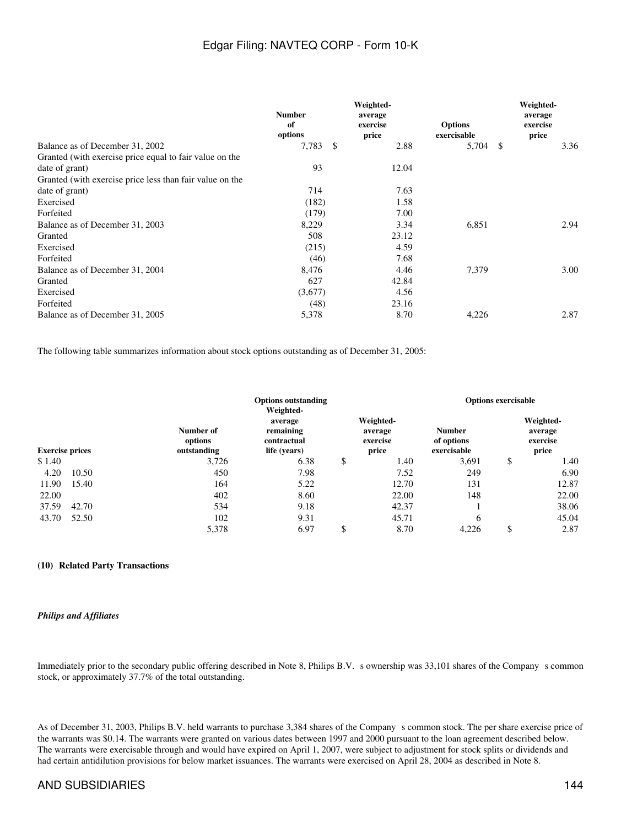|                                                          | <b>Number</b><br>of<br>options | Weighted-<br>average<br>exercise<br>price | <b>Options</b><br>exercisable | Weighted-<br>average<br>exercise<br>price |
|----------------------------------------------------------|--------------------------------|-------------------------------------------|-------------------------------|-------------------------------------------|
| Balance as of December 31, 2002                          | 7,783<br>S                     | 2.88                                      | 5,704                         | 3.36<br>- \$                              |
| Granted (with exercise price equal to fair value on the  |                                |                                           |                               |                                           |
| date of grant)                                           | 93                             | 12.04                                     |                               |                                           |
| Granted (with exercise price less than fair value on the |                                |                                           |                               |                                           |
| date of grant)                                           | 714                            | 7.63                                      |                               |                                           |
| Exercised                                                | (182)                          | 1.58                                      |                               |                                           |
| Forfeited                                                | (179)                          | 7.00                                      |                               |                                           |
| Balance as of December 31, 2003                          | 8,229                          | 3.34                                      | 6,851                         | 2.94                                      |
| Granted                                                  | 508                            | 23.12                                     |                               |                                           |
| Exercised                                                | (215)                          | 4.59                                      |                               |                                           |
| Forfeited                                                | (46)                           | 7.68                                      |                               |                                           |
| Balance as of December 31, 2004                          | 8,476                          | 4.46                                      | 7,379                         | 3.00                                      |
| Granted                                                  | 627                            | 42.84                                     |                               |                                           |
| Exercised                                                | (3,677)                        | 4.56                                      |                               |                                           |
| Forfeited                                                | (48)                           | 23.16                                     |                               |                                           |
| Balance as of December 31, 2005                          | 5,378                          | 8.70                                      | 4,226                         | 2.87                                      |

The following table summarizes information about stock options outstanding as of December 31, 2005:

|                        |       |                                     | <b>Options outstanding</b><br>Weighted-             |                                           |       | <b>Options exercisable</b>                 |    |                                           |  |
|------------------------|-------|-------------------------------------|-----------------------------------------------------|-------------------------------------------|-------|--------------------------------------------|----|-------------------------------------------|--|
| <b>Exercise prices</b> |       | Number of<br>options<br>outstanding | average<br>remaining<br>contractual<br>life (years) | Weighted-<br>average<br>exercise<br>price |       | <b>Number</b><br>of options<br>exercisable |    | Weighted-<br>average<br>exercise<br>price |  |
| \$1.40                 |       | 3,726                               | 6.38                                                | \$                                        | 1.40  | 3,691                                      | \$ | 1.40                                      |  |
| 4.20                   | 10.50 | 450                                 | 7.98                                                |                                           | 7.52  | 249                                        |    | 6.90                                      |  |
| 11.90                  | 15.40 | 164                                 | 5.22                                                |                                           | 12.70 | 131                                        |    | 12.87                                     |  |
| 22.00                  |       | 402                                 | 8.60                                                |                                           | 22.00 | 148                                        |    | 22.00                                     |  |
| 37.59                  | 42.70 | 534                                 | 9.18                                                |                                           | 42.37 |                                            |    | 38.06                                     |  |
| 43.70                  | 52.50 | 102                                 | 9.31                                                |                                           | 45.71 | 6                                          |    | 45.04                                     |  |
|                        |       | 5,378                               | 6.97                                                | \$                                        | 8.70  | 4,226                                      | \$ | 2.87                                      |  |

### **(10)Related Party Transactions**

### *Philips and Affiliates*

Immediately prior to the secondary public offering described in Note 8, Philips B.V. s ownership was 33,101 shares of the Company s common stock, or approximately 37.7% of the total outstanding.

As of December 31, 2003, Philips B.V. held warrants to purchase 3,384 shares of the Companys common stock. The per share exercise price of the warrants was \$0.14. The warrants were granted on various dates between 1997 and 2000 pursuant to the loan agreement described below. The warrants were exercisable through and would have expired on April 1, 2007, were subject to adjustment for stock splits or dividends and had certain antidilution provisions for below market issuances. The warrants were exercised on April 28, 2004 as described in Note 8.

### AND SUBSIDIARIES 144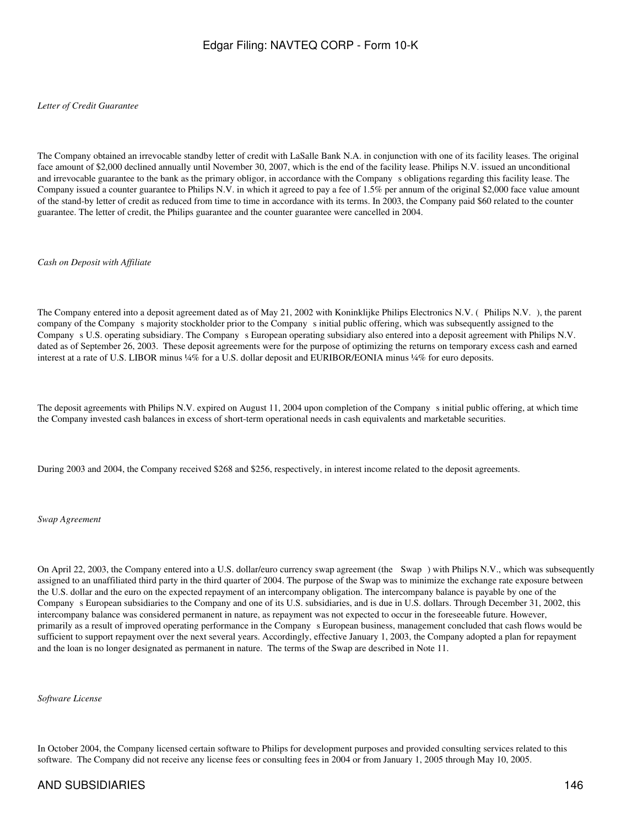*Letter of Credit Guarantee*

The Company obtained an irrevocable standby letter of credit with LaSalle Bank N.A. in conjunction with one of its facility leases. The original face amount of \$2,000 declined annually until November 30, 2007, which is the end of the facility lease. Philips N.V. issued an unconditional and irrevocable guarantee to the bank as the primary obligor, in accordance with the Companys obligations regarding this facility lease. The Company issued a counter guarantee to Philips N.V. in which it agreed to pay a fee of 1.5% per annum of the original \$2,000 face value amount of the stand-by letter of credit as reduced from time to time in accordance with its terms. In 2003, the Company paid \$60 related to the counter guarantee. The letter of credit, the Philips guarantee and the counter guarantee were cancelled in 2004.

*Cash on Deposit with Affiliate*

The Company entered into a deposit agreement dated as of May 21, 2002 with Koninklijke Philips Electronics N.V. (Philips N.V.), the parent company of the Company s majority stockholder prior to the Company s initial public offering, which was subsequently assigned to the Company s U.S. operating subsidiary. The Company s European operating subsidiary also entered into a deposit agreement with Philips N.V. dated as of September 26, 2003. These deposit agreements were for the purpose of optimizing the returns on temporary excess cash and earned interest at a rate of U.S. LIBOR minus ¼% for a U.S. dollar deposit and EURIBOR/EONIA minus ¼% for euro deposits.

The deposit agreements with Philips N.V. expired on August 11, 2004 upon completion of the Companys initial public offering, at which time the Company invested cash balances in excess of short-term operational needs in cash equivalents and marketable securities.

During 2003 and 2004, the Company received \$268 and \$256, respectively, in interest income related to the deposit agreements.

*Swap Agreement*

On April 22, 2003, the Company entered into a U.S. dollar/euro currency swap agreement (the Swap) with Philips N.V., which was subsequently assigned to an unaffiliated third party in the third quarter of 2004. The purpose of the Swap was to minimize the exchange rate exposure between the U.S. dollar and the euro on the expected repayment of an intercompany obligation. The intercompany balance is payable by one of the Companys European subsidiaries to the Company and one of its U.S. subsidiaries, and is due in U.S. dollars. Through December 31, 2002, this intercompany balance was considered permanent in nature, as repayment was not expected to occur in the foreseeable future. However, primarily as a result of improved operating performance in the Company s European business, management concluded that cash flows would be sufficient to support repayment over the next several years. Accordingly, effective January 1, 2003, the Company adopted a plan for repayment and the loan is no longer designated as permanent in nature. The terms of the Swap are described in Note 11.

*Software License*

In October 2004, the Company licensed certain software to Philips for development purposes and provided consulting services related to this software. The Company did not receive any license fees or consulting fees in 2004 or from January 1, 2005 through May 10, 2005.

## AND SUBSIDIARIES 146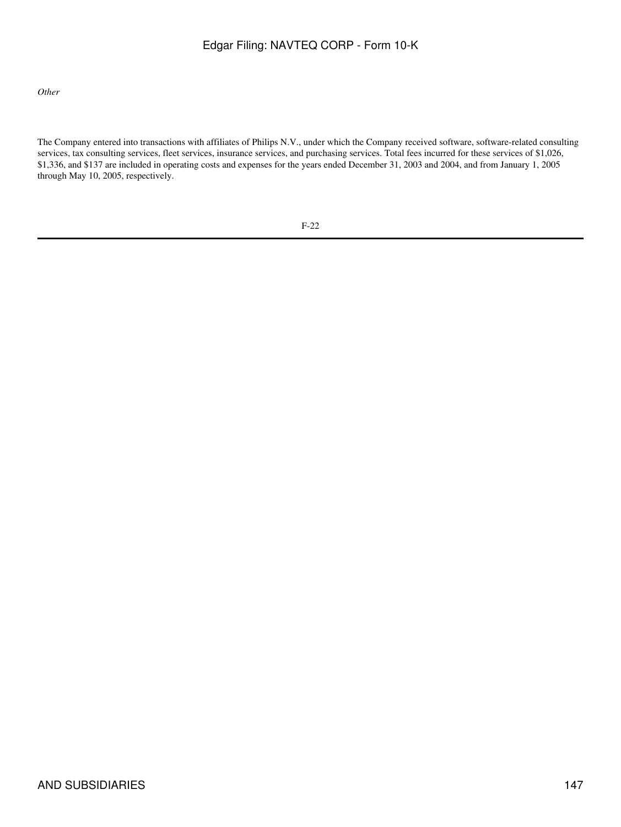*Other*

The Company entered into transactions with affiliates of Philips N.V., under which the Company received software, software-related consulting services, tax consulting services, fleet services, insurance services, and purchasing services. Total fees incurred for these services of \$1,026, \$1,336, and \$137 are included in operating costs and expenses for the years ended December 31, 2003 and 2004, and from January 1, 2005 through May 10, 2005, respectively.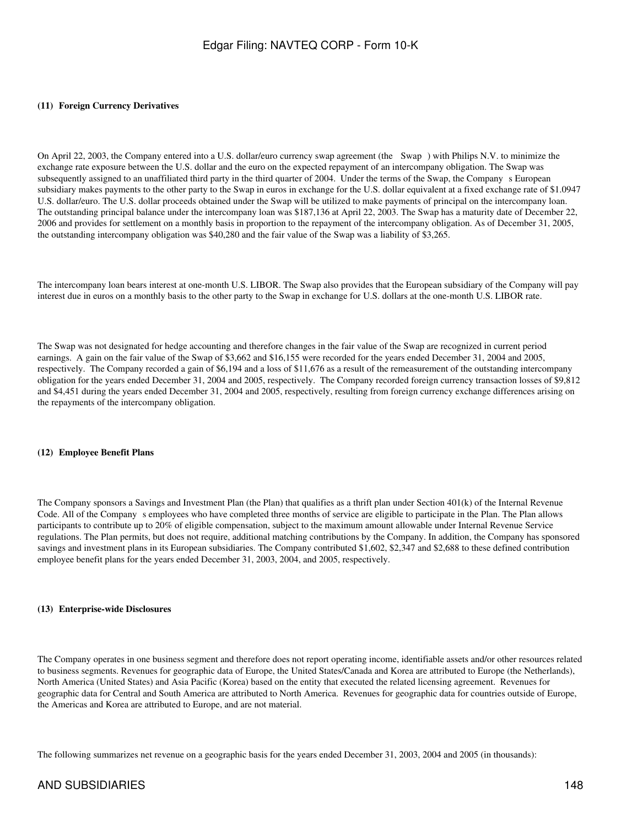#### **(11)Foreign Currency Derivatives**

On April 22, 2003, the Company entered into a U.S. dollar/euro currency swap agreement (the Swap) with Philips N.V. to minimize the exchange rate exposure between the U.S. dollar and the euro on the expected repayment of an intercompany obligation. The Swap was subsequently assigned to an unaffiliated third party in the third quarter of 2004. Under the terms of the Swap, the Company s European subsidiary makes payments to the other party to the Swap in euros in exchange for the U.S. dollar equivalent at a fixed exchange rate of \$1.0947 U.S. dollar/euro. The U.S. dollar proceeds obtained under the Swap will be utilized to make payments of principal on the intercompany loan. The outstanding principal balance under the intercompany loan was \$187,136 at April 22, 2003. The Swap has a maturity date of December 22, 2006 and provides for settlement on a monthly basis in proportion to the repayment of the intercompany obligation. As of December 31, 2005, the outstanding intercompany obligation was \$40,280 and the fair value of the Swap was a liability of \$3,265.

The intercompany loan bears interest at one-month U.S. LIBOR. The Swap also provides that the European subsidiary of the Company will pay interest due in euros on a monthly basis to the other party to the Swap in exchange for U.S. dollars at the one-month U.S. LIBOR rate.

The Swap was not designated for hedge accounting and therefore changes in the fair value of the Swap are recognized in current period earnings. A gain on the fair value of the Swap of \$3,662 and \$16,155 were recorded for the years ended December 31, 2004 and 2005, respectively. The Company recorded a gain of \$6,194 and a loss of \$11,676 as a result of the remeasurement of the outstanding intercompany obligation for the years ended December 31, 2004 and 2005, respectively. The Company recorded foreign currency transaction losses of \$9,812 and \$4,451 during the years ended December 31, 2004 and 2005, respectively, resulting from foreign currency exchange differences arising on the repayments of the intercompany obligation.

#### **(12)Employee Benefit Plans**

The Company sponsors a Savings and Investment Plan (the Plan) that qualifies as a thrift plan under Section 401(k) of the Internal Revenue Code. All of the Company s employees who have completed three months of service are eligible to participate in the Plan. The Plan allows participants to contribute up to 20% of eligible compensation, subject to the maximum amount allowable under Internal Revenue Service regulations. The Plan permits, but does not require, additional matching contributions by the Company. In addition, the Company has sponsored savings and investment plans in its European subsidiaries. The Company contributed \$1,602, \$2,347 and \$2,688 to these defined contribution employee benefit plans for the years ended December 31, 2003, 2004, and 2005, respectively.

#### **(13)Enterprise-wide Disclosures**

The Company operates in one business segment and therefore does not report operating income, identifiable assets and/or other resources related to business segments. Revenues for geographic data of Europe, the United States/Canada and Korea are attributed to Europe (the Netherlands), North America (United States) and Asia Pacific (Korea) based on the entity that executed the related licensing agreement. Revenues for geographic data for Central and South America are attributed to North America. Revenues for geographic data for countries outside of Europe, the Americas and Korea are attributed to Europe, and are not material.

The following summarizes net revenue on a geographic basis for the years ended December 31, 2003, 2004 and 2005 (in thousands):

## AND SUBSIDIARIES 148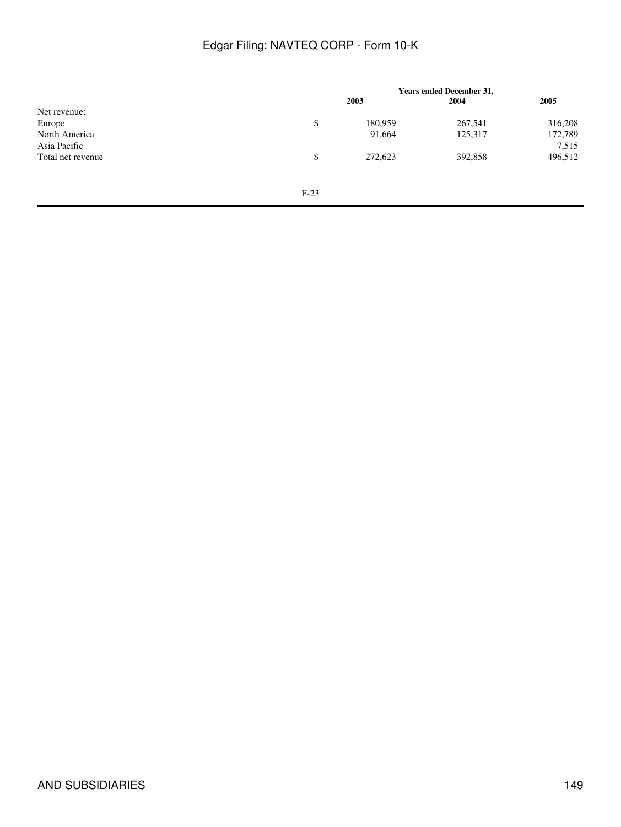|                   |        | <b>Years ended December 31,</b> |         |         |  |
|-------------------|--------|---------------------------------|---------|---------|--|
|                   |        | 2003                            | 2004    | 2005    |  |
| Net revenue:      |        |                                 |         |         |  |
| Europe            | \$     | 180,959                         | 267,541 | 316,208 |  |
| North America     |        | 91,664                          | 125,317 | 172,789 |  |
| Asia Pacific      |        |                                 |         | 7,515   |  |
| Total net revenue | \$     | 272,623                         | 392,858 | 496,512 |  |
|                   |        |                                 |         |         |  |
|                   |        |                                 |         |         |  |
|                   | $F-23$ |                                 |         |         |  |
|                   |        |                                 |         |         |  |
|                   |        |                                 |         |         |  |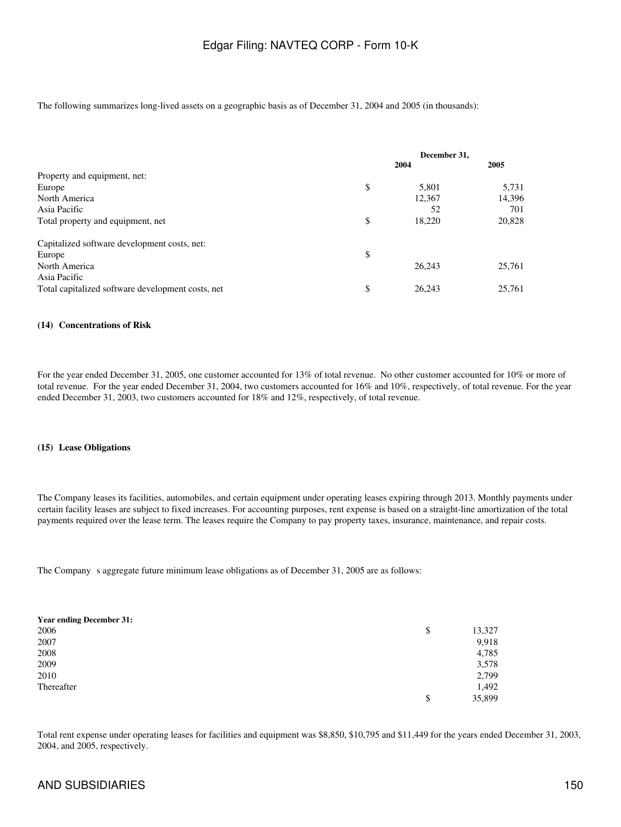The following summarizes long-lived assets on a geographic basis as of December 31, 2004 and 2005 (in thousands):

|                                                   | December 31, |        |        |
|---------------------------------------------------|--------------|--------|--------|
|                                                   |              | 2004   | 2005   |
| Property and equipment, net:                      |              |        |        |
| Europe                                            | \$           | 5,801  | 5,731  |
| North America                                     |              | 12,367 | 14,396 |
| Asia Pacific                                      |              | 52     | 701    |
| Total property and equipment, net                 | \$           | 18,220 | 20,828 |
| Capitalized software development costs, net:      |              |        |        |
| Europe                                            | \$           |        |        |
| North America                                     |              | 26,243 | 25,761 |
| Asia Pacific                                      |              |        |        |
| Total capitalized software development costs, net | \$           | 26.243 | 25,761 |

#### **(14)Concentrations of Risk**

For the year ended December 31, 2005, one customer accounted for 13% of total revenue. No other customer accounted for 10% or more of total revenue. For the year ended December 31, 2004, two customers accounted for 16% and 10%, respectively, of total revenue. For the year ended December 31, 2003, two customers accounted for 18% and 12%, respectively, of total revenue.

#### **(15)Lease Obligations**

The Company leases its facilities, automobiles, and certain equipment under operating leases expiring through 2013. Monthly payments under certain facility leases are subject to fixed increases. For accounting purposes, rent expense is based on a straight-line amortization of the total payments required over the lease term. The leases require the Company to pay property taxes, insurance, maintenance, and repair costs.

The Company s aggregate future minimum lease obligations as of December 31, 2005 are as follows:

| <b>Year ending December 31:</b> |              |
|---------------------------------|--------------|
| 2006                            | \$<br>13,327 |
| 2007                            | 9,918        |
| 2008                            | 4,785        |
| 2009                            | 3,578        |
| 2010                            | 2,799        |
| Thereafter                      | 1,492        |
|                                 | \$<br>35,899 |

Total rent expense under operating leases for facilities and equipment was \$8,850, \$10,795 and \$11,449 for the years ended December 31, 2003, 2004, and 2005, respectively.

## AND SUBSIDIARIES 150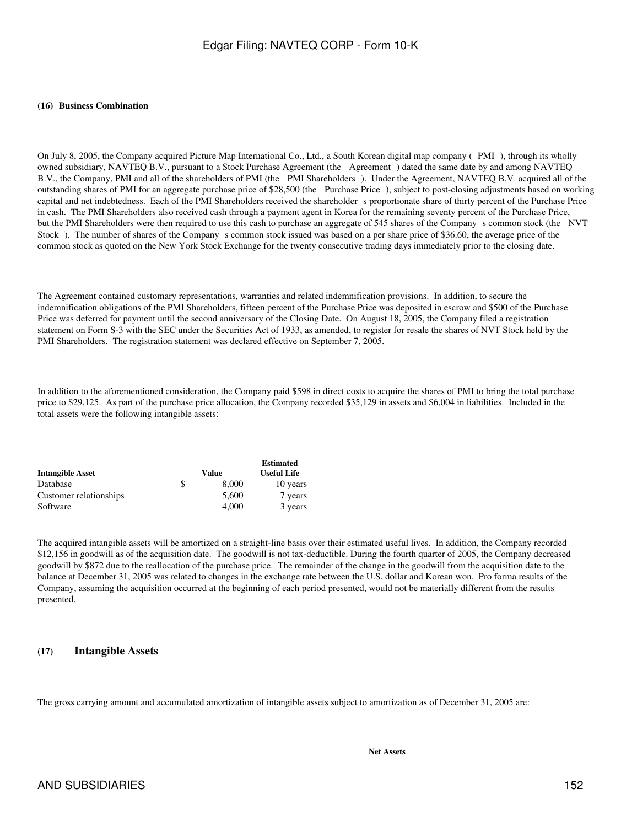#### **(16) Business Combination**

On July 8, 2005, the Company acquired Picture Map International Co., Ltd., a South Korean digital map company (PMI), through its wholly owned subsidiary, NAVTEQ B.V., pursuant to a Stock Purchase Agreement (the Agreement) dated the same date by and among NAVTEQ B.V., the Company, PMI and all of the shareholders of PMI (the PMI Shareholders). Under the Agreement, NAVTEQ B.V. acquired all of the outstanding shares of PMI for an aggregate purchase price of \$28,500 (the Purchase Price), subject to post-closing adjustments based on working capital and net indebtedness. Each of the PMI Shareholders received the shareholder s proportionate share of thirty percent of the Purchase Price in cash. The PMI Shareholders also received cash through a payment agent in Korea for the remaining seventy percent of the Purchase Price, but the PMI Shareholders were then required to use this cash to purchase an aggregate of 545 shares of the Company s common stock (the NVT Stock). The number of shares of the Company s common stock issued was based on a per share price of \$36.60, the average price of the common stock as quoted on the New York Stock Exchange for the twenty consecutive trading days immediately prior to the closing date.

The Agreement contained customary representations, warranties and related indemnification provisions. In addition, to secure the indemnification obligations of the PMI Shareholders, fifteen percent of the Purchase Price was deposited in escrow and \$500 of the Purchase Price was deferred for payment until the second anniversary of the Closing Date. On August 18, 2005, the Company filed a registration statement on Form S-3 with the SEC under the Securities Act of 1933, as amended, to register for resale the shares of NVT Stock held by the PMI Shareholders. The registration statement was declared effective on September 7, 2005.

In addition to the aforementioned consideration, the Company paid \$598 in direct costs to acquire the shares of PMI to bring the total purchase price to \$29,125. As part of the purchase price allocation, the Company recorded \$35,129 in assets and \$6,004 in liabilities. Included in the total assets were the following intangible assets:

|                         |             | <b>Estimated</b>   |
|-------------------------|-------------|--------------------|
| <b>Intangible Asset</b> | Value       | <b>Useful Life</b> |
| Database                | \$<br>8,000 | 10 years           |
| Customer relationships  | 5.600       | 7 years            |
| Software                | 4.000       | 3 years            |

The acquired intangible assets will be amortized on a straight-line basis over their estimated useful lives. In addition, the Company recorded \$12,156 in goodwill as of the acquisition date. The goodwill is not tax-deductible. During the fourth quarter of 2005, the Company decreased goodwill by \$872 due to the reallocation of the purchase price. The remainder of the change in the goodwill from the acquisition date to the balance at December 31, 2005 was related to changes in the exchange rate between the U.S. dollar and Korean won. Pro forma results of the Company, assuming the acquisition occurred at the beginning of each period presented, would not be materially different from the results presented.

## **(17) Intangible Assets**

The gross carrying amount and accumulated amortization of intangible assets subject to amortization as of December 31, 2005 are: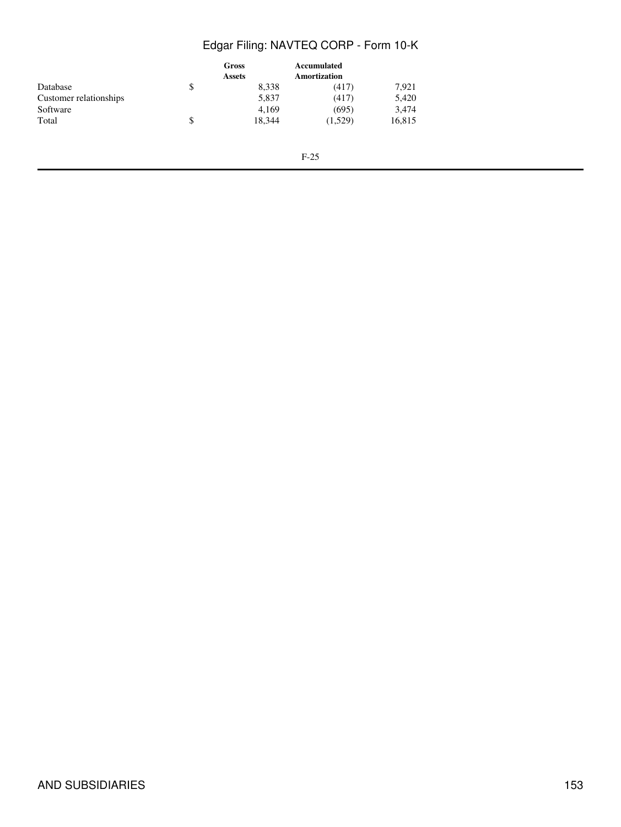|                        | Gross<br><b>Assets</b> |        | Accumulated<br><b>Amortization</b> |        |  |
|------------------------|------------------------|--------|------------------------------------|--------|--|
| Database               | \$                     | 8,338  | (417)                              | 7.921  |  |
| Customer relationships |                        | 5.837  | (417)                              | 5,420  |  |
| Software               |                        | 4,169  | (695)                              | 3,474  |  |
| Total                  | \$                     | 18.344 | (1,529)                            | 16,815 |  |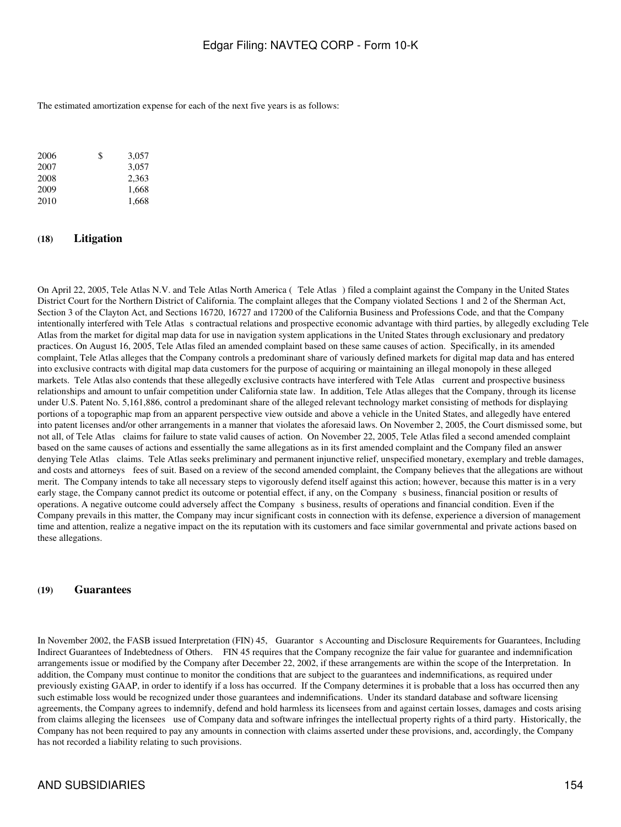The estimated amortization expense for each of the next five years is as follows:

| 2006 | \$<br>3,057 |
|------|-------------|
| 2007 | 3.057       |
| 2008 | 2.363       |
| 2009 | 1,668       |
| 2010 | 1,668       |
|      |             |

### **(18) Litigation**

On April 22, 2005, Tele Atlas N.V. and Tele Atlas North America (Tele Atlas) filed a complaint against the Company in the United States District Court for the Northern District of California. The complaint alleges that the Company violated Sections 1 and 2 of the Sherman Act, Section 3 of the Clayton Act, and Sections 16720, 16727 and 17200 of the California Business and Professions Code, and that the Company intentionally interfered with Tele Atlas s contractual relations and prospective economic advantage with third parties, by allegedly excluding Tele Atlas from the market for digital map data for use in navigation system applications in the United States through exclusionary and predatory practices. On August 16, 2005, Tele Atlas filed an amended complaint based on these same causes of action. Specifically, in its amended complaint, Tele Atlas alleges that the Company controls a predominant share of variously defined markets for digital map data and has entered into exclusive contracts with digital map data customers for the purpose of acquiring or maintaining an illegal monopoly in these alleged markets. Tele Atlas also contends that these allegedly exclusive contracts have interfered with Tele Atlas current and prospective business relationships and amount to unfair competition under California state law. In addition, Tele Atlas alleges that the Company, through its license under U.S. Patent No. 5,161,886, control a predominant share of the alleged relevant technology market consisting of methods for displaying portions of a topographic map from an apparent perspective view outside and above a vehicle in the United States, and allegedly have entered into patent licenses and/or other arrangements in a manner that violates the aforesaid laws. On November 2, 2005, the Court dismissed some, but not all, of Tele Atlas claims for failure to state valid causes of action. On November 22, 2005, Tele Atlas filed a second amended complaint based on the same causes of actions and essentially the same allegations as in its first amended complaint and the Company filed an answer denying Tele Atlas claims. Tele Atlas seeks preliminary and permanent injunctive relief, unspecified monetary, exemplary and treble damages, and costs and attorneys fees of suit. Based on a review of the second amended complaint, the Company believes that the allegations are without merit. The Company intends to take all necessary steps to vigorously defend itself against this action; however, because this matter is in a very early stage, the Company cannot predict its outcome or potential effect, if any, on the Company s business, financial position or results of operations. A negative outcome could adversely affect the Companys business, results of operations and financial condition. Even if the Company prevails in this matter, the Company may incur significant costs in connection with its defense, experience a diversion of management time and attention, realize a negative impact on the its reputation with its customers and face similar governmental and private actions based on these allegations.

#### **(19) Guarantees**

In November 2002, the FASB issued Interpretation (FIN) 45, Guarantors Accounting and Disclosure Requirements for Guarantees, Including Indirect Guarantees of Indebtedness of Others. FIN 45 requires that the Company recognize the fair value for guarantee and indemnification arrangements issue or modified by the Company after December 22, 2002, if these arrangements are within the scope of the Interpretation. In addition, the Company must continue to monitor the conditions that are subject to the guarantees and indemnifications, as required under previously existing GAAP, in order to identify if a loss has occurred. If the Company determines it is probable that a loss has occurred then any such estimable loss would be recognized under those guarantees and indemnifications. Under its standard database and software licensing agreements, the Company agrees to indemnify, defend and hold harmless its licensees from and against certain losses, damages and costs arising from claims alleging the licensees use of Company data and software infringes the intellectual property rights of a third party. Historically, the Company has not been required to pay any amounts in connection with claims asserted under these provisions, and, accordingly, the Company has not recorded a liability relating to such provisions.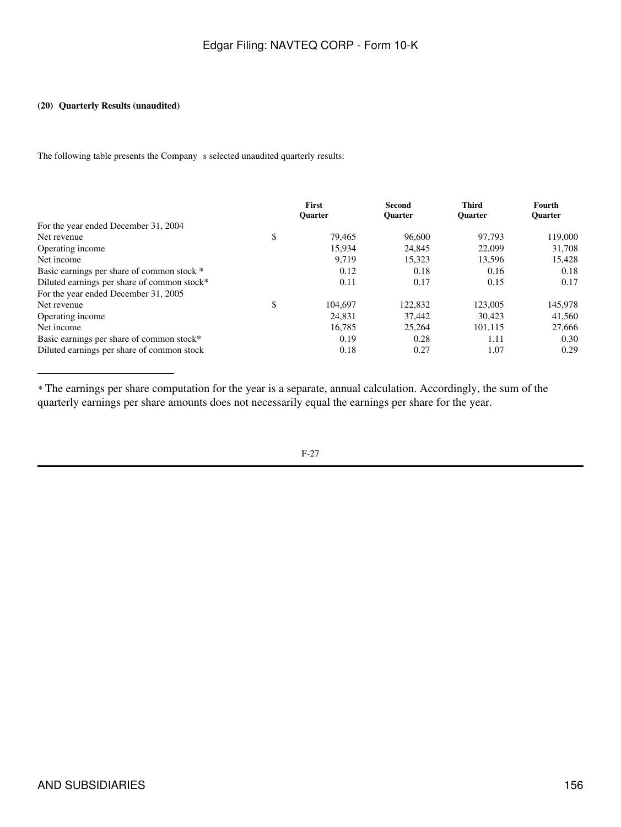### **(20) Quarterly Results (unaudited)**

The following table presents the Company s selected unaudited quarterly results:

|                                             | First<br><b>Ouarter</b> | Second<br><b>Ouarter</b> | <b>Third</b><br><b>Ouarter</b> | Fourth<br><b>Ouarter</b> |
|---------------------------------------------|-------------------------|--------------------------|--------------------------------|--------------------------|
| For the year ended December 31, 2004        |                         |                          |                                |                          |
| Net revenue                                 | \$<br>79.465            | 96,600                   | 97.793                         | 119,000                  |
| Operating income                            | 15,934                  | 24,845                   | 22,099                         | 31,708                   |
| Net income                                  | 9.719                   | 15.323                   | 13.596                         | 15.428                   |
| Basic earnings per share of common stock *  | 0.12                    | 0.18                     | 0.16                           | 0.18                     |
| Diluted earnings per share of common stock* | 0.11                    | 0.17                     | 0.15                           | 0.17                     |
| For the year ended December 31, 2005        |                         |                          |                                |                          |
| Net revenue                                 | \$<br>104.697           | 122,832                  | 123,005                        | 145,978                  |
| Operating income                            | 24,831                  | 37.442                   | 30.423                         | 41,560                   |
| Net income                                  | 16.785                  | 25,264                   | 101.115                        | 27,666                   |
| Basic earnings per share of common stock*   | 0.19                    | 0.28                     | 1.11                           | 0.30                     |
| Diluted earnings per share of common stock  | 0.18                    | 0.27                     | 1.07                           | 0.29                     |

*\** The earnings per share computation for the year is a separate, annual calculation. Accordingly, the sum of the quarterly earnings per share amounts does not necessarily equal the earnings per share for the year.